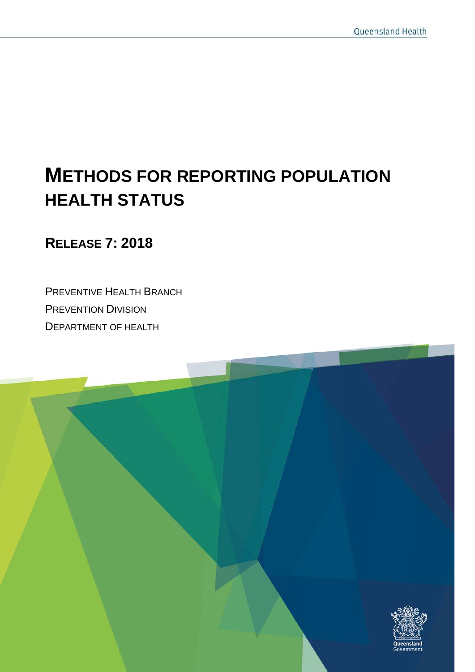# **METHODS FOR REPORTING POPULATION HEALTH STATUS**

**RELEASE 7: 2018**

PREVENTIVE HEALTH BRANCH PREVENTION DIVISION DEPARTMENT OF HEALTH

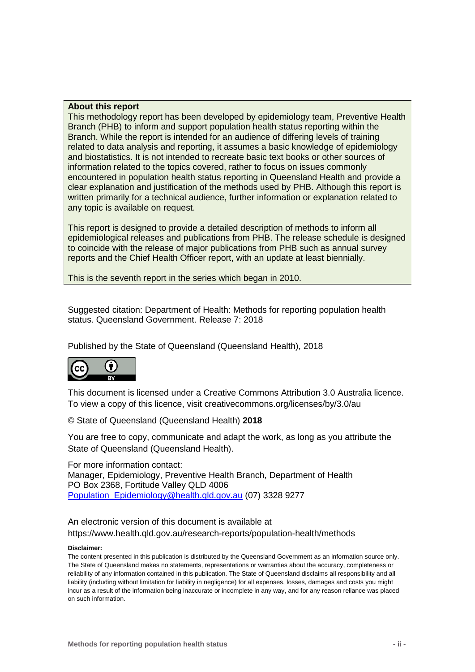#### **About this report**

This methodology report has been developed by epidemiology team, Preventive Health Branch (PHB) to inform and support population health status reporting within the Branch. While the report is intended for an audience of differing levels of training related to data analysis and reporting, it assumes a basic knowledge of epidemiology and biostatistics. It is not intended to recreate basic text books or other sources of information related to the topics covered, rather to focus on issues commonly encountered in population health status reporting in Queensland Health and provide a clear explanation and justification of the methods used by PHB. Although this report is written primarily for a technical audience, further information or explanation related to any topic is available on request.

This report is designed to provide a detailed description of methods to inform all epidemiological releases and publications from PHB. The release schedule is designed to coincide with the release of major publications from PHB such as annual survey reports and the Chief Health Officer report, with an update at least biennially.

This is the seventh report in the series which began in 2010.

Suggested citation: Department of Health: Methods for reporting population health status. Queensland Government. Release 7: 2018

Published by the State of Queensland (Queensland Health), 2018



This document is licensed under a Creative Commons Attribution 3.0 Australia licence. To view a copy of this licence, visit creativecommons.org/licenses/by/3.0/au

© State of Queensland (Queensland Health) **2018**

You are free to copy, communicate and adapt the work, as long as you attribute the State of Queensland (Queensland Health).

For more information contact: Manager, Epidemiology, Preventive Health Branch, Department of Health PO Box 2368, Fortitude Valley QLD 4006 [Population\\_Epidemiology@health.qld.gov.au](mailto:Population_Epidemiology@health.qld.gov.au) (07) 3328 9277

An electronic version of this document is available at https://www.health.qld.gov.au/research-reports/population-health/methods

#### **Disclaimer:**

The content presented in this publication is distributed by the Queensland Government as an information source only. The State of Queensland makes no statements, representations or warranties about the accuracy, completeness or reliability of any information contained in this publication. The State of Queensland disclaims all responsibility and all liability (including without limitation for liability in negligence) for all expenses, losses, damages and costs you might incur as a result of the information being inaccurate or incomplete in any way, and for any reason reliance was placed on such information.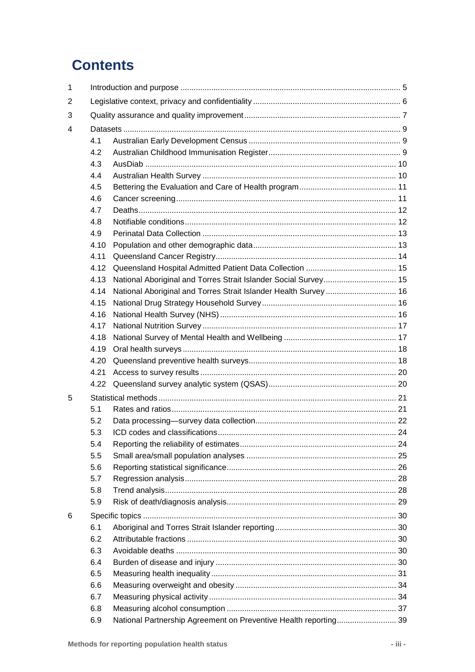# **Contents**

| $\mathbf{1}$ |            |                                                                  |  |  |  |  |  |  |  |
|--------------|------------|------------------------------------------------------------------|--|--|--|--|--|--|--|
| 2            |            |                                                                  |  |  |  |  |  |  |  |
| 3            |            |                                                                  |  |  |  |  |  |  |  |
| 4            |            |                                                                  |  |  |  |  |  |  |  |
|              | 4.1        |                                                                  |  |  |  |  |  |  |  |
|              | 4.2        |                                                                  |  |  |  |  |  |  |  |
|              | 4.3        |                                                                  |  |  |  |  |  |  |  |
|              | 4.4        |                                                                  |  |  |  |  |  |  |  |
|              | 4.5        |                                                                  |  |  |  |  |  |  |  |
|              | 4.6        |                                                                  |  |  |  |  |  |  |  |
|              | 4.7        |                                                                  |  |  |  |  |  |  |  |
|              | 4.8        |                                                                  |  |  |  |  |  |  |  |
|              | 4.9        |                                                                  |  |  |  |  |  |  |  |
|              | 4.10       |                                                                  |  |  |  |  |  |  |  |
|              | 4.11       |                                                                  |  |  |  |  |  |  |  |
|              | 4.12       |                                                                  |  |  |  |  |  |  |  |
|              | 4.13       |                                                                  |  |  |  |  |  |  |  |
|              | 4.14       | National Aboriginal and Torres Strait Islander Health Survey  16 |  |  |  |  |  |  |  |
|              | 4.15       |                                                                  |  |  |  |  |  |  |  |
|              | 4.16       |                                                                  |  |  |  |  |  |  |  |
|              | 4.17       |                                                                  |  |  |  |  |  |  |  |
|              | 4.18       |                                                                  |  |  |  |  |  |  |  |
|              | 4.19       |                                                                  |  |  |  |  |  |  |  |
|              | 4.20       |                                                                  |  |  |  |  |  |  |  |
|              | 4.21       |                                                                  |  |  |  |  |  |  |  |
|              | 4.22       |                                                                  |  |  |  |  |  |  |  |
| 5            |            |                                                                  |  |  |  |  |  |  |  |
|              | 5.1        |                                                                  |  |  |  |  |  |  |  |
|              | 5.2        |                                                                  |  |  |  |  |  |  |  |
|              | 5.3        |                                                                  |  |  |  |  |  |  |  |
|              | 5.4        |                                                                  |  |  |  |  |  |  |  |
|              | 5.5        |                                                                  |  |  |  |  |  |  |  |
|              | 5.6        |                                                                  |  |  |  |  |  |  |  |
|              | 5.7        |                                                                  |  |  |  |  |  |  |  |
|              | 5.8        |                                                                  |  |  |  |  |  |  |  |
|              | 5.9        |                                                                  |  |  |  |  |  |  |  |
|              |            |                                                                  |  |  |  |  |  |  |  |
| 6            |            |                                                                  |  |  |  |  |  |  |  |
|              | 6.1<br>6.2 |                                                                  |  |  |  |  |  |  |  |
|              |            |                                                                  |  |  |  |  |  |  |  |
|              | 6.3        |                                                                  |  |  |  |  |  |  |  |
|              | 6.4        |                                                                  |  |  |  |  |  |  |  |
|              | 6.5        |                                                                  |  |  |  |  |  |  |  |
|              | 6.6        |                                                                  |  |  |  |  |  |  |  |
|              | 6.7        |                                                                  |  |  |  |  |  |  |  |
|              | 6.8        |                                                                  |  |  |  |  |  |  |  |
|              | 6.9        | National Partnership Agreement on Preventive Health reporting 39 |  |  |  |  |  |  |  |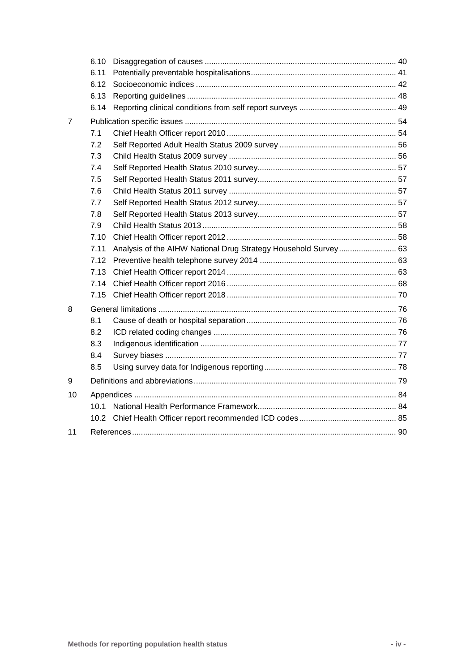|    | 6.10              |                                                                 |  |
|----|-------------------|-----------------------------------------------------------------|--|
|    | 6.11              |                                                                 |  |
|    | 6.12              |                                                                 |  |
|    | 6.13              |                                                                 |  |
|    | 6.14              |                                                                 |  |
| 7  |                   |                                                                 |  |
|    | 7.1               |                                                                 |  |
|    | 7.2               |                                                                 |  |
|    | 7.3               |                                                                 |  |
|    | 7.4               |                                                                 |  |
|    | 7.5               |                                                                 |  |
|    | 7.6               |                                                                 |  |
|    | 7.7               |                                                                 |  |
|    | 7.8               |                                                                 |  |
|    | 7.9               |                                                                 |  |
|    | 7.10              |                                                                 |  |
|    | 7.11              | Analysis of the AIHW National Drug Strategy Household Survey 63 |  |
|    | 7.12              |                                                                 |  |
|    | 7.13              |                                                                 |  |
|    | 7.14              |                                                                 |  |
|    | 7.15              |                                                                 |  |
| 8  |                   |                                                                 |  |
|    | 8.1               |                                                                 |  |
|    | 8.2               |                                                                 |  |
|    | 8.3               |                                                                 |  |
|    | 8.4               |                                                                 |  |
|    | 8.5               |                                                                 |  |
| 9  |                   |                                                                 |  |
| 10 |                   |                                                                 |  |
|    | 10.1              |                                                                 |  |
|    | 10.2 <sub>2</sub> |                                                                 |  |
| 11 |                   |                                                                 |  |
|    |                   |                                                                 |  |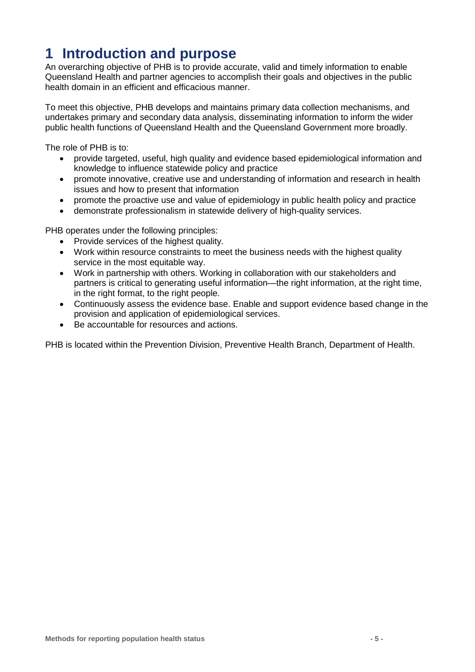# <span id="page-4-0"></span>**1 Introduction and purpose**

An overarching objective of PHB is to provide accurate, valid and timely information to enable Queensland Health and partner agencies to accomplish their goals and objectives in the public health domain in an efficient and efficacious manner.

To meet this objective, PHB develops and maintains primary data collection mechanisms, and undertakes primary and secondary data analysis, disseminating information to inform the wider public health functions of Queensland Health and the Queensland Government more broadly.

The role of PHB is to:

- provide targeted, useful, high quality and evidence based epidemiological information and knowledge to influence statewide policy and practice
- promote innovative, creative use and understanding of information and research in health issues and how to present that information
- promote the proactive use and value of epidemiology in public health policy and practice
- demonstrate professionalism in statewide delivery of high-quality services.

PHB operates under the following principles:

- Provide services of the highest quality.
- Work within resource constraints to meet the business needs with the highest quality service in the most equitable way.
- Work in partnership with others. Working in collaboration with our stakeholders and partners is critical to generating useful information—the right information, at the right time, in the right format, to the right people.
- Continuously assess the evidence base. Enable and support evidence based change in the provision and application of epidemiological services.
- Be accountable for resources and actions.

PHB is located within the Prevention Division, Preventive Health Branch, Department of Health.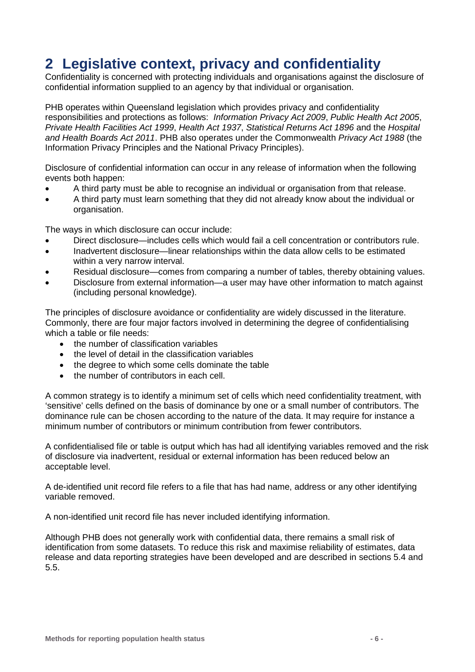# <span id="page-5-0"></span>**2 Legislative context, privacy and confidentiality**

Confidentiality is concerned with protecting individuals and organisations against the disclosure of confidential information supplied to an agency by that individual or organisation.

PHB operates within Queensland legislation which provides privacy and confidentiality responsibilities and protections as follows: *Information Privacy Act 2009*, *Public Health Act 2005*, *Private Health Facilities Act 1999*, *Health Act 1937*, *Statistical Returns Act 1896* and the *Hospital and Health Boards Act 2011*. PHB also operates under the Commonwealth *Privacy Act 1988* (the Information Privacy Principles and the National Privacy Principles).

Disclosure of confidential information can occur in any release of information when the following events both happen:

- A third party must be able to recognise an individual or organisation from that release.
- A third party must learn something that they did not already know about the individual or organisation.

The ways in which disclosure can occur include:

- Direct disclosure—includes cells which would fail a cell concentration or contributors rule.
- Inadvertent disclosure—linear relationships within the data allow cells to be estimated within a very narrow interval.
- Residual disclosure—comes from comparing a number of tables, thereby obtaining values.
- Disclosure from external information—a user may have other information to match against (including personal knowledge).

The principles of disclosure avoidance or confidentiality are widely discussed in the literature. Commonly, there are four major factors involved in determining the degree of confidentialising which a table or file needs:

- the number of classification variables
- the level of detail in the classification variables
- the degree to which some cells dominate the table
- the number of contributors in each cell.

A common strategy is to identify a minimum set of cells which need confidentiality treatment, with 'sensitive' cells defined on the basis of dominance by one or a small number of contributors. The dominance rule can be chosen according to the nature of the data. It may require for instance a minimum number of contributors or minimum contribution from fewer contributors.

A confidentialised file or table is output which has had all identifying variables removed and the risk of disclosure via inadvertent, residual or external information has been reduced below an acceptable level.

A de-identified unit record file refers to a file that has had name, address or any other identifying variable removed.

A non-identified unit record file has never included identifying information.

Although PHB does not generally work with confidential data, there remains a small risk of identification from some datasets. To reduce this risk and maximise reliability of estimates, data release and data reporting strategies have been developed and are described in sections [5.4](#page-23-2) and [5.5.](#page-24-1)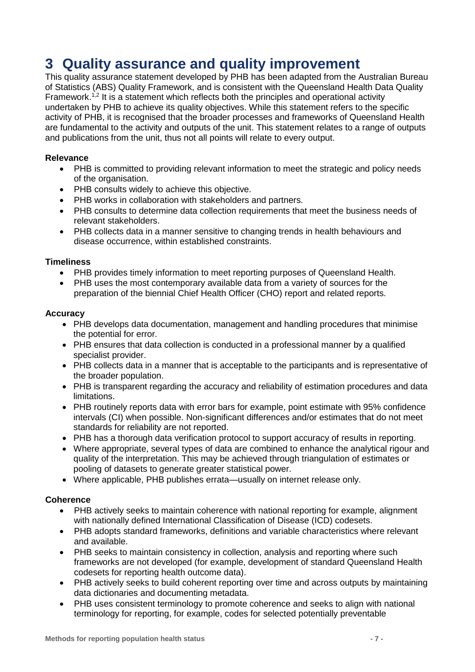# <span id="page-6-0"></span>**3 Quality assurance and quality improvement**

This quality assurance statement developed by PHB has been adapted from the Australian Bureau of Statistics (ABS) Quality Framework, and is consistent with the Queensland Health Data Quality Framework.<sup>1,2</sup> It is a statement which reflects both the principles and operational activity undertaken by PHB to achieve its quality objectives. While this statement refers to the specific activity of PHB, it is recognised that the broader processes and frameworks of Queensland Health are fundamental to the activity and outputs of the unit. This statement relates to a range of outputs and publications from the unit, thus not all points will relate to every output.

### **Relevance**

- PHB is committed to providing relevant information to meet the strategic and policy needs of the organisation.
- PHB consults widely to achieve this objective.
- PHB works in collaboration with stakeholders and partners.
- PHB consults to determine data collection requirements that meet the business needs of relevant stakeholders.
- PHB collects data in a manner sensitive to changing trends in health behaviours and disease occurrence, within established constraints.

### **Timeliness**

- PHB provides timely information to meet reporting purposes of Queensland Health.
- PHB uses the most contemporary available data from a variety of sources for the preparation of the biennial Chief Health Officer (CHO) report and related reports.

#### **Accuracy**

- PHB develops data documentation, management and handling procedures that minimise the potential for error.
- PHB ensures that data collection is conducted in a professional manner by a qualified specialist provider.
- PHB collects data in a manner that is acceptable to the participants and is representative of the broader population.
- PHB is transparent regarding the accuracy and reliability of estimation procedures and data limitations.
- PHB routinely reports data with error bars for example, point estimate with 95% confidence intervals (CI) when possible. Non-significant differences and/or estimates that do not meet standards for reliability are not reported.
- PHB has a thorough data verification protocol to support accuracy of results in reporting.
- Where appropriate, several types of data are combined to enhance the analytical rigour and quality of the interpretation. This may be achieved through triangulation of estimates or pooling of datasets to generate greater statistical power.
- Where applicable, PHB publishes errata—usually on internet release only.

#### **Coherence**

- PHB actively seeks to maintain coherence with national reporting for example, alignment with nationally defined International Classification of Disease (ICD) codesets.
- PHB adopts standard frameworks, definitions and variable characteristics where relevant and available.
- PHB seeks to maintain consistency in collection, analysis and reporting where such frameworks are not developed (for example, development of standard Queensland Health codesets for reporting health outcome data).
- PHB actively seeks to build coherent reporting over time and across outputs by maintaining data dictionaries and documenting metadata.
- PHB uses consistent terminology to promote coherence and seeks to align with national terminology for reporting, for example, codes for selected potentially preventable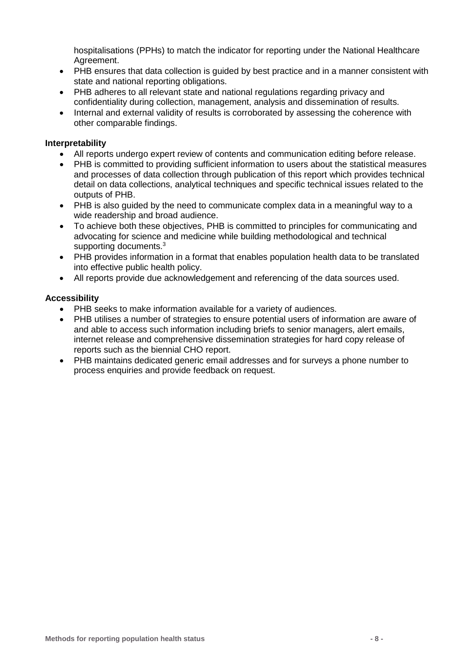hospitalisations (PPHs) to match the indicator for reporting under the National Healthcare Agreement.

- PHB ensures that data collection is guided by best practice and in a manner consistent with state and national reporting obligations.
- PHB adheres to all relevant state and national regulations regarding privacy and confidentiality during collection, management, analysis and dissemination of results.
- Internal and external validity of results is corroborated by assessing the coherence with other comparable findings.

#### **Interpretability**

- All reports undergo expert review of contents and communication editing before release.
- PHB is committed to providing sufficient information to users about the statistical measures and processes of data collection through publication of this report which provides technical detail on data collections, analytical techniques and specific technical issues related to the outputs of PHB.
- PHB is also guided by the need to communicate complex data in a meaningful way to a wide readership and broad audience.
- To achieve both these objectives, PHB is committed to principles for communicating and advocating for science and medicine while building methodological and technical supporting documents.<sup>3</sup>
- PHB provides information in a format that enables population health data to be translated into effective public health policy.
- All reports provide due acknowledgement and referencing of the data sources used.

#### **Accessibility**

- PHB seeks to make information available for a variety of audiences.
- PHB utilises a number of strategies to ensure potential users of information are aware of and able to access such information including briefs to senior managers, alert emails, internet release and comprehensive dissemination strategies for hard copy release of reports such as the biennial CHO report.
- PHB maintains dedicated generic email addresses and for surveys a phone number to process enquiries and provide feedback on request.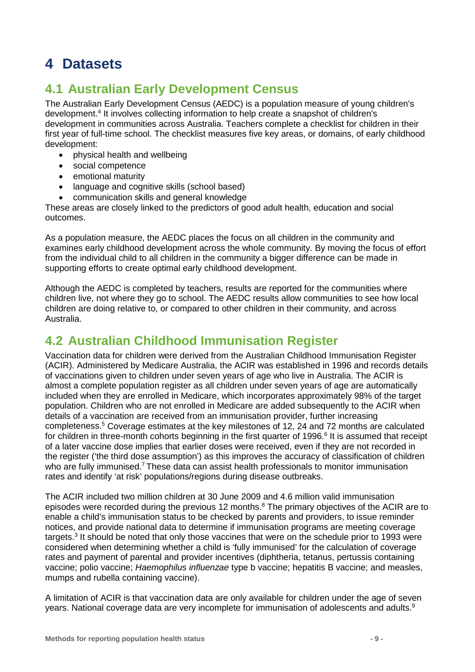# <span id="page-8-0"></span>**4 Datasets**

## <span id="page-8-1"></span>**4.1 Australian Early Development Census**

The Australian Early Development Census (AEDC) is a population measure of young children's development.4 It involves collecting information to help create a snapshot of children's development in communities across Australia. Teachers complete a checklist for children in their first year of full-time school. The checklist measures five key areas, or domains, of early childhood development:

- physical health and wellbeing
- social competence
- emotional maturity
- language and cognitive skills (school based)
- communication skills and general knowledge

These areas are closely linked to the predictors of good adult health, education and social outcomes.

As a population measure, the AEDC places the focus on all children in the community and examines early childhood development across the whole community. By moving the focus of effort from the individual child to all children in the community a bigger difference can be made in supporting efforts to create optimal early childhood development.

Although the AEDC is completed by teachers, results are reported for the communities where children live, not where they go to school. The AEDC results allow communities to see how local children are doing relative to, or compared to other children in their community, and across Australia.

## <span id="page-8-2"></span>**4.2 Australian Childhood Immunisation Register**

Vaccination data for children were derived from the Australian Childhood Immunisation Register (ACIR). Administered by Medicare Australia, the ACIR was established in 1996 and records details of vaccinations given to children under seven years of age who live in Australia. The ACIR is almost a complete population register as all children under seven years of age are automatically included when they are enrolled in Medicare, which incorporates approximately 98% of the target population. Children who are not enrolled in Medicare are added subsequently to the ACIR when details of a vaccination are received from an immunisation provider, further increasing completeness.5 Coverage estimates at the key milestones of 12, 24 and 72 months are calculated for children in three-month cohorts beginning in the first quarter of 1996.<sup>6</sup> It is assumed that receipt of a later vaccine dose implies that earlier doses were received, even if they are not recorded in the register ('the third dose assumption') as this improves the accuracy of classification of children who are fully immunised.<sup>7</sup> These data can assist health professionals to monitor immunisation rates and identify 'at risk' populations/regions during disease outbreaks.

The ACIR included two million children at 30 June 2009 and 4.6 million valid immunisation episodes were recorded during the previous 12 months.<sup>8</sup> The primary objectives of the ACIR are to enable a child's immunisation status to be checked by parents and providers, to issue reminder notices, and provide national data to determine if immunisation programs are meeting coverage targets.<sup>3</sup> It should be noted that only those vaccines that were on the schedule prior to 1993 were considered when determining whether a child is 'fully immunised' for the calculation of coverage rates and payment of parental and provider incentives (diphtheria, tetanus, pertussis containing vaccine; polio vaccine; *Haemophilus influenzae* type b vaccine; hepatitis B vaccine; and measles, mumps and rubella containing vaccine).

A limitation of ACIR is that vaccination data are only available for children under the age of seven years. National coverage data are very incomplete for immunisation of adolescents and adults.<sup>9</sup>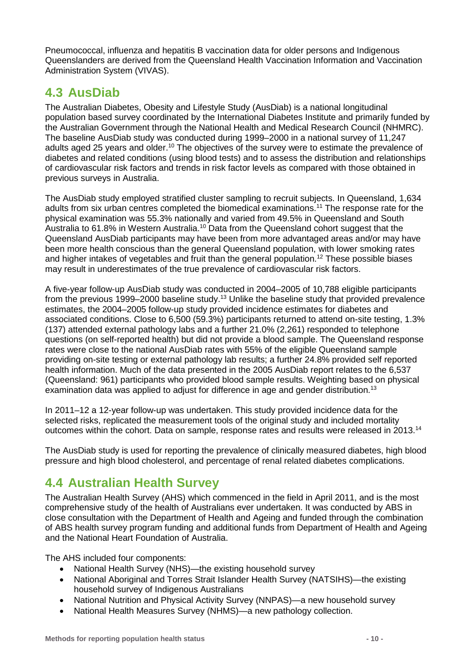Pneumococcal, influenza and hepatitis B vaccination data for older persons and Indigenous Queenslanders are derived from the Queensland Health Vaccination Information and Vaccination Administration System (VIVAS).

## <span id="page-9-0"></span>**4.3 AusDiab**

The Australian Diabetes, Obesity and Lifestyle Study (AusDiab) is a national longitudinal population based survey coordinated by the International Diabetes Institute and primarily funded by the Australian Government through the National Health and Medical Research Council (NHMRC). The baseline AusDiab study was conducted during 1999–2000 in a national survey of 11,247 adults aged 25 years and older.<sup>10</sup> The objectives of the survey were to estimate the prevalence of diabetes and related conditions (using blood tests) and to assess the distribution and relationships of cardiovascular risk factors and trends in risk factor levels as compared with those obtained in previous surveys in Australia.

The AusDiab study employed stratified cluster sampling to recruit subjects. In Queensland, 1,634 adults from six urban centres completed the biomedical examinations.11 The response rate for the physical examination was 55.3% nationally and varied from 49.5% in Queensland and South Australia to 61.8% in Western Australia.<sup>10</sup> Data from the Queensland cohort suggest that the Queensland AusDiab participants may have been from more advantaged areas and/or may have been more health conscious than the general Queensland population, with lower smoking rates and higher intakes of vegetables and fruit than the general population.<sup>12</sup> These possible biases may result in underestimates of the true prevalence of cardiovascular risk factors.

A five-year follow-up AusDiab study was conducted in 2004–2005 of 10,788 eligible participants from the previous 1999–2000 baseline study.13 Unlike the baseline study that provided prevalence estimates, the 2004–2005 follow-up study provided incidence estimates for diabetes and associated conditions. Close to 6,500 (59.3%) participants returned to attend on-site testing, 1.3% (137) attended external pathology labs and a further 21.0% (2,261) responded to telephone questions (on self-reported health) but did not provide a blood sample. The Queensland response rates were close to the national AusDiab rates with 55% of the eligible Queensland sample providing on-site testing or external pathology lab results; a further 24.8% provided self reported health information. Much of the data presented in the 2005 AusDiab report relates to the 6,537 (Queensland: 961) participants who provided blood sample results. Weighting based on physical examination data was applied to adjust for difference in age and gender distribution.<sup>13</sup>

In 2011–12 a 12-year follow-up was undertaken. This study provided incidence data for the selected risks, replicated the measurement tools of the original study and included mortality outcomes within the cohort. Data on sample, response rates and results were released in 2013.<sup>14</sup>

The AusDiab study is used for reporting the prevalence of clinically measured diabetes, high blood pressure and high blood cholesterol, and percentage of renal related diabetes complications.

## <span id="page-9-2"></span><span id="page-9-1"></span>**4.4 Australian Health Survey**

The Australian Health Survey (AHS) which commenced in the field in April 2011, and is the most comprehensive study of the health of Australians ever undertaken. It was conducted by ABS in close consultation with the Department of Health and Ageing and funded through the combination of ABS health survey program funding and additional funds from Department of Health and Ageing and the National Heart Foundation of Australia.

The AHS included four components:

- National Health Survey (NHS)—the existing household survey
- National Aboriginal and Torres Strait Islander Health Survey (NATSIHS)—the existing household survey of Indigenous Australians
- National Nutrition and Physical Activity Survey (NNPAS)—a new household survey
- National Health Measures Survey (NHMS)—a new pathology collection.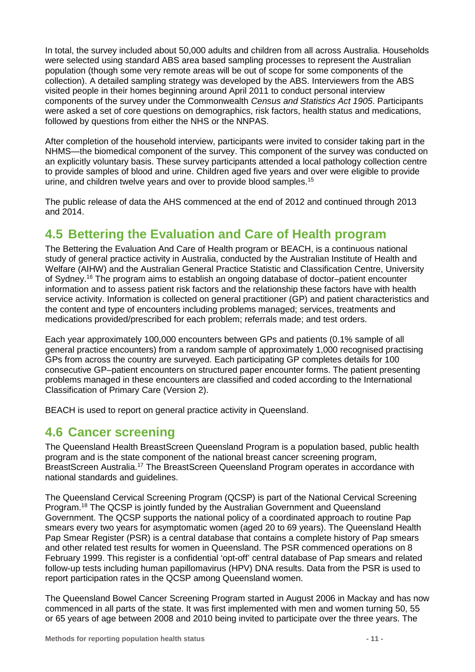In total, the survey included about 50,000 adults and children from all across Australia. Households were selected using standard ABS area based sampling processes to represent the Australian population (though some very remote areas will be out of scope for some components of the collection). A detailed sampling strategy was developed by the ABS. Interviewers from the ABS visited people in their homes beginning around April 2011 to conduct personal interview components of the survey under the Commonwealth *Census and Statistics Act 1905*. Participants were asked a set of core questions on demographics, risk factors, health status and medications, followed by questions from either the NHS or the NNPAS.

After completion of the household interview, participants were invited to consider taking part in the NHMS—the biomedical component of the survey. This component of the survey was conducted on an explicitly voluntary basis. These survey participants attended a local pathology collection centre to provide samples of blood and urine. Children aged five years and over were eligible to provide urine, and children twelve years and over to provide blood samples.<sup>15</sup>

The public release of data the AHS commenced at the end of 2012 and continued through 2013 and 2014.

## <span id="page-10-0"></span>**4.5 Bettering the Evaluation and Care of Health program**

The Bettering the Evaluation And Care of Health program or BEACH, is a continuous national study of general practice activity in Australia, conducted by the Australian Institute of Health and Welfare (AIHW) and the Australian General Practice Statistic and Classification Centre, University of Sydney.16 The program aims to establish an ongoing database of doctor–patient encounter information and to assess patient risk factors and the relationship these factors have with health service activity. Information is collected on general practitioner (GP) and patient characteristics and the content and type of encounters including problems managed; services, treatments and medications provided/prescribed for each problem; referrals made; and test orders.

Each year approximately 100,000 encounters between GPs and patients (0.1% sample of all general practice encounters) from a random sample of approximately 1,000 recognised practising GPs from across the country are surveyed. Each participating GP completes details for 100 consecutive GP–patient encounters on structured paper encounter forms. The patient presenting problems managed in these encounters are classified and coded according to the International Classification of Primary Care (Version 2).

<span id="page-10-1"></span>BEACH is used to report on general practice activity in Queensland.

### **4.6 Cancer screening**

The Queensland Health BreastScreen Queensland Program is a population based, public health program and is the state component of the national breast cancer screening program, BreastScreen Australia.<sup>17</sup> The BreastScreen Queensland Program operates in accordance with national standards and guidelines.

The Queensland Cervical Screening Program (QCSP) is part of the National Cervical Screening Program.18 The QCSP is jointly funded by the Australian Government and Queensland Government. The QCSP supports the national policy of a coordinated approach to routine Pap smears every two years for asymptomatic women (aged 20 to 69 years). The Queensland Health Pap Smear Register (PSR) is a central database that contains a complete history of Pap smears and other related test results for women in Queensland. The PSR commenced operations on 8 February 1999. This register is a confidential 'opt-off' central database of Pap smears and related follow-up tests including human papillomavirus (HPV) DNA results. Data from the PSR is used to report participation rates in the QCSP among Queensland women.

The Queensland Bowel Cancer Screening Program started in August 2006 in Mackay and has now commenced in all parts of the state. It was first implemented with men and women turning 50, 55 or 65 years of age between 2008 and 2010 being invited to participate over the three years. The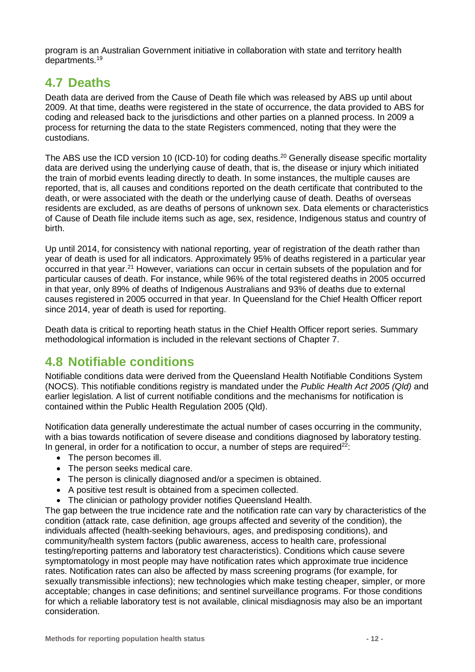program is an Australian Government initiative in collaboration with state and territory health departments.<sup>19</sup>

## <span id="page-11-0"></span>**4.7 Deaths**

Death data are derived from the Cause of Death file which was released by ABS up until about 2009. At that time, deaths were registered in the state of occurrence, the data provided to ABS for coding and released back to the jurisdictions and other parties on a planned process. In 2009 a process for returning the data to the state Registers commenced, noting that they were the custodians.

The ABS use the ICD version 10 (ICD-10) for coding deaths.<sup>20</sup> Generally disease specific mortality data are derived using the underlying cause of death, that is, the disease or injury which initiated the train of morbid events leading directly to death. In some instances, the multiple causes are reported, that is, all causes and conditions reported on the death certificate that contributed to the death, or were associated with the death or the underlying cause of death. Deaths of overseas residents are excluded, as are deaths of persons of unknown sex. Data elements or characteristics of Cause of Death file include items such as age, sex, residence, Indigenous status and country of birth.

Up until 2014, for consistency with national reporting, year of registration of the death rather than year of death is used for all indicators. Approximately 95% of deaths registered in a particular year occurred in that year.<sup>21</sup> However, variations can occur in certain subsets of the population and for particular causes of death. For instance, while 96% of the total registered deaths in 2005 occurred in that year, only 89% of deaths of Indigenous Australians and 93% of deaths due to external causes registered in 2005 occurred in that year. In Queensland for the Chief Health Officer report since 2014, year of death is used for reporting.

Death data is critical to reporting heath status in the Chief Health Officer report series. Summary methodological information is included in the relevant sections of Chapter [7.](#page-53-2)

## <span id="page-11-1"></span>**4.8 Notifiable conditions**

Notifiable conditions data were derived from the Queensland Health Notifiable Conditions System (NOCS). This notifiable conditions registry is mandated under the *Public Health Act 2005 (Qld)* and earlier legislation. A list of current notifiable conditions and the mechanisms for notification is contained within the Public Health Regulation 2005 (Qld).

Notification data generally underestimate the actual number of cases occurring in the community, with a bias towards notification of severe disease and conditions diagnosed by laboratory testing. In general, in order for a notification to occur, a number of steps are required<sup>22</sup>:

- The person becomes ill.
- The person seeks medical care.
- The person is clinically diagnosed and/or a specimen is obtained.
- A positive test result is obtained from a specimen collected.
- The clinician or pathology provider notifies Queensland Health.

The gap between the true incidence rate and the notification rate can vary by characteristics of the condition (attack rate, case definition, age groups affected and severity of the condition), the individuals affected (health-seeking behaviours, ages, and predisposing conditions), and community/health system factors (public awareness, access to health care, professional testing/reporting patterns and laboratory test characteristics). Conditions which cause severe symptomatology in most people may have notification rates which approximate true incidence rates. Notification rates can also be affected by mass screening programs (for example, for sexually transmissible infections); new technologies which make testing cheaper, simpler, or more acceptable; changes in case definitions; and sentinel surveillance programs. For those conditions for which a reliable laboratory test is not available, clinical misdiagnosis may also be an important consideration.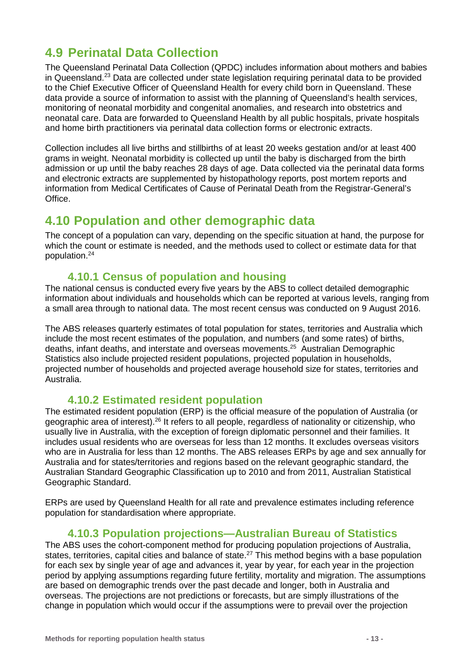## <span id="page-12-0"></span>**4.9 Perinatal Data Collection**

The Queensland Perinatal Data Collection (QPDC) includes information about mothers and babies in Queensland.<sup>23</sup> Data are collected under state legislation requiring perinatal data to be provided to the Chief Executive Officer of Queensland Health for every child born in Queensland. These data provide a source of information to assist with the planning of Queensland's health services, monitoring of neonatal morbidity and congenital anomalies, and research into obstetrics and neonatal care. Data are forwarded to Queensland Health by all public hospitals, private hospitals and home birth practitioners via perinatal data collection forms or electronic extracts.

Collection includes all live births and stillbirths of at least 20 weeks gestation and/or at least 400 grams in weight. Neonatal morbidity is collected up until the baby is discharged from the birth admission or up until the baby reaches 28 days of age. Data collected via the perinatal data forms and electronic extracts are supplemented by histopathology reports, post mortem reports and information from Medical Certificates of Cause of Perinatal Death from the Registrar-General's **Office** 

### <span id="page-12-1"></span>**4.10 Population and other demographic data**

The concept of a population can vary, depending on the specific situation at hand, the purpose for which the count or estimate is needed, and the methods used to collect or estimate data for that population.24

### **4.10.1 Census of population and housing**

The national census is conducted every five years by the ABS to collect detailed demographic information about individuals and households which can be reported at various levels, ranging from a small area through to national data. The most recent census was conducted on 9 August 2016.

The ABS releases quarterly estimates of total population for states, territories and Australia which include the most recent estimates of the population, and numbers (and some rates) of births, deaths, infant deaths, and interstate and overseas movements. 25 Australian Demographic Statistics also include projected resident populations, projected population in households, projected number of households and projected average household size for states, territories and Australia.

### **4.10.2 Estimated resident population**

The estimated resident population (ERP) is the official measure of the population of Australia (or geographic area of interest).26 It refers to all people, regardless of nationality or citizenship, who usually live in Australia, with the exception of foreign diplomatic personnel and their families. It includes usual residents who are overseas for less than 12 months. It excludes overseas visitors who are in Australia for less than 12 months. The ABS releases ERPs by age and sex annually for Australia and for states/territories and regions based on the relevant geographic standard, the Australian Standard Geographic Classification up to 2010 and from 2011, Australian Statistical Geographic Standard.

ERPs are used by Queensland Health for all rate and prevalence estimates including reference population for standardisation where appropriate.

### **4.10.3 Population projections—Australian Bureau of Statistics**

The ABS uses the cohort-component method for producing population projections of Australia, states, territories, capital cities and balance of state.<sup>27</sup> This method begins with a base population for each sex by single year of age and advances it, year by year, for each year in the projection period by applying assumptions regarding future fertility, mortality and migration. The assumptions are based on demographic trends over the past decade and longer, both in Australia and overseas. The projections are not predictions or forecasts, but are simply illustrations of the change in population which would occur if the assumptions were to prevail over the projection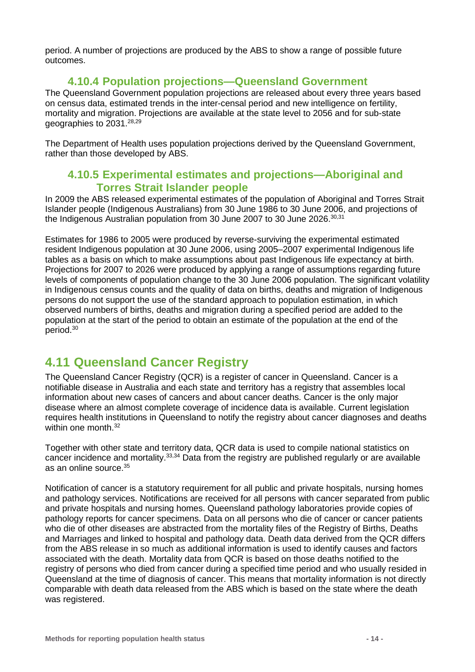period. A number of projections are produced by the ABS to show a range of possible future outcomes.

### **4.10.4 Population projections—Queensland Government**

The Queensland Government population projections are released about every three years based on census data, estimated trends in the inter-censal period and new intelligence on fertility, mortality and migration. Projections are available at the state level to 2056 and for sub-state geographies to 2031.<sup>28,29</sup>

The Department of Health uses population projections derived by the Queensland Government, rather than those developed by ABS.

### **4.10.5 Experimental estimates and projections—Aboriginal and Torres Strait Islander people**

In 2009 the ABS released experimental estimates of the population of Aboriginal and Torres Strait Islander people (Indigenous Australians) from 30 June 1986 to 30 June 2006, and projections of the Indigenous Australian population from 30 June 2007 to 30 June 2026.<sup>30,31</sup>

Estimates for 1986 to 2005 were produced by reverse-surviving the experimental estimated resident Indigenous population at 30 June 2006, using 2005–2007 experimental Indigenous life tables as a basis on which to make assumptions about past Indigenous life expectancy at birth. Projections for 2007 to 2026 were produced by applying a range of assumptions regarding future levels of components of population change to the 30 June 2006 population. The significant volatility in Indigenous census counts and the quality of data on births, deaths and migration of Indigenous persons do not support the use of the standard approach to population estimation, in which observed numbers of births, deaths and migration during a specified period are added to the population at the start of the period to obtain an estimate of the population at the end of the period.30

## <span id="page-13-0"></span>**4.11 Queensland Cancer Registry**

The Queensland Cancer Registry (QCR) is a register of cancer in Queensland. Cancer is a notifiable disease in Australia and each state and territory has a registry that assembles local information about new cases of cancers and about cancer deaths. Cancer is the only major disease where an almost complete coverage of incidence data is available. Current legislation requires health institutions in Queensland to notify the registry about cancer diagnoses and deaths within one month.<sup>32</sup>

Together with other state and territory data, QCR data is used to compile national statistics on cancer incidence and mortality.33,34 Data from the registry are published regularly or are available as an online source.35

Notification of cancer is a statutory requirement for all public and private hospitals, nursing homes and pathology services. Notifications are received for all persons with cancer separated from public and private hospitals and nursing homes. Queensland pathology laboratories provide copies of pathology reports for cancer specimens. Data on all persons who die of cancer or cancer patients who die of other diseases are abstracted from the mortality files of the Registry of Births, Deaths and Marriages and linked to hospital and pathology data. Death data derived from the QCR differs from the ABS release in so much as additional information is used to identify causes and factors associated with the death. Mortality data from QCR is based on those deaths notified to the registry of persons who died from cancer during a specified time period and who usually resided in Queensland at the time of diagnosis of cancer. This means that mortality information is not directly comparable with death data released from the ABS which is based on the state where the death was registered.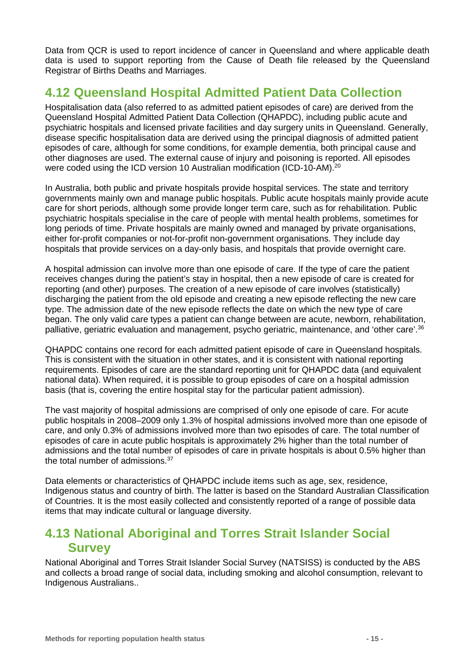Data from QCR is used to report incidence of cancer in Queensland and where applicable death data is used to support reporting from the Cause of Death file released by the Queensland Registrar of Births Deaths and Marriages.

## <span id="page-14-0"></span>**4.12 Queensland Hospital Admitted Patient Data Collection**

Hospitalisation data (also referred to as admitted patient episodes of care) are derived from the Queensland Hospital Admitted Patient Data Collection (QHAPDC), including public acute and psychiatric hospitals and licensed private facilities and day surgery units in Queensland. Generally, disease specific hospitalisation data are derived using the principal diagnosis of admitted patient episodes of care, although for some conditions, for example dementia, both principal cause and other diagnoses are used. The external cause of injury and poisoning is reported. All episodes were coded using the ICD version 10 Australian modification (ICD-10-AM).<sup>20</sup>

In Australia, both public and private hospitals provide hospital services. The state and territory governments mainly own and manage public hospitals. Public acute hospitals mainly provide acute care for short periods, although some provide longer term care, such as for rehabilitation. Public psychiatric hospitals specialise in the care of people with mental health problems, sometimes for long periods of time. Private hospitals are mainly owned and managed by private organisations, either for-profit companies or not-for-profit non-government organisations. They include day hospitals that provide services on a day-only basis, and hospitals that provide overnight care.

A hospital admission can involve more than one episode of care. If the type of care the patient receives changes during the patient's stay in hospital, then a new episode of care is created for reporting (and other) purposes. The creation of a new episode of care involves (statistically) discharging the patient from the old episode and creating a new episode reflecting the new care type. The admission date of the new episode reflects the date on which the new type of care began. The only valid care types a patient can change between are acute, newborn, rehabilitation, palliative, geriatric evaluation and management, psycho geriatric, maintenance, and 'other care'.<sup>36</sup>

QHAPDC contains one record for each admitted patient episode of care in Queensland hospitals. This is consistent with the situation in other states, and it is consistent with national reporting requirements. Episodes of care are the standard reporting unit for QHAPDC data (and equivalent national data). When required, it is possible to group episodes of care on a hospital admission basis (that is, covering the entire hospital stay for the particular patient admission).

The vast majority of hospital admissions are comprised of only one episode of care. For acute public hospitals in 2008–2009 only 1.3% of hospital admissions involved more than one episode of care, and only 0.3% of admissions involved more than two episodes of care. The total number of episodes of care in acute public hospitals is approximately 2% higher than the total number of admissions and the total number of episodes of care in private hospitals is about 0.5% higher than the total number of admissions.<sup>37</sup>

Data elements or characteristics of QHAPDC include items such as age, sex, residence, Indigenous status and country of birth. The latter is based on the Standard Australian Classification of Countries. It is the most easily collected and consistently reported of a range of possible data items that may indicate cultural or language diversity.

## <span id="page-14-1"></span>**4.13 National Aboriginal and Torres Strait Islander Social Survey**

National Aboriginal and Torres Strait Islander Social Survey (NATSISS) is conducted by the ABS and collects a broad range of social data, including smoking and alcohol consumption, relevant to Indigenous Australians..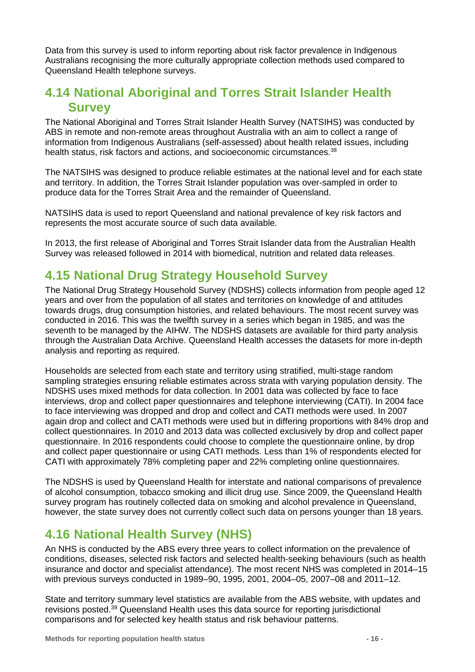Data from this survey is used to inform reporting about risk factor prevalence in Indigenous Australians recognising the more culturally appropriate collection methods used compared to Queensland Health telephone surveys.

## <span id="page-15-0"></span>**4.14 National Aboriginal and Torres Strait Islander Health Survey**

The National Aboriginal and Torres Strait Islander Health Survey (NATSIHS) was conducted by ABS in remote and non-remote areas throughout Australia with an aim to collect a range of information from Indigenous Australians (self-assessed) about health related issues, including health status, risk factors and actions, and socioeconomic circumstances.<sup>38</sup>

The NATSIHS was designed to produce reliable estimates at the national level and for each state and territory. In addition, the Torres Strait Islander population was over-sampled in order to produce data for the Torres Strait Area and the remainder of Queensland.

NATSIHS data is used to report Queensland and national prevalence of key risk factors and represents the most accurate source of such data available.

In 2013, the first release of Aboriginal and Torres Strait Islander data from the Australian Health Survey was released followed in 2014 with biomedical, nutrition and related data releases.

## <span id="page-15-1"></span>**4.15 National Drug Strategy Household Survey**

The National Drug Strategy Household Survey (NDSHS) collects information from people aged 12 years and over from the population of all states and territories on knowledge of and attitudes towards drugs, drug consumption histories, and related behaviours. The most recent survey was conducted in 2016. This was the twelfth survey in a series which began in 1985, and was the seventh to be managed by the AIHW. The NDSHS datasets are available for third party analysis through the Australian Data Archive. Queensland Health accesses the datasets for more in-depth analysis and reporting as required.

Households are selected from each state and territory using stratified, multi-stage random sampling strategies ensuring reliable estimates across strata with varying population density. The NDSHS uses mixed methods for data collection. In 2001 data was collected by face to face interviews, drop and collect paper questionnaires and telephone interviewing (CATI). In 2004 face to face interviewing was dropped and drop and collect and CATI methods were used. In 2007 again drop and collect and CATI methods were used but in differing proportions with 84% drop and collect questionnaires. In 2010 and 2013 data was collected exclusively by drop and collect paper questionnaire. In 2016 respondents could choose to complete the questionnaire online, by drop and collect paper questionnaire or using CATI methods. Less than 1% of respondents elected for CATI with approximately 78% completing paper and 22% completing online questionnaires.

The NDSHS is used by Queensland Health for interstate and national comparisons of prevalence of alcohol consumption, tobacco smoking and illicit drug use. Since 2009, the Queensland Health survey program has routinely collected data on smoking and alcohol prevalence in Queensland, however, the state survey does not currently collect such data on persons younger than 18 years.

## <span id="page-15-3"></span><span id="page-15-2"></span>**4.16 National Health Survey (NHS)**

An NHS is conducted by the ABS every three years to collect information on the prevalence of conditions, diseases, selected risk factors and selected health-seeking behaviours (such as health insurance and doctor and specialist attendance). The most recent NHS was completed in 2014–15 with previous surveys conducted in 1989–90, 1995, 2001, 2004–05, 2007–08 and 2011–12.

State and territory summary level statistics are available from the ABS website, with updates and revisions posted.39 Queensland Health uses this data source for reporting jurisdictional comparisons and for selected key health status and risk behaviour patterns.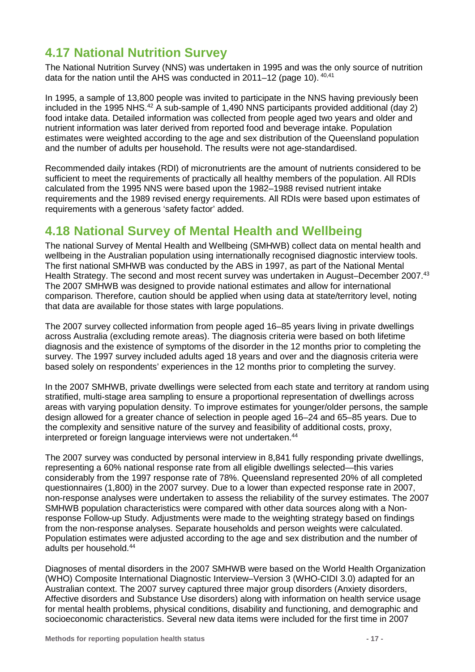## <span id="page-16-0"></span>**4.17 National Nutrition Survey**

The National Nutrition Survey (NNS) was undertaken in 1995 and was the only source of nutrition data for the nation until the AHS was conducted in 2011–12 (page [10\)](#page-9-2). 40,41

In 1995, a sample of 13,800 people was invited to participate in the NNS having previously been included in the 1995 NHS.<sup>42</sup> A sub-sample of 1,490 NNS participants provided additional (day 2) food intake data. Detailed information was collected from people aged two years and older and nutrient information was later derived from reported food and beverage intake. Population estimates were weighted according to the age and sex distribution of the Queensland population and the number of adults per household. The results were not age-standardised.

Recommended daily intakes (RDI) of micronutrients are the amount of nutrients considered to be sufficient to meet the requirements of practically all healthy members of the population. All RDIs calculated from the 1995 NNS were based upon the 1982–1988 revised nutrient intake requirements and the 1989 revised energy requirements. All RDIs were based upon estimates of requirements with a generous 'safety factor' added.

## <span id="page-16-1"></span>**4.18 National Survey of Mental Health and Wellbeing**

The national Survey of Mental Health and Wellbeing (SMHWB) collect data on mental health and wellbeing in the Australian population using internationally recognised diagnostic interview tools. The first national SMHWB was conducted by the ABS in 1997, as part of the National Mental Health Strategy. The second and most recent survey was undertaken in August–December 2007.<sup>43</sup> The 2007 SMHWB was designed to provide national estimates and allow for international comparison. Therefore, caution should be applied when using data at state/territory level, noting that data are available for those states with large populations.

The 2007 survey collected information from people aged 16–85 years living in private dwellings across Australia (excluding remote areas). The diagnosis criteria were based on both lifetime diagnosis and the existence of symptoms of the disorder in the 12 months prior to completing the survey. The 1997 survey included adults aged 18 years and over and the diagnosis criteria were based solely on respondents' experiences in the 12 months prior to completing the survey.

In the 2007 SMHWB, private dwellings were selected from each state and territory at random using stratified, multi-stage area sampling to ensure a proportional representation of dwellings across areas with varying population density. To improve estimates for younger/older persons, the sample design allowed for a greater chance of selection in people aged 16–24 and 65–85 years. Due to the complexity and sensitive nature of the survey and feasibility of additional costs, proxy, interpreted or foreign language interviews were not undertaken.<sup>44</sup>

The 2007 survey was conducted by personal interview in 8,841 fully responding private dwellings, representing a 60% national response rate from all eligible dwellings selected—this varies considerably from the 1997 response rate of 78%. Queensland represented 20% of all completed questionnaires (1,800) in the 2007 survey. Due to a lower than expected response rate in 2007, non-response analyses were undertaken to assess the reliability of the survey estimates. The 2007 SMHWB population characteristics were compared with other data sources along with a Nonresponse Follow-up Study. Adjustments were made to the weighting strategy based on findings from the non-response analyses. Separate households and person weights were calculated. Population estimates were adjusted according to the age and sex distribution and the number of adults per household.44

Diagnoses of mental disorders in the 2007 SMHWB were based on the World Health Organization (WHO) Composite International Diagnostic Interview–Version 3 (WHO-CIDI 3.0) adapted for an Australian context. The 2007 survey captured three major group disorders (Anxiety disorders, Affective disorders and Substance Use disorders) along with information on health service usage for mental health problems, physical conditions, disability and functioning, and demographic and socioeconomic characteristics. Several new data items were included for the first time in 2007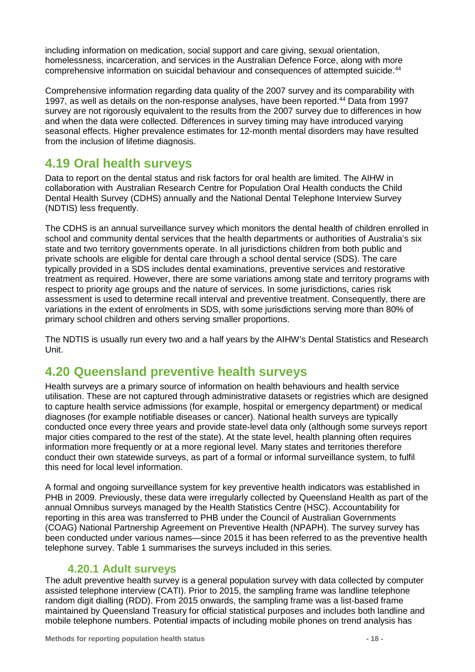including information on medication, social support and care giving, sexual orientation, homelessness, incarceration, and services in the Australian Defence Force, along with more comprehensive information on suicidal behaviour and consequences of attempted suicide.44

Comprehensive information regarding data quality of the 2007 survey and its comparability with 1997, as well as details on the non-response analyses, have been reported.<sup>44</sup> Data from 1997 survey are not rigorously equivalent to the results from the 2007 survey due to differences in how and when the data were collected. Differences in survey timing may have introduced varying seasonal effects. Higher prevalence estimates for 12-month mental disorders may have resulted from the inclusion of lifetime diagnosis.

## <span id="page-17-0"></span>**4.19 Oral health surveys**

Data to report on the dental status and risk factors for oral health are limited. The AIHW in collaboration with [Australian Research Centre for](http://www.arcpoh.adelaide.edu.au/) [Population Oral Health](http://www.arcpoh.adelaide.edu.au/) conducts the Child Dental Health Survey (CDHS) annually and the National Dental Telephone Interview Survey (NDTIS) less frequently.

The CDHS is an annual surveillance survey which monitors the dental health of children enrolled in school and community dental services that the health departments or authorities of Australia's six state and two territory governments operate. In all jurisdictions children from both public and private schools are eligible for dental care through a school dental service (SDS). The care typically provided in a SDS includes dental examinations, preventive services and restorative treatment as required. However, there are some variations among state and territory programs with respect to priority age groups and the nature of services. In some jurisdictions, caries risk assessment is used to determine recall interval and preventive treatment. Consequently, there are variations in the extent of enrolments in SDS, with some jurisdictions serving more than 80% of primary school children and others serving smaller proportions.

The NDTIS is usually run every two and a half years by the AIHW's Dental Statistics and Research Unit.

## <span id="page-17-1"></span>**4.20 Queensland preventive health surveys**

Health surveys are a primary source of information on health behaviours and health service utilisation. These are not captured through administrative datasets or registries which are designed to capture health service admissions (for example, hospital or emergency department) or medical diagnoses (for example notifiable diseases or cancer). National health surveys are typically conducted once every three years and provide state-level data only (although some surveys report major cities compared to the rest of the state). At the state level, health planning often requires information more frequently or at a more regional level. Many states and territories therefore conduct their own statewide surveys, as part of a formal or informal surveillance system, to fulfil this need for local level information.

A formal and ongoing surveillance system for key preventive health indicators was established in PHB in 2009. Previously, these data were irregularly collected by Queensland Health as part of the annual Omnibus surveys managed by the Health Statistics Centre (HSC). Accountability for reporting in this area was transferred to PHB under the Council of Australian Governments (COAG) National Partnership Agreement on Preventive Health (NPAPH). The survey survey has been conducted under various names—since 2015 it has been referred to as the preventive health telephone survey. [Table 1](#page-18-0) summarises the surveys included in this series.

### **4.20.1 Adult surveys**

<span id="page-17-2"></span>The adult preventive health survey is a general population survey with data collected by computer assisted telephone interview (CATI). Prior to 2015, the sampling frame was landline telephone random digit dialling (RDD). From 2015 onwards, the sampling frame was a list-based frame maintained by Queensland Treasury for official statistical purposes and includes both landline and mobile telephone numbers. Potential impacts of including mobile phones on trend analysis has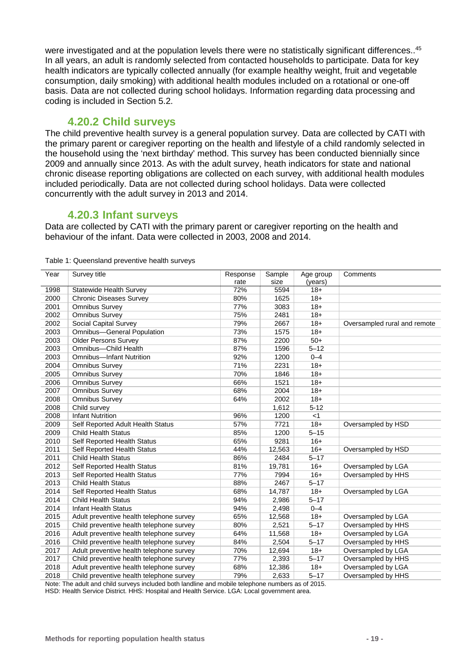were investigated and at the population levels there were no statistically significant differences..<sup>45</sup> In all years, an adult is randomly selected from contacted households to participate. Data for key health indicators are typically collected annually (for example healthy weight, fruit and vegetable consumption, daily smoking) with additional health modules included on a rotational or one-off basis. Data are not collected during school holidays. Information regarding data processing and coding is included in Section [5.2.](#page-21-1)

### **4.20.2 Child surveys**

<span id="page-18-1"></span>The child preventive health survey is a general population survey. Data are collected by CATI with the primary parent or caregiver reporting on the health and lifestyle of a child randomly selected in the household using the 'next birthday' method. This survey has been conducted biennially since 2009 and annually since 2013. As with the adult survey, heath indicators for state and national chronic disease reporting obligations are collected on each survey, with additional health modules included periodically. Data are not collected during school holidays. Data were collected concurrently with the adult survey in 2013 and 2014.

### **4.20.3 Infant surveys**

Data are collected by CATI with the primary parent or caregiver reporting on the health and behaviour of the infant. Data were collected in 2003, 2008 and 2014.

| Year | Survey title                             | Response | Sample | Age group | Comments                     |
|------|------------------------------------------|----------|--------|-----------|------------------------------|
|      |                                          | rate     | size   | (years)   |                              |
| 1998 | <b>Statewide Health Survey</b>           | 72%      | 5594   | $18 +$    |                              |
| 2000 | <b>Chronic Diseases Survey</b>           | 80%      | 1625   | $18+$     |                              |
| 2001 | <b>Omnibus Survey</b>                    | 77%      | 3083   | $18+$     |                              |
| 2002 | <b>Omnibus Survey</b>                    | 75%      | 2481   | $18 +$    |                              |
| 2002 | Social Capital Survey                    | 79%      | 2667   | $18+$     | Oversampled rural and remote |
| 2003 | <b>Omnibus-General Population</b>        | 73%      | 1575   | $18+$     |                              |
| 2003 | <b>Older Persons Survey</b>              | 87%      | 2200   | $50+$     |                              |
| 2003 | Omnibus-Child Health                     | 87%      | 1596   | $5 - 12$  |                              |
| 2003 | <b>Omnibus-Infant Nutrition</b>          | 92%      | 1200   | $0 - 4$   |                              |
| 2004 | <b>Omnibus Survey</b>                    | 71%      | 2231   | $18+$     |                              |
| 2005 | Omnibus Survey                           | 70%      | 1846   | $18+$     |                              |
| 2006 | Omnibus Survey                           | 66%      | 1521   | $18+$     |                              |
| 2007 | Omnibus Survey                           | 68%      | 2004   | $18+$     |                              |
| 2008 | Omnibus Survey                           | 64%      | 2002   | $18+$     |                              |
| 2008 | Child survey                             |          | 1,612  | $5 - 12$  |                              |
| 2008 | <b>Infant Nutrition</b>                  | 96%      | 1200   | $<$ 1     |                              |
| 2009 | Self Reported Adult Health Status        | 57%      | 7721   | $18+$     | Oversampled by HSD           |
| 2009 | <b>Child Health Status</b>               | 85%      | 1200   | $5 - 15$  |                              |
| 2010 | Self Reported Health Status              | 65%      | 9281   | $16+$     |                              |
| 2011 | Self Reported Health Status              | 44%      | 12,563 | $16+$     | Oversampled by HSD           |
| 2011 | <b>Child Health Status</b>               | 86%      | 2484   | $5 - 17$  |                              |
| 2012 | Self Reported Health Status              | 81%      | 19,781 | $16+$     | Oversampled by LGA           |
| 2013 | Self Reported Health Status              | 77%      | 7994   | $16+$     | Oversampled by HHS           |
| 2013 | <b>Child Health Status</b>               | 88%      | 2467   | $5 - 17$  |                              |
| 2014 | Self Reported Health Status              | 68%      | 14,787 | $18+$     | Oversampled by LGA           |
| 2014 | <b>Child Health Status</b>               | 94%      | 2,986  | $5 - 17$  |                              |
| 2014 | <b>Infant Health Status</b>              | 94%      | 2,498  | $0 - 4$   |                              |
| 2015 | Adult preventive health telephone survey | 65%      | 12,568 | $18+$     | Oversampled by LGA           |
| 2015 | Child preventive health telephone survey | 80%      | 2,521  | $5 - 17$  | Oversampled by HHS           |
| 2016 | Adult preventive health telephone survey | 64%      | 11,568 | $18+$     | Oversampled by LGA           |
| 2016 | Child preventive health telephone survey | 84%      | 2,504  | $5 - 17$  | Oversampled by HHS           |
| 2017 | Adult preventive health telephone survey | 70%      | 12,694 | $18+$     | Oversampled by LGA           |
| 2017 | Child preventive health telephone survey | 77%      | 2,393  | $5 - 17$  | Oversampled by HHS           |
| 2018 | Adult preventive health telephone survey | 68%      | 12,386 | $18+$     | Oversampled by LGA           |
| 2018 | Child preventive health telephone survey | 79%      | 2,633  | $5 - 17$  | Oversampled by HHS           |

<span id="page-18-0"></span>Table 1: Queensland preventive health surveys

Note: The adult and child surveys included both landline and mobile telephone numbers as of 2015.

HSD: Health Service District. HHS: Hospital and Health Service. LGA: Local government area.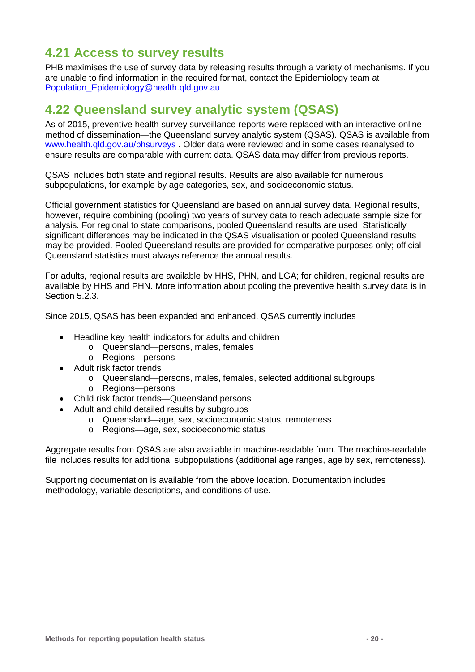## <span id="page-19-0"></span>**4.21 Access to survey results**

PHB maximises the use of survey data by releasing results through a variety of mechanisms. If you are unable to find information in the required format, contact the Epidemiology team at [Population\\_Epidemiology@health.qld.gov.au](mailto:Population_Epidemiology@health.qld.gov.au)

### <span id="page-19-1"></span>**4.22 Queensland survey analytic system (QSAS)**

As of 2015, preventive health survey surveillance reports were replaced with an interactive online method of dissemination—the Queensland survey analytic system (QSAS). QSAS is available from [www.health.qld.gov.au/phsurveys](http://www.health.qld.gov.au/phsurveys) . Older data were reviewed and in some cases reanalysed to ensure results are comparable with current data. QSAS data may differ from previous reports.

QSAS includes both state and regional results. Results are also available for numerous subpopulations, for example by age categories, sex, and socioeconomic status.

Official government statistics for Queensland are based on annual survey data. Regional results, however, require combining (pooling) two years of survey data to reach adequate sample size for analysis. For regional to state comparisons, pooled Queensland results are used. Statistically significant differences may be indicated in the QSAS visualisation or pooled Queensland results may be provided. Pooled Queensland results are provided for comparative purposes only; official Queensland statistics must always reference the annual results.

For adults, regional results are available by HHS, PHN, and LGA; for children, regional results are available by HHS and PHN. More information about pooling the preventive health survey data is in Section [5.2.3.](#page-23-3)

Since 2015, QSAS has been expanded and enhanced. QSAS currently includes

- Headline key health indicators for adults and children
	- o Queensland—persons, males, females
	- o Regions—persons
- Adult risk factor trends
	- o Queensland—persons, males, females, selected additional subgroups
	- o Regions—persons
- Child risk factor trends—Queensland persons
	- Adult and child detailed results by subgroups
		- o Queensland—age, sex, socioeconomic status, remoteness
		- o Regions—age, sex, socioeconomic status

Aggregate results from QSAS are also available in machine-readable form. The machine-readable file includes results for additional subpopulations (additional age ranges, age by sex, remoteness).

Supporting documentation is available from the above location. Documentation includes methodology, variable descriptions, and conditions of use.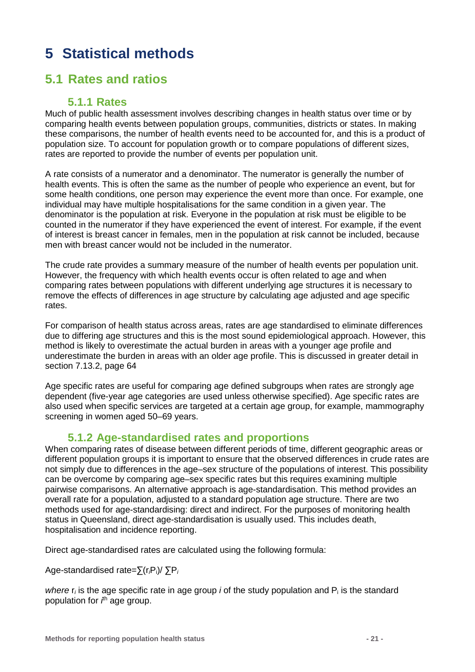# <span id="page-20-0"></span>**5 Statistical methods**

## <span id="page-20-1"></span>**5.1 Rates and ratios**

### **5.1.1 Rates**

Much of public health assessment involves describing changes in health status over time or by comparing health events between population groups, communities, districts or states. In making these comparisons, the number of health events need to be accounted for, and this is a product of population size. To account for population growth or to compare populations of different sizes, rates are reported to provide the number of events per population unit.

A rate consists of a numerator and a denominator. The numerator is generally the number of health events. This is often the same as the number of people who experience an event, but for some health conditions, one person may experience the event more than once. For example, one individual may have multiple hospitalisations for the same condition in a given year. The denominator is the population at risk. Everyone in the population at risk must be eligible to be counted in the numerator if they have experienced the event of interest. For example, if the event of interest is breast cancer in females, men in the population at risk cannot be included, because men with breast cancer would not be included in the numerator.

The crude rate provides a summary measure of the number of health events per population unit. However, the frequency with which health events occur is often related to age and when comparing rates between populations with different underlying age structures it is necessary to remove the effects of differences in age structure by calculating age adjusted and age specific rates.

For comparison of health status across areas, rates are age standardised to eliminate differences due to differing age structures and this is the most sound epidemiological approach. However, this method is likely to overestimate the actual burden in areas with a younger age profile and underestimate the burden in areas with an older age profile. This is discussed in greater detail in section [7.13.2,](#page-63-0) page [64](#page-63-0)

Age specific rates are useful for comparing age defined subgroups when rates are strongly age dependent (five-year age categories are used unless otherwise specified). Age specific rates are also used when specific services are targeted at a certain age group, for example, mammography screening in women aged 50–69 years.

### **5.1.2 Age-standardised rates and proportions**

When comparing rates of disease between different periods of time, different geographic areas or different population groups it is important to ensure that the observed differences in crude rates are not simply due to differences in the age–sex structure of the populations of interest. This possibility can be overcome by comparing age–sex specific rates but this requires examining multiple pairwise comparisons. An alternative approach is age-standardisation. This method provides an overall rate for a population, adjusted to a standard population age structure. There are two methods used for age-standardising: direct and indirect. For the purposes of monitoring health status in Queensland, direct age-standardisation is usually used. This includes death, hospitalisation and incidence reporting.

Direct age-standardised rates are calculated using the following formula:

Age-standardised rate=∑(r*i*Pi)/ ∑P*<sup>i</sup>*

*where*  $r_i$  is the age specific rate in age group *i* of the study population and  $P_i$  is the standard population for *i*<sup>th</sup> age group.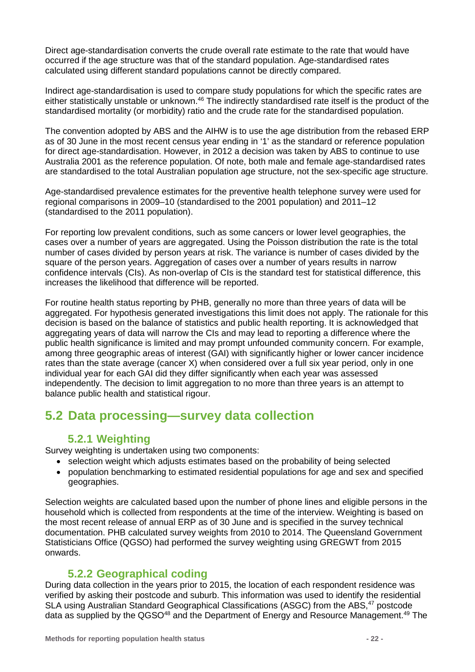Direct age-standardisation converts the crude overall rate estimate to the rate that would have occurred if the age structure was that of the standard population. Age-standardised rates calculated using different standard populations cannot be directly compared.

Indirect age-standardisation is used to compare study populations for which the specific rates are either statistically unstable or unknown.<sup>46</sup> The indirectly standardised rate itself is the product of the standardised mortality (or morbidity) ratio and the crude rate for the standardised population.

The convention adopted by ABS and the AIHW is to use the age distribution from the rebased ERP as of 30 June in the most recent census year ending in '1' as the standard or reference population for direct age-standardisation. However, in 2012 a decision was taken by ABS to continue to use Australia 2001 as the reference population. Of note, both male and female age-standardised rates are standardised to the total Australian population age structure, not the sex-specific age structure.

Age-standardised prevalence estimates for the preventive health telephone survey were used for regional comparisons in 2009–10 (standardised to the 2001 population) and 2011–12 (standardised to the 2011 population).

For reporting low prevalent conditions, such as some cancers or lower level geographies, the cases over a number of years are aggregated. Using the Poisson distribution the rate is the total number of cases divided by person years at risk. The variance is number of cases divided by the square of the person years. Aggregation of cases over a number of years results in narrow confidence intervals (CIs). As non-overlap of CIs is the standard test for statistical difference, this increases the likelihood that difference will be reported.

For routine health status reporting by PHB, generally no more than three years of data will be aggregated. For hypothesis generated investigations this limit does not apply. The rationale for this decision is based on the balance of statistics and public health reporting. It is acknowledged that aggregating years of data will narrow the CIs and may lead to reporting a difference where the public health significance is limited and may prompt unfounded community concern. For example, among three geographic areas of interest (GAI) with significantly higher or lower cancer incidence rates than the state average (cancer X) when considered over a full six year period, only in one individual year for each GAI did they differ significantly when each year was assessed independently. The decision to limit aggregation to no more than three years is an attempt to balance public health and statistical rigour.

## <span id="page-21-1"></span><span id="page-21-0"></span>**5.2 Data processing—survey data collection**

### **5.2.1 Weighting**

Survey weighting is undertaken using two components:

- selection weight which adjusts estimates based on the probability of being selected
- population benchmarking to estimated residential populations for age and sex and specified geographies.

Selection weights are calculated based upon the number of phone lines and eligible persons in the household which is collected from respondents at the time of the interview. Weighting is based on the most recent release of annual ERP as of 30 June and is specified in the survey technical documentation. PHB calculated survey weights from 2010 to 2014. The Queensland Government Statisticians Office (QGSO) had performed the survey weighting using GREGWT from 2015 onwards.

### **5.2.2 Geographical coding**

During data collection in the years prior to 2015, the location of each respondent residence was verified by asking their postcode and suburb. This information was used to identify the residential SLA using Australian Standard Geographical Classifications (ASGC) from the ABS,<sup>47</sup> postcode data as supplied by the QGSO<sup>48</sup> and the Department of Energy and Resource Management.<sup>49</sup> The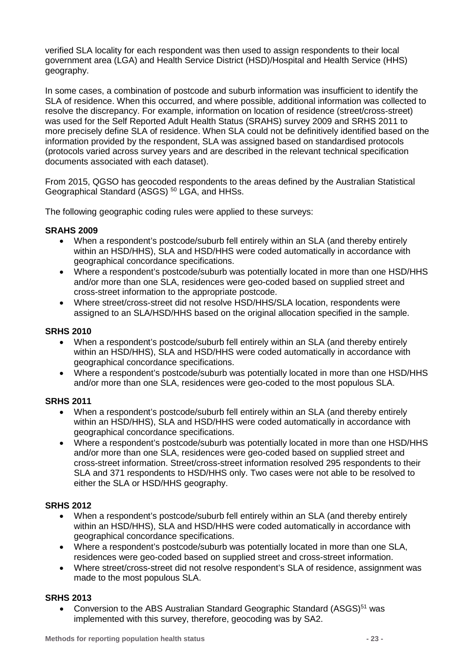verified SLA locality for each respondent was then used to assign respondents to their local government area (LGA) and Health Service District (HSD)/Hospital and Health Service (HHS) geography.

In some cases, a combination of postcode and suburb information was insufficient to identify the SLA of residence. When this occurred, and where possible, additional information was collected to resolve the discrepancy. For example, information on location of residence (street/cross-street) was used for the Self Reported Adult Health Status (SRAHS) survey 2009 and SRHS 2011 to more precisely define SLA of residence. When SLA could not be definitively identified based on the information provided by the respondent, SLA was assigned based on standardised protocols (protocols varied across survey years and are described in the relevant technical specification documents associated with each dataset).

From 2015, QGSO has geocoded respondents to the areas defined by the Australian Statistical Geographical Standard (ASGS)<sup>50</sup> LGA, and HHSs.

The following geographic coding rules were applied to these surveys:

### **SRAHS 2009**

- When a respondent's postcode/suburb fell entirely within an SLA (and thereby entirely within an HSD/HHS), SLA and HSD/HHS were coded automatically in accordance with geographical concordance specifications.
- Where a respondent's postcode/suburb was potentially located in more than one HSD/HHS and/or more than one SLA, residences were geo-coded based on supplied street and cross-street information to the appropriate postcode.
- Where street/cross-street did not resolve HSD/HHS/SLA location, respondents were assigned to an SLA/HSD/HHS based on the original allocation specified in the sample.

#### **SRHS 2010**

- When a respondent's postcode/suburb fell entirely within an SLA (and thereby entirely within an HSD/HHS), SLA and HSD/HHS were coded automatically in accordance with geographical concordance specifications.
- Where a respondent's postcode/suburb was potentially located in more than one HSD/HHS and/or more than one SLA, residences were geo-coded to the most populous SLA.

#### **SRHS 2011**

- When a respondent's postcode/suburb fell entirely within an SLA (and thereby entirely within an HSD/HHS), SLA and HSD/HHS were coded automatically in accordance with geographical concordance specifications.
- Where a respondent's postcode/suburb was potentially located in more than one HSD/HHS and/or more than one SLA, residences were geo-coded based on supplied street and cross-street information. Street/cross-street information resolved 295 respondents to their SLA and 371 respondents to HSD/HHS only. Two cases were not able to be resolved to either the SLA or HSD/HHS geography.

### **SRHS 2012**

- When a respondent's postcode/suburb fell entirely within an SLA (and thereby entirely within an HSD/HHS), SLA and HSD/HHS were coded automatically in accordance with geographical concordance specifications.
- Where a respondent's postcode/suburb was potentially located in more than one SLA, residences were geo-coded based on supplied street and cross-street information.
- Where street/cross-street did not resolve respondent's SLA of residence, assignment was made to the most populous SLA.

#### **SRHS 2013**

• Conversion to the ABS Australian Standard Geographic Standard (ASGS)<sup>51</sup> was implemented with this survey, therefore, geocoding was by SA2.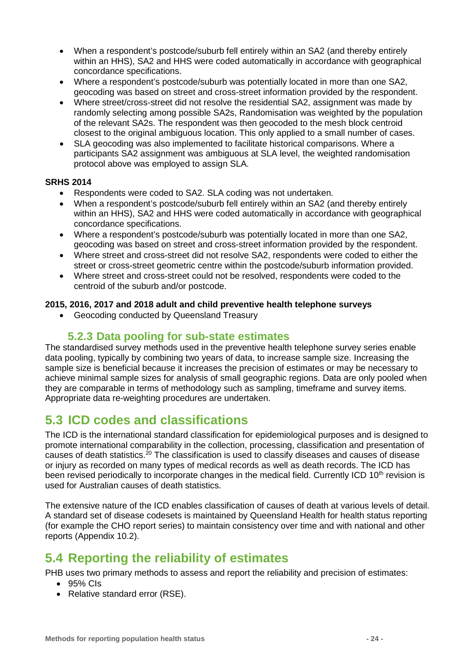- When a respondent's postcode/suburb fell entirely within an SA2 (and thereby entirely within an HHS), SA2 and HHS were coded automatically in accordance with geographical concordance specifications.
- Where a respondent's postcode/suburb was potentially located in more than one SA2, geocoding was based on street and cross-street information provided by the respondent.
- Where street/cross-street did not resolve the residential SA2, assignment was made by randomly selecting among possible SA2s, Randomisation was weighted by the population of the relevant SA2s. The respondent was then geocoded to the mesh block centroid closest to the original ambiguous location. This only applied to a small number of cases.
- SLA geocoding was also implemented to facilitate historical comparisons. Where a participants SA2 assignment was ambiguous at SLA level, the weighted randomisation protocol above was employed to assign SLA.

#### **SRHS 2014**

- Respondents were coded to SA2. SLA coding was not undertaken.
- When a respondent's postcode/suburb fell entirely within an SA2 (and thereby entirely within an HHS), SA2 and HHS were coded automatically in accordance with geographical concordance specifications.
- Where a respondent's postcode/suburb was potentially located in more than one SA2, geocoding was based on street and cross-street information provided by the respondent.
- Where street and cross-street did not resolve SA2, respondents were coded to either the street or cross-street geometric centre within the postcode/suburb information provided.
- Where street and cross-street could not be resolved, respondents were coded to the centroid of the suburb and/or postcode.

#### **2015, 2016, 2017 and 2018 adult and child preventive health telephone surveys**

<span id="page-23-3"></span>• Geocoding conducted by Queensland Treasury

### **5.2.3 Data pooling for sub-state estimates**

The standardised survey methods used in the preventive health telephone survey series enable data pooling, typically by combining two years of data, to increase sample size. Increasing the sample size is beneficial because it increases the precision of estimates or may be necessary to achieve minimal sample sizes for analysis of small geographic regions. Data are only pooled when they are comparable in terms of methodology such as sampling, timeframe and survey items. Appropriate data re-weighting procedures are undertaken.

### <span id="page-23-0"></span>**5.3 ICD codes and classifications**

The ICD is the international standard classification for epidemiological purposes and is designed to promote international comparability in the collection, processing, classification and presentation of causes of death statistics.<sup>20</sup> The classification is used to classify diseases and causes of disease or injury as recorded on many types of medical records as well as death records. The ICD has been revised periodically to incorporate changes in the medical field. Currently ICD 10<sup>th</sup> revision is used for Australian causes of death statistics.

The extensive nature of the ICD enables classification of causes of death at various levels of detail. A standard set of disease codesets is maintained by Queensland Health for health status reporting (for example the CHO report series) to maintain consistency over time and with national and other reports (Appendix [10.2\)](#page-84-1).

### <span id="page-23-2"></span><span id="page-23-1"></span>**5.4 Reporting the reliability of estimates**

PHB uses two primary methods to assess and report the reliability and precision of estimates:

- 95% CIs
- Relative standard error (RSE).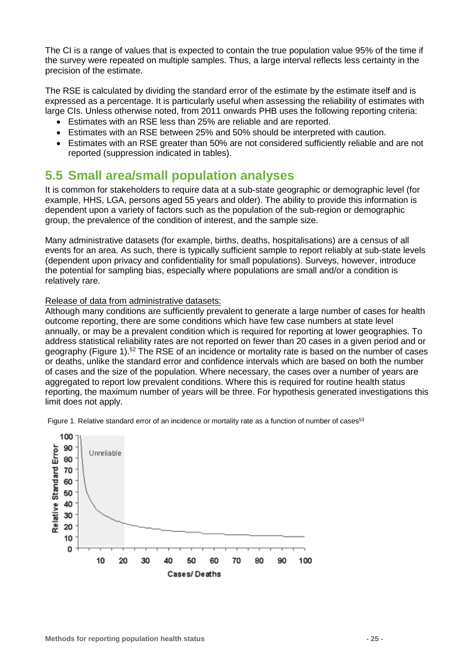The CI is a range of values that is expected to contain the true population value 95% of the time if the survey were repeated on multiple samples. Thus, a large interval reflects less certainty in the precision of the estimate.

The RSE is calculated by dividing the standard error of the estimate by the estimate itself and is expressed as a percentage. It is particularly useful when assessing the reliability of estimates with large CIs. Unless otherwise noted, from 2011 onwards PHB uses the following reporting criteria:

- Estimates with an RSE less than 25% are reliable and are reported.
- Estimates with an RSE between 25% and 50% should be interpreted with caution.
- Estimates with an RSE greater than 50% are not considered sufficiently reliable and are not reported (suppression indicated in tables).

### <span id="page-24-1"></span><span id="page-24-0"></span>**5.5 Small area/small population analyses**

It is common for stakeholders to require data at a sub-state geographic or demographic level (for example, HHS, LGA, persons aged 55 years and older). The ability to provide this information is dependent upon a variety of factors such as the population of the sub-region or demographic group, the prevalence of the condition of interest, and the sample size.

Many administrative datasets (for example, births, deaths, hospitalisations) are a census of all events for an area. As such, there is typically sufficient sample to report reliably at sub-state levels (dependent upon privacy and confidentiality for small populations). Surveys, however, introduce the potential for sampling bias, especially where populations are small and/or a condition is relatively rare.

#### Release of data from administrative datasets:

Although many conditions are sufficiently prevalent to generate a large number of cases for health outcome reporting, there are some conditions which have few case numbers at state level annually, or may be a prevalent condition which is required for reporting at lower geographies. To address statistical reliability rates are not reported on fewer than 20 cases in a given period and or geography [\(Figure 1\)](#page-24-2).52 The RSE of an incidence or mortality rate is based on the number of cases or deaths, unlike the standard error and confidence intervals which are based on both the number of cases and the size of the population. Where necessary, the cases over a number of years are aggregated to report low prevalent conditions. Where this is required for routine health status reporting, the maximum number of years will be three. For hypothesis generated investigations this limit does not apply.

<span id="page-24-2"></span>Figure 1. Relative standard error of an incidence or mortality rate as a function of number of cases<sup>53</sup>

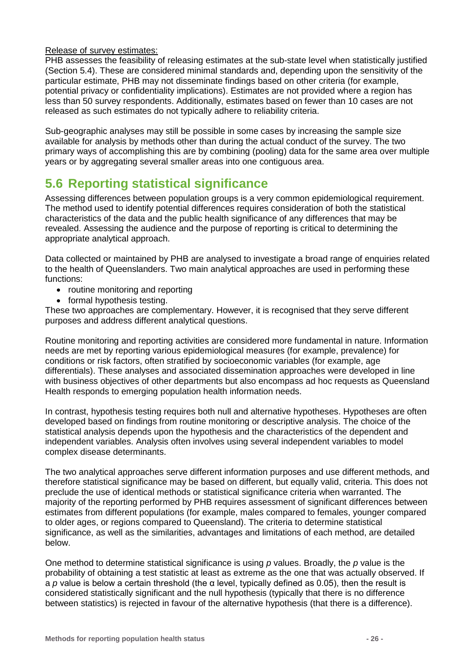#### Release of survey estimates:

PHB assesses the feasibility of releasing estimates at the sub-state level when statistically justified (Section [5.4\)](#page-23-2). These are considered minimal standards and, depending upon the sensitivity of the particular estimate, PHB may not disseminate findings based on other criteria (for example, potential privacy or confidentiality implications). Estimates are not provided where a region has less than 50 survey respondents. Additionally, estimates based on fewer than 10 cases are not released as such estimates do not typically adhere to reliability criteria.

Sub-geographic analyses may still be possible in some cases by increasing the sample size available for analysis by methods other than during the actual conduct of the survey. The two primary ways of accomplishing this are by combining (pooling) data for the same area over multiple years or by aggregating several smaller areas into one contiguous area.

## <span id="page-25-0"></span>**5.6 Reporting statistical significance**

Assessing differences between population groups is a very common epidemiological requirement. The method used to identify potential differences requires consideration of both the statistical characteristics of the data and the public health significance of any differences that may be revealed. Assessing the audience and the purpose of reporting is critical to determining the appropriate analytical approach.

Data collected or maintained by PHB are analysed to investigate a broad range of enquiries related to the health of Queenslanders. Two main analytical approaches are used in performing these functions:

- routine monitoring and reporting
- formal hypothesis testing.

These two approaches are complementary. However, it is recognised that they serve different purposes and address different analytical questions.

Routine monitoring and reporting activities are considered more fundamental in nature. Information needs are met by reporting various epidemiological measures (for example, prevalence) for conditions or risk factors, often stratified by socioeconomic variables (for example, age differentials). These analyses and associated dissemination approaches were developed in line with business objectives of other departments but also encompass ad hoc requests as Queensland Health responds to emerging population health information needs.

In contrast, hypothesis testing requires both null and alternative hypotheses. Hypotheses are often developed based on findings from routine monitoring or descriptive analysis. The choice of the statistical analysis depends upon the hypothesis and the characteristics of the dependent and independent variables. Analysis often involves using several independent variables to model complex disease determinants.

The two analytical approaches serve different information purposes and use different methods, and therefore statistical significance may be based on different, but equally valid, criteria. This does not preclude the use of identical methods or statistical significance criteria when warranted. The majority of the reporting performed by PHB requires assessment of significant differences between estimates from different populations (for example, males compared to females, younger compared to older ages, or regions compared to Queensland). The criteria to determine statistical significance, as well as the similarities, advantages and limitations of each method, are detailed below.

One method to determine statistical significance is using *p* values. Broadly, the *p* value is the probability of obtaining a test statistic at least as extreme as the one that was actually observed. If a *p* value is below a certain threshold (the α level, typically defined as 0.05), then the result is considered statistically significant and the null hypothesis (typically that there is no difference between statistics) is rejected in favour of the alternative hypothesis (that there is a difference).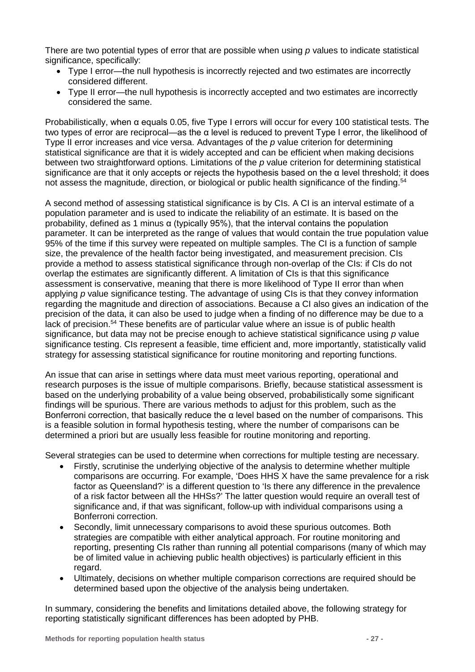There are two potential types of error that are possible when using *p* values to indicate statistical significance, specifically:

- Type I error—the null hypothesis is incorrectly rejected and two estimates are incorrectly considered different.
- Type II error—the null hypothesis is incorrectly accepted and two estimates are incorrectly considered the same.

Probabilistically, when α equals 0.05, five Type I errors will occur for every 100 statistical tests. The two types of error are reciprocal—as the α level is reduced to prevent Type I error, the likelihood of Type II error increases and vice versa. Advantages of the *p* value criterion for determining statistical significance are that it is widely accepted and can be efficient when making decisions between two straightforward options. Limitations of the *p* value criterion for determining statistical significance are that it only accepts or rejects the hypothesis based on the  $\alpha$  level threshold: it does not assess the magnitude, direction, or biological or public health significance of the finding.<sup>54</sup>

A second method of assessing statistical significance is by CIs. A CI is an interval estimate of a population parameter and is used to indicate the reliability of an estimate. It is based on the probability, defined as 1 minus α (typically 95%), that the interval contains the population parameter. It can be interpreted as the range of values that would contain the true population value 95% of the time if this survey were repeated on multiple samples. The CI is a function of sample size, the prevalence of the health factor being investigated, and measurement precision. CIs provide a method to assess statistical significance through non-overlap of the CIs: if CIs do not overlap the estimates are significantly different. A limitation of CIs is that this significance assessment is conservative, meaning that there is more likelihood of Type II error than when applying *p* value significance testing. The advantage of using CIs is that they convey information regarding the magnitude and direction of associations. Because a CI also gives an indication of the precision of the data, it can also be used to judge when a finding of no difference may be due to a lack of precision.<sup>54</sup> These benefits are of particular value where an issue is of public health significance, but data may not be precise enough to achieve statistical significance using *p* value significance testing. CIs represent a feasible, time efficient and, more importantly, statistically valid strategy for assessing statistical significance for routine monitoring and reporting functions.

An issue that can arise in settings where data must meet various reporting, operational and research purposes is the issue of multiple comparisons. Briefly, because statistical assessment is based on the underlying probability of a value being observed, probabilistically some significant findings will be spurious. There are various methods to adjust for this problem, such as the Bonferroni correction, that basically reduce the α level based on the number of comparisons. This is a feasible solution in formal hypothesis testing, where the number of comparisons can be determined a priori but are usually less feasible for routine monitoring and reporting.

Several strategies can be used to determine when corrections for multiple testing are necessary.

- Firstly, scrutinise the underlying objective of the analysis to determine whether multiple comparisons are occurring. For example, 'Does HHS X have the same prevalence for a risk factor as Queensland?' is a different question to 'Is there any difference in the prevalence of a risk factor between all the HHSs?' The latter question would require an overall test of significance and, if that was significant, follow-up with individual comparisons using a Bonferroni correction.
- Secondly, limit unnecessary comparisons to avoid these spurious outcomes. Both strategies are compatible with either analytical approach. For routine monitoring and reporting, presenting CIs rather than running all potential comparisons (many of which may be of limited value in achieving public health objectives) is particularly efficient in this regard.
- Ultimately, decisions on whether multiple comparison corrections are required should be determined based upon the objective of the analysis being undertaken.

In summary, considering the benefits and limitations detailed above, the following strategy for reporting statistically significant differences has been adopted by PHB.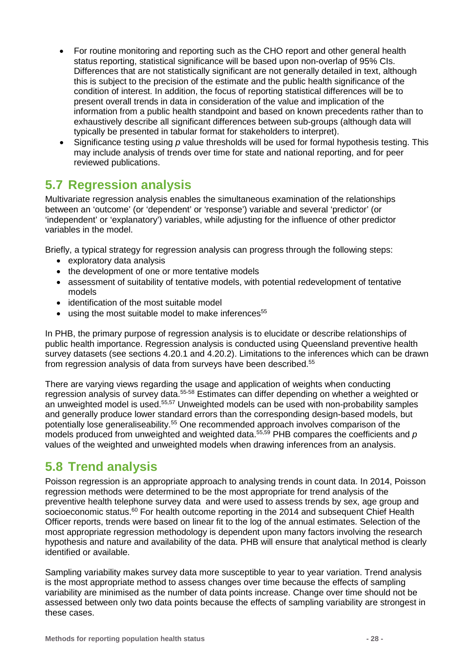- For routine monitoring and reporting such as the CHO report and other general health status reporting, statistical significance will be based upon non-overlap of 95% CIs. Differences that are not statistically significant are not generally detailed in text, although this is subject to the precision of the estimate and the public health significance of the condition of interest. In addition, the focus of reporting statistical differences will be to present overall trends in data in consideration of the value and implication of the information from a public health standpoint and based on known precedents rather than to exhaustively describe all significant differences between sub-groups (although data will typically be presented in tabular format for stakeholders to interpret).
- Significance testing using *p* value thresholds will be used for formal hypothesis testing. This may include analysis of trends over time for state and national reporting, and for peer reviewed publications.

## <span id="page-27-0"></span>**5.7 Regression analysis**

Multivariate regression analysis enables the simultaneous examination of the relationships between an 'outcome' (or 'dependent' or 'response') variable and several 'predictor' (or 'independent' or 'explanatory') variables, while adjusting for the influence of other predictor variables in the model.

Briefly, a typical strategy for regression analysis can progress through the following steps:

- exploratory data analysis
- the development of one or more tentative models
- assessment of suitability of tentative models, with potential redevelopment of tentative models
- identification of the most suitable model
- $\bullet$  using the most suitable model to make inferences<sup>55</sup>

In PHB, the primary purpose of regression analysis is to elucidate or describe relationships of public health importance. Regression analysis is conducted using Queensland preventive health survey datasets (see sections [4.20.1](#page-17-2) and [4.20.2\)](#page-18-1). Limitations to the inferences which can be drawn from regression analysis of data from surveys have been described. 55

There are varying views regarding the usage and application of weights when conducting regression analysis of survey data.55-58 Estimates can differ depending on whether a weighted or an unweighted model is used.55,57 Unweighted models can be used with non-probability samples and generally produce lower standard errors than the corresponding design-based models, but potentially lose generaliseability.55 One recommended approach involves comparison of the models produced from unweighted and weighted data.55,59 PHB compares the coefficients and *p* values of the weighted and unweighted models when drawing inferences from an analysis.

## <span id="page-27-1"></span>**5.8 Trend analysis**

Poisson regression is an appropriate approach to analysing trends in count data. In 2014, Poisson regression methods were determined to be the most appropriate for trend analysis of the preventive health telephone survey data and were used to assess trends by sex, age group and socioeconomic status. $60$  For health outcome reporting in the 2014 and subsequent Chief Health Officer reports, trends were based on linear fit to the log of the annual estimates. Selection of the most appropriate regression methodology is dependent upon many factors involving the research hypothesis and nature and availability of the data. PHB will ensure that analytical method is clearly identified or available.

Sampling variability makes survey data more susceptible to year to year variation. Trend analysis is the most appropriate method to assess changes over time because the effects of sampling variability are minimised as the number of data points increase. Change over time should not be assessed between only two data points because the effects of sampling variability are strongest in these cases.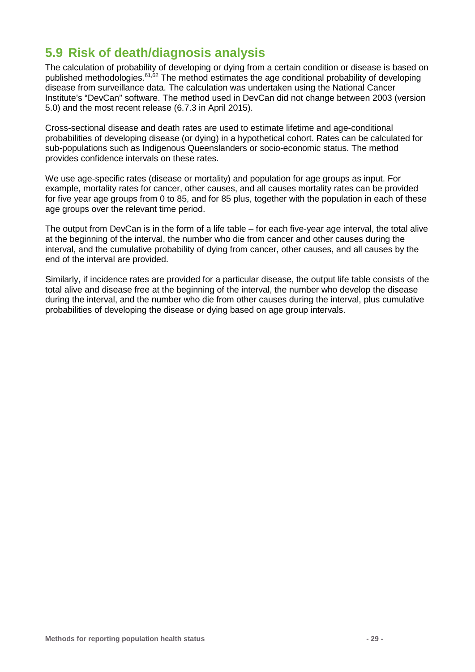## <span id="page-28-0"></span>**5.9 Risk of death/diagnosis analysis**

The calculation of probability of developing or dying from a certain condition or disease is based on published methodologies.61,62 The method estimates the age conditional probability of developing disease from surveillance data. The calculation was undertaken using the National Cancer Institute's "DevCan" software. The method used in DevCan did not change between 2003 (version 5.0) and the most recent release (6.7.3 in April 2015).

Cross-sectional disease and death rates are used to estimate lifetime and age-conditional probabilities of developing disease (or dying) in a hypothetical cohort. Rates can be calculated for sub-populations such as Indigenous Queenslanders or socio-economic status. The method provides confidence intervals on these rates.

We use age-specific rates (disease or mortality) and population for age groups as input. For example, mortality rates for cancer, other causes, and all causes mortality rates can be provided for five year age groups from 0 to 85, and for 85 plus, together with the population in each of these age groups over the relevant time period.

The output from DevCan is in the form of a life table – for each five-year age interval, the total alive at the beginning of the interval, the number who die from cancer and other causes during the interval, and the cumulative probability of dying from cancer, other causes, and all causes by the end of the interval are provided.

Similarly, if incidence rates are provided for a particular disease, the output life table consists of the total alive and disease free at the beginning of the interval, the number who develop the disease during the interval, and the number who die from other causes during the interval, plus cumulative probabilities of developing the disease or dying based on age group intervals.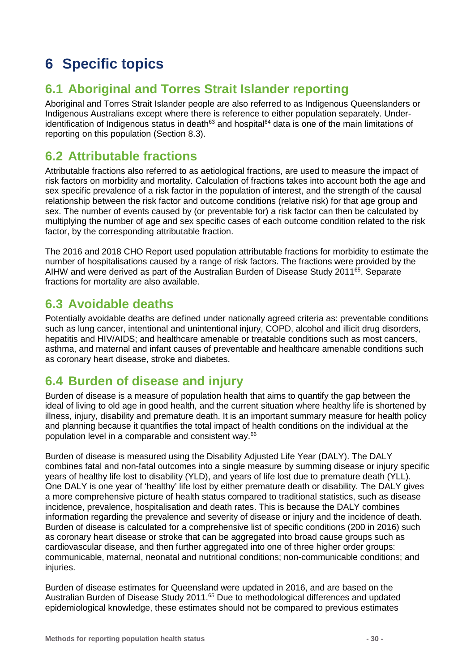# <span id="page-29-0"></span>**6 Specific topics**

## <span id="page-29-1"></span>**6.1 Aboriginal and Torres Strait Islander reporting**

Aboriginal and Torres Strait Islander people are also referred to as Indigenous Queenslanders or Indigenous Australians except where there is reference to either population separately. Underidentification of Indigenous status in death<sup>63</sup> and hospital<sup>64</sup> data is one of the main limitations of reporting on this population (Section [8.3\)](#page-76-2).

## <span id="page-29-2"></span>**6.2 Attributable fractions**

Attributable fractions also referred to as aetiological fractions, are used to measure the impact of risk factors on morbidity and mortality. Calculation of fractions takes into account both the age and sex specific prevalence of a risk factor in the population of interest, and the strength of the causal relationship between the risk factor and outcome conditions (relative risk) for that age group and sex. The number of events caused by (or preventable for) a risk factor can then be calculated by multiplying the number of age and sex specific cases of each outcome condition related to the risk factor, by the corresponding attributable fraction.

The 2016 and 2018 CHO Report used population attributable fractions for morbidity to estimate the number of hospitalisations caused by a range of risk factors. The fractions were provided by the AIHW and were derived as part of the Australian Burden of Disease Study 201165. Separate fractions for mortality are also available.

## <span id="page-29-3"></span>**6.3 Avoidable deaths**

Potentially avoidable deaths are defined under nationally agreed criteria as: preventable conditions such as lung cancer, intentional and unintentional injury, COPD, alcohol and illicit drug disorders, hepatitis and HIV/AIDS; and healthcare amenable or treatable conditions such as most cancers. asthma, and maternal and infant causes of preventable and healthcare amenable conditions such as coronary heart disease, stroke and diabetes.

## <span id="page-29-4"></span>**6.4 Burden of disease and injury**

Burden of disease is a measure of population health that aims to quantify the gap between the ideal of living to old age in good health, and the current situation where healthy life is shortened by illness, injury, disability and premature death. It is an important summary measure for health policy and planning because it quantifies the total impact of health conditions on the individual at the population level in a comparable and consistent way.66

Burden of disease is measured using the Disability Adjusted Life Year (DALY). The DALY combines fatal and non-fatal outcomes into a single measure by summing disease or injury specific years of healthy life lost to disability (YLD), and years of life lost due to premature death (YLL). One DALY is one year of 'healthy' life lost by either premature death or disability. The DALY gives a more comprehensive picture of health status compared to traditional statistics, such as disease incidence, prevalence, hospitalisation and death rates. This is because the DALY combines information regarding the prevalence and severity of disease or injury and the incidence of death. Burden of disease is calculated for a comprehensive list of specific conditions (200 in 2016) such as coronary heart disease or stroke that can be aggregated into broad cause groups such as cardiovascular disease, and then further aggregated into one of three higher order groups: communicable, maternal, neonatal and nutritional conditions; non-communicable conditions; and injuries.

Burden of disease estimates for Queensland were updated in 2016, and are based on the Australian Burden of Disease Study 2011.<sup>65</sup> Due to methodological differences and updated epidemiological knowledge, these estimates should not be compared to previous estimates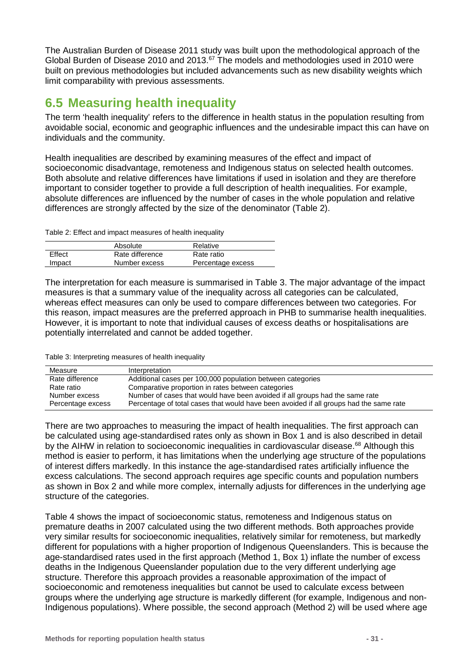The Australian Burden of Disease 2011 study was built upon the methodological approach of the Global Burden of Disease 2010 and 2013.<sup>67</sup> The models and methodologies used in 2010 were built on previous methodologies but included advancements such as new disability weights which limit comparability with previous assessments.

## <span id="page-30-0"></span>**6.5 Measuring health inequality**

The term 'health inequality' refers to the difference in health status in the population resulting from avoidable social, economic and geographic influences and the undesirable impact this can have on individuals and the community.

Health inequalities are described by examining measures of the effect and impact of socioeconomic disadvantage, remoteness and Indigenous status on selected health outcomes. Both absolute and relative differences have limitations if used in isolation and they are therefore important to consider together to provide a full description of health inequalities. For example, absolute differences are influenced by the number of cases in the whole population and relative differences are strongly affected by the size of the denominator [\(Table 2\)](#page-30-1).

<span id="page-30-1"></span>Table 2: Effect and impact measures of health inequality

|        | Absolute        | Relative          |
|--------|-----------------|-------------------|
| Effect | Rate difference | Rate ratio        |
| Impact | Number excess   | Percentage excess |

The interpretation for each measure is summarised in [Table 3.](#page-30-2) The major advantage of the impact measures is that a summary value of the inequality across all categories can be calculated, whereas effect measures can only be used to compare differences between two categories. For this reason, impact measures are the preferred approach in PHB to summarise health inequalities. However, it is important to note that individual causes of excess deaths or hospitalisations are potentially interrelated and cannot be added together.

<span id="page-30-2"></span>Table 3: Interpreting measures of health inequality

| Measure           | Interpretation                                                                         |
|-------------------|----------------------------------------------------------------------------------------|
| Rate difference   | Additional cases per 100,000 population between categories                             |
| Rate ratio        | Comparative proportion in rates between categories                                     |
| Number excess     | Number of cases that would have been avoided if all groups had the same rate           |
| Percentage excess | Percentage of total cases that would have been avoided if all groups had the same rate |

There are two approaches to measuring the impact of health inequalities. The first approach can be calculated using age-standardised rates only as shown in Box 1 and is also described in detail by the AIHW in relation to socioeconomic inequalities in cardiovascular disease.<sup>68</sup> Although this method is easier to perform, it has limitations when the underlying age structure of the populations of interest differs markedly. In this instance the age-standardised rates artificially influence the excess calculations. The second approach requires age specific counts and population numbers as shown in [Box 2](#page-32-0) and while more complex, internally adjusts for differences in the underlying age structure of the categories.

[Table 4](#page-31-0) shows the impact of socioeconomic status, remoteness and Indigenous status on premature deaths in 2007 calculated using the two different methods. Both approaches provide very similar results for socioeconomic inequalities, relatively similar for remoteness, but markedly different for populations with a higher proportion of Indigenous Queenslanders. This is because the age-standardised rates used in the first approach (Method 1, Box 1) inflate the number of excess deaths in the Indigenous Queenslander population due to the very different underlying age structure. Therefore this approach provides a reasonable approximation of the impact of socioeconomic and remoteness inequalities but cannot be used to calculate excess between groups where the underlying age structure is markedly different (for example, Indigenous and non-Indigenous populations). Where possible, the second approach (Method 2) will be used where age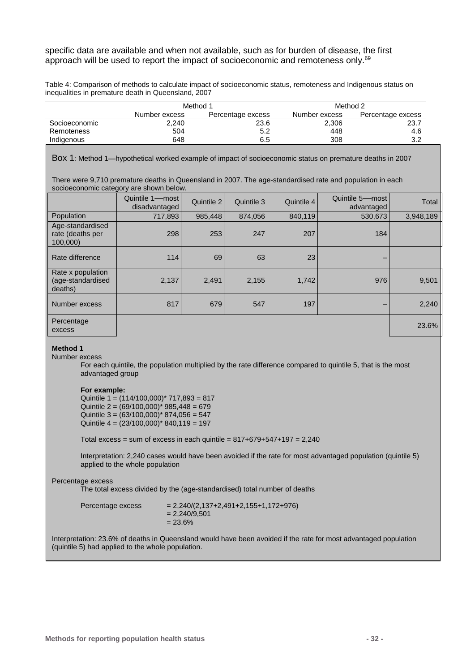#### specific data are available and when not available, such as for burden of disease, the first approach will be used to report the impact of socioeconomic and remoteness only.69

<span id="page-31-0"></span>Table 4: Comparison of methods to calculate impact of socioeconomic status, remoteness and Indigenous status on inequalities in premature death in Queensland, 2007

|               | Method 1      |                   | Method 2      |                   |  |
|---------------|---------------|-------------------|---------------|-------------------|--|
|               | Number excess | Percentage excess | Number excess | Percentage excess |  |
| Socioeconomic | 2,240         | 23.6              | 2,306         | 23.7              |  |
| Remoteness    | 504           | 5.2               | 448           | 4.6               |  |
| Indigenous    | 648           | 6.5               | 308           | 3.2               |  |

Box 1: Method 1—hypothetical worked example of impact of socioeconomic status on premature deaths in 2007

There were 9,710 premature deaths in Queensland in 2007. The age-standardised rate and population in each socioeconomic category are shown below.

|                                                   | Quintile 1-most<br>disadvantaged | Quintile 2 | Quintile 3 | Quintile 4 | Quintile 5-most<br>advantaged | <b>Total</b> |
|---------------------------------------------------|----------------------------------|------------|------------|------------|-------------------------------|--------------|
| Population                                        | 717,893                          | 985,448    | 874.056    | 840,119    | 530,673                       | 3,948,189    |
| Age-standardised<br>rate (deaths per<br>100,000)  | 298                              | 253        | 247        | 207        | 184                           |              |
| Rate difference                                   | 114                              | 69         | 63         | 23         |                               |              |
| Rate x population<br>(age-standardised<br>deaths) | 2,137                            | 2,491      | 2,155      | 1,742      | 976                           | 9,501        |
| Number excess                                     | 817                              | 679        | 547        | 197        |                               | 2,240        |
| Percentage<br>excess                              |                                  |            |            |            |                               | 23.6%        |

#### **Method 1**

Number excess

For each quintile, the population multiplied by the rate difference compared to quintile 5, that is the most advantaged group

#### **For example:**

Quintile  $1 = (114/100,000)^*$  717,893 = 817 Quintile  $2 = (69/100,000)^* 985,448 = 679$ Quintile  $3 = (63/100,000)^* 874,056 = 547$ Quintile  $4 = (23/100,000)^* 840,119 = 197$ 

Total excess = sum of excess in each quintile =  $817+679+547+197 = 2,240$ 

Interpretation: 2,240 cases would have been avoided if the rate for most advantaged population (quintile 5) applied to the whole population

#### Percentage excess

The total excess divided by the (age-standardised) total number of deaths

| Percentage excess | $= 2,240/(2,137+2,491+2,155+1,172+976)$<br>$= 2.240/9.501$<br>$= 23.6\%$ |
|-------------------|--------------------------------------------------------------------------|
|                   |                                                                          |

Interpretation: 23.6% of deaths in Queensland would have been avoided if the rate for most advantaged population (quintile 5) had applied to the whole population.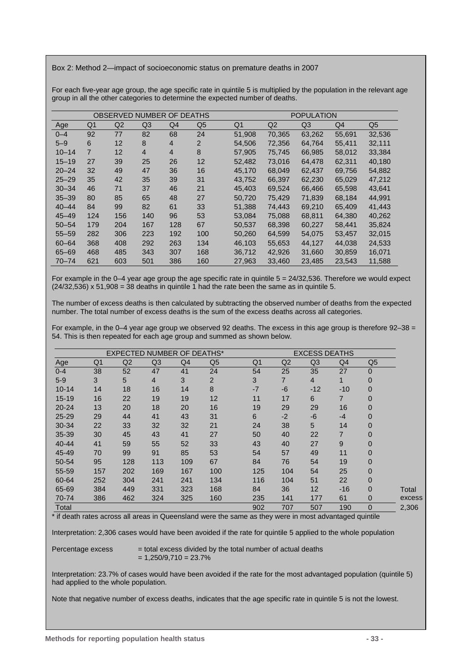<span id="page-32-0"></span>Box 2: Method 2—impact of socioeconomic status on premature deaths in 2007

For each five-year age group, the age specific rate in quintile 5 is multiplied by the population in the relevant age group in all the other categories to determine the expected number of deaths.

| OBSERVED NUMBER OF DEATHS |                |     |                |                |                |        |        | <b>POPULATION</b> |        |                |
|---------------------------|----------------|-----|----------------|----------------|----------------|--------|--------|-------------------|--------|----------------|
| Age                       | Q <sub>1</sub> | Q2  | Q <sub>3</sub> | Q4             | Q <sub>5</sub> | Q1     | Q2     | Q <sub>3</sub>    | Q4     | Q <sub>5</sub> |
| $0 - 4$                   | 92             | 77  | 82             | 68             | 24             | 51,908 | 70,365 | 63,262            | 55,691 | 32,536         |
| $5 - 9$                   | 6              | 12  | 8              | $\overline{4}$ | 2              | 54.506 | 72,356 | 64.764            | 55.411 | 32,111         |
| $10 - 14$                 | $\overline{7}$ | 12  | $\overline{4}$ | $\overline{4}$ | 8              | 57.905 | 75,745 | 66.985            | 58,012 | 33,384         |
| $15 - 19$                 | 27             | 39  | 25             | 26             | 12             | 52.482 | 73,016 | 64.478            | 62.311 | 40,180         |
| $20 - 24$                 | 32             | 49  | 47             | 36             | 16             | 45,170 | 68,049 | 62,437            | 69,756 | 54,882         |
| $25 - 29$                 | 35             | 42  | 35             | 39             | 31             | 43,752 | 66,397 | 62,230            | 65,029 | 47,212         |
| $30 - 34$                 | 46             | 71  | 37             | 46             | 21             | 45,403 | 69,524 | 66,466            | 65,598 | 43,641         |
| $35 - 39$                 | 80             | 85  | 65             | 48             | 27             | 50,720 | 75,429 | 71,839            | 68,184 | 44,991         |
| $40 - 44$                 | 84             | 99  | 82             | 61             | 33             | 51,388 | 74,443 | 69,210            | 65,409 | 41,443         |
| $45 - 49$                 | 124            | 156 | 140            | 96             | 53             | 53.084 | 75.088 | 68.811            | 64,380 | 40,262         |
| $50 - 54$                 | 179            | 204 | 167            | 128            | 67             | 50.537 | 68,398 | 60.227            | 58.441 | 35,824         |
| $55 - 59$                 | 282            | 306 | 223            | 192            | 100            | 50,260 | 64,599 | 54,075            | 53,457 | 32,015         |
| $60 - 64$                 | 368            | 408 | 292            | 263            | 134            | 46.103 | 55,653 | 44.127            | 44.038 | 24,533         |
| $65 - 69$                 | 468            | 485 | 343            | 307            | 168            | 36,712 | 42,926 | 31,660            | 30,859 | 16,071         |
| $70 - 74$                 | 621            | 603 | 501            | 386            | 160            | 27,963 | 33,460 | 23,485            | 23,543 | 11,588         |

For example in the 0–4 year age group the age specific rate in quintile 5 = 24/32,536. Therefore we would expect  $(24/32.536)$  x 51,908 = 38 deaths in quintile 1 had the rate been the same as in quintile 5.

The number of excess deaths is then calculated by subtracting the observed number of deaths from the expected number. The total number of excess deaths is the sum of the excess deaths across all categories.

For example, in the 0–4 year age group we observed 92 deaths. The excess in this age group is therefore 92–38 = 54. This is then repeated for each age group and summed as shown below.

|           |                | <b>EXPECTED NUMBER OF DEATHS*</b> |     |     |                |      |                | <b>EXCESS DEATHS</b> |                |                |        |
|-----------|----------------|-----------------------------------|-----|-----|----------------|------|----------------|----------------------|----------------|----------------|--------|
| Age       | Q <sub>1</sub> | Q2                                | Q3  | Q4  | Q <sub>5</sub> | Q1   | Q2             | Q <sub>3</sub>       | Q4             | Q <sub>5</sub> |        |
| $0 - 4$   | 38             | 52                                | 47  | 41  | 24             | 54   | 25             | 35                   | 27             | $\mathbf 0$    |        |
| $5 - 9$   | 3              | 5                                 | 4   | 3   | $\overline{2}$ | 3    | $\overline{7}$ | $\overline{4}$       | 1              | $\mathbf 0$    |        |
| $10 - 14$ | 14             | 18                                | 16  | 14  | 8              | $-7$ | $-6$           | $-12$                | $-10$          | $\overline{0}$ |        |
| $15 - 19$ | 16             | 22                                | 19  | 19  | 12             | 11   | 17             | 6                    | $\overline{7}$ | $\overline{0}$ |        |
| $20 - 24$ | 13             | 20                                | 18  | 20  | 16             | 19   | 29             | 29                   | 16             | $\overline{0}$ |        |
| $25 - 29$ | 29             | 44                                | 41  | 43  | 31             | 6    | $-2$           | $-6$                 | $-4$           | $\overline{0}$ |        |
| 30-34     | 22             | 33                                | 32  | 32  | 21             | 24   | 38             | 5                    | 14             | $\mathbf 0$    |        |
| 35-39     | 30             | 45                                | 43  | 41  | 27             | 50   | 40             | 22                   | 7              | $\mathbf 0$    |        |
| $40 - 44$ | 41             | 59                                | 55  | 52  | 33             | 43   | 40             | 27                   | 9              | $\mathbf 0$    |        |
| 45-49     | 70             | 99                                | 91  | 85  | 53             | 54   | 57             | 49                   | 11             | $\mathbf 0$    |        |
| 50-54     | 95             | 128                               | 113 | 109 | 67             | 84   | 76             | 54                   | 19             | $\overline{0}$ |        |
| 55-59     | 157            | 202                               | 169 | 167 | 100            | 125  | 104            | 54                   | 25             | $\overline{0}$ |        |
| 60-64     | 252            | 304                               | 241 | 241 | 134            | 116  | 104            | 51                   | 22             | $\overline{0}$ |        |
| 65-69     | 384            | 449                               | 331 | 323 | 168            | 84   | 36             | 12                   | $-16$          | $\overline{0}$ | Total  |
| 70-74     | 386            | 462                               | 324 | 325 | 160            | 235  | 141            | 177                  | 61             | $\mathbf 0$    | excess |
| Total     |                |                                   |     |     |                | 902  | 707            | 507                  | 190            | $\mathbf 0$    | 2,306  |

\* if death rates across all areas in Queensland were the same as they were in most advantaged quintile

Interpretation: 2,306 cases would have been avoided if the rate for quintile 5 applied to the whole population

Percentage excess  $=$  total excess divided by the total number of actual deaths  $= 1,250/9,710 = 23.7%$ 

Interpretation: 23.7% of cases would have been avoided if the rate for the most advantaged population (quintile 5) had applied to the whole population.

Note that negative number of excess deaths, indicates that the age specific rate in quintile 5 is not the lowest.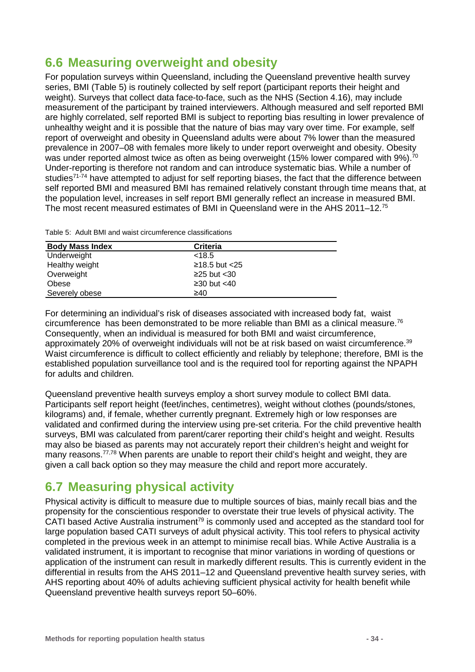## <span id="page-33-0"></span>**6.6 Measuring overweight and obesity**

For population surveys within Queensland, including the Queensland preventive health survey series, BMI [\(Table 5\)](#page-33-2) is routinely collected by self report (participant reports their height and weight). Surveys that collect data face-to-face, such as the NHS (Section [4.16\)](#page-15-3), may include measurement of the participant by trained interviewers. Although measured and self reported BMI are highly correlated, self reported BMI is subject to reporting bias resulting in lower prevalence of unhealthy weight and it is possible that the nature of bias may vary over time. For example, self report of overweight and obesity in Queensland adults were about 7% lower than the measured prevalence in 2007–08 with females more likely to under report overweight and obesity. Obesity was under reported almost twice as often as being overweight (15% lower compared with 9%).<sup>70</sup> Under-reporting is therefore not random and can introduce systematic bias. While a number of studies<sup>71-74</sup> have attempted to adjust for self reporting biases, the fact that the difference between self reported BMI and measured BMI has remained relatively constant through time means that, at the population level, increases in self report BMI generally reflect an increase in measured BMI. The most recent measured estimates of BMI in Queensland were in the AHS 2011–12.75

<span id="page-33-2"></span>Table 5: Adult BMI and waist circumference classifications

| <b>Body Mass Index</b> | <b>Criteria</b>   |  |
|------------------------|-------------------|--|
| Underweight            | < 18.5            |  |
| Healthy weight         | $≥18.5$ but <25   |  |
| Overweight             | $\geq$ 25 but <30 |  |
| Obese                  | $\geq$ 30 but <40 |  |
| Severely obese         | ≥40               |  |

For determining an individual's risk of diseases associated with increased body fat, waist circumference has been demonstrated to be more reliable than BMI as a clinical measure.76 Consequently, when an individual is measured for both BMI and waist circumference, approximately 20% of overweight individuals will not be at risk based on waist circumference.<sup>39</sup> Waist circumference is difficult to collect efficiently and reliably by telephone; therefore, BMI is the established population surveillance tool and is the required tool for reporting against the NPAPH for adults and children.

Queensland preventive health surveys employ a short survey module to collect BMI data. Participants self report height (feet/inches, centimetres), weight without clothes (pounds/stones, kilograms) and, if female, whether currently pregnant. Extremely high or low responses are validated and confirmed during the interview using pre-set criteria. For the child preventive health surveys, BMI was calculated from parent/carer reporting their child's height and weight. Results may also be biased as parents may not accurately report their children's height and weight for many reasons.<sup>77,78</sup> When parents are unable to report their child's height and weight, they are given a call back option so they may measure the child and report more accurately.

## <span id="page-33-1"></span>**6.7 Measuring physical activity**

Physical activity is difficult to measure due to multiple sources of bias, mainly recall bias and the propensity for the conscientious responder to overstate their true levels of physical activity. The CATI based Active Australia instrument<sup>79</sup> is commonly used and accepted as the standard tool for large population based CATI surveys of adult physical activity. This tool refers to physical activity completed in the previous week in an attempt to minimise recall bias. While Active Australia is a validated instrument, it is important to recognise that minor variations in wording of questions or application of the instrument can result in markedly different results. This is currently evident in the differential in results from the AHS 2011–12 and Queensland preventive health survey series, with AHS reporting about 40% of adults achieving sufficient physical activity for health benefit while Queensland preventive health surveys report 50–60%.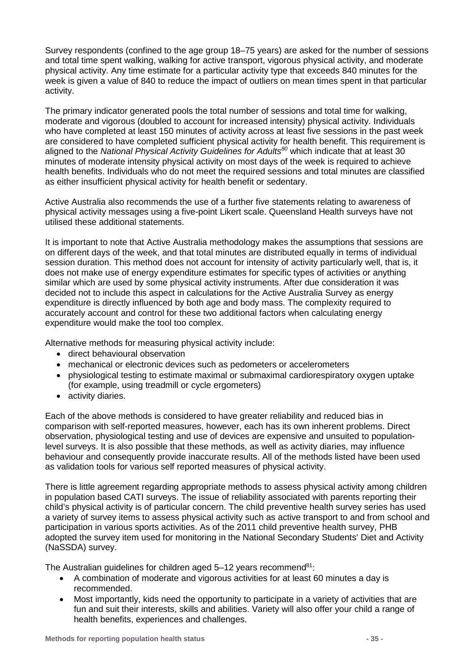Survey respondents (confined to the age group 18–75 years) are asked for the number of sessions and total time spent walking, walking for active transport, vigorous physical activity, and moderate physical activity. Any time estimate for a particular activity type that exceeds 840 minutes for the week is given a value of 840 to reduce the impact of outliers on mean times spent in that particular activity.

The primary indicator generated pools the total number of sessions and total time for walking, moderate and vigorous (doubled to account for increased intensity) physical activity. Individuals who have completed at least 150 minutes of activity across at least five sessions in the past week are considered to have completed sufficient physical activity for health benefit. This requirement is aligned to the *National Physical Activity Guidelines for Adults<sup>80</sup>* which indicate that at least 30 minutes of moderate intensity physical activity on most days of the week is required to achieve health benefits. Individuals who do not meet the required sessions and total minutes are classified as either insufficient physical activity for health benefit or sedentary.

Active Australia also recommends the use of a further five statements relating to awareness of physical activity messages using a five-point Likert scale. Queensland Health surveys have not utilised these additional statements.

It is important to note that Active Australia methodology makes the assumptions that sessions are on different days of the week, and that total minutes are distributed equally in terms of individual session duration. This method does not account for intensity of activity particularly well, that is, it does not make use of energy expenditure estimates for specific types of activities or anything similar which are used by some physical activity instruments. After due consideration it was decided not to include this aspect in calculations for the Active Australia Survey as energy expenditure is directly influenced by both age and body mass. The complexity required to accurately account and control for these two additional factors when calculating energy expenditure would make the tool too complex.

Alternative methods for measuring physical activity include:

- direct behavioural observation
- mechanical or electronic devices such as pedometers or accelerometers
- physiological testing to estimate maximal or submaximal cardiorespiratory oxygen uptake (for example, using treadmill or cycle ergometers)
- activity diaries.

Each of the above methods is considered to have greater reliability and reduced bias in comparison with self-reported measures, however, each has its own inherent problems. Direct observation, physiological testing and use of devices are expensive and unsuited to populationlevel surveys. It is also possible that these methods, as well as activity diaries, may influence behaviour and consequently provide inaccurate results. All of the methods listed have been used as validation tools for various self reported measures of physical activity.

There is little agreement regarding appropriate methods to assess physical activity among children in population based CATI surveys. The issue of reliability associated with parents reporting their child's physical activity is of particular concern. The child preventive health survey series has used a variety of survey items to assess physical activity such as active transport to and from school and participation in various sports activities. As of the 2011 child preventive health survey, PHB adopted the survey item used for monitoring in the National Secondary Students' Diet and Activity (NaSSDA) survey.

The Australian guidelines for children aged  $5-12$  years recommend<sup>81</sup>:

- A combination of moderate and vigorous activities for at least 60 minutes a day is recommended.
- Most importantly, kids need the opportunity to participate in a variety of activities that are fun and suit their interests, skills and abilities. Variety will also offer your child a range of health benefits, experiences and challenges.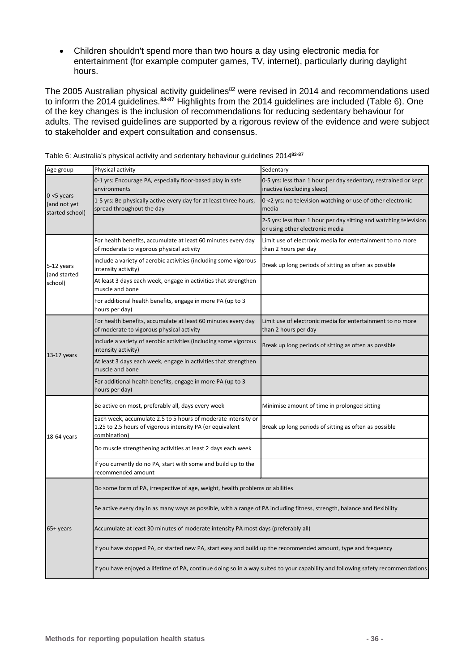• Children shouldn't spend more than two hours a day using electronic media for entertainment (for example computer games, TV, internet), particularly during daylight hours.

The 2005 Australian physical activity guidelines $^{82}$  were revised in 2014 and recommendations used to inform the 2014 guidelines.**83-87** Highlights from the 2014 guidelines are included [\(Table 6\)](#page-35-0). One of the key changes is the inclusion of recommendations for reducing sedentary behaviour for adults. The revised guidelines are supported by a rigorous review of the evidence and were subject to stakeholder and expert consultation and consensus.

| Age group                                        | Physical activity                                                                                                                          | Sedentary                                                                                                                       |  |  |  |  |  |  |
|--------------------------------------------------|--------------------------------------------------------------------------------------------------------------------------------------------|---------------------------------------------------------------------------------------------------------------------------------|--|--|--|--|--|--|
|                                                  | 0-1 yrs: Encourage PA, especially floor-based play in safe<br>environments                                                                 | 0-5 yrs: less than 1 hour per day sedentary, restrained or kept<br>inactive (excluding sleep)                                   |  |  |  |  |  |  |
| $0 - 5$ years<br>(and not yet<br>started school) | 1-5 yrs: Be physically active every day for at least three hours,<br>spread throughout the day                                             | 0-<2 yrs: no television watching or use of other electronic<br>media                                                            |  |  |  |  |  |  |
|                                                  |                                                                                                                                            | 2-5 yrs: less than 1 hour per day sitting and watching television<br>or using other electronic media                            |  |  |  |  |  |  |
|                                                  | For health benefits, accumulate at least 60 minutes every day<br>of moderate to vigorous physical activity                                 | Limit use of electronic media for entertainment to no more<br>than 2 hours per day                                              |  |  |  |  |  |  |
| 5-12 years<br>(and started                       | Include a variety of aerobic activities (including some vigorous<br>intensity activity)                                                    | Break up long periods of sitting as often as possible                                                                           |  |  |  |  |  |  |
| school)                                          | At least 3 days each week, engage in activities that strengthen<br>muscle and bone                                                         |                                                                                                                                 |  |  |  |  |  |  |
|                                                  | For additional health benefits, engage in more PA (up to 3<br>hours per day)                                                               |                                                                                                                                 |  |  |  |  |  |  |
|                                                  | For health benefits, accumulate at least 60 minutes every day<br>of moderate to vigorous physical activity                                 | Limit use of electronic media for entertainment to no more<br>than 2 hours per day                                              |  |  |  |  |  |  |
| 13-17 years                                      | Include a variety of aerobic activities (including some vigorous<br>intensity activity)                                                    | Break up long periods of sitting as often as possible                                                                           |  |  |  |  |  |  |
|                                                  | At least 3 days each week, engage in activities that strengthen<br>muscle and bone                                                         |                                                                                                                                 |  |  |  |  |  |  |
|                                                  | For additional health benefits, engage in more PA (up to 3<br>hours per day)                                                               |                                                                                                                                 |  |  |  |  |  |  |
|                                                  | Be active on most, preferably all, days every week                                                                                         | Minimise amount of time in prolonged sitting                                                                                    |  |  |  |  |  |  |
| 18-64 years                                      | Each week, accumulate 2.5 to 5 hours of moderate intensity or<br>1.25 to 2.5 hours of vigorous intensity PA (or equivalent<br>combination) | Break up long periods of sitting as often as possible                                                                           |  |  |  |  |  |  |
|                                                  | Do muscle strengthening activities at least 2 days each week                                                                               |                                                                                                                                 |  |  |  |  |  |  |
|                                                  | If you currently do no PA, start with some and build up to the<br>recommended amount                                                       |                                                                                                                                 |  |  |  |  |  |  |
|                                                  | Do some form of PA, irrespective of age, weight, health problems or abilities                                                              |                                                                                                                                 |  |  |  |  |  |  |
|                                                  | Be active every day in as many ways as possible, with a range of PA including fitness, strength, balance and flexibility                   |                                                                                                                                 |  |  |  |  |  |  |
| 65+ years                                        | Accumulate at least 30 minutes of moderate intensity PA most days (preferably all)                                                         |                                                                                                                                 |  |  |  |  |  |  |
|                                                  | If you have stopped PA, or started new PA, start easy and build up the recommended amount, type and frequency                              |                                                                                                                                 |  |  |  |  |  |  |
|                                                  |                                                                                                                                            | If you have enjoyed a lifetime of PA, continue doing so in a way suited to your capability and following safety recommendations |  |  |  |  |  |  |

<span id="page-35-0"></span>Table 6: Australia's physical activity and sedentary behaviour guidelines 2014**83-87**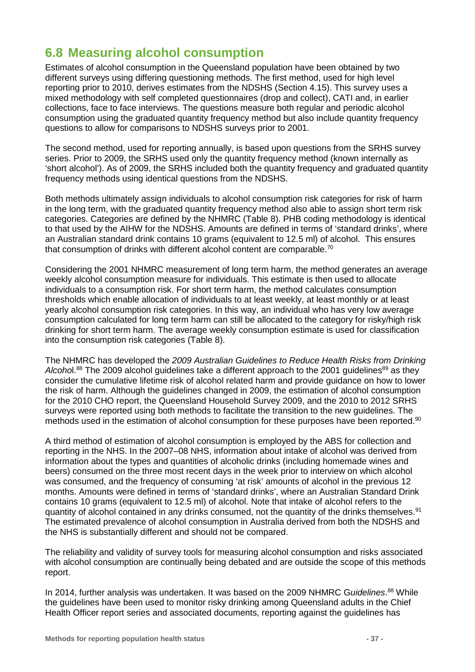## **6.8 Measuring alcohol consumption**

Estimates of alcohol consumption in the Queensland population have been obtained by two different surveys using differing questioning methods. The first method, used for high level reporting prior to 2010, derives estimates from the NDSHS (Section [4.15\)](#page-15-0). This survey uses a mixed methodology with self completed questionnaires (drop and collect), CATI and, in earlier collections, face to face interviews. The questions measure both regular and periodic alcohol consumption using the graduated quantity frequency method but also include quantity frequency questions to allow for comparisons to NDSHS surveys prior to 2001.

The second method, used for reporting annually, is based upon questions from the SRHS survey series. Prior to 2009, the SRHS used only the quantity frequency method (known internally as 'short alcohol'). As of 2009, the SRHS included both the quantity frequency and graduated quantity frequency methods using identical questions from the NDSHS.

Both methods ultimately assign individuals to alcohol consumption risk categories for risk of harm in the long term, with the graduated quantity frequency method also able to assign short term risk categories. Categories are defined by the NHMRC [\(Table 8\)](#page-38-0). PHB coding methodology is identical to that used by the AIHW for the NDSHS. Amounts are defined in terms of 'standard drinks', where an Australian standard drink contains 10 grams (equivalent to 12.5 ml) of alcohol. This ensures that consumption of drinks with different alcohol content are comparable.<sup>70</sup>

Considering the 2001 NHMRC measurement of long term harm, the method generates an average weekly alcohol consumption measure for individuals. This estimate is then used to allocate individuals to a consumption risk. For short term harm, the method calculates consumption thresholds which enable allocation of individuals to at least weekly, at least monthly or at least yearly alcohol consumption risk categories. In this way, an individual who has very low average consumption calculated for long term harm can still be allocated to the category for risky/high risk drinking for short term harm. The average weekly consumption estimate is used for classification into the consumption risk categories [\(Table 8\)](#page-38-0).

The NHMRC has developed the *2009 Australian Guidelines to Reduce Health Risks from Drinking*  Alcohol.<sup>88</sup> The 2009 alcohol guidelines take a different approach to the 2001 guidelines<sup>89</sup> as they consider the cumulative lifetime risk of alcohol related harm and provide guidance on how to lower the risk of harm. Although the guidelines changed in 2009, the estimation of alcohol consumption for the 2010 CHO report, the Queensland Household Survey 2009, and the 2010 to 2012 SRHS surveys were reported using both methods to facilitate the transition to the new guidelines. The methods used in the estimation of alcohol consumption for these purposes have been reported.<sup>90</sup>

A third method of estimation of alcohol consumption is employed by the ABS for collection and reporting in the NHS. In the 2007–08 NHS, information about intake of alcohol was derived from information about the types and quantities of alcoholic drinks (including homemade wines and beers) consumed on the three most recent days in the week prior to interview on which alcohol was consumed, and the frequency of consuming 'at risk' amounts of alcohol in the previous 12 months. Amounts were defined in terms of 'standard drinks', where an Australian Standard Drink contains 10 grams (equivalent to 12.5 ml) of alcohol. Note that intake of alcohol refers to the quantity of alcohol contained in any drinks consumed, not the quantity of the drinks themselves.<sup>91</sup> The estimated prevalence of alcohol consumption in Australia derived from both the NDSHS and the NHS is substantially different and should not be compared.

The reliability and validity of survey tools for measuring alcohol consumption and risks associated with alcohol consumption are continually being debated and are outside the scope of this methods report.

In 2014, further analysis was undertaken. It was based on the 2009 NHMRC G*uidelines*. <sup>88</sup> While the guidelines have been used to monitor risky drinking among Queensland adults in the Chief Health Officer report series and associated documents, reporting against the guidelines has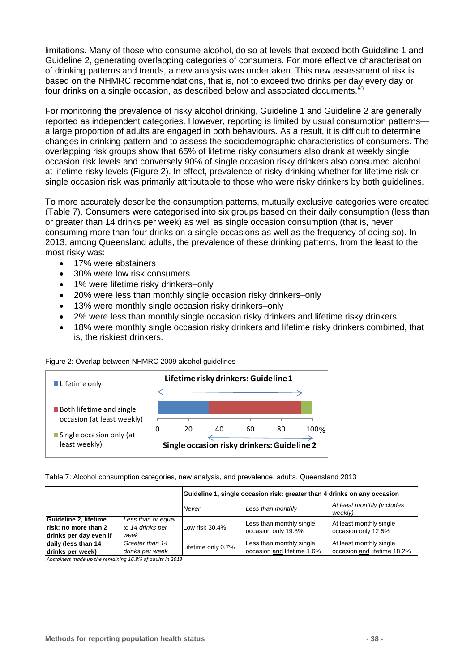limitations. Many of those who consume alcohol, do so at levels that exceed both Guideline 1 and Guideline 2, generating overlapping categories of consumers. For more effective characterisation of drinking patterns and trends, a new analysis was undertaken. This new assessment of risk is based on the NHMRC recommendations, that is, not to exceed two drinks per day every day or four drinks on a single occasion, as described below and associated documents. $60$ 

For monitoring the prevalence of risky alcohol drinking, Guideline 1 and Guideline 2 are generally reported as independent categories. However, reporting is limited by usual consumption patterns a large proportion of adults are engaged in both behaviours. As a result, it is difficult to determine changes in drinking pattern and to assess the sociodemographic characteristics of consumers. The overlapping risk groups show that 65% of lifetime risky consumers also drank at weekly single occasion risk levels and conversely 90% of single occasion risky drinkers also consumed alcohol at lifetime risky levels [\(Figure 2\)](#page-37-0). In effect, prevalence of risky drinking whether for lifetime risk or single occasion risk was primarily attributable to those who were risky drinkers by both guidelines.

To more accurately describe the consumption patterns, mutually exclusive categories were created [\(Table 7\)](#page-37-1). Consumers were categorised into six groups based on their daily consumption (less than or greater than 14 drinks per week) as well as single occasion consumption (that is, never consuming more than four drinks on a single occasions as well as the frequency of doing so). In 2013, among Queensland adults, the prevalence of these drinking patterns, from the least to the most risky was:

- 17% were abstainers
- 30% were low risk consumers
- 1% were lifetime risky drinkers–only
- 20% were less than monthly single occasion risky drinkers–only
- 13% were monthly single occasion risky drinkers–only
- 2% were less than monthly single occasion risky drinkers and lifetime risky drinkers
- 18% were monthly single occasion risky drinkers and lifetime risky drinkers combined, that is, the riskiest drinkers.

<span id="page-37-0"></span>

|  |  |  | Figure 2: Overlap between NHMRC 2009 alcohol guidelines |
|--|--|--|---------------------------------------------------------|
|  |  |  |                                                         |



<span id="page-37-1"></span>Table 7: Alcohol consumption categories, new analysis, and prevalence, adults, Queensland 2013

|                                                                         |                                                | Guideline 1, single occasion risk: greater than 4 drinks on any occasion |                                                        |                                                        |  |
|-------------------------------------------------------------------------|------------------------------------------------|--------------------------------------------------------------------------|--------------------------------------------------------|--------------------------------------------------------|--|
|                                                                         |                                                | Never                                                                    | Less than monthly                                      | At least monthly (includes<br>weekly)                  |  |
| Guideline 2, lifetime<br>risk: no more than 2<br>drinks per day even if | Less than or equal<br>to 14 drinks per<br>week | Low risk 30.4%                                                           | Less than monthly single<br>occasion only 19.8%        | At least monthly single<br>occasion only 12.5%         |  |
| daily (less than 14<br>drinks per week)                                 | Greater than 14<br>drinks per week             | Lifetime only 0.7%                                                       | Less than monthly single<br>occasion and lifetime 1.6% | At least monthly single<br>occasion and lifetime 18.2% |  |

*Abstainers made up the remaining 16.8% of adults in 2013*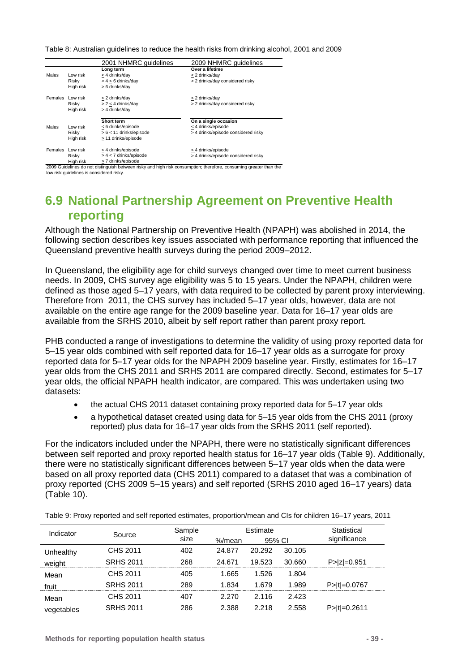<span id="page-38-0"></span>Table 8: Australian guidelines to reduce the health risks from drinking alcohol, 2001 and 2009

|                |           | 2001 NHMRC guidelines     | 2009 NHMRC guidelines               |
|----------------|-----------|---------------------------|-------------------------------------|
|                |           | Long term                 | Over a lifetime                     |
| Males          | Low risk  | < 4 drinks/day            | < 2 drinks/day                      |
|                | Risky     | $> 4 < 6$ drinks/day      | > 2 drinks/day considered risky     |
|                | High risk | > 6 drinks/day            |                                     |
| Females        | Low risk  | < 2 drinks/day            | < 2 drinks/day                      |
|                | Risky     | $> 2 < 4$ drinks/day      | > 2 drinks/day considered risky     |
|                | High risk | > 4 drinks/day            |                                     |
|                |           | Short term                | On a single occasion                |
| Males          | Low risk  | < 6 drinks/episode        | < 4 drinks/episode                  |
|                | Risky     | $> 6 < 11$ drinks/episode | > 4 drinks/episode considered risky |
|                | High risk | > 11 drinks/episode       |                                     |
| <b>Females</b> | Low risk  | < 4 drinks/episode        | < 4 drinks/episode                  |
|                | Risky     | > 4 < 7 drinks/episode    | > 4 drinks/episode considered risky |
|                | High risk | > 7 drinks/episode        |                                     |

2009 Guidelines do not distinguish between risky and high risk consumption; therefore, consuming greater than the

low risk guidelines is considered risky.

## <span id="page-38-2"></span>**6.9 National Partnership Agreement on Preventive Health reporting**

Although the National Partnership on Preventive Health (NPAPH) was abolished in 2014, the following section describes key issues associated with performance reporting that influenced the Queensland preventive health surveys during the period 2009–2012.

In Queensland, the eligibility age for child surveys changed over time to meet current business needs. In 2009, CHS survey age eligibility was 5 to 15 years. Under the NPAPH, children were defined as those aged 5–17 years, with data required to be collected by parent proxy interviewing. Therefore from 2011, the CHS survey has included 5–17 year olds, however, data are not available on the entire age range for the 2009 baseline year. Data for 16–17 year olds are available from the SRHS 2010, albeit by self report rather than parent proxy report.

PHB conducted a range of investigations to determine the validity of using proxy reported data for 5–15 year olds combined with self reported data for 16–17 year olds as a surrogate for proxy reported data for 5–17 year olds for the NPAPH 2009 baseline year. Firstly, estimates for 16–17 year olds from the CHS 2011 and SRHS 2011 are compared directly. Second, estimates for 5–17 year olds, the official NPAPH health indicator, are compared. This was undertaken using two datasets:

- the actual CHS 2011 dataset containing proxy reported data for 5–17 year olds
- a hypothetical dataset created using data for 5–15 year olds from the CHS 2011 (proxy reported) plus data for 16–17 year olds from the SRHS 2011 (self reported).

For the indicators included under the NPAPH, there were no statistically significant differences between self reported and proxy reported health status for 16–17 year olds [\(Table 9\)](#page-38-1). Additionally, there were no statistically significant differences between 5–17 year olds when the data were based on all proxy reported data (CHS 2011) compared to a dataset that was a combination of proxy reported (CHS 2009 5–15 years) and self reported (SRHS 2010 aged 16–17 years) data [\(Table 10\)](#page-39-0).

| Indicator  | Source           | Sample<br>size | %/mean | Estimate<br>95% CI |        | Statistical<br>significance |
|------------|------------------|----------------|--------|--------------------|--------|-----------------------------|
| Unhealthy  | CHS 2011         | 402            | 24.877 | 20.292             | 30.105 |                             |
| weight     | <b>SRHS 2011</b> | 268            | 24.671 | 19.523             | 30.660 | $P >  z  = 0.951$           |
| Mean       | CHS 2011         | 405            | 1.665  | 1.526              | 1.804  |                             |
| fruit      | <b>SRHS 2011</b> | 289            | 1.834  | 1.679              | 1.989  | P> t =0.0767                |
| Mean       | CHS 2011         | 407            | 2.270  | 2.116              | 2.423  |                             |
| vegetables | <b>SRHS 2011</b> | 286            | 2.388  | 2.218              | 2.558  | P>It=0.2611                 |

<span id="page-38-1"></span>Table 9: Proxy reported and self reported estimates, proportion/mean and CIs for children 16–17 years, 2011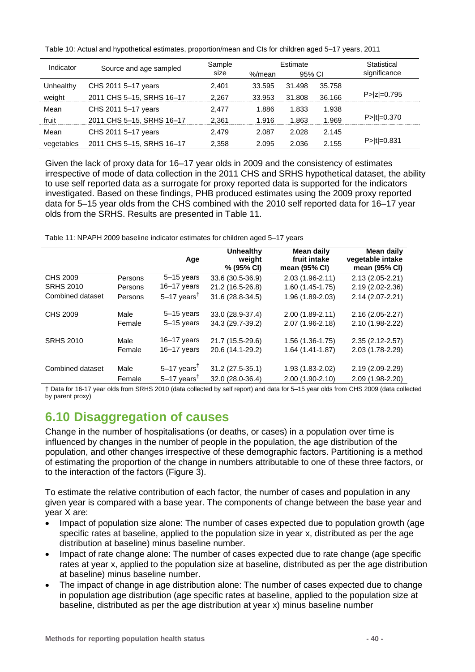| Indicator  | Source and age sampled    | Sample | Estimate |        |        | Statistical       |
|------------|---------------------------|--------|----------|--------|--------|-------------------|
|            |                           | size   | %/mean   | 95% CI |        | significance      |
| Unhealthy  | CHS 2011 5-17 years       | 2.401  | 33.595   | 31.498 | 35.758 |                   |
| weight     | 2011 CHS 5-15, SRHS 16-17 | 2.267  | 33.953   | 31.808 | 36.166 | $P >  z  = 0.795$ |
| Mean       | CHS 2011 5-17 years       | 2.477  | 1.886    | 1.833  | 1.938  |                   |
| fruit      | 2011 CHS 5-15, SRHS 16-17 | 2.361  | 1.916    | 1.863  | 1.969  | $P> t =0.370$     |
| Mean       | CHS 2011 5-17 years       | 2.479  | 2.087    | 2.028  | 2.145  |                   |
| vegetables | 2011 CHS 5-15, SRHS 16-17 | 2,358  | 2.095    | 2.036  | 2.155  | $P >  t  = 0.831$ |

<span id="page-39-0"></span>Table 10: Actual and hypothetical estimates, proportion/mean and CIs for children aged 5–17 years, 2011

Given the lack of proxy data for 16–17 year olds in 2009 and the consistency of estimates irrespective of mode of data collection in the 2011 CHS and SRHS hypothetical dataset, the ability to use self reported data as a surrogate for proxy reported data is supported for the indicators investigated. Based on these findings, PHB produced estimates using the 2009 proxy reported data for 5–15 year olds from the CHS combined with the 2010 self reported data for 16–17 year olds from the SRHS. Results are presented in [Table 11.](#page-39-1)

<span id="page-39-1"></span>Table 11: NPAPH 2009 baseline indicator estimates for children aged 5–17 years

|                  |         | Age                       | <b>Unhealthy</b><br>weight<br>% (95% CI) | Mean daily<br>fruit intake<br>mean (95% CI) | Mean daily<br>vegetable intake<br>mean (95% CI) |
|------------------|---------|---------------------------|------------------------------------------|---------------------------------------------|-------------------------------------------------|
| CHS 2009         | Persons | $5-15$ years              | 33.6 (30.5-36.9)                         | 2.03 (1.96-2.11)                            | 2.13 (2.05-2.21)                                |
| <b>SRHS 2010</b> | Persons | 16-17 years               | 21.2 (16.5-26.8)                         | $1.60(1.45-1.75)$                           | 2.19 (2.02-2.36)                                |
| Combined dataset | Persons | $5-17$ years <sup>†</sup> | 31.6 (28.8-34.5)                         | 1.96 (1.89-2.03)                            | 2.14 (2.07-2.21)                                |
| CHS 2009         | Male    | $5-15$ years              | 33.0 (28.9-37.4)                         | $2.00(1.89-2.11)$                           | $2.16(2.05 - 2.27)$                             |
|                  | Female  | $5-15$ years              | 34.3 (29.7-39.2)                         | 2.07 (1.96-2.18)                            | 2.10 (1.98-2.22)                                |
| <b>SRHS 2010</b> | Male    | $16 - 17$ years           | 21.7 (15.5-29.6)                         | $1.56(1.36-1.75)$                           | $2.35(2.12 - 2.57)$                             |
|                  | Female  | $16 - 17$ years           | 20.6 (14.1-29.2)                         | $1.64(1.41-1.87)$                           | 2.03 (1.78-2.29)                                |
| Combined dataset | Male    | $5-17$ years <sup>†</sup> | 31.2 (27.5-35.1)                         | 1.93 (1.83-2.02)                            | 2.19 (2.09-2.29)                                |
|                  | Female  | $5-17$ years <sup>†</sup> | 32.0 (28.0-36.4)                         | 2.00 (1.90-2.10)                            | 2.09 (1.98-2.20)                                |

† Data for 16-17 year olds from SRHS 2010 (data collected by self report) and data for 5–15 year olds from CHS 2009 (data collected by parent proxy)

# <span id="page-39-2"></span>**6.10 Disaggregation of causes**

Change in the number of hospitalisations (or deaths, or cases) in a population over time is influenced by changes in the number of people in the population, the age distribution of the population, and other changes irrespective of these demographic factors. Partitioning is a method of estimating the proportion of the change in numbers attributable to one of these three factors, or to the interaction of the factors [\(Figure 3\)](#page-40-0).

To estimate the relative contribution of each factor, the number of cases and population in any given year is compared with a base year. The components of change between the base year and year X are:

- Impact of population size alone: The number of cases expected due to population growth (age specific rates at baseline, applied to the population size in year x, distributed as per the age distribution at baseline) minus baseline number.
- Impact of rate change alone: The number of cases expected due to rate change (age specific rates at year x, applied to the population size at baseline, distributed as per the age distribution at baseline) minus baseline number.
- The impact of change in age distribution alone: The number of cases expected due to change in population age distribution (age specific rates at baseline, applied to the population size at baseline, distributed as per the age distribution at year x) minus baseline number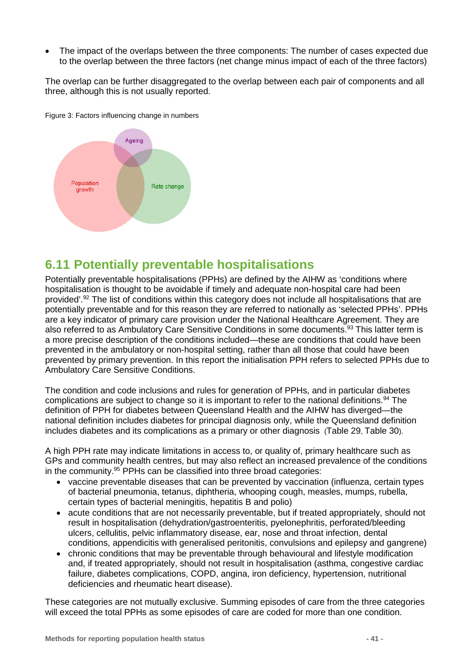• The impact of the overlaps between the three components: The number of cases expected due to the overlap between the three factors (net change minus impact of each of the three factors)

The overlap can be further disaggregated to the overlap between each pair of components and all three, although this is not usually reported.



<span id="page-40-0"></span>Figure 3: Factors influencing change in numbers

### **6.11 Potentially preventable hospitalisations**

Potentially preventable hospitalisations (PPHs) are defined by the AIHW as 'conditions where hospitalisation is thought to be avoidable if timely and adequate non-hospital care had been provided'.92 The list of conditions within this category does not include all hospitalisations that are potentially preventable and for this reason they are referred to nationally as 'selected PPHs'. PPHs are a key indicator of primary care provision under the National Healthcare Agreement. They are also referred to as Ambulatory Care Sensitive Conditions in some documents.<sup>93</sup> This latter term is a more precise description of the conditions included—these are conditions that could have been prevented in the ambulatory or non-hospital setting, rather than all those that could have been prevented by primary prevention. In this report the initialisation PPH refers to selected PPHs due to Ambulatory Care Sensitive Conditions.

The condition and code inclusions and rules for generation of PPHs, and in particular diabetes complications are subject to change so it is important to refer to the national definitions.94 The definition of PPH for diabetes between Queensland Health and the AIHW has diverged—the national definition includes diabetes for principal diagnosis only, while the Queensland definition includes diabetes and its complications as a primary or other diagnosis [\(Table 29,](#page-85-0) [Table 30\)](#page-87-0).

A high PPH rate may indicate limitations in access to, or quality of, primary healthcare such as GPs and community health centres, but may also reflect an increased prevalence of the conditions in the community.95 PPHs can be classified into three broad categories:

- vaccine preventable diseases that can be prevented by vaccination (influenza, certain types of bacterial pneumonia, tetanus, diphtheria, whooping cough, measles, mumps, rubella, certain types of bacterial meningitis, hepatitis B and polio)
- acute conditions that are not necessarily preventable, but if treated appropriately, should not result in hospitalisation (dehydration/gastroenteritis, pyelonephritis, perforated/bleeding ulcers, cellulitis, pelvic inflammatory disease, ear, nose and throat infection, dental conditions, appendicitis with generalised peritonitis, convulsions and epilepsy and gangrene)
- chronic conditions that may be preventable through behavioural and lifestyle modification and, if treated appropriately, should not result in hospitalisation (asthma, congestive cardiac failure, diabetes complications, COPD, angina, iron deficiency, hypertension, nutritional deficiencies and rheumatic heart disease).

These categories are not mutually exclusive. Summing episodes of care from the three categories will exceed the total PPHs as some episodes of care are coded for more than one condition.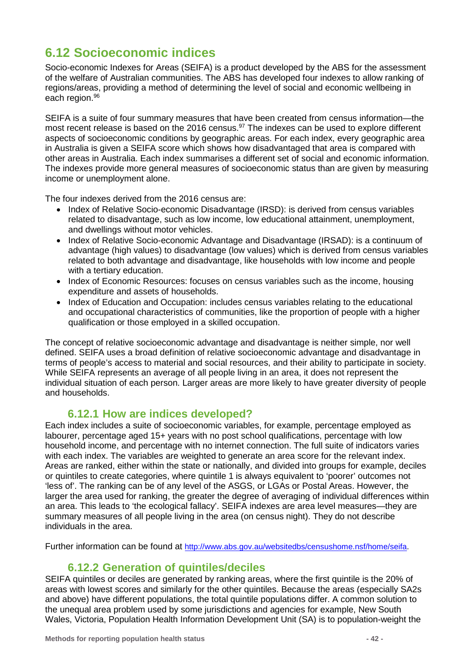## **6.12 Socioeconomic indices**

Socio-economic Indexes for Areas (SEIFA) is a product developed by the ABS for the assessment of the welfare of Australian communities. The ABS has developed four indexes to allow ranking of regions/areas, providing a method of determining the level of social and economic wellbeing in each region.96

SEIFA is a suite of four summary measures that have been created from census information—the most recent release is based on the 2016 census.<sup>97</sup> The indexes can be used to explore different aspects of socioeconomic conditions by geographic areas. For each index, every geographic area in Australia is given a SEIFA score which shows how disadvantaged that area is compared with other areas in Australia. Each index summarises a different set of social and economic information. The indexes provide more general measures of socioeconomic status than are given by measuring income or unemployment alone.

The four indexes derived from the 2016 census are:

- Index of Relative Socio-economic Disadvantage (IRSD): is derived from census variables related to disadvantage, such as low income, low educational attainment, unemployment, and dwellings without motor vehicles.
- Index of Relative Socio-economic Advantage and Disadvantage (IRSAD): is a continuum of advantage (high values) to disadvantage (low values) which is derived from census variables related to both advantage and disadvantage, like households with low income and people with a tertiary education.
- Index of Economic Resources: focuses on census variables such as the income, housing expenditure and assets of households.
- Index of Education and Occupation: includes census variables relating to the educational and occupational characteristics of communities, like the proportion of people with a higher qualification or those employed in a skilled occupation.

The concept of relative socioeconomic advantage and disadvantage is neither simple, nor well defined. SEIFA uses a broad definition of relative socioeconomic advantage and disadvantage in terms of people's access to material and social resources, and their ability to participate in society. While SEIFA represents an average of all people living in an area, it does not represent the individual situation of each person. Larger areas are more likely to have greater diversity of people and households.

### **6.12.1 How are indices developed?**

Each index includes a suite of socioeconomic variables, for example, percentage employed as labourer, percentage aged 15+ years with no post school qualifications, percentage with low household income, and percentage with no internet connection. The full suite of indicators varies with each index. The variables are weighted to generate an area score for the relevant index. Areas are ranked, either within the state or nationally, and divided into groups for example, deciles or quintiles to create categories, where quintile 1 is always equivalent to 'poorer' outcomes not 'less of'. The ranking can be of any level of the ASGS, or LGAs or Postal Areas. However, the larger the area used for ranking, the greater the degree of averaging of individual differences within an area. This leads to 'the ecological fallacy'. SEIFA indexes are area level measures—they are summary measures of all people living in the area (on census night). They do not describe individuals in the area.

Further information can be found at [http://www.abs.gov.au/websitedbs/censushome.nsf/home/seifa.](http://www.abs.gov.au/websitedbs/censushome.nsf/home/seifa)

### **6.12.2 Generation of quintiles/deciles**

SEIFA quintiles or deciles are generated by ranking areas, where the first quintile is the 20% of areas with lowest scores and similarly for the other quintiles. Because the areas (especially SA2s and above) have different populations, the total quintile populations differ. A common solution to the unequal area problem used by some jurisdictions and agencies for example, New South Wales, Victoria, Population Health Information Development Unit (SA) is to population-weight the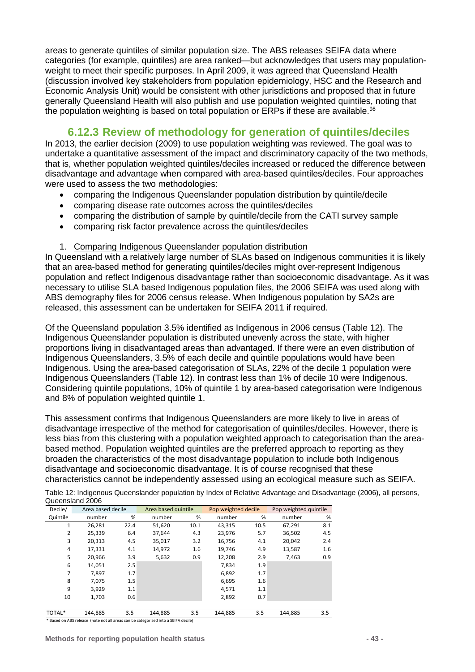areas to generate quintiles of similar population size. The ABS releases SEIFA data where categories (for example, quintiles) are area ranked—but acknowledges that users may populationweight to meet their specific purposes. In April 2009, it was agreed that Queensland Health (discussion involved key stakeholders from population epidemiology, HSC and the Research and Economic Analysis Unit) would be consistent with other jurisdictions and proposed that in future generally Queensland Health will also publish and use population weighted quintiles, noting that the population weighting is based on total population or ERPs if these are available.<sup>98</sup>

### **6.12.3 Review of methodology for generation of quintiles/deciles**

In 2013, the earlier decision (2009) to use population weighting was reviewed. The goal was to undertake a quantitative assessment of the impact and discriminatory capacity of the two methods, that is, whether population weighted quintiles/deciles increased or reduced the difference between disadvantage and advantage when compared with area-based quintiles/deciles. Four approaches were used to assess the two methodologies:

- comparing the Indigenous Queenslander population distribution by quintile/decile
- comparing disease rate outcomes across the quintiles/deciles
- comparing the distribution of sample by quintile/decile from the CATI survey sample
- comparing risk factor prevalence across the quintiles/deciles

#### 1. Comparing Indigenous Queenslander population distribution

In Queensland with a relatively large number of SLAs based on Indigenous communities it is likely that an area-based method for generating quintiles/deciles might over-represent Indigenous population and reflect Indigenous disadvantage rather than socioeconomic disadvantage. As it was necessary to utilise SLA based Indigenous population files, the 2006 SEIFA was used along with ABS demography files for 2006 census release. When Indigenous population by SA2s are released, this assessment can be undertaken for SEIFA 2011 if required.

Of the Queensland population 3.5% identified as Indigenous in 2006 census [\(Table 12\)](#page-42-0). The Indigenous Queenslander population is distributed unevenly across the state, with higher proportions living in disadvantaged areas than advantaged. If there were an even distribution of Indigenous Queenslanders, 3.5% of each decile and quintile populations would have been Indigenous. Using the area-based categorisation of SLAs, 22% of the decile 1 population were Indigenous Queenslanders [\(Table 12\)](#page-42-0). In contrast less than 1% of decile 10 were Indigenous. Considering quintile populations, 10% of quintile 1 by area-based categorisation were Indigenous and 8% of population weighted quintile 1.

This assessment confirms that Indigenous Queenslanders are more likely to live in areas of disadvantage irrespective of the method for categorisation of quintiles/deciles. However, there is less bias from this clustering with a population weighted approach to categorisation than the areabased method. Population weighted quintiles are the preferred approach to reporting as they broaden the characteristics of the most disadvantage population to include both Indigenous disadvantage and socioeconomic disadvantage. It is of course recognised that these characteristics cannot be independently assessed using an ecological measure such as SEIFA.

| Decile/        | Area based decile |      | Area based quintile |      | Pop weighted decile |      | Pop weighted quintile |     |
|----------------|-------------------|------|---------------------|------|---------------------|------|-----------------------|-----|
| Quintile       | number            | %    | number              | %    | number              | %    | number                | %   |
| 1              | 26,281            | 22.4 | 51,620              | 10.1 | 43,315              | 10.5 | 67,291                | 8.1 |
| $\overline{2}$ | 25,339            | 6.4  | 37,644              | 4.3  | 23,976              | 5.7  | 36,502                | 4.5 |
| 3              | 20,313            | 4.5  | 35,017              | 3.2  | 16,756              | 4.1  | 20.042                | 2.4 |
| 4              | 17.331            | 4.1  | 14.972              | 1.6  | 19.746              | 4.9  | 13,587                | 1.6 |
| 5              | 20,966            | 3.9  | 5,632               | 0.9  | 12,208              | 2.9  | 7,463                 | 0.9 |
| 6              | 14,051            | 2.5  |                     |      | 7,834               | 1.9  |                       |     |
| 7              | 7.897             | 1.7  |                     |      | 6.892               | 1.7  |                       |     |
| 8              | 7,075             | 1.5  |                     |      | 6,695               | 1.6  |                       |     |
| 9              | 3.929             | 1.1  |                     |      | 4,571               | 1.1  |                       |     |
| 10             | 1,703             | 0.6  |                     |      | 2,892               | 0.7  |                       |     |
|                |                   |      |                     |      |                     |      |                       |     |
| TOTAL*         | 144.885           | 3.5  | 144.885             | 3.5  | 144.885             | 3.5  | 144.885               | 3.5 |

<span id="page-42-0"></span>Table 12: Indigenous Queenslander population by Index of Relative Advantage and Disadvantage (2006), all persons, Queensland 2006

\* Based on ABS release (note not all areas can be categorised into a SEIFA decile)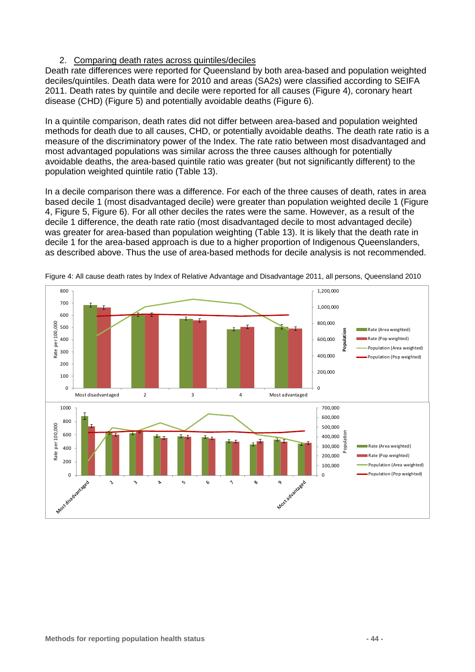#### 2. Comparing death rates across quintiles/deciles

Death rate differences were reported for Queensland by both area-based and population weighted deciles/quintiles. Death data were for 2010 and areas (SA2s) were classified according to SEIFA 2011. Death rates by quintile and decile were reported for all causes [\(Figure 4\)](#page-43-0), coronary heart disease (CHD) [\(Figure 5\)](#page-44-0) and potentially avoidable deaths [\(Figure 6\)](#page-44-1).

In a quintile comparison, death rates did not differ between area-based and population weighted methods for death due to all causes, CHD, or potentially avoidable deaths. The death rate ratio is a measure of the discriminatory power of the Index. The rate ratio between most disadvantaged and most advantaged populations was similar across the three causes although for potentially avoidable deaths, the area-based quintile ratio was greater (but not significantly different) to the population weighted quintile ratio [\(Table 13\)](#page-45-0).

In a decile comparison there was a difference. For each of the three causes of death, rates in area based decile 1 (most disadvantaged decile) were greater than population weighted decile 1 [\(Figure](#page-43-0)  [4,](#page-43-0) [Figure 5,](#page-44-0) [Figure 6\)](#page-44-1). For all other deciles the rates were the same. However, as a result of the decile 1 difference, the death rate ratio (most disadvantaged decile to most advantaged decile) was greater for area-based than population weighting [\(Table 13\)](#page-45-0). It is likely that the death rate in decile 1 for the area-based approach is due to a higher proportion of Indigenous Queenslanders, as described above. Thus the use of area-based methods for decile analysis is not recommended.



<span id="page-43-0"></span>Figure 4: All cause death rates by Index of Relative Advantage and Disadvantage 2011, all persons, Queensland 2010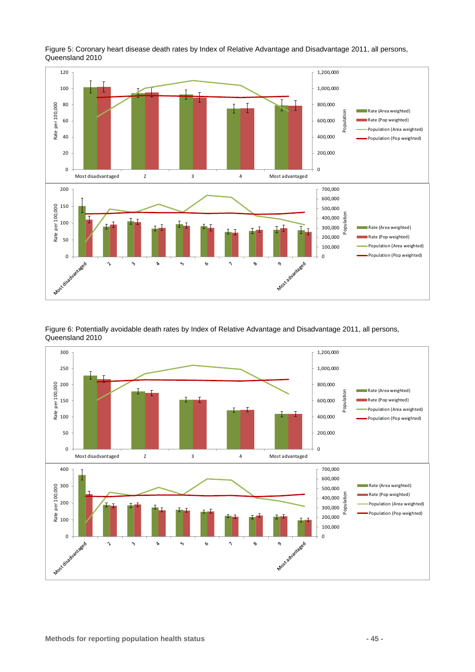

<span id="page-44-0"></span>Figure 5: Coronary heart disease death rates by Index of Relative Advantage and Disadvantage 2011, all persons, Queensland 2010

<span id="page-44-1"></span>Figure 6: Potentially avoidable death rates by Index of Relative Advantage and Disadvantage 2011, all persons, Queensland 2010

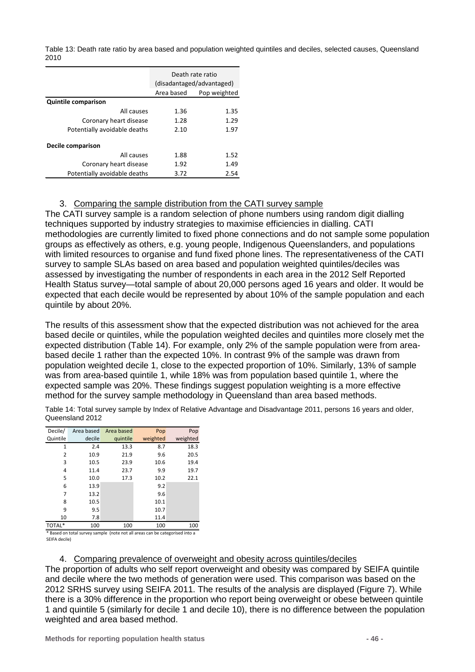<span id="page-45-0"></span>Table 13: Death rate ratio by area based and population weighted quintiles and deciles, selected causes, Queensland 2010

|                              | Death rate ratio          |              |  |
|------------------------------|---------------------------|--------------|--|
|                              | (disadantaged/advantaged) |              |  |
|                              | Area based                | Pop weighted |  |
| <b>Quintile comparison</b>   |                           |              |  |
| All causes                   | 1.36                      | 1.35         |  |
| Coronary heart disease       | 1.28                      | 1.29         |  |
| Potentially avoidable deaths | 2.10                      | 1.97         |  |
| Decile comparison            |                           |              |  |
| All causes                   | 1.88                      | 1.52         |  |
| Coronary heart disease       | 1.92                      | 1.49         |  |
| Potentially avoidable deaths | 3.72                      | 2.54         |  |

#### 3. Comparing the sample distribution from the CATI survey sample

The CATI survey sample is a random selection of phone numbers using random digit dialling techniques supported by industry strategies to maximise efficiencies in dialling. CATI methodologies are currently limited to fixed phone connections and do not sample some population groups as effectively as others, e.g. young people, Indigenous Queenslanders, and populations with limited resources to organise and fund fixed phone lines. The representativeness of the CATI survey to sample SLAs based on area based and population weighted quintiles/deciles was assessed by investigating the number of respondents in each area in the 2012 Self Reported Health Status survey—total sample of about 20,000 persons aged 16 years and older. It would be expected that each decile would be represented by about 10% of the sample population and each quintile by about 20%.

The results of this assessment show that the expected distribution was not achieved for the area based decile or quintiles, while the population weighted deciles and quintiles more closely met the expected distribution [\(Table 14\)](#page-45-1). For example, only 2% of the sample population were from areabased decile 1 rather than the expected 10%. In contrast 9% of the sample was drawn from population weighted decile 1, close to the expected proportion of 10%. Similarly, 13% of sample was from area-based quintile 1, while 18% was from population based quintile 1, where the expected sample was 20%. These findings suggest population weighting is a more effective method for the survey sample methodology in Queensland than area based methods.

<span id="page-45-1"></span>Table 14: Total survey sample by Index of Relative Advantage and Disadvantage 2011, persons 16 years and older, Queensland 2012

| Decile/  | Area based | Area based | Pop      | Pop      |
|----------|------------|------------|----------|----------|
| Quintile | decile     | quintile   | weighted | weighted |
| 1        | 2.4        | 13.3       | 8.7      | 18.3     |
| 2        | 10.9       | 21.9       | 9.6      | 20.5     |
| 3        | 10.5       | 23.9       | 10.6     | 19.4     |
| 4        | 11.4       | 23.7       | 9.9      | 19.7     |
| 5        | 10.0       | 17.3       | 10.2     | 22.1     |
| 6        | 13.9       |            | 9.2      |          |
| 7        | 13.2       |            | 9.6      |          |
| 8        | 10.5       |            | 10.1     |          |
| 9        | 9.5        |            | 10.7     |          |
| 10       | 7.8        |            | 11.4     |          |
| TOTAL*   | 100        | 100        | 100      | 100      |

\* Based on total survey sample (note not all areas can be categorised into a SEIFA decile)

4. Comparing prevalence of overweight and obesity across quintiles/deciles

The proportion of adults who self report overweight and obesity was compared by SEIFA quintile and decile where the two methods of generation were used. This comparison was based on the 2012 SRHS survey using SEIFA 2011. The results of the analysis are displayed [\(Figure 7\)](#page-46-0). While there is a 30% difference in the proportion who report being overweight or obese between quintile 1 and quintile 5 (similarly for decile 1 and decile 10), there is no difference between the population weighted and area based method.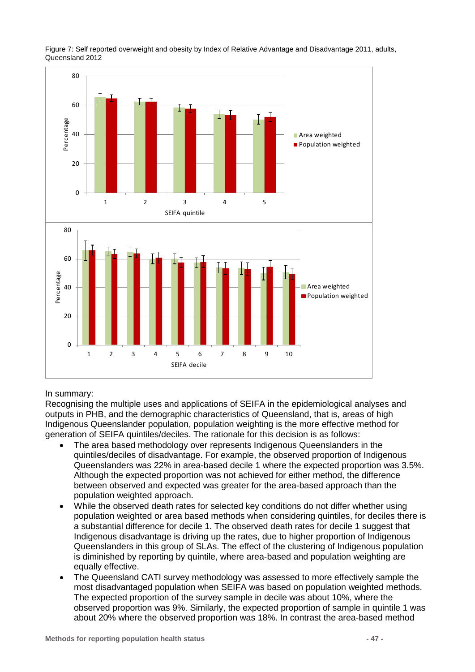

<span id="page-46-0"></span>Figure 7: Self reported overweight and obesity by Index of Relative Advantage and Disadvantage 2011, adults, Queensland 2012

#### In summary:

Recognising the multiple uses and applications of SEIFA in the epidemiological analyses and outputs in PHB, and the demographic characteristics of Queensland, that is, areas of high Indigenous Queenslander population, population weighting is the more effective method for generation of SEIFA quintiles/deciles. The rationale for this decision is as follows:

- The area based methodology over represents Indigenous Queenslanders in the quintiles/deciles of disadvantage. For example, the observed proportion of Indigenous Queenslanders was 22% in area-based decile 1 where the expected proportion was 3.5%. Although the expected proportion was not achieved for either method, the difference between observed and expected was greater for the area-based approach than the population weighted approach.
- While the observed death rates for selected key conditions do not differ whether using population weighted or area based methods when considering quintiles, for deciles there is a substantial difference for decile 1. The observed death rates for decile 1 suggest that Indigenous disadvantage is driving up the rates, due to higher proportion of Indigenous Queenslanders in this group of SLAs. The effect of the clustering of Indigenous population is diminished by reporting by quintile, where area-based and population weighting are equally effective.
- The Queensland CATI survey methodology was assessed to more effectively sample the most disadvantaged population when SEIFA was based on population weighted methods. The expected proportion of the survey sample in decile was about 10%, where the observed proportion was 9%. Similarly, the expected proportion of sample in quintile 1 was about 20% where the observed proportion was 18%. In contrast the area-based method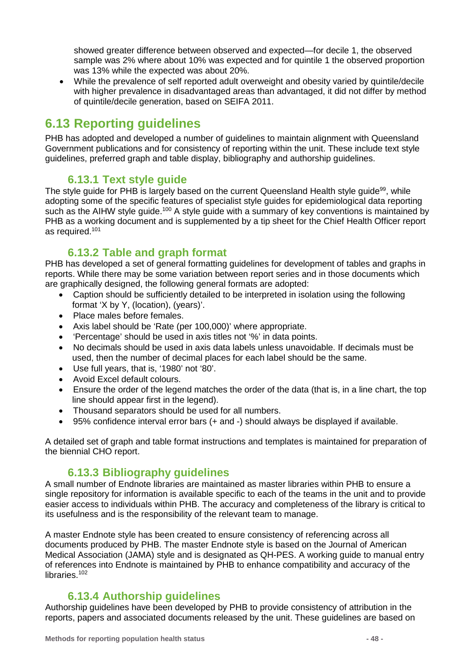showed greater difference between observed and expected—for decile 1, the observed sample was 2% where about 10% was expected and for quintile 1 the observed proportion was 13% while the expected was about 20%.

• While the prevalence of self reported adult overweight and obesity varied by quintile/decile with higher prevalence in disadvantaged areas than advantaged, it did not differ by method of quintile/decile generation, based on SEIFA 2011.

## **6.13 Reporting guidelines**

PHB has adopted and developed a number of guidelines to maintain alignment with Queensland Government publications and for consistency of reporting within the unit. These include text style guidelines, preferred graph and table display, bibliography and authorship guidelines.

### **6.13.1 Text style guide**

The style guide for PHB is largely based on the current Queensland Health style guide<sup>99</sup>, while adopting some of the specific features of specialist style guides for epidemiological data reporting such as the AIHW style quide.<sup>100</sup> A style guide with a summary of key conventions is maintained by PHB as a working document and is supplemented by a tip sheet for the Chief Health Officer report as required.101

### **6.13.2 Table and graph format**

PHB has developed a set of general formatting guidelines for development of tables and graphs in reports. While there may be some variation between report series and in those documents which are graphically designed, the following general formats are adopted:

- Caption should be sufficiently detailed to be interpreted in isolation using the following format 'X by Y, (location), (years)'.
- Place males before females.
- Axis label should be 'Rate (per 100,000)' where appropriate.
- 'Percentage' should be used in axis titles not '%' in data points.
- No decimals should be used in axis data labels unless unavoidable. If decimals must be used, then the number of decimal places for each label should be the same.
- Use full years, that is, '1980' not '80'.
- Avoid Excel default colours.
- Ensure the order of the legend matches the order of the data (that is, in a line chart, the top line should appear first in the legend).
- Thousand separators should be used for all numbers.
- 95% confidence interval error bars (+ and -) should always be displayed if available.

A detailed set of graph and table format instructions and templates is maintained for preparation of the biennial CHO report.

### **6.13.3 Bibliography guidelines**

A small number of Endnote libraries are maintained as master libraries within PHB to ensure a single repository for information is available specific to each of the teams in the unit and to provide easier access to individuals within PHB. The accuracy and completeness of the library is critical to its usefulness and is the responsibility of the relevant team to manage.

A master Endnote style has been created to ensure consistency of referencing across all documents produced by PHB. The master Endnote style is based on the Journal of American Medical Association (JAMA) style and is designated as QH-PES. A working guide to manual entry of references into Endnote is maintained by PHB to enhance compatibility and accuracy of the libraries.<sup>102</sup>

### **6.13.4 Authorship guidelines**

Authorship guidelines have been developed by PHB to provide consistency of attribution in the reports, papers and associated documents released by the unit. These guidelines are based on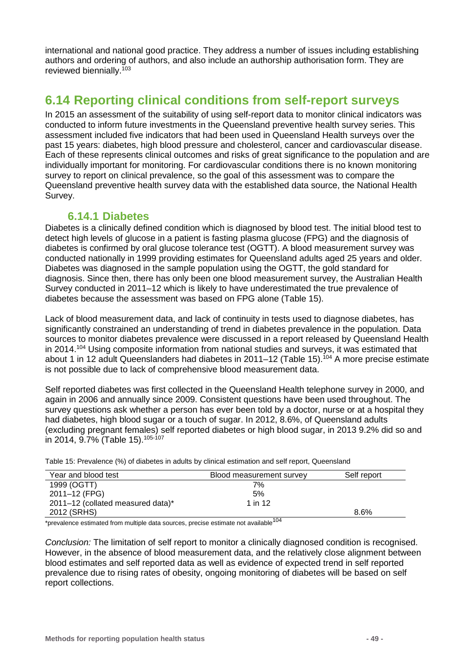international and national good practice. They address a number of issues including establishing authors and ordering of authors, and also include an authorship authorisation form. They are reviewed biennially.103

## **6.14 Reporting clinical conditions from self-report surveys**

In 2015 an assessment of the suitability of using self-report data to monitor clinical indicators was conducted to inform future investments in the Queensland preventive health survey series. This assessment included five indicators that had been used in Queensland Health surveys over the past 15 years: diabetes, high blood pressure and cholesterol, cancer and cardiovascular disease. Each of these represents clinical outcomes and risks of great significance to the population and are individually important for monitoring. For cardiovascular conditions there is no known monitoring survey to report on clinical prevalence, so the goal of this assessment was to compare the Queensland preventive health survey data with the established data source, the National Health Survey.

### **6.14.1 Diabetes**

Diabetes is a clinically defined condition which is diagnosed by blood test. The initial blood test to detect high levels of glucose in a patient is fasting plasma glucose (FPG) and the diagnosis of diabetes is confirmed by oral glucose tolerance test (OGTT). A blood measurement survey was conducted nationally in 1999 providing estimates for Queensland adults aged 25 years and older. Diabetes was diagnosed in the sample population using the OGTT, the gold standard for diagnosis. Since then, there has only been one blood measurement survey, the Australian Health Survey conducted in 2011–12 which is likely to have underestimated the true prevalence of diabetes because the assessment was based on FPG alone [\(Table 15\)](#page-48-0).

Lack of blood measurement data, and lack of continuity in tests used to diagnose diabetes, has significantly constrained an understanding of trend in diabetes prevalence in the population. Data sources to monitor diabetes prevalence were discussed in a report released by Queensland Health in 2014.104 Using composite information from national studies and surveys, it was estimated that about 1 in 12 adult Queenslanders had diabetes in 2011–12 [\(Table 15\)](#page-48-0). <sup>104</sup> A more precise estimate is not possible due to lack of comprehensive blood measurement data.

Self reported diabetes was first collected in the Queensland Health telephone survey in 2000, and again in 2006 and annually since 2009. Consistent questions have been used throughout. The survey questions ask whether a person has ever been told by a doctor, nurse or at a hospital they had diabetes, high blood sugar or a touch of sugar. In 2012, 8.6%, of Queensland adults (excluding pregnant females) self reported diabetes or high blood sugar, in 2013 9.2% did so and in 2014, 9.7% [\(Table 15\)](#page-48-0). 105-107

<span id="page-48-0"></span>Table 15: Prevalence (%) of diabetes in adults by clinical estimation and self report, Queensland

| Year and blood test               | Blood measurement survey | Self report |
|-----------------------------------|--------------------------|-------------|
| 1999 (OGTT)                       | 7%                       |             |
| 2011-12 (FPG)                     | 5%                       |             |
| 2011-12 (collated measured data)* | 1 in 12                  |             |
| 2012 (SRHS)                       |                          | 8.6%        |

\*prevalence estimated from multiple data sources, precise estimate not available<sup>104</sup>

*Conclusion:* The limitation of self report to monitor a clinically diagnosed condition is recognised. However, in the absence of blood measurement data, and the relatively close alignment between blood estimates and self reported data as well as evidence of expected trend in self reported prevalence due to rising rates of obesity, ongoing monitoring of diabetes will be based on self report collections.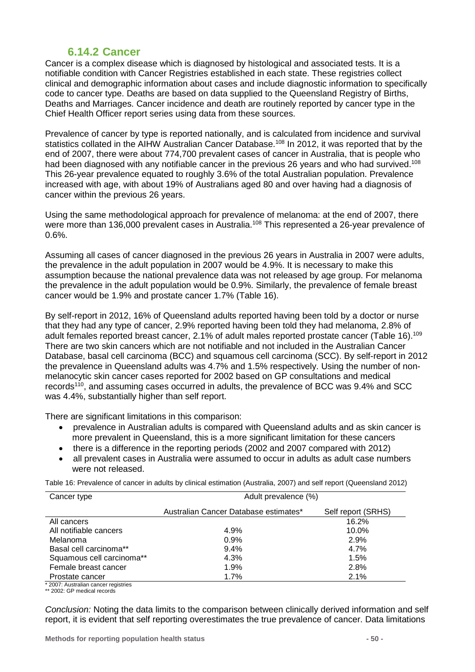### **6.14.2 Cancer**

Cancer is a complex disease which is diagnosed by histological and associated tests. It is a notifiable condition with Cancer Registries established in each state. These registries collect clinical and demographic information about cases and include diagnostic information to specifically code to cancer type. Deaths are based on data supplied to the Queensland Registry of Births, Deaths and Marriages. Cancer incidence and death are routinely reported by cancer type in the Chief Health Officer report series using data from these sources.

Prevalence of cancer by type is reported nationally, and is calculated from incidence and survival statistics collated in the AIHW Australian Cancer Database.<sup>108</sup> In 2012, it was reported that by the end of 2007, there were about 774,700 prevalent cases of cancer in Australia, that is people who had been diagnosed with any notifiable cancer in the previous 26 years and who had survived.<sup>108</sup> This 26-year prevalence equated to roughly 3.6% of the total Australian population. Prevalence increased with age, with about 19% of Australians aged 80 and over having had a diagnosis of cancer within the previous 26 years.

Using the same methodological approach for prevalence of melanoma: at the end of 2007, there were more than 136,000 prevalent cases in Australia.<sup>108</sup> This represented a 26-year prevalence of 0.6%.

Assuming all cases of cancer diagnosed in the previous 26 years in Australia in 2007 were adults, the prevalence in the adult population in 2007 would be 4.9%. It is necessary to make this assumption because the national prevalence data was not released by age group. For melanoma the prevalence in the adult population would be 0.9%. Similarly, the prevalence of female breast cancer would be 1.9% and prostate cancer 1.7% [\(Table 16\)](#page-49-0).

By self-report in 2012, 16% of Queensland adults reported having been told by a doctor or nurse that they had any type of cancer, 2.9% reported having been told they had melanoma, 2.8% of adult females reported breast cancer, 2.1% of adult males reported prostate cancer [\(Table 16\)](#page-49-0).<sup>109</sup> There are two skin cancers which are not notifiable and not included in the Australian Cancer Database, basal cell carcinoma (BCC) and squamous cell carcinoma (SCC). By self-report in 2012 the prevalence in Queensland adults was 4.7% and 1.5% respectively. Using the number of nonmelanocytic skin cancer cases reported for 2002 based on GP consultations and medical records<sup>110</sup>, and assuming cases occurred in adults, the prevalence of BCC was 9.4% and SCC was 4.4%, substantially higher than self report.

There are significant limitations in this comparison:

- prevalence in Australian adults is compared with Queensland adults and as skin cancer is more prevalent in Queensland, this is a more significant limitation for these cancers
- there is a difference in the reporting periods (2002 and 2007 compared with 2012)
- all prevalent cases in Australia were assumed to occur in adults as adult case numbers were not released.

<span id="page-49-0"></span>Table 16: Prevalence of cancer in adults by clinical estimation (Australia, 2007) and self report (Queensland 2012)

| Cancer type               | Adult prevalence (%)                  |                    |
|---------------------------|---------------------------------------|--------------------|
|                           | Australian Cancer Database estimates* | Self report (SRHS) |
| All cancers               |                                       | 16.2%              |
| All notifiable cancers    | 4.9%                                  | 10.0%              |
| Melanoma                  | 0.9%                                  | 2.9%               |
| Basal cell carcinoma**    | $9.4\%$                               | 4.7%               |
| Squamous cell carcinoma** | 4.3%                                  | 1.5%               |
| Female breast cancer      | 1.9%                                  | 2.8%               |
| Prostate cancer           | 1.7%                                  | 2.1%               |
|                           |                                       |                    |

2007: Australian cancer registries

\*\* 2002: GP medical records

*Conclusion:* Noting the data limits to the comparison between clinically derived information and self report, it is evident that self reporting overestimates the true prevalence of cancer. Data limitations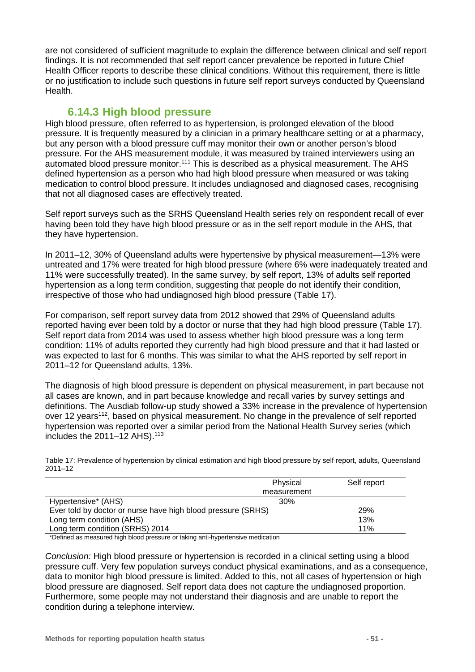are not considered of sufficient magnitude to explain the difference between clinical and self report findings. It is not recommended that self report cancer prevalence be reported in future Chief Health Officer reports to describe these clinical conditions. Without this requirement, there is little or no justification to include such questions in future self report surveys conducted by Queensland Health.

#### **6.14.3 High blood pressure**

High blood pressure, often referred to as hypertension, is prolonged elevation of the blood pressure. It is frequently measured by a clinician in a primary healthcare setting or at a pharmacy, but any person with a blood pressure cuff may monitor their own or another person's blood pressure. For the AHS measurement module, it was measured by trained interviewers using an automated blood pressure monitor.<sup>111</sup> This is described as a physical measurement. The AHS defined hypertension as a person who had high blood pressure when measured or was taking medication to control blood pressure. It includes undiagnosed and diagnosed cases, recognising that not all diagnosed cases are effectively treated.

Self report surveys such as the SRHS Queensland Health series rely on respondent recall of ever having been told they have high blood pressure or as in the self report module in the AHS, that they have hypertension.

In 2011–12, 30% of Queensland adults were hypertensive by physical measurement—13% were untreated and 17% were treated for high blood pressure (where 6% were inadequately treated and 11% were successfully treated). In the same survey, by self report, 13% of adults self reported hypertension as a long term condition, suggesting that people do not identify their condition, irrespective of those who had undiagnosed high blood pressure [\(Table 17\)](#page-50-0).

For comparison, self report survey data from 2012 showed that 29% of Queensland adults reported having ever been told by a doctor or nurse that they had high blood pressure [\(Table 17\)](#page-50-0). Self report data from 2014 was used to assess whether high blood pressure was a long term condition: 11% of adults reported they currently had high blood pressure and that it had lasted or was expected to last for 6 months. This was similar to what the AHS reported by self report in 2011–12 for Queensland adults, 13%.

The diagnosis of high blood pressure is dependent on physical measurement, in part because not all cases are known, and in part because knowledge and recall varies by survey settings and definitions. The Ausdiab follow-up study showed a 33% increase in the prevalence of hypertension over 12 years<sup>112</sup>, based on physical measurement. No change in the prevalence of self reported hypertension was reported over a similar period from the National Health Survey series (which includes the  $2011-12$  AHS).<sup>113</sup>

<span id="page-50-0"></span>Table 17: Prevalence of hypertension by clinical estimation and high blood pressure by self report, adults, Queensland 2011–12

|                                                              | Physical    | Self report |
|--------------------------------------------------------------|-------------|-------------|
|                                                              | measurement |             |
| Hypertensive* (AHS)                                          | 30%         |             |
| Ever told by doctor or nurse have high blood pressure (SRHS) | 29%         |             |
| Long term condition (AHS)                                    |             | 13%         |
| Long term condition (SRHS) 2014                              |             | 11%         |

\*Defined as measured high blood pressure or taking anti-hypertensive medication

*Conclusion:* High blood pressure or hypertension is recorded in a clinical setting using a blood pressure cuff. Very few population surveys conduct physical examinations, and as a consequence, data to monitor high blood pressure is limited. Added to this, not all cases of hypertension or high blood pressure are diagnosed. Self report data does not capture the undiagnosed proportion. Furthermore, some people may not understand their diagnosis and are unable to report the condition during a telephone interview.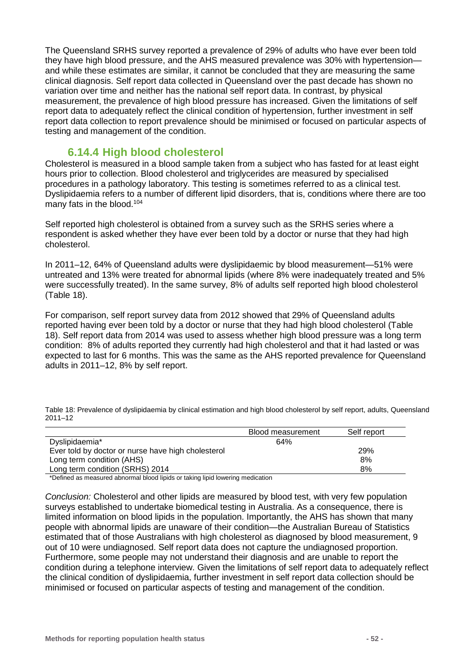The Queensland SRHS survey reported a prevalence of 29% of adults who have ever been told they have high blood pressure, and the AHS measured prevalence was 30% with hypertension and while these estimates are similar, it cannot be concluded that they are measuring the same clinical diagnosis. Self report data collected in Queensland over the past decade has shown no variation over time and neither has the national self report data. In contrast, by physical measurement, the prevalence of high blood pressure has increased. Given the limitations of self report data to adequately reflect the clinical condition of hypertension, further investment in self report data collection to report prevalence should be minimised or focused on particular aspects of testing and management of the condition.

#### **6.14.4 High blood cholesterol**

Cholesterol is measured in a blood sample taken from a subject who has fasted for at least eight hours prior to collection. Blood cholesterol and triglycerides are measured by specialised procedures in a pathology laboratory. This testing is sometimes referred to as a clinical test. Dyslipidaemia refers to a number of different lipid disorders, that is, conditions where there are too many fats in the blood.<sup>104</sup>

Self reported high cholesterol is obtained from a survey such as the SRHS series where a respondent is asked whether they have ever been told by a doctor or nurse that they had high cholesterol.

In 2011–12, 64% of Queensland adults were dyslipidaemic by blood measurement—51% were untreated and 13% were treated for abnormal lipids (where 8% were inadequately treated and 5% were successfully treated). In the same survey, 8% of adults self reported high blood cholesterol [\(Table 18\)](#page-51-0).

For comparison, self report survey data from 2012 showed that 29% of Queensland adults reported having ever been told by a doctor or nurse that they had high blood cholesterol [\(Table](#page-51-0)  [18\)](#page-51-0). Self report data from 2014 was used to assess whether high blood pressure was a long term condition: 8% of adults reported they currently had high cholesterol and that it had lasted or was expected to last for 6 months. This was the same as the AHS reported prevalence for Queensland adults in 2011–12, 8% by self report.

|                                                    | Blood measurement | Self report |
|----------------------------------------------------|-------------------|-------------|
| Dyslipidaemia*                                     | 64%               |             |
| Ever told by doctor or nurse have high cholesterol |                   | 29%         |
| Long term condition (AHS)                          |                   | 8%          |
| Long term condition (SRHS) 2014                    |                   | 8%          |

<span id="page-51-0"></span>Table 18: Prevalence of dyslipidaemia by clinical estimation and high blood cholesterol by self report, adults, Queensland 2011–12

\*Defined as measured abnormal blood lipids or taking lipid lowering medication

*Conclusion:* Cholesterol and other lipids are measured by blood test, with very few population surveys established to undertake biomedical testing in Australia. As a consequence, there is limited information on blood lipids in the population. Importantly, the AHS has shown that many people with abnormal lipids are unaware of their condition—the Australian Bureau of Statistics estimated that of those Australians with high cholesterol as diagnosed by blood measurement, 9 out of 10 were undiagnosed. Self report data does not capture the undiagnosed proportion. Furthermore, some people may not understand their diagnosis and are unable to report the condition during a telephone interview. Given the limitations of self report data to adequately reflect the clinical condition of dyslipidaemia, further investment in self report data collection should be minimised or focused on particular aspects of testing and management of the condition.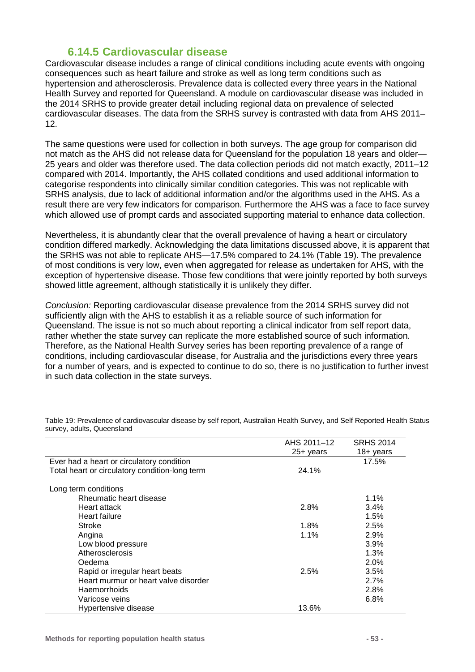### **6.14.5 Cardiovascular disease**

Cardiovascular disease includes a range of clinical conditions including acute events with ongoing consequences such as heart failure and stroke as well as long term conditions such as hypertension and atherosclerosis. Prevalence data is collected every three years in the National Health Survey and reported for Queensland. A module on cardiovascular disease was included in the 2014 SRHS to provide greater detail including regional data on prevalence of selected cardiovascular diseases. The data from the SRHS survey is contrasted with data from AHS 2011– 12.

The same questions were used for collection in both surveys. The age group for comparison did not match as the AHS did not release data for Queensland for the population 18 years and older— 25 years and older was therefore used. The data collection periods did not match exactly, 2011–12 compared with 2014. Importantly, the AHS collated conditions and used additional information to categorise respondents into clinically similar condition categories. This was not replicable with SRHS analysis, due to lack of additional information and/or the algorithms used in the AHS. As a result there are very few indicators for comparison. Furthermore the AHS was a face to face survey which allowed use of prompt cards and associated supporting material to enhance data collection.

Nevertheless, it is abundantly clear that the overall prevalence of having a heart or circulatory condition differed markedly. Acknowledging the data limitations discussed above, it is apparent that the SRHS was not able to replicate AHS—17.5% compared to 24.1% [\(Table 19\)](#page-52-0). The prevalence of most conditions is very low, even when aggregated for release as undertaken for AHS, with the exception of hypertensive disease. Those few conditions that were jointly reported by both surveys showed little agreement, although statistically it is unlikely they differ.

*Conclusion:* Reporting cardiovascular disease prevalence from the 2014 SRHS survey did not sufficiently align with the AHS to establish it as a reliable source of such information for Queensland. The issue is not so much about reporting a clinical indicator from self report data, rather whether the state survey can replicate the more established source of such information. Therefore, as the National Health Survey series has been reporting prevalence of a range of conditions, including cardiovascular disease, for Australia and the jurisdictions every three years for a number of years, and is expected to continue to do so, there is no justification to further invest in such data collection in the state surveys.

|                                                | AHS 2011-12 | <b>SRHS 2014</b>    |
|------------------------------------------------|-------------|---------------------|
|                                                | 25+ years   | $18 + \text{years}$ |
| Ever had a heart or circulatory condition      |             | 17.5%               |
| Total heart or circulatory condition-long term | 24.1%       |                     |
| Long term conditions                           |             |                     |
| Rheumatic heart disease                        |             | $1.1\%$             |
| Heart attack                                   | 2.8%        | 3.4%                |
| Heart failure                                  |             | 1.5%                |
| Stroke                                         | $1.8\%$     | 2.5%                |
| Angina                                         | $1.1\%$     | 2.9%                |
| Low blood pressure                             |             | 3.9%                |
| Atherosclerosis                                |             | 1.3%                |
| Oedema                                         |             | 2.0%                |
| Rapid or irregular heart beats                 | 2.5%        | 3.5%                |
| Heart murmur or heart valve disorder           |             | 2.7%                |
| <b>Haemorrhoids</b>                            |             | 2.8%                |
| Varicose veins                                 |             | 6.8%                |
| Hypertensive disease                           | 13.6%       |                     |

<span id="page-52-0"></span>Table 19: Prevalence of cardiovascular disease by self report, Australian Health Survey, and Self Reported Health Status survey, adults, Queensland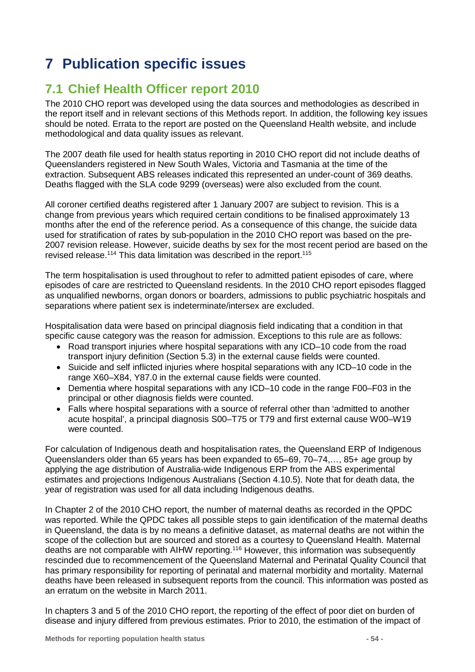# **7 Publication specific issues**

# **7.1 Chief Health Officer report 2010**

The 2010 CHO report was developed using the data sources and methodologies as described in the report itself and in relevant sections of this Methods report. In addition, the following key issues should be noted. Errata to the report are posted on the Queensland Health website, and include methodological and data quality issues as relevant.

The 2007 death file used for health status reporting in 2010 CHO report did not include deaths of Queenslanders registered in New South Wales, Victoria and Tasmania at the time of the extraction. Subsequent ABS releases indicated this represented an under-count of 369 deaths. Deaths flagged with the SLA code 9299 (overseas) were also excluded from the count.

All coroner certified deaths registered after 1 January 2007 are subject to revision. This is a change from previous years which required certain conditions to be finalised approximately 13 months after the end of the reference period. As a consequence of this change, the suicide data used for stratification of rates by sub-population in the 2010 CHO report was based on the pre-2007 revision release. However, suicide deaths by sex for the most recent period are based on the revised release.<sup>114</sup> This data limitation was described in the report.<sup>115</sup>

The term hospitalisation is used throughout to refer to admitted patient episodes of care, where episodes of care are restricted to Queensland residents. In the 2010 CHO report episodes flagged as unqualified newborns, organ donors or boarders, admissions to public psychiatric hospitals and separations where patient sex is indeterminate/intersex are excluded.

Hospitalisation data were based on principal diagnosis field indicating that a condition in that specific cause category was the reason for admission. Exceptions to this rule are as follows:

- Road transport injuries where hospital separations with any ICD–10 code from the road transport injury definition (Section [5.3\)](#page-23-0) in the external cause fields were counted.
- Suicide and self inflicted injuries where hospital separations with any ICD–10 code in the range X60–X84, Y87.0 in the external cause fields were counted.
- Dementia where hospital separations with any ICD–10 code in the range F00–F03 in the principal or other diagnosis fields were counted.
- Falls where hospital separations with a source of referral other than 'admitted to another acute hospital', a principal diagnosis S00–T75 or T79 and first external cause W00–W19 were counted.

For calculation of Indigenous death and hospitalisation rates, the Queensland ERP of Indigenous Queenslanders older than 65 years has been expanded to 65–69, 70–74,…, 85+ age group by applying the age distribution of Australia-wide Indigenous ERP from the ABS experimental estimates and projections Indigenous Australians (Section [4.10.5\)](#page-13-0). Note that for death data, the year of registration was used for all data including Indigenous deaths.

In Chapter 2 of the 2010 CHO report, the number of maternal deaths as recorded in the QPDC was reported. While the QPDC takes all possible steps to gain identification of the maternal deaths in Queensland, the data is by no means a definitive dataset, as maternal deaths are not within the scope of the collection but are sourced and stored as a courtesy to Queensland Health. Maternal deaths are not comparable with AIHW reporting.116 However, this information was subsequently rescinded due to recommencement of the Queensland Maternal and Perinatal Quality Council that has primary responsibility for reporting of perinatal and maternal morbidity and mortality. Maternal deaths have been released in subsequent reports from the council. This information was posted as an erratum on the website in March 2011.

In chapters 3 and 5 of the 2010 CHO report, the reporting of the effect of poor diet on burden of disease and injury differed from previous estimates. Prior to 2010, the estimation of the impact of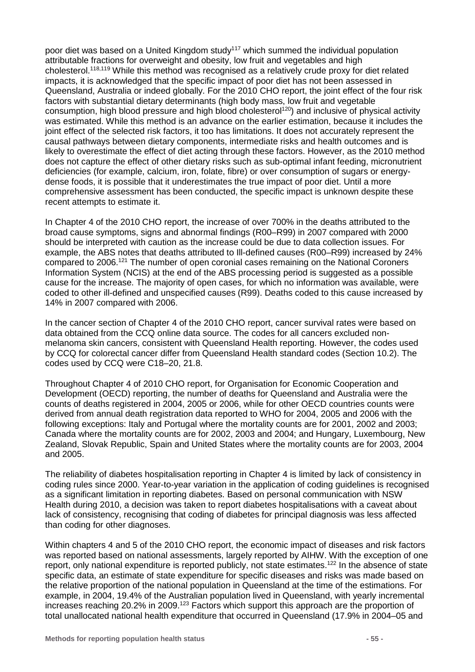poor diet was based on a United Kingdom study<sup>117</sup> which summed the individual population attributable fractions for overweight and obesity, low fruit and vegetables and high cholesterol.118,119 While this method was recognised as a relatively crude proxy for diet related impacts, it is acknowledged that the specific impact of poor diet has not been assessed in Queensland, Australia or indeed globally. For the 2010 CHO report, the joint effect of the four risk factors with substantial dietary determinants (high body mass, low fruit and vegetable consumption, high blood pressure and high blood cholesterol<sup>120</sup>) and inclusive of physical activity was estimated. While this method is an advance on the earlier estimation, because it includes the joint effect of the selected risk factors, it too has limitations. It does not accurately represent the causal pathways between dietary components, intermediate risks and health outcomes and is likely to overestimate the effect of diet acting through these factors. However, as the 2010 method does not capture the effect of other dietary risks such as sub-optimal infant feeding, micronutrient deficiencies (for example, calcium, iron, folate, fibre) or over consumption of sugars or energydense foods, it is possible that it underestimates the true impact of poor diet. Until a more comprehensive assessment has been conducted, the specific impact is unknown despite these recent attempts to estimate it.

In Chapter 4 of the 2010 CHO report, the increase of over 700% in the deaths attributed to the broad cause symptoms, signs and abnormal findings (R00–R99) in 2007 compared with 2000 should be interpreted with caution as the increase could be due to data collection issues. For example, the ABS notes that deaths attributed to Ill-defined causes (R00–R99) increased by 24% compared to 2006.121 The number of open coronial cases remaining on the National Coroners Information System (NCIS) at the end of the ABS processing period is suggested as a possible cause for the increase. The majority of open cases, for which no information was available, were coded to other ill-defined and unspecified causes (R99). Deaths coded to this cause increased by 14% in 2007 compared with 2006.

In the cancer section of Chapter 4 of the 2010 CHO report, cancer survival rates were based on data obtained from the CCQ online data source. The codes for all cancers excluded nonmelanoma skin cancers, consistent with Queensland Health reporting. However, the codes used by CCQ for colorectal cancer differ from Queensland Health standard codes (Section [10.2\)](#page-84-0). The codes used by CCQ were C18–20, 21.8.

Throughout Chapter 4 of 2010 CHO report, for Organisation for Economic Cooperation and Development (OECD) reporting, the number of deaths for Queensland and Australia were the counts of deaths registered in 2004, 2005 or 2006, while for other OECD countries counts were derived from annual death registration data reported to WHO for 2004, 2005 and 2006 with the following exceptions: Italy and Portugal where the mortality counts are for 2001, 2002 and 2003; Canada where the mortality counts are for 2002, 2003 and 2004; and Hungary, Luxembourg, New Zealand, Slovak Republic, Spain and United States where the mortality counts are for 2003, 2004 and 2005.

The reliability of diabetes hospitalisation reporting in Chapter 4 is limited by lack of consistency in coding rules since 2000. Year-to-year variation in the application of coding guidelines is recognised as a significant limitation in reporting diabetes. Based on personal communication with NSW Health during 2010, a decision was taken to report diabetes hospitalisations with a caveat about lack of consistency, recognising that coding of diabetes for principal diagnosis was less affected than coding for other diagnoses.

Within chapters 4 and 5 of the 2010 CHO report, the economic impact of diseases and risk factors was reported based on national assessments, largely reported by AIHW. With the exception of one report, only national expenditure is reported publicly, not state estimates.<sup>122</sup> In the absence of state specific data, an estimate of state expenditure for specific diseases and risks was made based on the relative proportion of the national population in Queensland at the time of the estimations. For example, in 2004, 19.4% of the Australian population lived in Queensland, with yearly incremental increases reaching 20.2% in 2009.<sup>123</sup> Factors which support this approach are the proportion of total unallocated national health expenditure that occurred in Queensland (17.9% in 2004–05 and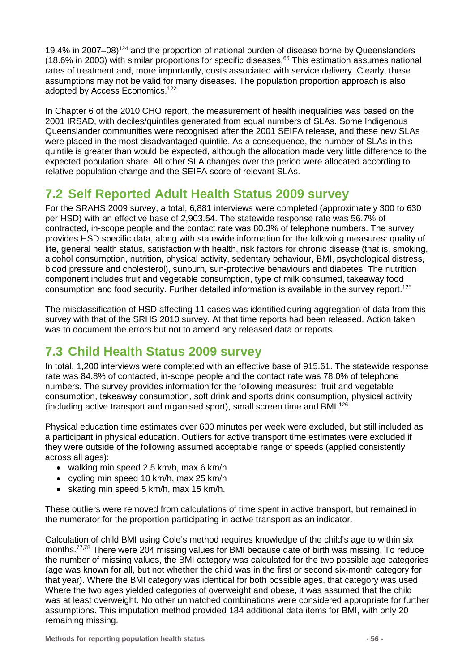19.4% in 2007–08)<sup>124</sup> and the proportion of national burden of disease borne by Queenslanders (18.6% in 2003) with similar proportions for specific diseases.<sup>66</sup> This estimation assumes national rates of treatment and, more importantly, costs associated with service delivery. Clearly, these assumptions may not be valid for many diseases. The population proportion approach is also adopted by Access Economics.<sup>122</sup>

In Chapter 6 of the 2010 CHO report, the measurement of health inequalities was based on the 2001 IRSAD, with deciles/quintiles generated from equal numbers of SLAs. Some Indigenous Queenslander communities were recognised after the 2001 SEIFA release, and these new SLAs were placed in the most disadvantaged quintile. As a consequence, the number of SLAs in this quintile is greater than would be expected, although the allocation made very little difference to the expected population share. All other SLA changes over the period were allocated according to relative population change and the SEIFA score of relevant SLAs.

## **7.2 Self Reported Adult Health Status 2009 survey**

For the SRAHS 2009 survey, a total, 6,881 interviews were completed (approximately 300 to 630 per HSD) with an effective base of 2,903.54. The statewide response rate was 56.7% of contracted, in-scope people and the contact rate was 80.3% of telephone numbers. The survey provides HSD specific data, along with statewide information for the following measures: quality of life, general health status, satisfaction with health, risk factors for chronic disease (that is, smoking, alcohol consumption, nutrition, physical activity, sedentary behaviour, BMI, psychological distress, blood pressure and cholesterol), sunburn, sun-protective behaviours and diabetes. The nutrition component includes fruit and vegetable consumption, type of milk consumed, takeaway food consumption and food security. Further detailed information is available in the survey report.<sup>125</sup>

The misclassification of HSD affecting 11 cases was identified during aggregation of data from this survey with that of the SRHS 2010 survey. At that time reports had been released. Action taken was to document the errors but not to amend any released data or reports.

## **7.3 Child Health Status 2009 survey**

In total, 1,200 interviews were completed with an effective base of 915.61. The statewide response rate was 84.8% of contacted, in-scope people and the contact rate was 78.0% of telephone numbers. The survey provides information for the following measures: fruit and vegetable consumption, takeaway consumption, soft drink and sports drink consumption, physical activity (including active transport and organised sport), small screen time and BMI.126

Physical education time estimates over 600 minutes per week were excluded, but still included as a participant in physical education. Outliers for active transport time estimates were excluded if they were outside of the following assumed acceptable range of speeds (applied consistently across all ages):

- walking min speed 2.5 km/h, max 6 km/h
- cycling min speed 10 km/h, max 25 km/h
- skating min speed 5 km/h, max 15 km/h.

These outliers were removed from calculations of time spent in active transport, but remained in the numerator for the proportion participating in active transport as an indicator.

Calculation of child BMI using Cole's method requires knowledge of the child's age to within six months.<sup>77,78</sup> There were 204 missing values for BMI because date of birth was missing. To reduce the number of missing values, the BMI category was calculated for the two possible age categories (age was known for all, but not whether the child was in the first or second six-month category for that year). Where the BMI category was identical for both possible ages, that category was used. Where the two ages yielded categories of overweight and obese, it was assumed that the child was at least overweight. No other unmatched combinations were considered appropriate for further assumptions. This imputation method provided 184 additional data items for BMI, with only 20 remaining missing.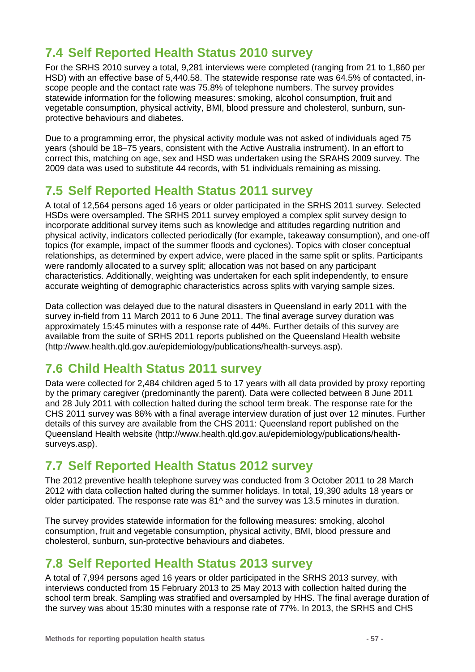# **7.4 Self Reported Health Status 2010 survey**

For the SRHS 2010 survey a total, 9,281 interviews were completed (ranging from 21 to 1,860 per HSD) with an effective base of 5,440.58. The statewide response rate was 64.5% of contacted, inscope people and the contact rate was 75.8% of telephone numbers. The survey provides statewide information for the following measures: smoking, alcohol consumption, fruit and vegetable consumption, physical activity, BMI, blood pressure and cholesterol, sunburn, sunprotective behaviours and diabetes.

Due to a programming error, the physical activity module was not asked of individuals aged 75 years (should be 18–75 years, consistent with the Active Australia instrument). In an effort to correct this, matching on age, sex and HSD was undertaken using the SRAHS 2009 survey. The 2009 data was used to substitute 44 records, with 51 individuals remaining as missing.

### **7.5 Self Reported Health Status 2011 survey**

A total of 12,564 persons aged 16 years or older participated in the SRHS 2011 survey. Selected HSDs were oversampled. The SRHS 2011 survey employed a complex split survey design to incorporate additional survey items such as knowledge and attitudes regarding nutrition and physical activity, indicators collected periodically (for example, takeaway consumption), and one-off topics (for example, impact of the summer floods and cyclones). Topics with closer conceptual relationships, as determined by expert advice, were placed in the same split or splits. Participants were randomly allocated to a survey split; allocation was not based on any participant characteristics. Additionally, weighting was undertaken for each split independently, to ensure accurate weighting of demographic characteristics across splits with varying sample sizes.

Data collection was delayed due to the natural disasters in Queensland in early 2011 with the survey in-field from 11 March 2011 to 6 June 2011. The final average survey duration was approximately 15:45 minutes with a response rate of 44%. Further details of this survey are available from the suite of SRHS 2011 reports published on the Queensland Health website (http://www.health.qld.gov.au/epidemiology/publications/health-surveys.asp).

## **7.6 Child Health Status 2011 survey**

Data were collected for 2,484 children aged 5 to 17 years with all data provided by proxy reporting by the primary caregiver (predominantly the parent). Data were collected between 8 June 2011 and 28 July 2011 with collection halted during the school term break. The response rate for the CHS 2011 survey was 86% with a final average interview duration of just over 12 minutes. Further details of this survey are available from the CHS 2011: Queensland report published on the Queensland Health website (http://www.health.qld.gov.au/epidemiology/publications/healthsurveys.asp).

## **7.7 Self Reported Health Status 2012 survey**

The 2012 preventive health telephone survey was conducted from 3 October 2011 to 28 March 2012 with data collection halted during the summer holidays. In total, 19,390 adults 18 years or older participated. The response rate was 81^ and the survey was 13.5 minutes in duration.

The survey provides statewide information for the following measures: smoking, alcohol consumption, fruit and vegetable consumption, physical activity, BMI, blood pressure and cholesterol, sunburn, sun-protective behaviours and diabetes.

## **7.8 Self Reported Health Status 2013 survey**

A total of 7,994 persons aged 16 years or older participated in the SRHS 2013 survey, with interviews conducted from 15 February 2013 to 25 May 2013 with collection halted during the school term break. Sampling was stratified and oversampled by HHS. The final average duration of the survey was about 15:30 minutes with a response rate of 77%. In 2013, the SRHS and CHS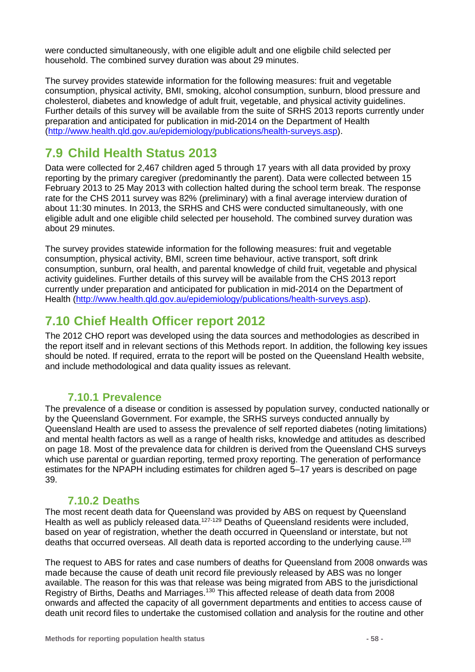were conducted simultaneously, with one eligible adult and one eligbile child selected per household. The combined survey duration was about 29 minutes.

The survey provides statewide information for the following measures: fruit and vegetable consumption, physical activity, BMI, smoking, alcohol consumption, sunburn, blood pressure and cholesterol, diabetes and knowledge of adult fruit, vegetable, and physical activity guidelines. Further details of this survey will be available from the suite of SRHS 2013 reports currently under preparation and anticipated for publication in mid-2014 on the Department of Health [\(http://www.health.qld.gov.au/epidemiology/publications/health-surveys.asp\)](http://www.health.qld.gov.au/epidemiology/publications/health-surveys.asp).

### **7.9 Child Health Status 2013**

Data were collected for 2,467 children aged 5 through 17 years with all data provided by proxy reporting by the primary caregiver (predominantly the parent). Data were collected between 15 February 2013 to 25 May 2013 with collection halted during the school term break. The response rate for the CHS 2011 survey was 82% (preliminary) with a final average interview duration of about 11:30 minutes. In 2013, the SRHS and CHS were conducted simultaneously, with one eligible adult and one eligible child selected per household. The combined survey duration was about 29 minutes.

The survey provides statewide information for the following measures: fruit and vegetable consumption, physical activity, BMI, screen time behaviour, active transport, soft drink consumption, sunburn, oral health, and parental knowledge of child fruit, vegetable and physical activity guidelines. Further details of this survey will be available from the CHS 2013 report currently under preparation and anticipated for publication in mid-2014 on the Department of Health [\(http://www.health.qld.gov.au/epidemiology/publications/health-surveys.asp\)](http://www.health.qld.gov.au/epidemiology/publications/health-surveys.asp).

### **7.10 Chief Health Officer report 2012**

The 2012 CHO report was developed using the data sources and methodologies as described in the report itself and in relevant sections of this Methods report. In addition, the following key issues should be noted. If required, errata to the report will be posted on the Queensland Health website, and include methodological and data quality issues as relevant.

### **7.10.1 Prevalence**

The prevalence of a disease or condition is assessed by population survey, conducted nationally or by the Queensland Government. For example, the SRHS surveys conducted annually by Queensland Health are used to assess the prevalence of self reported diabetes (noting limitations) and mental health factors as well as a range of health risks, knowledge and attitudes as described on page [18.](#page-17-0) Most of the prevalence data for children is derived from the Queensland CHS surveys which use parental or guardian reporting, termed proxy reporting. The generation of performance estimates for the NPAPH including estimates for children aged 5–17 years is described on page [39.](#page-38-2)

### **7.10.2 Deaths**

The most recent death data for Queensland was provided by ABS on request by Queensland Health as well as publicly released data.<sup>127-129</sup> Deaths of Queensland residents were included, based on year of registration, whether the death occurred in Queensland or interstate, but not deaths that occurred overseas. All death data is reported according to the underlying cause.<sup>128</sup>

The request to ABS for rates and case numbers of deaths for Queensland from 2008 onwards was made because the cause of death unit record file previously released by ABS was no longer available. The reason for this was that release was being migrated from ABS to the jurisdictional Registry of Births, Deaths and Marriages.130 This affected release of death data from 2008 onwards and affected the capacity of all government departments and entities to access cause of death unit record files to undertake the customised collation and analysis for the routine and other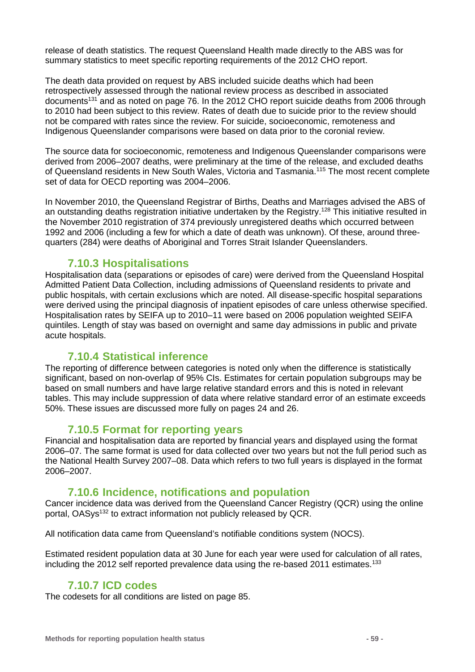release of death statistics. The request Queensland Health made directly to the ABS was for summary statistics to meet specific reporting requirements of the 2012 CHO report.

The death data provided on request by ABS included suicide deaths which had been retrospectively assessed through the national review process as described in associated documents<sup>131</sup> and as noted on page [76.](#page-75-0) In the 2012 CHO report suicide deaths from 2006 through to 2010 had been subject to this review. Rates of death due to suicide prior to the review should not be compared with rates since the review. For suicide, socioeconomic, remoteness and Indigenous Queenslander comparisons were based on data prior to the coronial review.

The source data for socioeconomic, remoteness and Indigenous Queenslander comparisons were derived from 2006–2007 deaths, were preliminary at the time of the release, and excluded deaths of Queensland residents in New South Wales, Victoria and Tasmania.<sup>115</sup> The most recent complete set of data for OECD reporting was 2004–2006.

In November 2010, the Queensland Registrar of Births, Deaths and Marriages advised the ABS of an outstanding deaths registration initiative undertaken by the Registry.<sup>128</sup> This initiative resulted in the November 2010 registration of 374 previously unregistered deaths which occurred between 1992 and 2006 (including a few for which a date of death was unknown). Of these, around threequarters (284) were deaths of Aboriginal and Torres Strait Islander Queenslanders.

#### **7.10.3 Hospitalisations**

Hospitalisation data (separations or episodes of care) were derived from the Queensland Hospital Admitted Patient Data Collection, including admissions of Queensland residents to private and public hospitals, with certain exclusions which are noted. All disease-specific hospital separations were derived using the principal diagnosis of inpatient episodes of care unless otherwise specified. Hospitalisation rates by SEIFA up to 2010–11 were based on 2006 population weighted SEIFA quintiles. Length of stay was based on overnight and same day admissions in public and private acute hospitals.

#### **7.10.4 Statistical inference**

The reporting of difference between categories is noted only when the difference is statistically significant, based on non-overlap of 95% CIs. Estimates for certain population subgroups may be based on small numbers and have large relative standard errors and this is noted in relevant tables. This may include suppression of data where relative standard error of an estimate exceeds 50%. These issues are discussed more fully on pages [24](#page-23-1) and [26.](#page-25-0)

#### **7.10.5 Format for reporting years**

Financial and hospitalisation data are reported by financial years and displayed using the format 2006–07. The same format is used for data collected over two years but not the full period such as the National Health Survey 2007–08. Data which refers to two full years is displayed in the format 2006–2007.

#### **7.10.6 Incidence, notifications and population**

Cancer incidence data was derived from the Queensland Cancer Registry (QCR) using the online portal, OASys<sup>132</sup> to extract information not publicly released by QCR.

All notification data came from Queensland's notifiable conditions system (NOCS).

Estimated resident population data at 30 June for each year were used for calculation of all rates, including the 2012 self reported prevalence data using the re-based 2011 estimates.<sup>133</sup>

#### **7.10.7 ICD codes**

The codesets for all conditions are listed on page [85.](#page-84-0)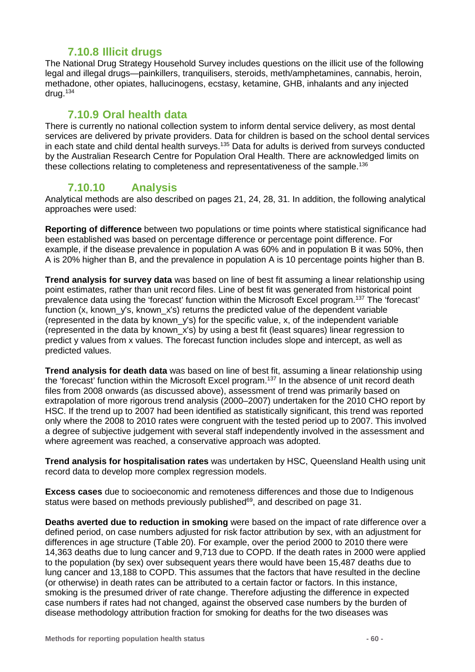### **7.10.8 Illicit drugs**

The National Drug Strategy Household Survey includes questions on the illicit use of the following legal and illegal drugs—painkillers, tranquilisers, steroids, meth/amphetamines, cannabis, heroin, methadone, other opiates, hallucinogens, ecstasy, ketamine, GHB, inhalants and any injected drug. $134$ 

### **7.10.9 Oral health data**

There is currently no national collection system to inform dental service delivery, as most dental services are delivered by private providers. Data for children is based on the school dental services in each state and child dental health surveys.<sup>135</sup> Data for adults is derived from surveys conducted by the Australian Research Centre for Population Oral Health. There are acknowledged limits on these collections relating to completeness and representativeness of the sample.<sup>136</sup>

### **7.10.10 Analysis**

Analytical methods are also described on pages [21,](#page-19-0) [24,](#page-23-1) [28,](#page-27-0) [31.](#page-30-0) In addition, the following analytical approaches were used:

**Reporting of difference** between two populations or time points where statistical significance had been established was based on percentage difference or percentage point difference. For example, if the disease prevalence in population A was 60% and in population B it was 50%, then A is 20% higher than B, and the prevalence in population A is 10 percentage points higher than B.

**Trend analysis for survey data** was based on line of best fit assuming a linear relationship using point estimates, rather than unit record files. Line of best fit was generated from historical point prevalence data using the 'forecast' function within the Microsoft Excel program.137 The 'forecast' function (x, known\_y's, known\_x's) returns the predicted value of the dependent variable (represented in the data by known  $y's$ ) for the specific value, x, of the independent variable (represented in the data by known\_x's) by using a best fit (least squares) linear regression to predict y values from x values. The forecast function includes slope and intercept, as well as predicted values.

**Trend analysis for death data** was based on line of best fit, assuming a linear relationship using the 'forecast' function within the Microsoft Excel program.137 In the absence of unit record death files from 2008 onwards (as discussed above), assessment of trend was primarily based on extrapolation of more rigorous trend analysis (2000–2007) undertaken for the 2010 CHO report by HSC. If the trend up to 2007 had been identified as statistically significant, this trend was reported only where the 2008 to 2010 rates were congruent with the tested period up to 2007. This involved a degree of subjective judgement with several staff independently involved in the assessment and where agreement was reached, a conservative approach was adopted.

**Trend analysis for hospitalisation rates** was undertaken by HSC, Queensland Health using unit record data to develop more complex regression models.

**Excess cases** due to socioeconomic and remoteness differences and those due to Indigenous status were based on methods previously published<sup>69</sup>, and described on page [31.](#page-30-0)

**Deaths averted due to reduction in smoking** were based on the impact of rate difference over a defined period, on case numbers adjusted for risk factor attribution by sex, with an adjustment for differences in age structure [\(Table 20\)](#page-60-0). For example, over the period 2000 to 2010 there were 14,363 deaths due to lung cancer and 9,713 due to COPD. If the death rates in 2000 were applied to the population (by sex) over subsequent years there would have been 15,487 deaths due to lung cancer and 13,188 to COPD. This assumes that the factors that have resulted in the decline (or otherwise) in death rates can be attributed to a certain factor or factors. In this instance, smoking is the presumed driver of rate change. Therefore adjusting the difference in expected case numbers if rates had not changed, against the observed case numbers by the burden of disease methodology attribution fraction for smoking for deaths for the two diseases was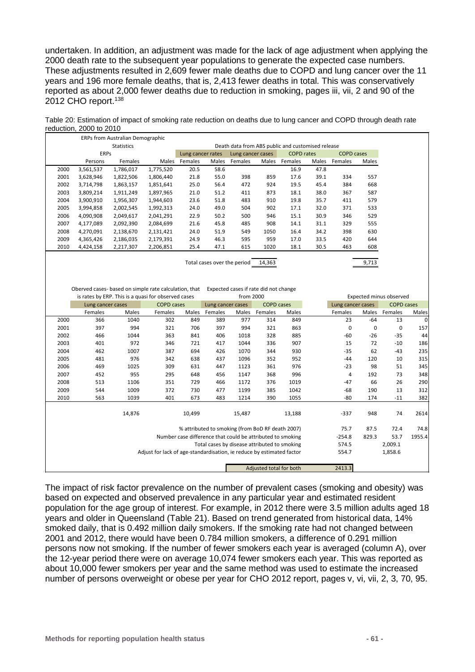undertaken. In addition, an adjustment was made for the lack of age adjustment when applying the 2000 death rate to the subsequent year populations to generate the expected case numbers. These adjustments resulted in 2,609 fewer male deaths due to COPD and lung cancer over the 11 years and 196 more female deaths, that is, 2,413 fewer deaths in total. This was conservatively reported as about 2,000 fewer deaths due to reduction in smoking, pages iii, vii, 2 and 90 of the 2012 CHO report.<sup>138</sup>

<span id="page-60-0"></span>

| Table 20: Estimation of impact of smoking rate reduction on deaths due to lung cancer and COPD through death rate |
|-------------------------------------------------------------------------------------------------------------------|
| reduction, 2000 to 2010                                                                                           |

|             |                                                       | ERPs from Australian Demographic                    |                   |                   |                                                   |                                       |                   |                      |       |                   |                         |
|-------------|-------------------------------------------------------|-----------------------------------------------------|-------------------|-------------------|---------------------------------------------------|---------------------------------------|-------------------|----------------------|-------|-------------------|-------------------------|
|             |                                                       | <b>Statistics</b>                                   |                   |                   | Death data from ABS public and customised release |                                       |                   |                      |       |                   |                         |
|             | <b>ERPs</b>                                           | Lung cancer rates                                   |                   | Lung cancer cases |                                                   | <b>COPD</b> rates                     |                   | <b>COPD cases</b>    |       |                   |                         |
|             | Persons                                               | Females                                             | Males             | Females           | Males                                             | Females                               |                   | Males Females        | Males | Females           | Males                   |
| 2000        | 3,561,537                                             | 1,786,017                                           | 1,775,520         | 20.5              | 58.6                                              |                                       |                   | 16.9                 | 47.8  |                   |                         |
| 2001        | 3,628,946                                             | 1,822,506                                           | 1,806,440         | 21.8              | 55.0                                              | 398                                   | 859               | 17.6                 | 39.1  | 334               | 557                     |
| 2002        | 3,714,798                                             | 1,863,157                                           | 1,851,641         | 25.0              | 56.4                                              | 472                                   | 924               | 19.5                 | 45.4  | 384               | 668                     |
| 2003        | 3,809,214                                             | 1,911,249                                           | 1,897,965         | 21.0              | 51.2                                              | 411                                   | 873               | 18.1                 | 38.0  | 367               | 587                     |
| 2004        | 3,900,910                                             | 1,956,307                                           | 1,944,603         | 23.6              | 51.8                                              | 483                                   | 910               | 19.8                 | 35.7  | 411               | 579                     |
| 2005        | 3,994,858                                             | 2,002,545                                           | 1,992,313         | 24.0              | 49.0                                              | 504                                   | 902               | 17.1                 | 32.0  | 371               | 533                     |
| 2006        | 4,090,908                                             | 2,049,617                                           | 2,041,291         | 22.9              | 50.2                                              | 500                                   | 946               | 15.1                 | 30.9  | 346               | 529                     |
| 2007        | 4,177,089                                             | 2,092,390                                           | 2,084,699         | 21.6              | 45.8                                              | 485                                   | 908               | 14.1                 | 31.1  | 329               | 555                     |
| 2008        | 4,270,091                                             | 2,138,670                                           | 2,131,421         | 24.0              | 51.9                                              | 549                                   | 1050              | 16.4                 | 34.2  | 398               | 630                     |
| 2009        | 4,365,426                                             | 2,186,035                                           | 2,179,391         | 24.9              | 46.3                                              | 595                                   | 959               | 17.0                 | 33.5  | 420               | 644                     |
| 2010        | 4,424,158                                             | 2,217,307                                           | 2,206,851         | 25.4              | 47.1                                              | 615                                   | 1020              | 18.1                 | 30.5  | 463               | 608                     |
|             |                                                       |                                                     |                   |                   |                                                   |                                       |                   |                      |       |                   |                         |
|             |                                                       |                                                     |                   |                   |                                                   | Total cases over the period           | 14,363            |                      |       |                   | 9,713                   |
|             |                                                       |                                                     |                   |                   |                                                   |                                       |                   |                      |       |                   |                         |
|             |                                                       |                                                     |                   |                   |                                                   |                                       |                   |                      |       |                   |                         |
|             | Oberved cases- based on simple rate calculation, that |                                                     |                   |                   |                                                   | Expected cases if rate did not change |                   |                      |       |                   |                         |
|             |                                                       | is rates by ERP. This is a quasi for observed cases |                   |                   |                                                   | from 2000                             |                   |                      |       |                   | Expected minus observed |
|             | Lung cancer cases                                     |                                                     | <b>COPD cases</b> |                   | Lung cancer cases                                 |                                       | <b>COPD cases</b> |                      |       | Lung cancer cases |                         |
|             | Females                                               | Males                                               | Females           | Males             | Females                                           | Males                                 | Females           | Males                |       | Females           | Males                   |
| 2000        | 366                                                   | 1040                                                | 302               | 849               | 389                                               | 977                                   | 314               | 849                  |       | 23                | $-64$                   |
| <b>0004</b> | $\sim$ $\sim$ $\sim$                                  | $\sim$ $\sim$                                       | $\sim$ $\sim$     | $\blacksquare$    | $\sim$ $\sim$ $\sim$                              | $\sim$ $\sim$ $\sim$                  | $\sim$ $\sim$     | $\sim$ $\sim$ $\sim$ |       | $\sim$            | $\sim$                  |

|      | Females | Males  | Females                                                               | Males  | Females                                                    | Males  | Females                 | Males  | Females  | Males | Females | <b>Males</b> |
|------|---------|--------|-----------------------------------------------------------------------|--------|------------------------------------------------------------|--------|-------------------------|--------|----------|-------|---------|--------------|
| 2000 | 366     | 1040   | 302                                                                   | 849    | 389                                                        | 977    | 314                     | 849    | 23       | $-64$ | 13      | 0            |
| 2001 | 397     | 994    | 321                                                                   | 706    | 397                                                        | 994    | 321                     | 863    | 0        | 0     | 0       | 157          |
| 2002 | 466     | 1044   | 363                                                                   | 841    | 406                                                        | 1018   | 328                     | 885    | -60      | $-26$ | $-35$   | 44           |
| 2003 | 401     | 972    | 346                                                                   | 721    | 417                                                        | 1044   | 336                     | 907    | 15       | 72    | $-10$   | 186          |
| 2004 | 462     | 1007   | 387                                                                   | 694    | 426                                                        | 1070   | 344                     | 930    | $-35$    | 62    | $-43$   | 235          |
| 2005 | 481     | 976    | 342                                                                   | 638    | 437                                                        | 1096   | 352                     | 952    | $-44$    | 120   | 10      | 315          |
| 2006 | 469     | 1025   | 309                                                                   | 631    | 447                                                        | 1123   | 361                     | 976    | $-23$    | 98    | 51      | 345          |
| 2007 | 452     | 955    | 295                                                                   | 648    | 456                                                        | 1147   | 368                     | 996    | 4        | 192   | 73      | 348          |
| 2008 | 513     | 1106   | 351                                                                   | 729    | 466                                                        | 1172   | 376                     | 1019   | $-47$    | 66    | 26      | 290          |
| 2009 | 544     | 1009   | 372                                                                   | 730    | 477                                                        | 1199   | 385                     | 1042   | $-68$    | 190   | 13      | 312          |
| 2010 | 563     | 1039   | 401                                                                   | 673    | 483                                                        | 1214   | 390                     | 1055   | $-80$    | 174   | $-11$   | 382          |
|      |         |        |                                                                       |        |                                                            |        |                         |        |          |       |         |              |
|      |         | 14,876 |                                                                       | 10,499 |                                                            | 15,487 |                         | 13,188 | $-337$   | 948   | 74      | 2614         |
|      |         |        |                                                                       |        |                                                            |        |                         |        |          |       |         |              |
|      |         |        |                                                                       |        | % attributed to smoking (from BoD RF death 2007)           |        |                         |        | 75.7     | 87.5  | 72.4    | 74.8         |
|      |         |        |                                                                       |        | Number case difference that could be attributed to smoking |        |                         |        | $-254.8$ | 829.3 | 53.7    | 1955.4       |
|      |         |        |                                                                       |        | Total cases by disease attributed to smoking               |        |                         |        | 574.5    |       | 2,009.1 |              |
|      |         |        | Adjust for lack of age-standardisation, ie reduce by estimated factor |        |                                                            |        |                         |        | 554.7    |       | 1,858.6 |              |
|      |         |        |                                                                       |        |                                                            |        |                         |        |          |       |         |              |
|      |         |        |                                                                       |        |                                                            |        | Adjusted total for both |        | 2413.3   |       |         |              |

The impact of risk factor prevalence on the number of prevalent cases (smoking and obesity) was based on expected and observed prevalence in any particular year and estimated resident population for the age group of interest. For example, in 2012 there were 3.5 million adults aged 18 years and older in Queensland [\(Table 21\)](#page-61-0). Based on trend generated from historical data, 14% smoked daily, that is 0.492 million daily smokers. If the smoking rate had not changed between 2001 and 2012, there would have been 0.784 million smokers, a difference of 0.291 million persons now not smoking. If the number of fewer smokers each year is averaged (column A), over the 12-year period there were on average 10,074 fewer smokers each year. This was reported as about 10,000 fewer smokers per year and the same method was used to estimate the increased number of persons overweight or obese per year for CHO 2012 report, pages v, vi, vii, 2, 3, 70, 95.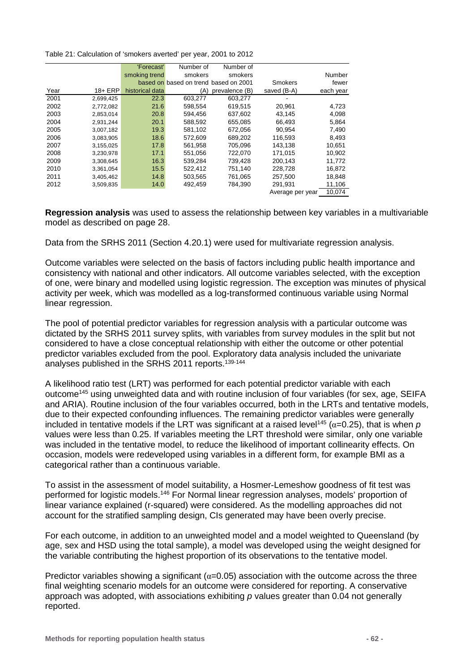<span id="page-61-0"></span>Table 21: Calculation of 'smokers averted' per year, 2001 to 2012

|      |            | 'Forecast'      | Number of                             | Number of      |                  |           |
|------|------------|-----------------|---------------------------------------|----------------|------------------|-----------|
|      |            | smoking trend   | smokers                               | smokers        |                  | Number    |
|      |            |                 | based on based on trend based on 2001 |                | Smokers          | fewer     |
| Year | $18 + ERP$ | historical data | (A)                                   | prevalence (B) | saved (B-A)      | each year |
| 2001 | 2,699,425  | 22.3            | 603.277                               | 603.277        |                  |           |
| 2002 | 2,772,082  | 21.6            | 598.554                               | 619.515        | 20,961           | 4,723     |
| 2003 | 2,853,014  | 20.8            | 594,456                               | 637.602        | 43,145           | 4,098     |
| 2004 | 2,931,244  | 20.1            | 588,592                               | 655,085        | 66,493           | 5,864     |
| 2005 | 3,007,182  | 19.3            | 581,102                               | 672,056        | 90,954           | 7,490     |
| 2006 | 3,083,905  | 18.6            | 572,609                               | 689,202        | 116,593          | 8,493     |
| 2007 | 3,155,025  | 17.8            | 561,958                               | 705,096        | 143,138          | 10,651    |
| 2008 | 3,230,978  | 17.1            | 551.056                               | 722.070        | 171.015          | 10.902    |
| 2009 | 3,308,645  | 16.3            | 539,284                               | 739.428        | 200.143          | 11.772    |
| 2010 | 3,361,054  | 15.5            | 522,412                               | 751,140        | 228,728          | 16,872    |
| 2011 | 3,405,462  | 14.8            | 503,565                               | 761,065        | 257,500          | 18,848    |
| 2012 | 3,509,835  | 14.0            | 492,459                               | 784,390        | 291,931          | 11,106    |
|      |            |                 |                                       |                | Average per year | 10,074    |

**Regression analysis** was used to assess the relationship between key variables in a multivariable model as described on page [28.](#page-27-0)

Data from the SRHS 2011 (Section [4.20.1\)](#page-17-1) were used for multivariate regression analysis.

Outcome variables were selected on the basis of factors including public health importance and consistency with national and other indicators. All outcome variables selected, with the exception of one, were binary and modelled using logistic regression. The exception was minutes of physical activity per week, which was modelled as a log-transformed continuous variable using Normal linear regression.

The pool of potential predictor variables for regression analysis with a particular outcome was dictated by the SRHS 2011 survey splits, with variables from survey modules in the split but not considered to have a close conceptual relationship with either the outcome or other potential predictor variables excluded from the pool. Exploratory data analysis included the univariate analyses published in the SRHS 2011 reports.<sup>139-144</sup>

A likelihood ratio test (LRT) was performed for each potential predictor variable with each outcome<sup>145</sup> using unweighted data and with routine inclusion of four variables (for sex, age, SEIFA and ARIA). Routine inclusion of the four variables occurred, both in the LRTs and tentative models, due to their expected confounding influences. The remaining predictor variables were generally included in tentative models if the LRT was significant at a raised level<sup>145</sup> ( $\alpha$ =0.25), that is when *p* values were less than 0.25. If variables meeting the LRT threshold were similar, only one variable was included in the tentative model, to reduce the likelihood of important collinearity effects. On occasion, models were redeveloped using variables in a different form, for example BMI as a categorical rather than a continuous variable.

To assist in the assessment of model suitability, a Hosmer-Lemeshow goodness of fit test was performed for logistic models.146 For Normal linear regression analyses, models' proportion of linear variance explained (r-squared) were considered. As the modelling approaches did not account for the stratified sampling design, CIs generated may have been overly precise.

For each outcome, in addition to an unweighted model and a model weighted to Queensland (by age, sex and HSD using the total sample), a model was developed using the weight designed for the variable contributing the highest proportion of its observations to the tentative model.

Predictor variables showing a significant ( $\alpha$ =0.05) association with the outcome across the three final weighting scenario models for an outcome were considered for reporting. A conservative approach was adopted, with associations exhibiting *p* values greater than 0.04 not generally reported.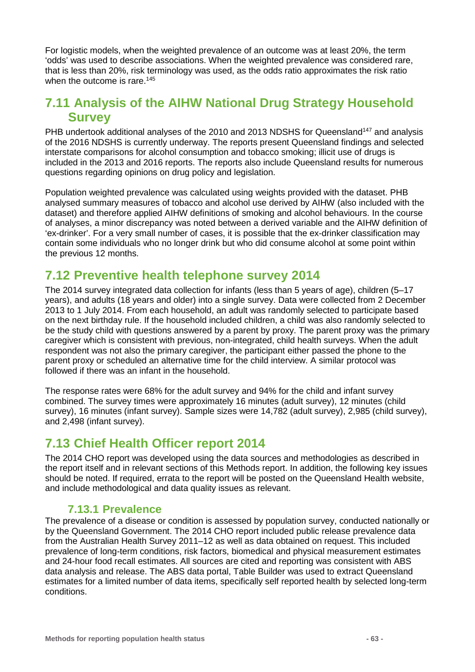For logistic models, when the weighted prevalence of an outcome was at least 20%, the term 'odds' was used to describe associations. When the weighted prevalence was considered rare, that is less than 20%, risk terminology was used, as the odds ratio approximates the risk ratio when the outcome is rare.<sup>145</sup>

## **7.11 Analysis of the AIHW National Drug Strategy Household Survey**

PHB undertook additional analyses of the 2010 and 2013 NDSHS for Queensland<sup>147</sup> and analysis of the 2016 NDSHS is currently underway. The reports present Queensland findings and selected interstate comparisons for alcohol consumption and tobacco smoking; illicit use of drugs is included in the 2013 and 2016 reports. The reports also include Queensland results for numerous questions regarding opinions on drug policy and legislation.

Population weighted prevalence was calculated using weights provided with the dataset. PHB analysed summary measures of tobacco and alcohol use derived by AIHW (also included with the dataset) and therefore applied AIHW definitions of smoking and alcohol behaviours. In the course of analyses, a minor discrepancy was noted between a derived variable and the AIHW definition of 'ex-drinker'. For a very small number of cases, it is possible that the ex-drinker classification may contain some individuals who no longer drink but who did consume alcohol at some point within the previous 12 months.

## **7.12 Preventive health telephone survey 2014**

The 2014 survey integrated data collection for infants (less than 5 years of age), children (5–17 years), and adults (18 years and older) into a single survey. Data were collected from 2 December 2013 to 1 July 2014. From each household, an adult was randomly selected to participate based on the next birthday rule. If the household included children, a child was also randomly selected to be the study child with questions answered by a parent by proxy. The parent proxy was the primary caregiver which is consistent with previous, non-integrated, child health surveys. When the adult respondent was not also the primary caregiver, the participant either passed the phone to the parent proxy or scheduled an alternative time for the child interview. A similar protocol was followed if there was an infant in the household.

The response rates were 68% for the adult survey and 94% for the child and infant survey combined. The survey times were approximately 16 minutes (adult survey), 12 minutes (child survey), 16 minutes (infant survey). Sample sizes were 14,782 (adult survey), 2,985 (child survey), and 2,498 (infant survey).

## **7.13 Chief Health Officer report 2014**

The 2014 CHO report was developed using the data sources and methodologies as described in the report itself and in relevant sections of this Methods report. In addition, the following key issues should be noted. If required, errata to the report will be posted on the Queensland Health website, and include methodological and data quality issues as relevant.

### **7.13.1 Prevalence**

The prevalence of a disease or condition is assessed by population survey, conducted nationally or by the Queensland Government. The 2014 CHO report included public release prevalence data from the Australian Health Survey 2011–12 as well as data obtained on request. This included prevalence of long-term conditions, risk factors, biomedical and physical measurement estimates and 24-hour food recall estimates. All sources are cited and reporting was consistent with ABS data analysis and release. The ABS data portal, Table Builder was used to extract Queensland estimates for a limited number of data items, specifically self reported health by selected long-term conditions.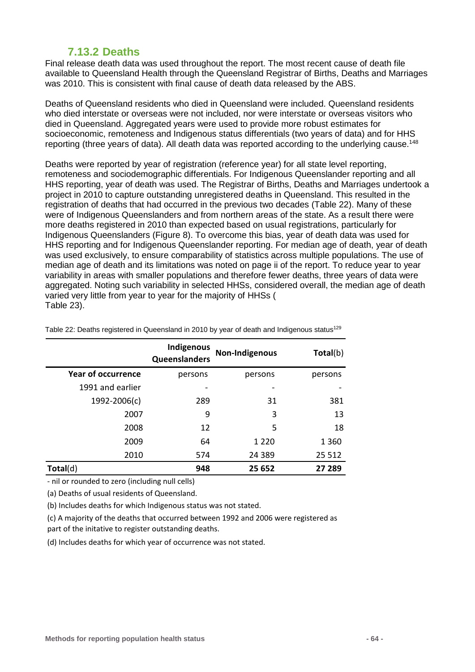### **7.13.2 Deaths**

Final release death data was used throughout the report. The most recent cause of death file available to Queensland Health through the Queensland Registrar of Births, Deaths and Marriages was 2010. This is consistent with final cause of death data released by the ABS.

Deaths of Queensland residents who died in Queensland were included. Queensland residents who died interstate or overseas were not included, nor were interstate or overseas visitors who died in Queensland. Aggregated years were used to provide more robust estimates for socioeconomic, remoteness and Indigenous status differentials (two years of data) and for HHS reporting (three years of data). All death data was reported according to the underlying cause.<sup>148</sup>

Deaths were reported by year of registration (reference year) for all state level reporting, remoteness and sociodemographic differentials. For Indigenous Queenslander reporting and all HHS reporting, year of death was used. The Registrar of Births, Deaths and Marriages undertook a project in 2010 to capture outstanding unregistered deaths in Queensland. This resulted in the registration of deaths that had occurred in the previous two decades [\(Table 22\)](#page-63-0). Many of these were of Indigenous Queenslanders and from northern areas of the state. As a result there were more deaths registered in 2010 than expected based on usual registrations, particularly for Indigenous Queenslanders [\(Figure 8\)](#page-64-0). To overcome this bias, year of death data was used for HHS reporting and for Indigenous Queenslander reporting. For median age of death, year of death was used exclusively, to ensure comparability of statistics across multiple populations. The use of median age of death and its limitations was noted on page ii of the report. To reduce year to year variability in areas with smaller populations and therefore fewer deaths, three years of data were aggregated. Noting such variability in selected HHSs, cons[idered overall, the median age of death](#page-64-1)  varied very little from year to year for the majority of HHSs ( [Table 23\)](#page-64-1).

|                           | Indigenous<br>Queenslanders | Non-Indigenous | Total(b) |
|---------------------------|-----------------------------|----------------|----------|
| <b>Year of occurrence</b> | persons                     | persons        | persons  |
| 1991 and earlier          |                             |                |          |
| 1992-2006(c)              | 289                         | 31             | 381      |
| 2007                      | 9                           | 3              | 13       |
| 2008                      | 12                          | 5              | 18       |
| 2009                      | 64                          | 1 2 2 0        | 1 3 6 0  |
| 2010                      | 574                         | 24 3 8 9       | 25 5 12  |
| Total(d)                  | 948                         | 25 652         | 27 289   |

<span id="page-63-0"></span>Table 22: Deaths registered in Queensland in 2010 by year of death and Indigenous status<sup>129</sup>

- nil or rounded to zero (including null cells)

(a) Deaths of usual residents of Queensland.

(b) Includes deaths for which Indigenous status was not stated.

(c) A majority of the deaths that occurred between 1992 and 2006 were registered as part of the initative to register outstanding deaths.

(d) Includes deaths for which year of occurrence was not stated.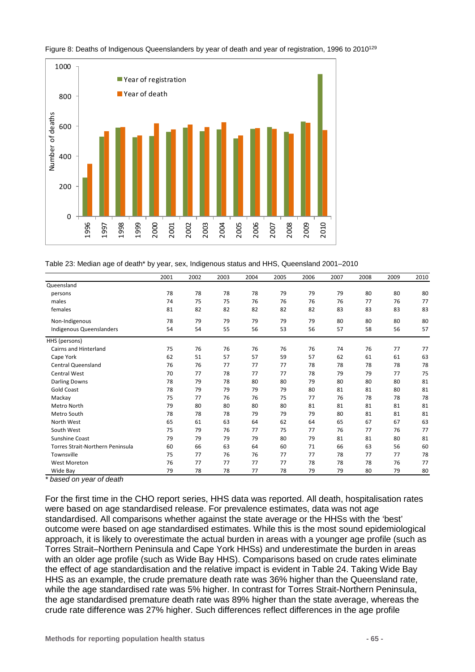

#### <span id="page-64-0"></span>Figure 8: Deaths of Indigenous Queenslanders by year of death and year of registration, 1996 to 2010<sup>129</sup>

<span id="page-64-1"></span>Table 23: Median age of death\* by year, sex, Indigenous status and HHS, Queensland 2001–2010

|                                         | 2001 | 2002 | 2003 | 2004 | 2005 | 2006 | 2007 | 2008 | 2009 | 2010 |
|-----------------------------------------|------|------|------|------|------|------|------|------|------|------|
| Queensland                              |      |      |      |      |      |      |      |      |      |      |
| persons                                 | 78   | 78   | 78   | 78   | 79   | 79   | 79   | 80   | 80   | 80   |
| males                                   | 74   | 75   | 75   | 76   | 76   | 76   | 76   | 77   | 76   | 77   |
| females                                 | 81   | 82   | 82   | 82   | 82   | 82   | 83   | 83   | 83   | 83   |
| Non-Indigenous                          | 78   | 79   | 79   | 79   | 79   | 79   | 80   | 80   | 80   | 80   |
| Indigenous Queenslanders                | 54   | 54   | 55   | 56   | 53   | 56   | 57   | 58   | 56   | 57   |
| HHS (persons)                           |      |      |      |      |      |      |      |      |      |      |
| <b>Cairns and Hinterland</b>            | 75   | 76   | 76   | 76   | 76   | 76   | 74   | 76   | 77   | 77   |
| Cape York                               | 62   | 51   | 57   | 57   | 59   | 57   | 62   | 61   | 61   | 63   |
| <b>Central Queensland</b>               | 76   | 76   | 77   | 77   | 77   | 78   | 78   | 78   | 78   | 78   |
| <b>Central West</b>                     | 70   | 77   | 78   | 77   | 77   | 78   | 79   | 79   | 77   | 75   |
| <b>Darling Downs</b>                    | 78   | 79   | 78   | 80   | 80   | 79   | 80   | 80   | 80   | 81   |
| <b>Gold Coast</b>                       | 78   | 79   | 79   | 79   | 79   | 80   | 81   | 81   | 80   | 81   |
| Mackay                                  | 75   | 77   | 76   | 76   | 75   | 77   | 76   | 78   | 78   | 78   |
| Metro North                             | 79   | 80   | 80   | 80   | 80   | 81   | 81   | 81   | 81   | 81   |
| Metro South                             | 78   | 78   | 78   | 79   | 79   | 79   | 80   | 81   | 81   | 81   |
| North West                              | 65   | 61   | 63   | 64   | 62   | 64   | 65   | 67   | 67   | 63   |
| South West                              | 75   | 79   | 76   | 77   | 75   | 77   | 76   | 77   | 76   | 77   |
| Sunshine Coast                          | 79   | 79   | 79   | 79   | 80   | 79   | 81   | 81   | 80   | 81   |
| <b>Torres Strait-Northern Peninsula</b> | 60   | 66   | 63   | 64   | 60   | 71   | 66   | 63   | 56   | 60   |
| Townsville                              | 75   | 77   | 76   | 76   | 77   | 77   | 78   | 77   | 77   | 78   |
| <b>West Moreton</b>                     | 76   | 77   | 77   | 77   | 77   | 78   | 78   | 78   | 76   | 77   |
| Wide Bav                                | 79   | 78   | 78   | 77   | 78   | 79   | 79   | 80   | 79   | 80   |

*\* based on year of death*

For the first time in the CHO report series, HHS data was reported. All death, hospitalisation rates were based on age standardised release. For prevalence estimates, data was not age standardised. All comparisons whether against the state average or the HHSs with the 'best' outcome were based on age standardised estimates. While this is the most sound epidemiological approach, it is likely to overestimate the actual burden in areas with a younger age profile (such as Torres Strait–Northern Peninsula and Cape York HHSs) and underestimate the burden in areas with an older age profile (such as Wide Bay HHS). Comparisons based on crude rates eliminate the effect of age standardisation and the relative impact is evident in [Table 24.](#page-65-0) Taking Wide Bay HHS as an example, the crude premature death rate was 36% higher than the Queensland rate, while the age standardised rate was 5% higher. In contrast for Torres Strait-Northern Peninsula, the age standardised premature death rate was 89% higher than the state average, whereas the crude rate difference was 27% higher. Such differences reflect differences in the age profile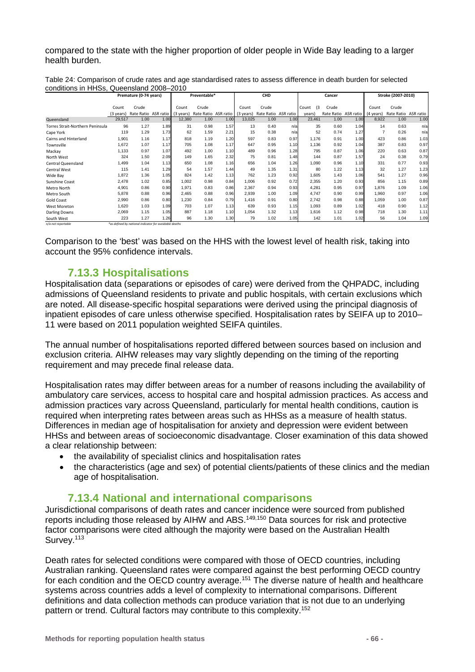compared to the state with the higher proportion of older people in Wide Bay leading to a larger health burden.

|                                  |           | Premature (0-74 years)                                 |      | Preventable* |                      | CHD  |           | Cancer               |      |              |            | Stroke (2007-2010) |                |                      |      |
|----------------------------------|-----------|--------------------------------------------------------|------|--------------|----------------------|------|-----------|----------------------|------|--------------|------------|--------------------|----------------|----------------------|------|
|                                  | Count     | Crude                                                  |      | Count        | Crude                |      | Count     | Crude                |      | (3)<br>Count | Crude      |                    | Count          | Crude                |      |
|                                  | (3 years) | Rate Ratio ASR ratio                                   |      | (3 years)    | Rate Ratio ASR ratio |      | (3 years) | Rate Ratio ASR ratio |      | years)       | Rate Ratio | ASR ratio          | (4 years)      | Rate Ratio ASR ratio |      |
| Queensland                       | 29,517    | 1.00                                                   | 1.00 | 12,380       | 1.00                 | 1.00 | 13,025    | 1.00                 | 1.00 | 23,461       | 1.00       | 1.00               | 8,922          | 1.00                 | 1.00 |
| Torres Strait-Northern Peninsula | 96        | 1.27                                                   | 1.89 | 31           | 0.98                 | 1.57 | 13        | 0.40                 | n/a  | 35           | 0.60       | 1.04               | 14             | 0.63                 | n/a  |
| Cape York                        | 119       | 1.29                                                   | 1.73 | 62           | 1.59                 | 2.21 | 15        | 0.38                 | n/a  | 52           | 0.74       | 1.27               | $\overline{7}$ | 0.26                 | n/a  |
| Cairns and Hinterland            | 1,901     | 1.16                                                   | 1.17 | 818          | 1.19                 | 1.20 | 597       | 0.83                 | 0.97 | 1.176        | 0.91       | 1.00               | 423            | 0.86                 | 1.03 |
| Townsville                       | 1,672     | 1.07                                                   | 1.17 | 705          | 1.08                 | 1.17 | 647       | 0.95                 | 1.10 | 1,136        | 0.92       | 1.04               | 387            | 0.83                 | 0.97 |
| Mackay                           | 1,133     | 0.97                                                   | 1.07 | 492          | 1.00                 | 1.10 | 489       | 0.96                 | 1.28 | 795          | 0.87       | 1.06               | 220            | 0.63                 | 0.87 |
| North West                       | 324       | 1.50                                                   | 2.09 | 149          | 1.65                 | 2.32 | 75        | 0.81                 | 1.48 | 144          | 0.87       | 1.57               | 24             | 0.38                 | 0.79 |
| Central Queensland               | 1,499     | 1.04                                                   | 1.13 | 650          | 1.08                 | 1.16 | 656       | 1.04                 | 1.26 | 1,090        | 0.96       | 1.10               | 331            | 0.77                 | 0.93 |
| <b>Central West</b>              | 115       | 1.41                                                   | 1.29 | 54           | 1.57                 | 1.44 | 49        | 1.35                 | 1.31 | 80           | 1.22       | 1.13               | 32             | 1.27                 | 1.23 |
| Wide Bay                         | 1,872     | 1.36                                                   | 1.05 | 824          | 1.42                 | 1.13 | 762       | 1.23                 | 0.92 | 1,605        | 1.43       | 1.06               | 541            | 1.27                 | 0.96 |
| Sunshine Coast                   | 2,478     | 1.02                                                   | 0.85 | 1.002        | 0.98                 | 0.84 | 1.006     | 0.92                 | 0.72 | 2,355        | 1.20       | 0.93               | 856            | 1.15                 | 0.89 |
| Metro North                      | 4,901     | 0.86                                                   | 0.90 | 1,971        | 0.83                 | 0.86 | 2,367     | 0.94                 | 0.93 | 4,281        | 0.95       | 0.97               | 1.876          | 1.09                 | 1.06 |
| Metro South                      | 5,878     | 0.88                                                   | 0.96 | 2.465        | 0.88                 | 0.96 | 2.939     | 1.00                 | 1.09 | 4.747        | 0.90       | 0.99               | 1.960          | 0.97                 | 1.06 |
| <b>Gold Coast</b>                | 2,990     | 0.86                                                   | 0.80 | 1,230        | 0.84                 | 0.79 | 1.416     | 0.91                 | 0.80 | 2,742        | 0.98       | 0.88               | 1.059          | 1.00                 | 0.87 |
| <b>West Moreton</b>              | 1,620     | 1.03                                                   | 1.09 | 703          | 1.07                 | 1.13 | 639       | 0.93                 | 1.15 | 1,093        | 0.89       | 1.02               | 418            | 0.90                 | 1.12 |
| <b>Darling Downs</b>             | 2,069     | 1.15                                                   | 1.05 | 887          | 1.18                 | 1.10 | 1,054     | 1.32                 | 1.13 | 1,616        | 1.12       | 0.98               | 718            | 1.30                 | 1.11 |
| South West                       | 223       | 1.27                                                   | 1.26 | 96           | 1.30                 | 1.30 | 79        | 1.02                 | 1.05 | 142          | 1.01       | 1.02               | 56             | 1.04                 | 1.09 |
| n/a not reportable               |           | *as defined by national indicator for avoidable deaths |      |              |                      |      |           |                      |      |              |            |                    |                |                      |      |

<span id="page-65-0"></span>Table 24: Comparison of crude rates and age standardised rates to assess difference in death burden for selected conditions in HHSs, Queensland 2008–2010

Comparison to the 'best' was based on the HHS with the lowest level of health risk, taking into account the 95% confidence intervals.

#### **7.13.3 Hospitalisations**

Hospitalisation data (separations or episodes of care) were derived from the QHPADC, including admissions of Queensland residents to private and public hospitals, with certain exclusions which are noted. All disease-specific hospital separations were derived using the principal diagnosis of inpatient episodes of care unless otherwise specified. Hospitalisation rates by SEIFA up to 2010– 11 were based on 2011 population weighted SEIFA quintiles.

The annual number of hospitalisations reported differed between sources based on inclusion and exclusion criteria. AIHW releases may vary slightly depending on the timing of the reporting requirement and may precede final release data.

Hospitalisation rates may differ between areas for a number of reasons including the availability of ambulatory care services, access to hospital care and hospital admission practices. As access and admission practices vary across Queensland, particularly for mental health conditions, caution is required when interpreting rates between areas such as HHSs as a measure of health status. Differences in median age of hospitalisation for anxiety and depression were evident between HHSs and between areas of socioeconomic disadvantage. Closer examination of this data showed a clear relationship between:

- the availability of specialist clinics and hospitalisation rates
- the characteristics (age and sex) of potential clients/patients of these clinics and the median age of hospitalisation.

#### **7.13.4 National and international comparisons**

Jurisdictional comparisons of death rates and cancer incidence were sourced from published reports including those released by AIHW and ABS.149,150 Data sources for risk and protective factor comparisons were cited although the majority were based on the Australian Health Survey.<sup>113</sup>

Death rates for selected conditions were compared with those of OECD countries, including Australian ranking. Queensland rates were compared against the best performing OECD country for each condition and the OECD country average.<sup>151</sup> The diverse nature of health and healthcare systems across countries adds a level of complexity to international comparisons. Different definitions and data collection methods can produce variation that is not due to an underlying pattern or trend. Cultural factors may contribute to this complexity.<sup>152</sup>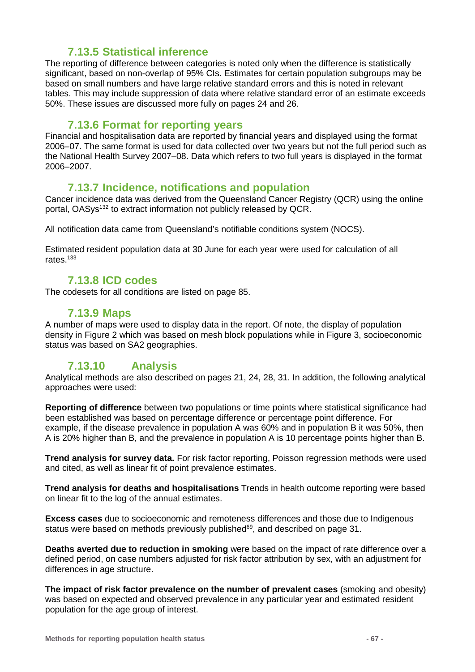### **7.13.5 Statistical inference**

The reporting of difference between categories is noted only when the difference is statistically significant, based on non-overlap of 95% CIs. Estimates for certain population subgroups may be based on small numbers and have large relative standard errors and this is noted in relevant tables. This may include suppression of data where relative standard error of an estimate exceeds 50%. These issues are discussed more fully on pages [24](#page-23-1) and [26.](#page-25-0)

#### **7.13.6 Format for reporting years**

Financial and hospitalisation data are reported by financial years and displayed using the format 2006–07. The same format is used for data collected over two years but not the full period such as the National Health Survey 2007–08. Data which refers to two full years is displayed in the format 2006–2007.

### **7.13.7 Incidence, notifications and population**

Cancer incidence data was derived from the Queensland Cancer Registry (QCR) using the online portal, OASys<sup>132</sup> to extract information not publicly released by QCR.

All notification data came from Queensland's notifiable conditions system (NOCS).

Estimated resident population data at 30 June for each year were used for calculation of all rates.133

#### **7.13.8 ICD codes**

The codesets for all conditions are listed on page [85.](#page-84-0)

#### **7.13.9 Maps**

A number of maps were used to display data in the report. Of note, the display of population density in Figure 2 which was based on mesh block populations while in Figure 3, socioeconomic status was based on SA2 geographies.

### **7.13.10 Analysis**

Analytical methods are also described on pages [21,](#page-19-0) [24,](#page-23-1) [28,](#page-27-0) [31.](#page-30-0) In addition, the following analytical approaches were used:

**Reporting of difference** between two populations or time points where statistical significance had been established was based on percentage difference or percentage point difference. For example, if the disease prevalence in population A was 60% and in population B it was 50%, then A is 20% higher than B, and the prevalence in population A is 10 percentage points higher than B.

**Trend analysis for survey data.** For risk factor reporting, Poisson regression methods were used and cited, as well as linear fit of point prevalence estimates.

**Trend analysis for deaths and hospitalisations** Trends in health outcome reporting were based on linear fit to the log of the annual estimates.

**Excess cases** due to socioeconomic and remoteness differences and those due to Indigenous status were based on methods previously published<sup>69</sup>, and described on page [31.](#page-30-0)

**Deaths averted due to reduction in smoking** were based on the impact of rate difference over a defined period, on case numbers adjusted for risk factor attribution by sex, with an adjustment for differences in age structure.

**The impact of risk factor prevalence on the number of prevalent cases** (smoking and obesity) was based on expected and observed prevalence in any particular year and estimated resident population for the age group of interest.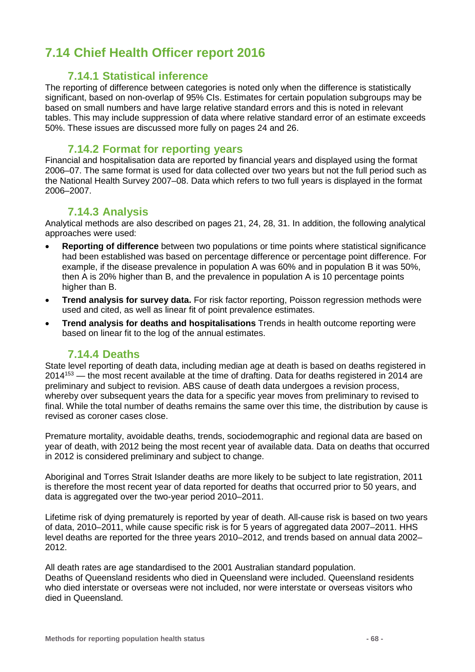# **7.14 Chief Health Officer report 2016**

#### **7.14.1 Statistical inference**

The reporting of difference between categories is noted only when the difference is statistically significant, based on non-overlap of 95% CIs. Estimates for certain population subgroups may be based on small numbers and have large relative standard errors and this is noted in relevant tables. This may include suppression of data where relative standard error of an estimate exceeds 50%. These issues are discussed more fully on pages [24](#page-23-1) and [26.](#page-25-0)

#### **7.14.2 Format for reporting years**

Financial and hospitalisation data are reported by financial years and displayed using the format 2006–07. The same format is used for data collected over two years but not the full period such as the National Health Survey 2007–08. Data which refers to two full years is displayed in the format 2006–2007.

#### **7.14.3 Analysis**

Analytical methods are also described on pages [21,](#page-19-0) [24,](#page-23-1) [28,](#page-27-0) [31.](#page-30-0) In addition, the following analytical approaches were used:

- **Reporting of difference** between two populations or time points where statistical significance had been established was based on percentage difference or percentage point difference. For example, if the disease prevalence in population A was 60% and in population B it was 50%, then A is 20% higher than B, and the prevalence in population A is 10 percentage points higher than B.
- **Trend analysis for survey data.** For risk factor reporting, Poisson regression methods were used and cited, as well as linear fit of point prevalence estimates.
- **Trend analysis for deaths and hospitalisations** Trends in health outcome reporting were based on linear fit to the log of the annual estimates.

### **7.14.4 Deaths**

State level reporting of death data, including median age at death is based on deaths registered in  $2014^{153}$  — the most recent available at the time of drafting. Data for deaths registered in 2014 are preliminary and subject to revision. ABS cause of death data undergoes a revision process, whereby over subsequent years the data for a specific year moves from preliminary to revised to final. While the total number of deaths remains the same over this time, the distribution by cause is revised as coroner cases close.

Premature mortality, avoidable deaths, trends, sociodemographic and regional data are based on year of death, with 2012 being the most recent year of available data. Data on deaths that occurred in 2012 is considered preliminary and subject to change.

Aboriginal and Torres Strait Islander deaths are more likely to be subject to late registration, 2011 is therefore the most recent year of data reported for deaths that occurred prior to 50 years, and data is aggregated over the two-year period 2010–2011.

Lifetime risk of dying prematurely is reported by year of death. All-cause risk is based on two years of data, 2010–2011, while cause specific risk is for 5 years of aggregated data 2007–2011. HHS level deaths are reported for the three years 2010–2012, and trends based on annual data 2002– 2012.

All death rates are age standardised to the 2001 Australian standard population. Deaths of Queensland residents who died in Queensland were included. Queensland residents who died interstate or overseas were not included, nor were interstate or overseas visitors who died in Queensland.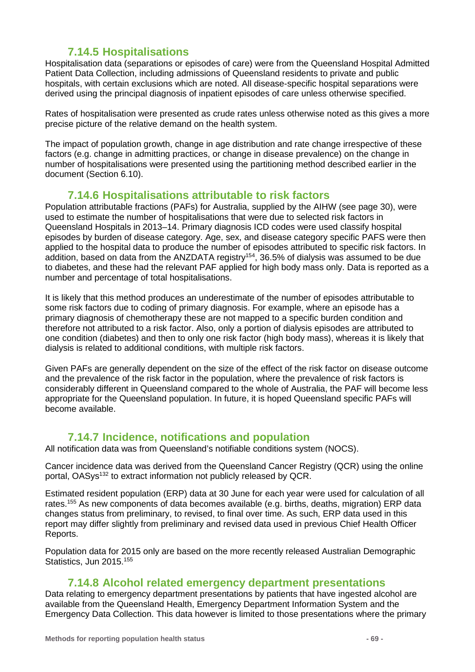### **7.14.5 Hospitalisations**

Hospitalisation data (separations or episodes of care) were from the Queensland Hospital Admitted Patient Data Collection, including admissions of Queensland residents to private and public hospitals, with certain exclusions which are noted. All disease-specific hospital separations were derived using the principal diagnosis of inpatient episodes of care unless otherwise specified.

Rates of hospitalisation were presented as crude rates unless otherwise noted as this gives a more precise picture of the relative demand on the health system.

The impact of population growth, change in age distribution and rate change irrespective of these factors (e.g. change in admitting practices, or change in disease prevalence) on the change in number of hospitalisations were presented using the partitioning method described earlier in the document (Section [6.10\)](#page-39-2).

### **7.14.6 Hospitalisations attributable to risk factors**

Population attributable fractions (PAFs) for Australia, supplied by the AIHW (see page [30\)](#page-29-0), were used to estimate the number of hospitalisations that were due to selected risk factors in Queensland Hospitals in 2013–14. Primary diagnosis ICD codes were used classify hospital episodes by burden of disease category. Age, sex, and disease category specific PAFS were then applied to the hospital data to produce the number of episodes attributed to specific risk factors. In addition, based on data from the ANZDATA registry<sup>154</sup>, 36.5% of dialysis was assumed to be due to diabetes, and these had the relevant PAF applied for high body mass only. Data is reported as a number and percentage of total hospitalisations.

It is likely that this method produces an underestimate of the number of episodes attributable to some risk factors due to coding of primary diagnosis. For example, where an episode has a primary diagnosis of chemotherapy these are not mapped to a specific burden condition and therefore not attributed to a risk factor. Also, only a portion of dialysis episodes are attributed to one condition (diabetes) and then to only one risk factor (high body mass), whereas it is likely that dialysis is related to additional conditions, with multiple risk factors.

Given PAFs are generally dependent on the size of the effect of the risk factor on disease outcome and the prevalence of the risk factor in the population, where the prevalence of risk factors is considerably different in Queensland compared to the whole of Australia, the PAF will become less appropriate for the Queensland population. In future, it is hoped Queensland specific PAFs will become available.

### **7.14.7 Incidence, notifications and population**

All notification data was from Queensland's notifiable conditions system (NOCS).

Cancer incidence data was derived from the Queensland Cancer Registry (QCR) using the online portal, OASys<sup>132</sup> to extract information not publicly released by QCR.

Estimated resident population (ERP) data at 30 June for each year were used for calculation of all rates.<sup>155</sup> As new components of data becomes available (e.g. births, deaths, migration) ERP data changes status from preliminary, to revised, to final over time. As such, ERP data used in this report may differ slightly from preliminary and revised data used in previous Chief Health Officer Reports.

Population data for 2015 only are based on the more recently released Australian Demographic Statistics, Jun 2015.<sup>155</sup>

#### **7.14.8 Alcohol related emergency department presentations**

Data relating to emergency department presentations by patients that have ingested alcohol are available from the Queensland Health, Emergency Department Information System and the Emergency Data Collection. This data however is limited to those presentations where the primary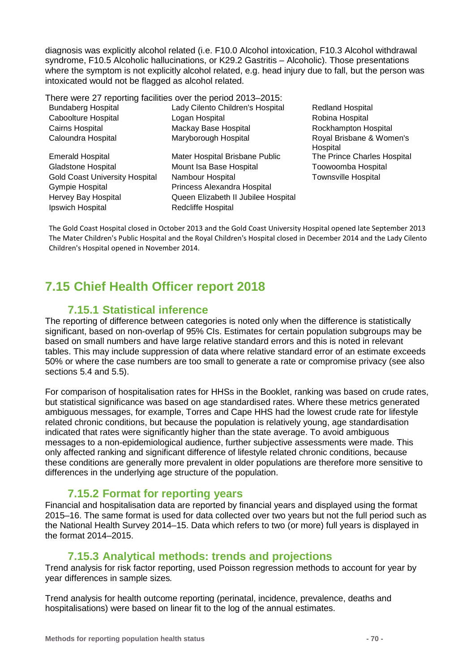diagnosis was explicitly alcohol related (i.e. F10.0 Alcohol intoxication, F10.3 Alcohol withdrawal syndrome, F10.5 Alcoholic hallucinations, or K29.2 Gastritis – Alcoholic). Those presentations where the symptom is not explicitly alcohol related, e.g. head injury due to fall, but the person was intoxicated would not be flagged as alcohol related.

There were 27 reporting facilities over the period 2013–2015:

| <b>Bundaberg Hospital</b>             | Lady Cilento Children's Hospital    | <b>Redland Hospital</b>              |
|---------------------------------------|-------------------------------------|--------------------------------------|
| Caboolture Hospital                   | Logan Hospital                      | Robina Hospital                      |
| Cairns Hospital                       | Mackay Base Hospital                | Rockhampton Hospital                 |
| Caloundra Hospital                    | Maryborough Hospital                | Royal Brisbane & Women's<br>Hospital |
| <b>Emerald Hospital</b>               | Mater Hospital Brisbane Public      | The Prince Charles Hospital          |
| <b>Gladstone Hospital</b>             | Mount Isa Base Hospital             | Toowoomba Hospital                   |
| <b>Gold Coast University Hospital</b> | Nambour Hospital                    | <b>Townsville Hospital</b>           |
| Gympie Hospital                       | Princess Alexandra Hospital         |                                      |
| Hervey Bay Hospital                   | Queen Elizabeth II Jubilee Hospital |                                      |
| Ipswich Hospital                      | Redcliffe Hospital                  |                                      |
|                                       |                                     |                                      |

The Gold Coast Hospital closed in October 2013 and the Gold Coast University Hospital opened late September 2013 The Mater Children's Public Hospital and the Royal Children's Hospital closed in December 2014 and the Lady Cilento Children's Hospital opened in November 2014.

# **7.15 Chief Health Officer report 2018**

### **7.15.1 Statistical inference**

The reporting of difference between categories is noted only when the difference is statistically significant, based on non-overlap of 95% CIs. Estimates for certain population subgroups may be based on small numbers and have large relative standard errors and this is noted in relevant tables. This may include suppression of data where relative standard error of an estimate exceeds 50% or where the case numbers are too small to generate a rate or compromise privacy (see also sections [5.4](#page-23-1) and [5.5\)](#page-24-0).

For comparison of hospitalisation rates for HHSs in the Booklet, ranking was based on crude rates, but statistical significance was based on age standardised rates. Where these metrics generated ambiguous messages, for example, Torres and Cape HHS had the lowest crude rate for lifestyle related chronic conditions, but because the population is relatively young, age standardisation indicated that rates were significantly higher than the state average. To avoid ambiguous messages to a non-epidemiological audience, further subjective assessments were made. This only affected ranking and significant difference of lifestyle related chronic conditions, because these conditions are generally more prevalent in older populations are therefore more sensitive to differences in the underlying age structure of the population.

### **7.15.2 Format for reporting years**

Financial and hospitalisation data are reported by financial years and displayed using the format 2015–16. The same format is used for data collected over two years but not the full period such as the National Health Survey 2014–15. Data which refers to two (or more) full years is displayed in the format 2014–2015.

### **7.15.3 Analytical methods: trends and projections**

Trend analysis for risk factor reporting, used Poisson regression methods to account for year by year differences in sample sizes*.*

Trend analysis for health outcome reporting (perinatal, incidence, prevalence, deaths and hospitalisations) were based on linear fit to the log of the annual estimates.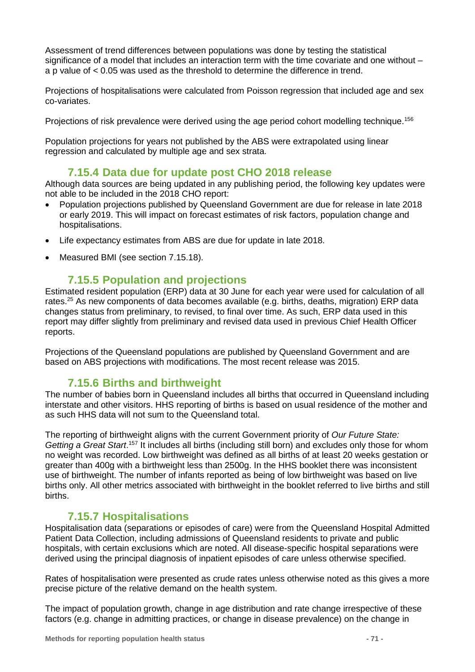Assessment of trend differences between populations was done by testing the statistical significance of a model that includes an interaction term with the time covariate and one without – a p value of < 0.05 was used as the threshold to determine the difference in trend.

Projections of hospitalisations were calculated from Poisson regression that included age and sex co-variates.

Projections of risk prevalence were derived using the age period cohort modelling technique.<sup>156</sup>

Population projections for years not published by the ABS were extrapolated using linear regression and calculated by multiple age and sex strata.

### **7.15.4 Data due for update post CHO 2018 release**

Although data sources are being updated in any publishing period, the following key updates were not able to be included in the 2018 CHO report:

- Population projections published by Queensland Government are due for release in late 2018 or early 2019. This will impact on forecast estimates of risk factors, population change and hospitalisations.
- Life expectancy estimates from ABS are due for update in late 2018.
- Measured BMI (see section [7.15.18\)](#page-72-0).

### **7.15.5 Population and projections**

Estimated resident population (ERP) data at 30 June for each year were used for calculation of all rates.<sup>25</sup> As new components of data becomes available (e.g. births, deaths, migration) ERP data changes status from preliminary, to revised, to final over time. As such, ERP data used in this report may differ slightly from preliminary and revised data used in previous Chief Health Officer reports.

Projections of the Queensland populations are published by Queensland Government and are based on ABS projections with modifications. The most recent release was 2015.

### **7.15.6 Births and birthweight**

The number of babies born in Queensland includes all births that occurred in Queensland including interstate and other visitors. HHS reporting of births is based on usual residence of the mother and as such HHS data will not sum to the Queensland total.

The reporting of birthweight aligns with the current Government priority of *Our Future State:*  Getting a Great Start.<sup>157</sup> It includes all births (including still born) and excludes only those for whom no weight was recorded. Low birthweight was defined as all births of at least 20 weeks gestation or greater than 400g with a birthweight less than 2500g. In the HHS booklet there was inconsistent use of birthweight. The number of infants reported as being of low birthweight was based on live births only. All other metrics associated with birthweight in the booklet referred to live births and still births.

### **7.15.7 Hospitalisations**

Hospitalisation data (separations or episodes of care) were from the Queensland Hospital Admitted Patient Data Collection, including admissions of Queensland residents to private and public hospitals, with certain exclusions which are noted. All disease-specific hospital separations were derived using the principal diagnosis of inpatient episodes of care unless otherwise specified.

Rates of hospitalisation were presented as crude rates unless otherwise noted as this gives a more precise picture of the relative demand on the health system.

The impact of population growth, change in age distribution and rate change irrespective of these factors (e.g. change in admitting practices, or change in disease prevalence) on the change in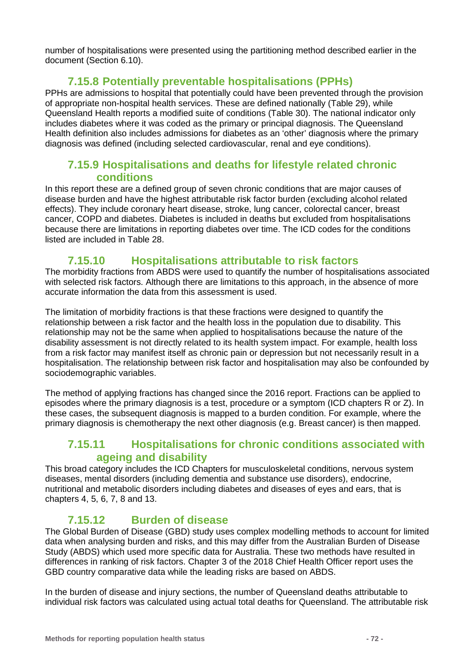number of hospitalisations were presented using the partitioning method described earlier in the document (Section [6.10\)](#page-39-2).

### **7.15.8 Potentially preventable hospitalisations (PPHs)**

PPHs are admissions to hospital that potentially could have been prevented through the provision of appropriate non-hospital health services. These are defined nationally [\(Table 29\)](#page-85-0), while Queensland Health reports a modified suite of conditions (Table 30). The national indicator only includes diabetes where it was coded as the primary or principal diagnosis. The Queensland Health definition also includes admissions for diabetes as an 'other' diagnosis where the primary diagnosis was defined (including selected cardiovascular, renal and eye conditions).

### **7.15.9 Hospitalisations and deaths for lifestyle related chronic conditions**

In this report these are a defined group of seven chronic conditions that are major causes of disease burden and have the highest attributable risk factor burden (excluding alcohol related effects). They include coronary heart disease, stroke, lung cancer, colorectal cancer, breast cancer, COPD and diabetes. Diabetes is included in deaths but excluded from hospitalisations because there are limitations in reporting diabetes over time. The ICD codes for the conditions listed are included in [Table 28.](#page-84-1)

### **7.15.10 Hospitalisations attributable to risk factors**

The morbidity fractions from ABDS were used to quantify the number of hospitalisations associated with selected risk factors. Although there are limitations to this approach, in the absence of more accurate information the data from this assessment is used.

The limitation of morbidity fractions is that these fractions were designed to quantify the relationship between a risk factor and the health loss in the population due to disability. This relationship may not be the same when applied to hospitalisations because the nature of the disability assessment is not directly related to its health system impact. For example, health loss from a risk factor may manifest itself as chronic pain or depression but not necessarily result in a hospitalisation. The relationship between risk factor and hospitalisation may also be confounded by sociodemographic variables.

The method of applying fractions has changed since the 2016 report. Fractions can be applied to episodes where the primary diagnosis is a test, procedure or a symptom (ICD chapters R or Z). In these cases, the subsequent diagnosis is mapped to a burden condition. For example, where the primary diagnosis is chemotherapy the next other diagnosis (e.g. Breast cancer) is then mapped.

### **7.15.11 Hospitalisations for chronic conditions associated with ageing and disability**

This broad category includes the ICD Chapters for musculoskeletal conditions, nervous system diseases, mental disorders (including dementia and substance use disorders), endocrine, nutritional and metabolic disorders including diabetes and diseases of eyes and ears, that is chapters 4, 5, 6, 7, 8 and 13.

### **7.15.12 Burden of disease**

The Global Burden of Disease (GBD) study uses complex modelling methods to account for limited data when analysing burden and risks, and this may differ from the Australian Burden of Disease Study (ABDS) which used more specific data for Australia. These two methods have resulted in differences in ranking of risk factors. Chapter 3 of the 2018 Chief Health Officer report uses the GBD country comparative data while the leading risks are based on ABDS.

In the burden of disease and injury sections, the number of Queensland deaths attributable to individual risk factors was calculated using actual total deaths for Queensland. The attributable risk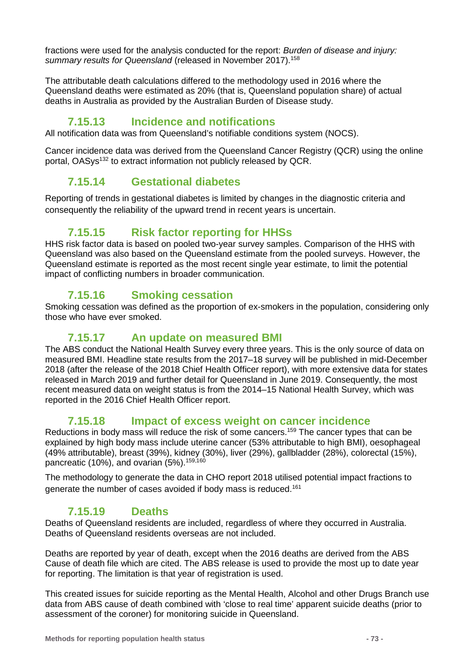fractions were used for the analysis conducted for the report: *Burden of disease and injury: summary results for Queensland* (released in November 2017).158

The attributable death calculations differed to the methodology used in 2016 where the Queensland deaths were estimated as 20% (that is, Queensland population share) of actual deaths in Australia as provided by the Australian Burden of Disease study.

## **7.15.13 Incidence and notifications**

All notification data was from Queensland's notifiable conditions system (NOCS).

Cancer incidence data was derived from the Queensland Cancer Registry (QCR) using the online portal, OASys<sup>132</sup> to extract information not publicly released by QCR.

## **7.15.14 Gestational diabetes**

Reporting of trends in gestational diabetes is limited by changes in the diagnostic criteria and consequently the reliability of the upward trend in recent years is uncertain.

## **7.15.15 Risk factor reporting for HHSs**

HHS risk factor data is based on pooled two-year survey samples. Comparison of the HHS with Queensland was also based on the Queensland estimate from the pooled surveys. However, the Queensland estimate is reported as the most recent single year estimate, to limit the potential impact of conflicting numbers in broader communication.

## **7.15.16 Smoking cessation**

Smoking cessation was defined as the proportion of ex-smokers in the population, considering only those who have ever smoked.

## **7.15.17 An update on measured BMI**

The ABS conduct the National Health Survey every three years. This is the only source of data on measured BMI. Headline state results from the 2017–18 survey will be published in mid-December 2018 (after the release of the 2018 Chief Health Officer report), with more extensive data for states released in March 2019 and further detail for Queensland in June 2019. Consequently, the most recent measured data on weight status is from the 2014–15 National Health Survey, which was reported in the 2016 Chief Health Officer report.

## **7.15.18 Impact of excess weight on cancer incidence**

Reductions in body mass will reduce the risk of some cancers.<sup>159</sup> The cancer types that can be explained by high body mass include uterine cancer (53% attributable to high BMI), oesophageal (49% attributable), breast (39%), kidney (30%), liver (29%), gallbladder (28%), colorectal (15%), pancreatic (10%), and ovarian (5%).<sup>159,160</sup>

The methodology to generate the data in CHO report 2018 utilised potential impact fractions to generate the number of cases avoided if body mass is reduced.161

## **7.15.19 Deaths**

Deaths of Queensland residents are included, regardless of where they occurred in Australia. Deaths of Queensland residents overseas are not included.

Deaths are reported by year of death, except when the 2016 deaths are derived from the ABS Cause of death file which are cited. The ABS release is used to provide the most up to date year for reporting. The limitation is that year of registration is used.

This created issues for suicide reporting as the Mental Health, Alcohol and other Drugs Branch use data from ABS cause of death combined with 'close to real time' apparent suicide deaths (prior to assessment of the coroner) for monitoring suicide in Queensland.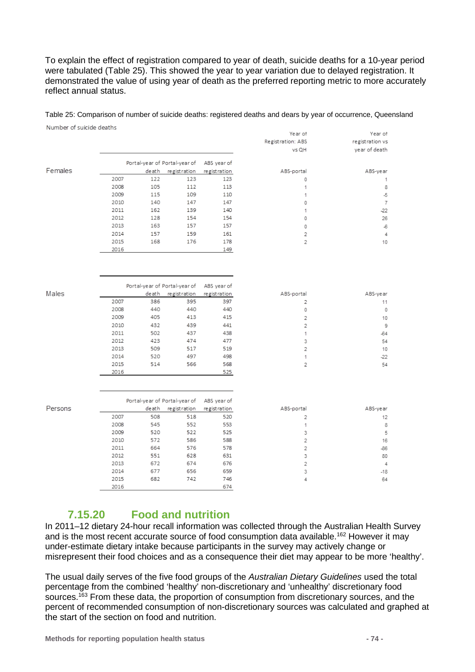To explain the effect of registration compared to year of death, suicide deaths for a 10-year period were tabulated [\(Table 25\)](#page-73-0). This showed the year to year variation due to delayed registration. It demonstrated the value of using year of death as the preferred reporting metric to more accurately reflect annual status.

#### <span id="page-73-0"></span>Table 25: Comparison of number of suicide deaths: registered deaths and dears by year of occurrence, Queensland

| Number of suicide deaths |      |       |                               |              |                   |                 |
|--------------------------|------|-------|-------------------------------|--------------|-------------------|-----------------|
|                          |      |       |                               |              | Year of           | Year of         |
|                          |      |       |                               |              | Registration: ABS | registration vs |
|                          |      |       |                               |              | vs QH             | year of death   |
|                          |      |       | Portal-year of Portal-year of | ABS year of  |                   |                 |
| Females                  |      | death | registration                  | registration | ABS-portal        | ABS-year        |
|                          | 2007 | 122   | 123                           | 123          | 0                 | 1               |
|                          | 2008 | 105   | 112                           | 113          | 1                 | 8               |
|                          | 2009 | 115   | 109                           | 110          | 1                 | $\overline{5}$  |
|                          | 2010 | 140   | 147                           | 147          | 0                 | 7               |
|                          | 2011 | 162   | 139                           | 140          | 1                 | -22             |
|                          | 2012 | 128   | 154                           | 154          | 0                 | 26              |
|                          | 2013 | 163   | 157                           | 157          | 0                 | $-6$            |
|                          | 2014 | 157   | 159                           | 161          | $\overline{2}$    | 4               |
|                          | 2015 | 168   | 176                           | 178          | 2                 | 10              |
|                          | 2016 |       |                               | 149          |                   |                 |
|                          |      |       |                               |              |                   |                 |
|                          |      |       |                               |              |                   |                 |
|                          |      |       |                               |              |                   |                 |
|                          |      |       |                               |              |                   |                 |
|                          |      |       | Portal-year of Portal-year of | ABS year of  |                   |                 |
| Males                    |      | death | registration                  | registration | ABS-portal        | ABS-year        |
|                          | 2007 | 386   | 395                           | 397          | $\overline{2}$    | 11              |
|                          | 2008 | 440   | 440                           | 440          | 0                 | 0               |
|                          | 2009 | 405   | 413                           | 415          | $\overline{c}$    | 10              |
|                          | 2010 | 432   | 439                           | 441          | $\overline{c}$    | 9               |
|                          | 2011 | 502   | 437                           | 438          | 1                 | $-64$           |
|                          | 2012 | 423   | 474                           | 477          | 3                 | 54              |
|                          | 2013 | 509   | 517                           | 519          | $\overline{2}$    | 10              |
|                          | 2014 | 520   | 497                           | 498          | 1                 | $-22$           |
|                          | 2015 | 514   | 566                           | 568          | 2                 | 54              |
|                          | 2016 |       |                               | 525          |                   |                 |
|                          |      |       |                               |              |                   |                 |
|                          |      |       |                               |              |                   |                 |
|                          |      |       |                               |              |                   |                 |
|                          |      |       | Portal-year of Portal-year of | ABS year of  |                   |                 |
| Persons                  |      | death | registration                  | registration | ABS-portal        | ABS-year        |
|                          | 2007 | 508   | 518                           | 520          | $\overline{2}$    | 12              |
|                          | 2008 | 545   | 552                           | 553          | 1                 | 8               |
|                          | 2009 | 520   | 522                           | 525          | 3                 | 5               |
|                          | 2010 | 572   | 586                           | 588          | $\overline{2}$    | 16              |
|                          | 2011 | 664   | 576                           | 578          | $\overline{2}$    | $-86$           |
|                          | 2012 | 551   | 628                           | 631          | 3                 | 80              |
|                          | 2013 | 672   | 674                           | 676          | 2                 | 4               |
|                          | 2014 | 677   | 656                           | 659          | 3                 | $-18$           |
|                          | 2015 | 682   | 742                           | 746          | 4                 | 64              |
|                          | 2016 |       |                               | 674          |                   |                 |
|                          |      |       |                               |              |                   |                 |

## **7.15.20 Food and nutrition**

In 2011–12 dietary 24-hour recall information was collected through the Australian Health Survey and is the most recent accurate source of food consumption data available.<sup>162</sup> However it may under-estimate dietary intake because participants in the survey may actively change or misrepresent their food choices and as a consequence their diet may appear to be more 'healthy'.

The usual daily serves of the five food groups of the *Australian Dietary Guidelines* used the total percentage from the combined 'healthy' non-discretionary and 'unhealthy' discretionary food sources.<sup>163</sup> From these data, the proportion of consumption from discretionary sources, and the percent of recommended consumption of non-discretionary sources was calculated and graphed at the start of the section on food and nutrition.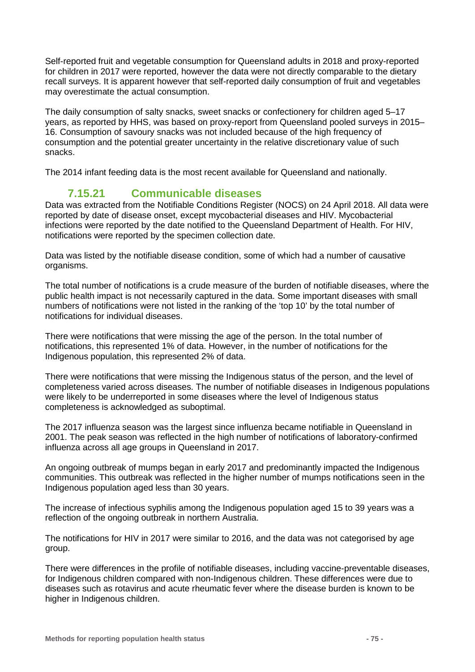Self-reported fruit and vegetable consumption for Queensland adults in 2018 and proxy-reported for children in 2017 were reported, however the data were not directly comparable to the dietary recall surveys. It is apparent however that self-reported daily consumption of fruit and vegetables may overestimate the actual consumption.

The daily consumption of salty snacks, sweet snacks or confectionery for children aged 5–17 years, as reported by HHS, was based on proxy-report from Queensland pooled surveys in 2015– 16. Consumption of savoury snacks was not included because of the high frequency of consumption and the potential greater uncertainty in the relative discretionary value of such snacks.

The 2014 infant feeding data is the most recent available for Queensland and nationally.

## **7.15.21 Communicable diseases**

Data was extracted from the Notifiable Conditions Register (NOCS) on 24 April 2018. All data were reported by date of disease onset, except mycobacterial diseases and HIV. Mycobacterial infections were reported by the date notified to the Queensland Department of Health. For HIV, notifications were reported by the specimen collection date.

Data was listed by the notifiable disease condition, some of which had a number of causative organisms.

The total number of notifications is a crude measure of the burden of notifiable diseases, where the public health impact is not necessarily captured in the data. Some important diseases with small numbers of notifications were not listed in the ranking of the 'top 10' by the total number of notifications for individual diseases.

There were notifications that were missing the age of the person. In the total number of notifications, this represented 1% of data. However, in the number of notifications for the Indigenous population, this represented 2% of data.

There were notifications that were missing the Indigenous status of the person, and the level of completeness varied across diseases. The number of notifiable diseases in Indigenous populations were likely to be underreported in some diseases where the level of Indigenous status completeness is acknowledged as suboptimal.

The 2017 influenza season was the largest since influenza became notifiable in Queensland in 2001. The peak season was reflected in the high number of notifications of laboratory-confirmed influenza across all age groups in Queensland in 2017.

An ongoing outbreak of mumps began in early 2017 and predominantly impacted the Indigenous communities. This outbreak was reflected in the higher number of mumps notifications seen in the Indigenous population aged less than 30 years.

The increase of infectious syphilis among the Indigenous population aged 15 to 39 years was a reflection of the ongoing outbreak in northern Australia.

The notifications for HIV in 2017 were similar to 2016, and the data was not categorised by age group.

There were differences in the profile of notifiable diseases, including vaccine-preventable diseases, for Indigenous children compared with non-Indigenous children. These differences were due to diseases such as rotavirus and acute rheumatic fever where the disease burden is known to be higher in Indigenous children.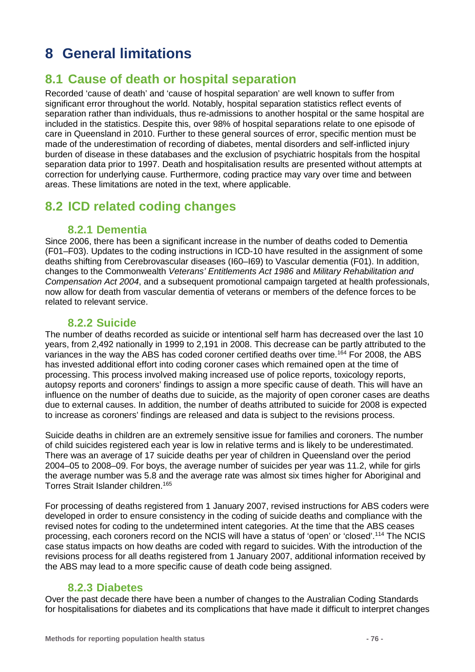# **8 General limitations**

## **8.1 Cause of death or hospital separation**

Recorded 'cause of death' and 'cause of hospital separation' are well known to suffer from significant error throughout the world. Notably, hospital separation statistics reflect events of separation rather than individuals, thus re-admissions to another hospital or the same hospital are included in the statistics. Despite this, over 98% of hospital separations relate to one episode of care in Queensland in 2010. Further to these general sources of error, specific mention must be made of the underestimation of recording of diabetes, mental disorders and self-inflicted injury burden of disease in these databases and the exclusion of psychiatric hospitals from the hospital separation data prior to 1997. Death and hospitalisation results are presented without attempts at correction for underlying cause. Furthermore, coding practice may vary over time and between areas. These limitations are noted in the text, where applicable.

## **8.2 ICD related coding changes**

## **8.2.1 Dementia**

Since 2006, there has been a significant increase in the number of deaths coded to Dementia (F01–F03). Updates to the coding instructions in ICD-10 have resulted in the assignment of some deaths shifting from Cerebrovascular diseases (I60–I69) to Vascular dementia (F01). In addition, changes to the Commonwealth *Veterans' Entitlements Act 1986* and *Military Rehabilitation and Compensation Act 2004*, and a subsequent promotional campaign targeted at health professionals, now allow for death from vascular dementia of veterans or members of the defence forces to be related to relevant service.

## **8.2.2 Suicide**

The number of deaths recorded as suicide or intentional self harm has decreased over the last 10 years, from 2,492 nationally in 1999 to 2,191 in 2008. This decrease can be partly attributed to the variances in the way the ABS has coded coroner certified deaths over time.<sup>164</sup> For 2008, the ABS has invested additional effort into coding coroner cases which remained open at the time of processing. This process involved making increased use of police reports, toxicology reports, autopsy reports and coroners' findings to assign a more specific cause of death. This will have an influence on the number of deaths due to suicide, as the majority of open coroner cases are deaths due to external causes. In addition, the number of deaths attributed to suicide for 2008 is expected to increase as coroners' findings are released and data is subject to the revisions process.

Suicide deaths in children are an extremely sensitive issue for families and coroners. The number of child suicides registered each year is low in relative terms and is likely to be underestimated. There was an average of 17 suicide deaths per year of children in Queensland over the period 2004–05 to 2008–09. For boys, the average number of suicides per year was 11.2, while for girls the average number was 5.8 and the average rate was almost six times higher for Aboriginal and Torres Strait Islander children.165

For processing of deaths registered from 1 January 2007, revised instructions for ABS coders were developed in order to ensure consistency in the coding of suicide deaths and compliance with the revised notes for coding to the undetermined intent categories. At the time that the ABS ceases processing, each coroners record on the NCIS will have a status of 'open' or 'closed'.114 The NCIS case status impacts on how deaths are coded with regard to suicides. With the introduction of the revisions process for all deaths registered from 1 January 2007, additional information received by the ABS may lead to a more specific cause of death code being assigned.

## **8.2.3 Diabetes**

Over the past decade there have been a number of changes to the Australian Coding Standards for hospitalisations for diabetes and its complications that have made it difficult to interpret changes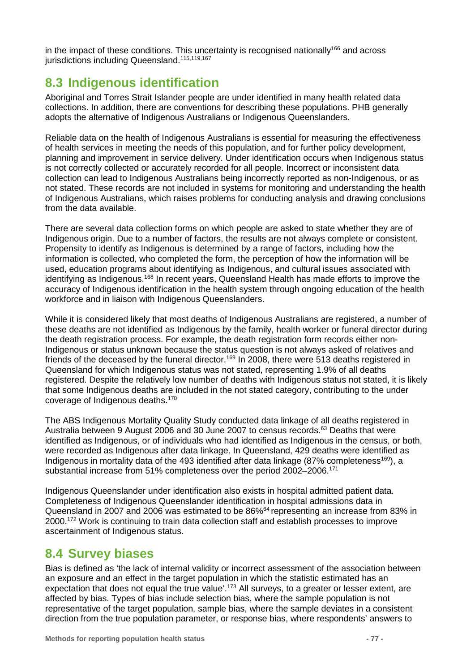in the impact of these conditions. This uncertainty is recognised nationally<sup>166</sup> and across jurisdictions including Queensland.<sup>115,119,167</sup>

## **8.3 Indigenous identification**

Aboriginal and Torres Strait Islander people are under identified in many health related data collections. In addition, there are conventions for describing these populations. PHB generally adopts the alternative of Indigenous Australians or Indigenous Queenslanders.

Reliable data on the health of Indigenous Australians is essential for measuring the effectiveness of health services in meeting the needs of this population, and for further policy development, planning and improvement in service delivery. Under identification occurs when Indigenous status is not correctly collected or accurately recorded for all people. Incorrect or inconsistent data collection can lead to Indigenous Australians being incorrectly reported as non-Indigenous, or as not stated. These records are not included in systems for monitoring and understanding the health of Indigenous Australians, which raises problems for conducting analysis and drawing conclusions from the data available.

There are several data collection forms on which people are asked to state whether they are of Indigenous origin. Due to a number of factors, the results are not always complete or consistent. Propensity to identify as Indigenous is determined by a range of factors, including how the information is collected, who completed the form, the perception of how the information will be used, education programs about identifying as Indigenous, and cultural issues associated with identifying as Indigenous.<sup>168</sup> In recent years, Queensland Health has made efforts to improve the accuracy of Indigenous identification in the health system through ongoing education of the health workforce and in liaison with Indigenous Queenslanders.

While it is considered likely that most deaths of Indigenous Australians are registered, a number of these deaths are not identified as Indigenous by the family, health worker or funeral director during the death registration process. For example, the death registration form records either non-Indigenous or status unknown because the status question is not always asked of relatives and friends of the deceased by the funeral director.<sup>169</sup> In 2008, there were 513 deaths registered in Queensland for which Indigenous status was not stated, representing 1.9% of all deaths registered. Despite the relatively low number of deaths with Indigenous status not stated, it is likely that some Indigenous deaths are included in the not stated category, contributing to the under coverage of Indigenous deaths.170

The ABS Indigenous Mortality Quality Study conducted data linkage of all deaths registered in Australia between 9 August 2006 and 30 June 2007 to census records.<sup>63</sup> Deaths that were identified as Indigenous, or of individuals who had identified as Indigenous in the census, or both, were recorded as Indigenous after data linkage. In Queensland, 429 deaths were identified as Indigenous in mortality data of the 493 identified after data linkage (87% completeness<sup>169</sup>), a substantial increase from 51% completeness over the period 2002–2006.171

Indigenous Queenslander under identification also exists in hospital admitted patient data. Completeness of Indigenous Queenslander identification in hospital admissions data in Queensland in 2007 and 2006 was estimated to be 86%64 representing an increase from 83% in 2000.172 Work is continuing to train data collection staff and establish processes to improve ascertainment of Indigenous status.

## **8.4 Survey biases**

Bias is defined as 'the lack of internal validity or incorrect assessment of the association between an exposure and an effect in the target population in which the statistic estimated has an expectation that does not equal the true value'.<sup>173</sup> All surveys, to a greater or lesser extent, are affected by bias. Types of bias include selection bias, where the sample population is not representative of the target population, sample bias, where the sample deviates in a consistent direction from the true population parameter, or response bias, where respondents' answers to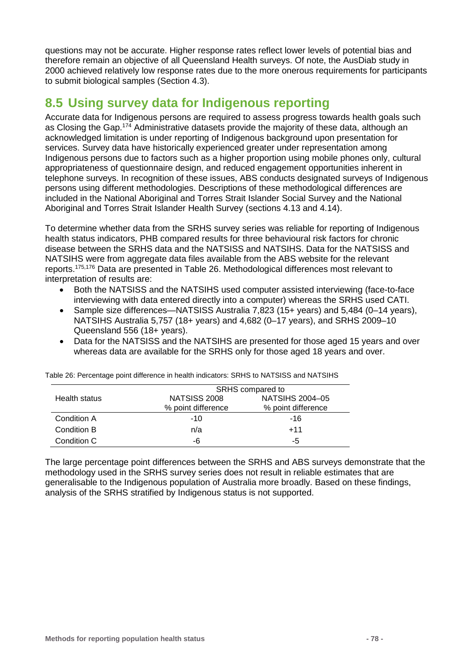questions may not be accurate. Higher response rates reflect lower levels of potential bias and therefore remain an objective of all Queensland Health surveys. Of note, the AusDiab study in 2000 achieved relatively low response rates due to the more onerous requirements for participants to submit biological samples (Section [4.3\)](#page-9-0).

# **8.5 Using survey data for Indigenous reporting**

Accurate data for Indigenous persons are required to assess progress towards health goals such as Closing the Gap.<sup>174</sup> Administrative datasets provide the majority of these data, although an acknowledged limitation is under reporting of Indigenous background upon presentation for services. Survey data have historically experienced greater under representation among Indigenous persons due to factors such as a higher proportion using mobile phones only, cultural appropriateness of questionnaire design, and reduced engagement opportunities inherent in telephone surveys. In recognition of these issues, ABS conducts designated surveys of Indigenous persons using different methodologies. Descriptions of these methodological differences are included in the [National Aboriginal and Torres Strait Islander Social Survey](#page-14-0) and the [National](#page-15-0)  [Aboriginal and Torres Strait Islander Health Survey](#page-15-0) (sections [4.13](#page-14-0) and [4.14\)](#page-15-0).

To determine whether data from the SRHS survey series was reliable for reporting of Indigenous health status indicators, PHB compared results for three behavioural risk factors for chronic disease between the SRHS data and the NATSISS and NATSIHS. Data for the NATSISS and NATSIHS were from aggregate data files available from the ABS website for the relevant reports.175,176 Data are presented in [Table 26.](#page-77-0) Methodological differences most relevant to interpretation of results are:

- Both the NATSISS and the NATSIHS used computer assisted interviewing (face-to-face interviewing with data entered directly into a computer) whereas the SRHS used CATI.
- Sample size differences—NATSISS Australia 7,823 (15+ years) and 5,484 (0–14 years), NATSIHS Australia 5,757 (18+ years) and 4,682 (0–17 years), and SRHS 2009–10 Queensland 556 (18+ years).
- Data for the NATSISS and the NATSIHS are presented for those aged 15 years and over whereas data are available for the SRHS only for those aged 18 years and over.

|               | SRHS compared to    |                    |  |  |  |
|---------------|---------------------|--------------------|--|--|--|
| Health status | <b>NATSISS 2008</b> | NATSIHS 2004-05    |  |  |  |
|               | % point difference  | % point difference |  |  |  |
| Condition A   | $-10$               | -16                |  |  |  |
| Condition B   | n/a                 | $+11$              |  |  |  |
| Condition C   | -6                  | -5                 |  |  |  |

<span id="page-77-0"></span>Table 26: Percentage point difference in health indicators: SRHS to NATSISS and NATSIHS

The large percentage point differences between the SRHS and ABS surveys demonstrate that the methodology used in the SRHS survey series does not result in reliable estimates that are generalisable to the Indigenous population of Australia more broadly. Based on these findings, analysis of the SRHS stratified by Indigenous status is not supported.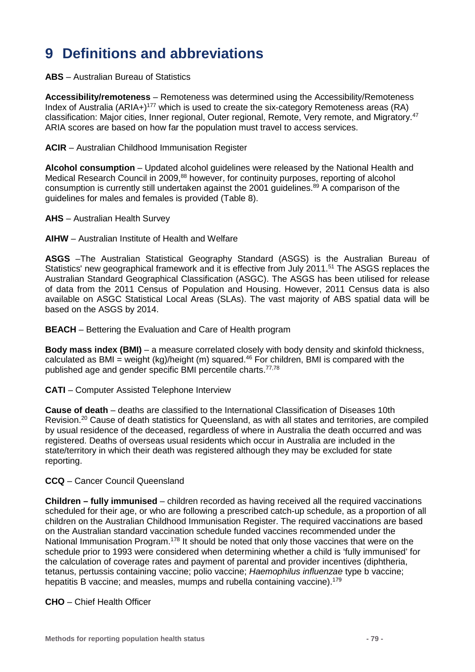# **9 Definitions and abbreviations**

#### **ABS** – Australian Bureau of Statistics

**Accessibility/remoteness** – Remoteness was determined using the Accessibility/Remoteness Index of Australia (ARIA+)<sup>177</sup> which is used to create the six-category Remoteness areas (RA) classification: Major cities, Inner regional, Outer regional, Remote, Very remote, and Migratory.47 ARIA scores are based on how far the population must travel to access services.

#### **ACIR** – Australian Childhood Immunisation Register

**Alcohol consumption** – Updated alcohol guidelines were released by the National Health and Medical Research Council in 2009,<sup>88</sup> however, for continuity purposes, reporting of alcohol consumption is currently still undertaken against the 2001 guidelines.<sup>89</sup> A comparison of the guidelines for males and females is provided [\(Table 8\)](#page-38-0).

#### **AHS** – Australian Health Survey

**AIHW** – Australian Institute of Health and Welfare

**ASGS** –The Australian Statistical Geography Standard (ASGS) is the Australian Bureau of Statistics' new geographical framework and it is effective from July 2011.<sup>51</sup> The ASGS replaces the Australian Standard Geographical Classification (ASGC). The ASGS has been utilised for release of data from the 2011 Census of Population and Housing. However, 2011 Census data is also available on ASGC Statistical Local Areas (SLAs). The vast majority of ABS spatial data will be based on the ASGS by 2014.

**BEACH** – Bettering the Evaluation and Care of Health program

**Body mass index (BMI)** – a measure correlated closely with body density and skinfold thickness, calculated as BMI = weight (kg)/height (m) squared.<sup>46</sup> For children, BMI is compared with the published age and gender specific BMI percentile charts.<sup>77,78</sup>

**CATI** – Computer Assisted Telephone Interview

**Cause of death** – deaths are classified to the International Classification of Diseases 10th Revision.20 Cause of death statistics for Queensland, as with all states and territories, are compiled by usual residence of the deceased, regardless of where in Australia the death occurred and was registered. Deaths of overseas usual residents which occur in Australia are included in the state/territory in which their death was registered although they may be excluded for state reporting.

#### **CCQ** – Cancer Council Queensland

**Children – fully immunised** – children recorded as having received all the required vaccinations scheduled for their age, or who are following a prescribed catch-up schedule, as a proportion of all children on the Australian Childhood Immunisation Register. The required vaccinations are based on the Australian standard vaccination schedule funded vaccines recommended under the National Immunisation Program.<sup>178</sup> It should be noted that only those vaccines that were on the schedule prior to 1993 were considered when determining whether a child is 'fully immunised' for the calculation of coverage rates and payment of parental and provider incentives (diphtheria, tetanus, pertussis containing vaccine; polio vaccine; *Haemophilus influenzae* type b vaccine; hepatitis B vaccine; and measles, mumps and rubella containing vaccine).<sup>179</sup>

#### **CHO** – Chief Health Officer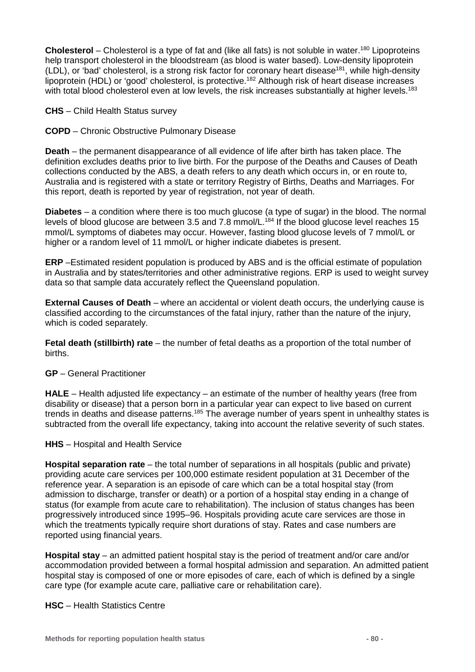**Cholesterol** – Cholesterol is a type of fat and (like all fats) is not soluble in water.<sup>180</sup> Lipoproteins help transport cholesterol in the bloodstream (as blood is water based). Low-density lipoprotein (LDL), or 'bad' cholesterol, is a strong risk factor for coronary heart disease<sup>181</sup>, while high-density lipoprotein (HDL) or 'good' cholesterol, is protective.182 Although risk of heart disease increases with total blood cholesterol even at low levels, the risk increases substantially at higher levels.<sup>183</sup>

**CHS** – Child Health Status survey

**COPD** – Chronic Obstructive Pulmonary Disease

**Death** – the permanent disappearance of all evidence of life after birth has taken place. The definition excludes deaths prior to live birth. For the purpose of the Deaths and Causes of Death collections conducted by the ABS, a death refers to any death which occurs in, or en route to, Australia and is registered with a state or territory Registry of Births, Deaths and Marriages. For this report, death is reported by year of registration, not year of death.

**Diabetes** – a condition where there is too much glucose (a type of sugar) in the blood. The normal levels of blood glucose are between 3.5 and 7.8 mmol/L.<sup>184</sup> If the blood glucose level reaches 15 mmol/L symptoms of diabetes may occur. However, fasting blood glucose levels of 7 mmol/L or higher or a random level of 11 mmol/L or higher indicate diabetes is present.

**ERP** –Estimated resident population is produced by ABS and is the official estimate of population in Australia and by states/territories and other administrative regions. ERP is used to weight survey data so that sample data accurately reflect the Queensland population.

**External Causes of Death** – where an accidental or violent death occurs, the underlying cause is classified according to the circumstances of the fatal injury, rather than the nature of the injury, which is coded separately.

**Fetal death (stillbirth) rate** – the number of fetal deaths as a proportion of the total number of births.

#### **GP** – General Practitioner

**HALE** – Health adjusted life expectancy – an estimate of the number of healthy years (free from disability or disease) that a person born in a particular year can expect to live based on current trends in deaths and disease patterns.<sup>185</sup> The average number of years spent in unhealthy states is subtracted from the overall life expectancy, taking into account the relative severity of such states.

#### **HHS** – Hospital and Health Service

**Hospital separation rate** – the total number of separations in all hospitals (public and private) providing acute care services per 100,000 estimate resident population at 31 December of the reference year. A separation is an episode of care which can be a total hospital stay (from admission to discharge, transfer or death) or a portion of a hospital stay ending in a change of status (for example from acute care to rehabilitation). The inclusion of status changes has been progressively introduced since 1995–96. Hospitals providing acute care services are those in which the treatments typically require short durations of stay. Rates and case numbers are reported using financial years.

**Hospital stay** – an admitted patient hospital stay is the period of treatment and/or care and/or accommodation provided between a formal hospital admission and separation. An admitted patient hospital stay is composed of one or more episodes of care, each of which is defined by a single care type (for example acute care, palliative care or rehabilitation care).

**HSC** – Health Statistics Centre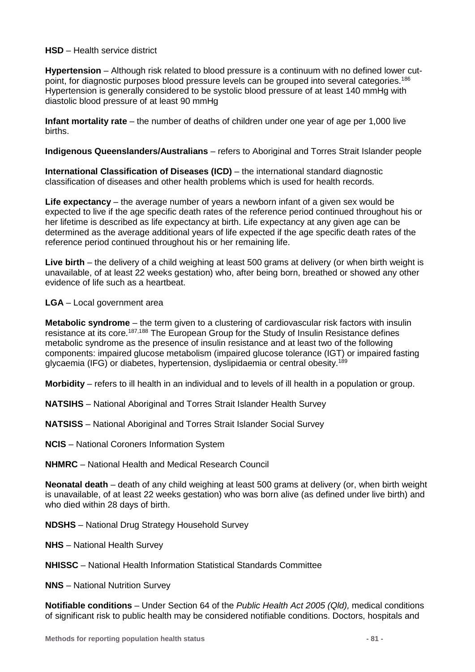#### **HSD** – Health service district

**Hypertension** – Although risk related to blood pressure is a continuum with no defined lower cutpoint, for diagnostic purposes blood pressure levels can be grouped into several categories.186 Hypertension is generally considered to be systolic blood pressure of at least 140 mmHg with diastolic blood pressure of at least 90 mmHg

**Infant mortality rate** – the number of deaths of children under one year of age per 1,000 live births.

**Indigenous Queenslanders/Australians** – refers to Aboriginal and Torres Strait Islander people

**International Classification of Diseases (ICD)** – the international standard diagnostic classification of diseases and other health problems which is used for health records.

**Life expectancy** – the average number of years a newborn infant of a given sex would be expected to live if the age specific death rates of the reference period continued throughout his or her lifetime is described as life expectancy at birth. Life expectancy at any given age can be determined as the average additional years of life expected if the age specific death rates of the reference period continued throughout his or her remaining life.

**Live birth** – the delivery of a child weighing at least 500 grams at delivery (or when birth weight is unavailable, of at least 22 weeks gestation) who, after being born, breathed or showed any other evidence of life such as a heartbeat.

#### **LGA** – Local government area

**Metabolic syndrome** – the term given to a clustering of cardiovascular risk factors with insulin resistance at its core.<sup>187,188</sup> The European Group for the Study of Insulin Resistance defines metabolic syndrome as the presence of insulin resistance and at least two of the following components: impaired glucose metabolism (impaired glucose tolerance (IGT) or impaired fasting glycaemia (IFG) or diabetes, hypertension, dyslipidaemia or central obesity.189

**Morbidity** – refers to ill health in an individual and to levels of ill health in a population or group.

- **NATSIHS** National Aboriginal and Torres Strait Islander Health Survey
- **NATSISS** National Aboriginal and Torres Strait Islander Social Survey
- **NCIS** National Coroners Information System
- **NHMRC** National Health and Medical Research Council

**Neonatal death** – death of any child weighing at least 500 grams at delivery (or, when birth weight is unavailable, of at least 22 weeks gestation) who was born alive (as defined under live birth) and who died within 28 days of birth.

- **NDSHS** National Drug Strategy Household Survey
- **NHS** National Health Survey
- **NHISSC**  National Health Information Statistical Standards Committee
- **NNS** National Nutrition Survey

**Notifiable conditions** – Under Section 64 of the *Public Health Act 2005 (Qld),* medical conditions of significant risk to public health may be considered notifiable conditions. Doctors, hospitals and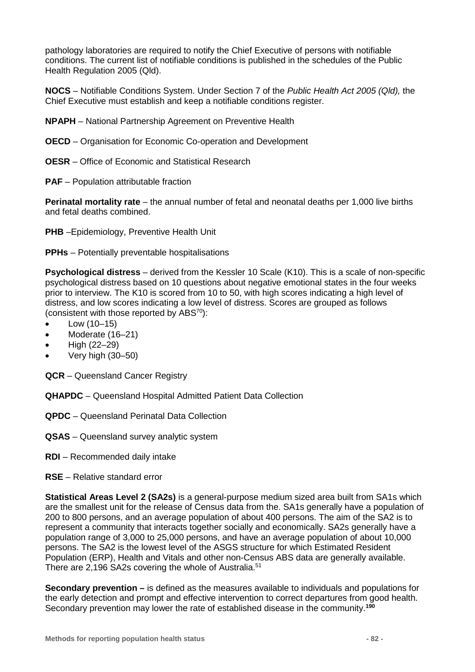pathology laboratories are required to notify the Chief Executive of persons with notifiable conditions. The current list of notifiable conditions is published in the schedules of the Public Health Regulation 2005 (Qld).

**NOCS** – Notifiable Conditions System. Under Section 7 of the *Public Health Act 2005 (Qld),* the Chief Executive must establish and keep a notifiable conditions register.

**NPAPH** – National Partnership Agreement on Preventive Health

- **OECD** Organisation for Economic Co-operation and Development
- **OESR** Office of Economic and Statistical Research
- **PAF** Population attributable fraction

**Perinatal mortality rate** – the annual number of fetal and neonatal deaths per 1,000 live births and fetal deaths combined.

**PHB** –Epidemiology, Preventive Health Unit

**PPHs** – Potentially preventable hospitalisations

**Psychological distress** – derived from the Kessler 10 Scale (K10). This is a scale of non-specific psychological distress based on 10 questions about negative emotional states in the four weeks prior to interview. The K10 is scored from 10 to 50, with high scores indicating a high level of distress, and low scores indicating a low level of distress. Scores are grouped as follows (consistent with those reported by ABS70):

- Low  $(10-15)$
- Moderate (16-21)
- High (22–29)
- Very high (30–50)
- **QCR** Queensland Cancer Registry
- **QHAPDC** Queensland Hospital Admitted Patient Data Collection
- **QPDC** Queensland Perinatal Data Collection
- **QSAS** Queensland survey analytic system
- **RDI**  Recommended daily intake
- **RSE** Relative standard error

**Statistical Areas Level 2 (SA2s)** is a general-purpose medium sized area built from SA1s which are the smallest unit for the release of Census data from the. SA1s generally have a population of 200 to 800 persons, and an average population of about 400 persons. The aim of the SA2 is to represent a community that interacts together socially and economically. SA2s generally have a population range of 3,000 to 25,000 persons, and have an average population of about 10,000 persons. The SA2 is the lowest level of the ASGS structure for which Estimated Resident Population (ERP), Health and Vitals and other non-Census ABS data are generally available. There are 2,196 SA2s covering the whole of Australia.<sup>51</sup>

**Secondary prevention –** is defined as the measures available to individuals and populations for the early detection and prompt and effective intervention to correct departures from good health. Secondary prevention may lower the rate of established disease in the community.**190**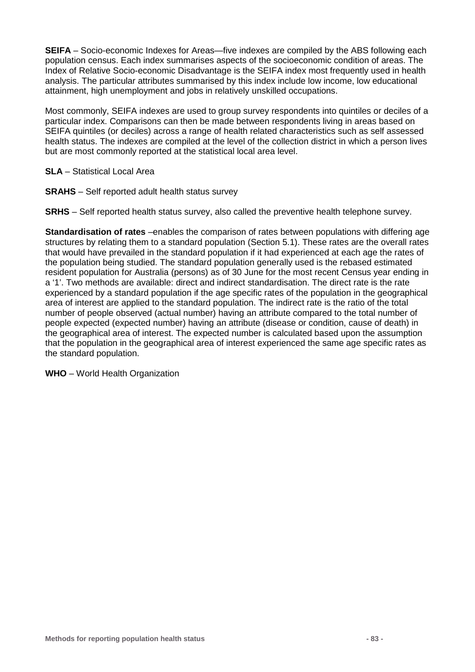**SEIFA** – Socio-economic Indexes for Areas—five indexes are compiled by the ABS following each population census. Each index summarises aspects of the socioeconomic condition of areas. The Index of Relative Socio-economic Disadvantage is the SEIFA index most frequently used in health analysis. The particular attributes summarised by this index include low income, low educational attainment, high unemployment and jobs in relatively unskilled occupations.

Most commonly, SEIFA indexes are used to group survey respondents into quintiles or deciles of a particular index. Comparisons can then be made between respondents living in areas based on SEIFA quintiles (or deciles) across a range of health related characteristics such as self assessed health status. The indexes are compiled at the level of the collection district in which a person lives but are most commonly reported at the statistical local area level.

**SLA** – Statistical Local Area

**SRAHS** – Self reported adult health status survey

**SRHS** – Self reported health status survey, also called the preventive health telephone survey.

**Standardisation of rates** –enables the comparison of rates between populations with differing age structures by relating them to a standard population (Section [5.1\)](#page-20-0). These rates are the overall rates that would have prevailed in the standard population if it had experienced at each age the rates of the population being studied. The standard population generally used is the rebased estimated resident population for Australia (persons) as of 30 June for the most recent Census year ending in a '1'. Two methods are available: direct and indirect standardisation. The direct rate is the rate experienced by a standard population if the age specific rates of the population in the geographical area of interest are applied to the standard population. The indirect rate is the ratio of the total number of people observed (actual number) having an attribute compared to the total number of people expected (expected number) having an attribute (disease or condition, cause of death) in the geographical area of interest. The expected number is calculated based upon the assumption that the population in the geographical area of interest experienced the same age specific rates as the standard population.

**WHO** – World Health Organization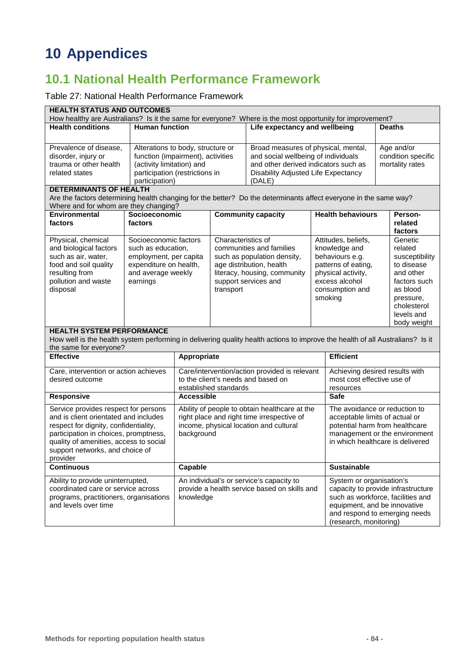# **10 Appendices**

# **10.1 National Health Performance Framework**

### Table 27: National Health Performance Framework

| <b>HEALTH STATUS AND OUTCOMES</b><br>How healthy are Australians? Is it the same for everyone? Where is the most opportunity for improvement?             |                                                                        |                                                             |                    |                                                                            |                                                                   |                                      |               |                                  |
|-----------------------------------------------------------------------------------------------------------------------------------------------------------|------------------------------------------------------------------------|-------------------------------------------------------------|--------------------|----------------------------------------------------------------------------|-------------------------------------------------------------------|--------------------------------------|---------------|----------------------------------|
| <b>Human function</b><br><b>Health conditions</b>                                                                                                         |                                                                        |                                                             |                    | Life expectancy and wellbeing                                              |                                                                   |                                      | <b>Deaths</b> |                                  |
|                                                                                                                                                           |                                                                        |                                                             |                    |                                                                            |                                                                   |                                      |               |                                  |
| Prevalence of disease,<br>disorder, injury or                                                                                                             | Alterations to body, structure or<br>function (impairment), activities |                                                             |                    | Broad measures of physical, mental,<br>and social wellbeing of individuals |                                                                   |                                      |               | Age and/or<br>condition specific |
| trauma or other health                                                                                                                                    | (activity limitation) and                                              |                                                             |                    | and other derived indicators such as                                       |                                                                   |                                      |               | mortality rates                  |
| related states                                                                                                                                            | participation (restrictions in                                         |                                                             |                    | Disability Adjusted Life Expectancy                                        |                                                                   |                                      |               |                                  |
|                                                                                                                                                           | participation)                                                         |                                                             |                    | (DALE)                                                                     |                                                                   |                                      |               |                                  |
| <b>DETERMINANTS OF HEALTH</b>                                                                                                                             |                                                                        |                                                             |                    |                                                                            |                                                                   |                                      |               |                                  |
| Are the factors determining health changing for the better? Do the determinants affect everyone in the same way?<br>Where and for whom are they changing? |                                                                        |                                                             |                    |                                                                            |                                                                   |                                      |               |                                  |
| Environmental                                                                                                                                             | Socioeconomic                                                          |                                                             |                    | <b>Community capacity</b>                                                  |                                                                   | <b>Health behaviours</b>             |               | Person-                          |
| factors                                                                                                                                                   | factors                                                                |                                                             |                    |                                                                            |                                                                   |                                      |               | related<br>factors               |
| Physical, chemical                                                                                                                                        | Socioeconomic factors                                                  |                                                             | Characteristics of |                                                                            |                                                                   | Attitudes, beliefs,                  |               | Genetic                          |
| and biological factors                                                                                                                                    | such as education,                                                     |                                                             |                    | communities and families                                                   |                                                                   | knowledge and                        |               | related                          |
| such as air, water,                                                                                                                                       | employment, per capita                                                 |                                                             |                    | such as population density,                                                |                                                                   | behaviours e.g.                      |               | susceptibility                   |
| food and soil quality                                                                                                                                     | expenditure on health,                                                 |                                                             |                    | age distribution, health                                                   |                                                                   | patterns of eating,                  |               | to disease<br>and other          |
| resulting from<br>pollution and waste                                                                                                                     | and average weekly<br>earnings                                         |                                                             |                    | literacy, housing, community<br>support services and                       |                                                                   | physical activity,<br>excess alcohol |               | factors such                     |
| disposal                                                                                                                                                  |                                                                        |                                                             | transport          |                                                                            |                                                                   | consumption and                      |               | as blood                         |
|                                                                                                                                                           |                                                                        |                                                             |                    |                                                                            |                                                                   | smoking                              |               | pressure,                        |
|                                                                                                                                                           |                                                                        |                                                             |                    |                                                                            |                                                                   |                                      |               | cholesterol                      |
|                                                                                                                                                           |                                                                        |                                                             |                    |                                                                            |                                                                   |                                      |               | levels and                       |
| <b>HEALTH SYSTEM PERFORMANCE</b>                                                                                                                          |                                                                        |                                                             |                    |                                                                            |                                                                   |                                      |               | body weight                      |
| How well is the health system performing in delivering quality health actions to improve the health of all Australians? Is it                             |                                                                        |                                                             |                    |                                                                            |                                                                   |                                      |               |                                  |
| the same for everyone?                                                                                                                                    |                                                                        |                                                             |                    |                                                                            |                                                                   |                                      |               |                                  |
| <b>Effective</b>                                                                                                                                          |                                                                        | Appropriate                                                 |                    |                                                                            | <b>Efficient</b>                                                  |                                      |               |                                  |
| Care, intervention or action achieves                                                                                                                     |                                                                        | Care/intervention/action provided is relevant               |                    |                                                                            | Achieving desired results with                                    |                                      |               |                                  |
| desired outcome                                                                                                                                           |                                                                        | to the client's needs and based on<br>established standards |                    |                                                                            | most cost effective use of<br>resources                           |                                      |               |                                  |
| Responsive                                                                                                                                                |                                                                        | <b>Accessible</b>                                           |                    |                                                                            | <b>Safe</b>                                                       |                                      |               |                                  |
| Service provides respect for persons                                                                                                                      |                                                                        | Ability of people to obtain healthcare at the               |                    |                                                                            | The avoidance or reduction to                                     |                                      |               |                                  |
| and is client orientated and includes                                                                                                                     |                                                                        |                                                             |                    | right place and right time irrespective of                                 |                                                                   | acceptable limits of actual or       |               |                                  |
| respect for dignity, confidentiality,                                                                                                                     |                                                                        | income, physical location and cultural                      |                    |                                                                            | potential harm from healthcare                                    |                                      |               |                                  |
| participation in choices, promptness,                                                                                                                     |                                                                        | background                                                  |                    |                                                                            | management or the environment<br>in which healthcare is delivered |                                      |               |                                  |
| quality of amenities, access to social<br>support networks, and choice of                                                                                 |                                                                        |                                                             |                    |                                                                            |                                                                   |                                      |               |                                  |
| provider                                                                                                                                                  |                                                                        |                                                             |                    |                                                                            |                                                                   |                                      |               |                                  |
| Continuous                                                                                                                                                | Capable                                                                |                                                             |                    | Sustainable                                                                |                                                                   |                                      |               |                                  |
| Ability to provide uninterrupted,                                                                                                                         | An individual's or service's capacity to                               |                                                             |                    | System or organisation's                                                   |                                                                   |                                      |               |                                  |
| coordinated care or service across                                                                                                                        | provide a health service based on skills and                           |                                                             |                    | capacity to provide infrastructure                                         |                                                                   |                                      |               |                                  |
| programs, practitioners, organisations                                                                                                                    | knowledge                                                              |                                                             |                    | such as workforce, facilities and<br>equipment, and be innovative          |                                                                   |                                      |               |                                  |
| and levels over time                                                                                                                                      |                                                                        |                                                             |                    | and respond to emerging needs                                              |                                                                   |                                      |               |                                  |
|                                                                                                                                                           |                                                                        |                                                             |                    |                                                                            | (research, monitoring)                                            |                                      |               |                                  |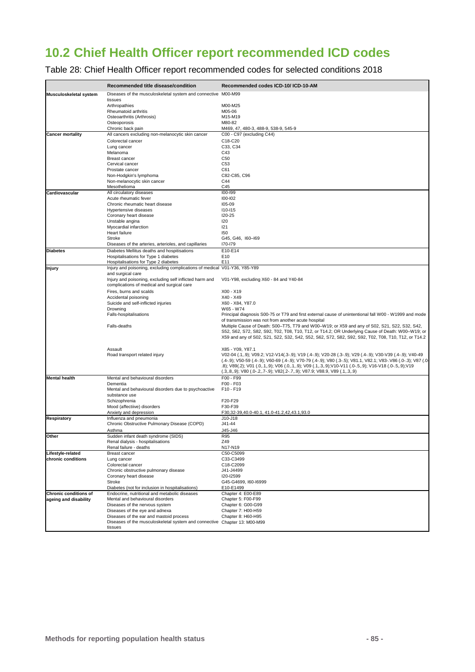# **10.2 Chief Health Officer report recommended ICD codes**

Table 28: Chief Health Officer report recommended codes for selected conditions 2018

| Diseases of the musculoskeletal system and connective M00-M99<br>tissues<br>Arthropathies<br>M00-M25<br>M05-06<br>Rheumatoid arthritis<br>Osteoarthritis (Arthrosis)<br>M15-M19<br>Osteoporosis<br>M80-82<br>Chronic back pain<br>M469, 47, 480-3, 488-9, 538-9, 545-9<br><b>Cancer mortality</b><br>All cancers excluding non-melanocytic skin cancer<br>C00 - C97 (excluding C44)<br>C18-C20<br>Colorectal cancer<br>C33, C34<br>Lung cancer<br>C43<br>Melanoma<br>C50<br><b>Breast cancer</b><br>C53<br>Cervical cancer<br>C61<br>Prostate cancer<br>C82-C85, C96<br>Non-Hodgkin's lymphoma<br>Non-melanocytic skin cancer<br>C44<br>C45<br>Mesothelioma<br>All circulatory diseases<br>100-199<br>Cardiovascular<br>100-102<br>Acute rheumatic fever<br>105-09<br>Chronic rheumatic heart disease<br>Hypertensive diseases<br>$110 - 115$<br>120-25<br>Coronary heart disease<br>Unstable angina<br>120<br>Myocardial infarction<br>121<br>Heart failure<br>150<br>Stroke<br>G45, G46, I60-I69<br>Diseases of the arteries, arterioles, and capillaries<br>170-179<br>Diabetes Mellitus deaths and hospitisations<br>E10-E14<br><b>Diabetes</b><br>E10<br>Hospitalisations for Type 1 diabetes<br>E11<br>Hospitalisations for Type 2 diabetes<br>Injury and poisoning, excluding complications of medical V01-Y36, Y85-Y89<br>and surgical care<br>Injury and poisoning, excluding self inflicted harm and<br>V01-Y98, excluding X60 - 84 and Y40-84<br>complications of medical and surgical care<br>Fires, burns and scalds<br>X00 - X19<br>X40 - X49<br>Accidental poisoning<br>Suicide and self-inflicted injuries<br>X60 - X84, Y87.0<br>W65 - W74<br>Drowning<br>Falls-hospitalisations<br>Principal diagnosis S00-75 or T79 and first external cause of unintentional fall W00 - W1999 and mode<br>of transmission was not from another acute hospital<br>Multiple Cause of Death: S00-T75, T79 and W00-W19; or X59 and any of S02, S21, S22, S32, S42,<br>Falls-deaths<br>S52, S62, S72, S82, S92, T02, T08, T10, T12, or T14.2; OR Underlying Cause of Death: W00-W19; or<br>X59 and any of S02, S21, S22, S32, S42, S52, S62, S72, S82, S92, S92, T02, T08, T10, T12, or T14.2<br>X85 - Y09, Y87.1<br>Assault<br>V02-04 (.1,.9); V09.2; V12-V14(.3-.9); V19 (.4-.9); V20-28 (.3-.9); V29 (.4-.9); V30-V39 (.4-.9); V40-49<br>Road transport related injury<br>(.4-.9); V50-59 (.4-.9); V60-69 (.4-.9); V70-79 (.4-.9); V80 (.3-.5); V81.1, V82.1; V83-.V86 (.0-.3); V87 (.0-<br>.8); V89(.2); V01 (.0,.1,.9); V06 (.0,.1,.9); V09 (.1,.3,.9); V10-V11 (.0-.5,.9); V16-V18 (.0-.5,.9); V19<br>$(.3,.8,.9)$ ; V80 $(.0-.2,.7-.9)$ ; V82 $(.2-.7,.9)$ ; V87.9; V88.9, V89 $(.1,.3,.9)$<br><b>Mental health</b><br>Mental and behavioural disorders<br>F00 - F99<br>F00 - F03<br>Dementia<br>F10 - F19<br>Mental and behavioural disorders due to psychoactive<br>substance use<br>Schizophrenia<br>F20-F29<br>F30-F39<br>Mood (affectiive) disorders<br>Anxiety and depression<br>F30,32-39,40.0-40.1, 41.0-41.2,42,43.1,93.0<br>Respiratory<br>Influenza and pneumonia<br>$J10-J18$<br>Chronic Obstructive Pulmonary Disease (COPD)<br>J41-44<br>Asthma<br>J45-J46<br>Other<br>R95<br>Sudden infant death syndrome (SIDS)<br>Z49<br>Renal dialysis - hospitalisations<br>Renal failure - deaths<br>N17-N19<br>C50-C5099<br>Lifestyle-related<br>Breast cancer<br>chronic conditions<br>Lung cancer<br>C33-C3499<br>Colorectal cancer<br>C18-C2099<br>Chronic obstructive pulmonary disease<br>J41-J4499<br>Coronary heart disease<br>I20-I2599<br>Stroke<br>G45-G4699, I60-I6999 |                        | Recommended title disease/condition | Recommended codes ICD-10/ ICD-10-AM |
|----------------------------------------------------------------------------------------------------------------------------------------------------------------------------------------------------------------------------------------------------------------------------------------------------------------------------------------------------------------------------------------------------------------------------------------------------------------------------------------------------------------------------------------------------------------------------------------------------------------------------------------------------------------------------------------------------------------------------------------------------------------------------------------------------------------------------------------------------------------------------------------------------------------------------------------------------------------------------------------------------------------------------------------------------------------------------------------------------------------------------------------------------------------------------------------------------------------------------------------------------------------------------------------------------------------------------------------------------------------------------------------------------------------------------------------------------------------------------------------------------------------------------------------------------------------------------------------------------------------------------------------------------------------------------------------------------------------------------------------------------------------------------------------------------------------------------------------------------------------------------------------------------------------------------------------------------------------------------------------------------------------------------------------------------------------------------------------------------------------------------------------------------------------------------------------------------------------------------------------------------------------------------------------------------------------------------------------------------------------------------------------------------------------------------------------------------------------------------------------------------------------------------------------------------------------------------------------------------------------------------------------------------------------------------------------------------------------------------------------------------------------------------------------------------------------------------------------------------------------------------------------------------------------------------------------------------------------------------------------------------------------------------------------------------------------------------------------------------------------------------------------------------------------------------------------------------------------------------------------------------------------------------------------------------------------------------------------------------------------------------------------------------------------------------------------------------------------------------------------------------------------------------------------------------------------------------------------------|------------------------|-------------------------------------|-------------------------------------|
|                                                                                                                                                                                                                                                                                                                                                                                                                                                                                                                                                                                                                                                                                                                                                                                                                                                                                                                                                                                                                                                                                                                                                                                                                                                                                                                                                                                                                                                                                                                                                                                                                                                                                                                                                                                                                                                                                                                                                                                                                                                                                                                                                                                                                                                                                                                                                                                                                                                                                                                                                                                                                                                                                                                                                                                                                                                                                                                                                                                                                                                                                                                                                                                                                                                                                                                                                                                                                                                                                                                                                                                              | Musculoskeletal system |                                     |                                     |
|                                                                                                                                                                                                                                                                                                                                                                                                                                                                                                                                                                                                                                                                                                                                                                                                                                                                                                                                                                                                                                                                                                                                                                                                                                                                                                                                                                                                                                                                                                                                                                                                                                                                                                                                                                                                                                                                                                                                                                                                                                                                                                                                                                                                                                                                                                                                                                                                                                                                                                                                                                                                                                                                                                                                                                                                                                                                                                                                                                                                                                                                                                                                                                                                                                                                                                                                                                                                                                                                                                                                                                                              |                        |                                     |                                     |
|                                                                                                                                                                                                                                                                                                                                                                                                                                                                                                                                                                                                                                                                                                                                                                                                                                                                                                                                                                                                                                                                                                                                                                                                                                                                                                                                                                                                                                                                                                                                                                                                                                                                                                                                                                                                                                                                                                                                                                                                                                                                                                                                                                                                                                                                                                                                                                                                                                                                                                                                                                                                                                                                                                                                                                                                                                                                                                                                                                                                                                                                                                                                                                                                                                                                                                                                                                                                                                                                                                                                                                                              |                        |                                     |                                     |
|                                                                                                                                                                                                                                                                                                                                                                                                                                                                                                                                                                                                                                                                                                                                                                                                                                                                                                                                                                                                                                                                                                                                                                                                                                                                                                                                                                                                                                                                                                                                                                                                                                                                                                                                                                                                                                                                                                                                                                                                                                                                                                                                                                                                                                                                                                                                                                                                                                                                                                                                                                                                                                                                                                                                                                                                                                                                                                                                                                                                                                                                                                                                                                                                                                                                                                                                                                                                                                                                                                                                                                                              |                        |                                     |                                     |
|                                                                                                                                                                                                                                                                                                                                                                                                                                                                                                                                                                                                                                                                                                                                                                                                                                                                                                                                                                                                                                                                                                                                                                                                                                                                                                                                                                                                                                                                                                                                                                                                                                                                                                                                                                                                                                                                                                                                                                                                                                                                                                                                                                                                                                                                                                                                                                                                                                                                                                                                                                                                                                                                                                                                                                                                                                                                                                                                                                                                                                                                                                                                                                                                                                                                                                                                                                                                                                                                                                                                                                                              |                        |                                     |                                     |
|                                                                                                                                                                                                                                                                                                                                                                                                                                                                                                                                                                                                                                                                                                                                                                                                                                                                                                                                                                                                                                                                                                                                                                                                                                                                                                                                                                                                                                                                                                                                                                                                                                                                                                                                                                                                                                                                                                                                                                                                                                                                                                                                                                                                                                                                                                                                                                                                                                                                                                                                                                                                                                                                                                                                                                                                                                                                                                                                                                                                                                                                                                                                                                                                                                                                                                                                                                                                                                                                                                                                                                                              |                        |                                     |                                     |
|                                                                                                                                                                                                                                                                                                                                                                                                                                                                                                                                                                                                                                                                                                                                                                                                                                                                                                                                                                                                                                                                                                                                                                                                                                                                                                                                                                                                                                                                                                                                                                                                                                                                                                                                                                                                                                                                                                                                                                                                                                                                                                                                                                                                                                                                                                                                                                                                                                                                                                                                                                                                                                                                                                                                                                                                                                                                                                                                                                                                                                                                                                                                                                                                                                                                                                                                                                                                                                                                                                                                                                                              |                        |                                     |                                     |
|                                                                                                                                                                                                                                                                                                                                                                                                                                                                                                                                                                                                                                                                                                                                                                                                                                                                                                                                                                                                                                                                                                                                                                                                                                                                                                                                                                                                                                                                                                                                                                                                                                                                                                                                                                                                                                                                                                                                                                                                                                                                                                                                                                                                                                                                                                                                                                                                                                                                                                                                                                                                                                                                                                                                                                                                                                                                                                                                                                                                                                                                                                                                                                                                                                                                                                                                                                                                                                                                                                                                                                                              |                        |                                     |                                     |
|                                                                                                                                                                                                                                                                                                                                                                                                                                                                                                                                                                                                                                                                                                                                                                                                                                                                                                                                                                                                                                                                                                                                                                                                                                                                                                                                                                                                                                                                                                                                                                                                                                                                                                                                                                                                                                                                                                                                                                                                                                                                                                                                                                                                                                                                                                                                                                                                                                                                                                                                                                                                                                                                                                                                                                                                                                                                                                                                                                                                                                                                                                                                                                                                                                                                                                                                                                                                                                                                                                                                                                                              |                        |                                     |                                     |
|                                                                                                                                                                                                                                                                                                                                                                                                                                                                                                                                                                                                                                                                                                                                                                                                                                                                                                                                                                                                                                                                                                                                                                                                                                                                                                                                                                                                                                                                                                                                                                                                                                                                                                                                                                                                                                                                                                                                                                                                                                                                                                                                                                                                                                                                                                                                                                                                                                                                                                                                                                                                                                                                                                                                                                                                                                                                                                                                                                                                                                                                                                                                                                                                                                                                                                                                                                                                                                                                                                                                                                                              |                        |                                     |                                     |
|                                                                                                                                                                                                                                                                                                                                                                                                                                                                                                                                                                                                                                                                                                                                                                                                                                                                                                                                                                                                                                                                                                                                                                                                                                                                                                                                                                                                                                                                                                                                                                                                                                                                                                                                                                                                                                                                                                                                                                                                                                                                                                                                                                                                                                                                                                                                                                                                                                                                                                                                                                                                                                                                                                                                                                                                                                                                                                                                                                                                                                                                                                                                                                                                                                                                                                                                                                                                                                                                                                                                                                                              |                        |                                     |                                     |
|                                                                                                                                                                                                                                                                                                                                                                                                                                                                                                                                                                                                                                                                                                                                                                                                                                                                                                                                                                                                                                                                                                                                                                                                                                                                                                                                                                                                                                                                                                                                                                                                                                                                                                                                                                                                                                                                                                                                                                                                                                                                                                                                                                                                                                                                                                                                                                                                                                                                                                                                                                                                                                                                                                                                                                                                                                                                                                                                                                                                                                                                                                                                                                                                                                                                                                                                                                                                                                                                                                                                                                                              |                        |                                     |                                     |
|                                                                                                                                                                                                                                                                                                                                                                                                                                                                                                                                                                                                                                                                                                                                                                                                                                                                                                                                                                                                                                                                                                                                                                                                                                                                                                                                                                                                                                                                                                                                                                                                                                                                                                                                                                                                                                                                                                                                                                                                                                                                                                                                                                                                                                                                                                                                                                                                                                                                                                                                                                                                                                                                                                                                                                                                                                                                                                                                                                                                                                                                                                                                                                                                                                                                                                                                                                                                                                                                                                                                                                                              |                        |                                     |                                     |
|                                                                                                                                                                                                                                                                                                                                                                                                                                                                                                                                                                                                                                                                                                                                                                                                                                                                                                                                                                                                                                                                                                                                                                                                                                                                                                                                                                                                                                                                                                                                                                                                                                                                                                                                                                                                                                                                                                                                                                                                                                                                                                                                                                                                                                                                                                                                                                                                                                                                                                                                                                                                                                                                                                                                                                                                                                                                                                                                                                                                                                                                                                                                                                                                                                                                                                                                                                                                                                                                                                                                                                                              |                        |                                     |                                     |
|                                                                                                                                                                                                                                                                                                                                                                                                                                                                                                                                                                                                                                                                                                                                                                                                                                                                                                                                                                                                                                                                                                                                                                                                                                                                                                                                                                                                                                                                                                                                                                                                                                                                                                                                                                                                                                                                                                                                                                                                                                                                                                                                                                                                                                                                                                                                                                                                                                                                                                                                                                                                                                                                                                                                                                                                                                                                                                                                                                                                                                                                                                                                                                                                                                                                                                                                                                                                                                                                                                                                                                                              |                        |                                     |                                     |
|                                                                                                                                                                                                                                                                                                                                                                                                                                                                                                                                                                                                                                                                                                                                                                                                                                                                                                                                                                                                                                                                                                                                                                                                                                                                                                                                                                                                                                                                                                                                                                                                                                                                                                                                                                                                                                                                                                                                                                                                                                                                                                                                                                                                                                                                                                                                                                                                                                                                                                                                                                                                                                                                                                                                                                                                                                                                                                                                                                                                                                                                                                                                                                                                                                                                                                                                                                                                                                                                                                                                                                                              |                        |                                     |                                     |
|                                                                                                                                                                                                                                                                                                                                                                                                                                                                                                                                                                                                                                                                                                                                                                                                                                                                                                                                                                                                                                                                                                                                                                                                                                                                                                                                                                                                                                                                                                                                                                                                                                                                                                                                                                                                                                                                                                                                                                                                                                                                                                                                                                                                                                                                                                                                                                                                                                                                                                                                                                                                                                                                                                                                                                                                                                                                                                                                                                                                                                                                                                                                                                                                                                                                                                                                                                                                                                                                                                                                                                                              |                        |                                     |                                     |
|                                                                                                                                                                                                                                                                                                                                                                                                                                                                                                                                                                                                                                                                                                                                                                                                                                                                                                                                                                                                                                                                                                                                                                                                                                                                                                                                                                                                                                                                                                                                                                                                                                                                                                                                                                                                                                                                                                                                                                                                                                                                                                                                                                                                                                                                                                                                                                                                                                                                                                                                                                                                                                                                                                                                                                                                                                                                                                                                                                                                                                                                                                                                                                                                                                                                                                                                                                                                                                                                                                                                                                                              |                        |                                     |                                     |
|                                                                                                                                                                                                                                                                                                                                                                                                                                                                                                                                                                                                                                                                                                                                                                                                                                                                                                                                                                                                                                                                                                                                                                                                                                                                                                                                                                                                                                                                                                                                                                                                                                                                                                                                                                                                                                                                                                                                                                                                                                                                                                                                                                                                                                                                                                                                                                                                                                                                                                                                                                                                                                                                                                                                                                                                                                                                                                                                                                                                                                                                                                                                                                                                                                                                                                                                                                                                                                                                                                                                                                                              |                        |                                     |                                     |
|                                                                                                                                                                                                                                                                                                                                                                                                                                                                                                                                                                                                                                                                                                                                                                                                                                                                                                                                                                                                                                                                                                                                                                                                                                                                                                                                                                                                                                                                                                                                                                                                                                                                                                                                                                                                                                                                                                                                                                                                                                                                                                                                                                                                                                                                                                                                                                                                                                                                                                                                                                                                                                                                                                                                                                                                                                                                                                                                                                                                                                                                                                                                                                                                                                                                                                                                                                                                                                                                                                                                                                                              |                        |                                     |                                     |
|                                                                                                                                                                                                                                                                                                                                                                                                                                                                                                                                                                                                                                                                                                                                                                                                                                                                                                                                                                                                                                                                                                                                                                                                                                                                                                                                                                                                                                                                                                                                                                                                                                                                                                                                                                                                                                                                                                                                                                                                                                                                                                                                                                                                                                                                                                                                                                                                                                                                                                                                                                                                                                                                                                                                                                                                                                                                                                                                                                                                                                                                                                                                                                                                                                                                                                                                                                                                                                                                                                                                                                                              |                        |                                     |                                     |
|                                                                                                                                                                                                                                                                                                                                                                                                                                                                                                                                                                                                                                                                                                                                                                                                                                                                                                                                                                                                                                                                                                                                                                                                                                                                                                                                                                                                                                                                                                                                                                                                                                                                                                                                                                                                                                                                                                                                                                                                                                                                                                                                                                                                                                                                                                                                                                                                                                                                                                                                                                                                                                                                                                                                                                                                                                                                                                                                                                                                                                                                                                                                                                                                                                                                                                                                                                                                                                                                                                                                                                                              |                        |                                     |                                     |
|                                                                                                                                                                                                                                                                                                                                                                                                                                                                                                                                                                                                                                                                                                                                                                                                                                                                                                                                                                                                                                                                                                                                                                                                                                                                                                                                                                                                                                                                                                                                                                                                                                                                                                                                                                                                                                                                                                                                                                                                                                                                                                                                                                                                                                                                                                                                                                                                                                                                                                                                                                                                                                                                                                                                                                                                                                                                                                                                                                                                                                                                                                                                                                                                                                                                                                                                                                                                                                                                                                                                                                                              |                        |                                     |                                     |
|                                                                                                                                                                                                                                                                                                                                                                                                                                                                                                                                                                                                                                                                                                                                                                                                                                                                                                                                                                                                                                                                                                                                                                                                                                                                                                                                                                                                                                                                                                                                                                                                                                                                                                                                                                                                                                                                                                                                                                                                                                                                                                                                                                                                                                                                                                                                                                                                                                                                                                                                                                                                                                                                                                                                                                                                                                                                                                                                                                                                                                                                                                                                                                                                                                                                                                                                                                                                                                                                                                                                                                                              |                        |                                     |                                     |
|                                                                                                                                                                                                                                                                                                                                                                                                                                                                                                                                                                                                                                                                                                                                                                                                                                                                                                                                                                                                                                                                                                                                                                                                                                                                                                                                                                                                                                                                                                                                                                                                                                                                                                                                                                                                                                                                                                                                                                                                                                                                                                                                                                                                                                                                                                                                                                                                                                                                                                                                                                                                                                                                                                                                                                                                                                                                                                                                                                                                                                                                                                                                                                                                                                                                                                                                                                                                                                                                                                                                                                                              | Injury                 |                                     |                                     |
|                                                                                                                                                                                                                                                                                                                                                                                                                                                                                                                                                                                                                                                                                                                                                                                                                                                                                                                                                                                                                                                                                                                                                                                                                                                                                                                                                                                                                                                                                                                                                                                                                                                                                                                                                                                                                                                                                                                                                                                                                                                                                                                                                                                                                                                                                                                                                                                                                                                                                                                                                                                                                                                                                                                                                                                                                                                                                                                                                                                                                                                                                                                                                                                                                                                                                                                                                                                                                                                                                                                                                                                              |                        |                                     |                                     |
|                                                                                                                                                                                                                                                                                                                                                                                                                                                                                                                                                                                                                                                                                                                                                                                                                                                                                                                                                                                                                                                                                                                                                                                                                                                                                                                                                                                                                                                                                                                                                                                                                                                                                                                                                                                                                                                                                                                                                                                                                                                                                                                                                                                                                                                                                                                                                                                                                                                                                                                                                                                                                                                                                                                                                                                                                                                                                                                                                                                                                                                                                                                                                                                                                                                                                                                                                                                                                                                                                                                                                                                              |                        |                                     |                                     |
|                                                                                                                                                                                                                                                                                                                                                                                                                                                                                                                                                                                                                                                                                                                                                                                                                                                                                                                                                                                                                                                                                                                                                                                                                                                                                                                                                                                                                                                                                                                                                                                                                                                                                                                                                                                                                                                                                                                                                                                                                                                                                                                                                                                                                                                                                                                                                                                                                                                                                                                                                                                                                                                                                                                                                                                                                                                                                                                                                                                                                                                                                                                                                                                                                                                                                                                                                                                                                                                                                                                                                                                              |                        |                                     |                                     |
|                                                                                                                                                                                                                                                                                                                                                                                                                                                                                                                                                                                                                                                                                                                                                                                                                                                                                                                                                                                                                                                                                                                                                                                                                                                                                                                                                                                                                                                                                                                                                                                                                                                                                                                                                                                                                                                                                                                                                                                                                                                                                                                                                                                                                                                                                                                                                                                                                                                                                                                                                                                                                                                                                                                                                                                                                                                                                                                                                                                                                                                                                                                                                                                                                                                                                                                                                                                                                                                                                                                                                                                              |                        |                                     |                                     |
|                                                                                                                                                                                                                                                                                                                                                                                                                                                                                                                                                                                                                                                                                                                                                                                                                                                                                                                                                                                                                                                                                                                                                                                                                                                                                                                                                                                                                                                                                                                                                                                                                                                                                                                                                                                                                                                                                                                                                                                                                                                                                                                                                                                                                                                                                                                                                                                                                                                                                                                                                                                                                                                                                                                                                                                                                                                                                                                                                                                                                                                                                                                                                                                                                                                                                                                                                                                                                                                                                                                                                                                              |                        |                                     |                                     |
|                                                                                                                                                                                                                                                                                                                                                                                                                                                                                                                                                                                                                                                                                                                                                                                                                                                                                                                                                                                                                                                                                                                                                                                                                                                                                                                                                                                                                                                                                                                                                                                                                                                                                                                                                                                                                                                                                                                                                                                                                                                                                                                                                                                                                                                                                                                                                                                                                                                                                                                                                                                                                                                                                                                                                                                                                                                                                                                                                                                                                                                                                                                                                                                                                                                                                                                                                                                                                                                                                                                                                                                              |                        |                                     |                                     |
|                                                                                                                                                                                                                                                                                                                                                                                                                                                                                                                                                                                                                                                                                                                                                                                                                                                                                                                                                                                                                                                                                                                                                                                                                                                                                                                                                                                                                                                                                                                                                                                                                                                                                                                                                                                                                                                                                                                                                                                                                                                                                                                                                                                                                                                                                                                                                                                                                                                                                                                                                                                                                                                                                                                                                                                                                                                                                                                                                                                                                                                                                                                                                                                                                                                                                                                                                                                                                                                                                                                                                                                              |                        |                                     |                                     |
|                                                                                                                                                                                                                                                                                                                                                                                                                                                                                                                                                                                                                                                                                                                                                                                                                                                                                                                                                                                                                                                                                                                                                                                                                                                                                                                                                                                                                                                                                                                                                                                                                                                                                                                                                                                                                                                                                                                                                                                                                                                                                                                                                                                                                                                                                                                                                                                                                                                                                                                                                                                                                                                                                                                                                                                                                                                                                                                                                                                                                                                                                                                                                                                                                                                                                                                                                                                                                                                                                                                                                                                              |                        |                                     |                                     |
|                                                                                                                                                                                                                                                                                                                                                                                                                                                                                                                                                                                                                                                                                                                                                                                                                                                                                                                                                                                                                                                                                                                                                                                                                                                                                                                                                                                                                                                                                                                                                                                                                                                                                                                                                                                                                                                                                                                                                                                                                                                                                                                                                                                                                                                                                                                                                                                                                                                                                                                                                                                                                                                                                                                                                                                                                                                                                                                                                                                                                                                                                                                                                                                                                                                                                                                                                                                                                                                                                                                                                                                              |                        |                                     |                                     |
|                                                                                                                                                                                                                                                                                                                                                                                                                                                                                                                                                                                                                                                                                                                                                                                                                                                                                                                                                                                                                                                                                                                                                                                                                                                                                                                                                                                                                                                                                                                                                                                                                                                                                                                                                                                                                                                                                                                                                                                                                                                                                                                                                                                                                                                                                                                                                                                                                                                                                                                                                                                                                                                                                                                                                                                                                                                                                                                                                                                                                                                                                                                                                                                                                                                                                                                                                                                                                                                                                                                                                                                              |                        |                                     |                                     |
|                                                                                                                                                                                                                                                                                                                                                                                                                                                                                                                                                                                                                                                                                                                                                                                                                                                                                                                                                                                                                                                                                                                                                                                                                                                                                                                                                                                                                                                                                                                                                                                                                                                                                                                                                                                                                                                                                                                                                                                                                                                                                                                                                                                                                                                                                                                                                                                                                                                                                                                                                                                                                                                                                                                                                                                                                                                                                                                                                                                                                                                                                                                                                                                                                                                                                                                                                                                                                                                                                                                                                                                              |                        |                                     |                                     |
|                                                                                                                                                                                                                                                                                                                                                                                                                                                                                                                                                                                                                                                                                                                                                                                                                                                                                                                                                                                                                                                                                                                                                                                                                                                                                                                                                                                                                                                                                                                                                                                                                                                                                                                                                                                                                                                                                                                                                                                                                                                                                                                                                                                                                                                                                                                                                                                                                                                                                                                                                                                                                                                                                                                                                                                                                                                                                                                                                                                                                                                                                                                                                                                                                                                                                                                                                                                                                                                                                                                                                                                              |                        |                                     |                                     |
|                                                                                                                                                                                                                                                                                                                                                                                                                                                                                                                                                                                                                                                                                                                                                                                                                                                                                                                                                                                                                                                                                                                                                                                                                                                                                                                                                                                                                                                                                                                                                                                                                                                                                                                                                                                                                                                                                                                                                                                                                                                                                                                                                                                                                                                                                                                                                                                                                                                                                                                                                                                                                                                                                                                                                                                                                                                                                                                                                                                                                                                                                                                                                                                                                                                                                                                                                                                                                                                                                                                                                                                              |                        |                                     |                                     |
|                                                                                                                                                                                                                                                                                                                                                                                                                                                                                                                                                                                                                                                                                                                                                                                                                                                                                                                                                                                                                                                                                                                                                                                                                                                                                                                                                                                                                                                                                                                                                                                                                                                                                                                                                                                                                                                                                                                                                                                                                                                                                                                                                                                                                                                                                                                                                                                                                                                                                                                                                                                                                                                                                                                                                                                                                                                                                                                                                                                                                                                                                                                                                                                                                                                                                                                                                                                                                                                                                                                                                                                              |                        |                                     |                                     |
|                                                                                                                                                                                                                                                                                                                                                                                                                                                                                                                                                                                                                                                                                                                                                                                                                                                                                                                                                                                                                                                                                                                                                                                                                                                                                                                                                                                                                                                                                                                                                                                                                                                                                                                                                                                                                                                                                                                                                                                                                                                                                                                                                                                                                                                                                                                                                                                                                                                                                                                                                                                                                                                                                                                                                                                                                                                                                                                                                                                                                                                                                                                                                                                                                                                                                                                                                                                                                                                                                                                                                                                              |                        |                                     |                                     |
|                                                                                                                                                                                                                                                                                                                                                                                                                                                                                                                                                                                                                                                                                                                                                                                                                                                                                                                                                                                                                                                                                                                                                                                                                                                                                                                                                                                                                                                                                                                                                                                                                                                                                                                                                                                                                                                                                                                                                                                                                                                                                                                                                                                                                                                                                                                                                                                                                                                                                                                                                                                                                                                                                                                                                                                                                                                                                                                                                                                                                                                                                                                                                                                                                                                                                                                                                                                                                                                                                                                                                                                              |                        |                                     |                                     |
|                                                                                                                                                                                                                                                                                                                                                                                                                                                                                                                                                                                                                                                                                                                                                                                                                                                                                                                                                                                                                                                                                                                                                                                                                                                                                                                                                                                                                                                                                                                                                                                                                                                                                                                                                                                                                                                                                                                                                                                                                                                                                                                                                                                                                                                                                                                                                                                                                                                                                                                                                                                                                                                                                                                                                                                                                                                                                                                                                                                                                                                                                                                                                                                                                                                                                                                                                                                                                                                                                                                                                                                              |                        |                                     |                                     |
|                                                                                                                                                                                                                                                                                                                                                                                                                                                                                                                                                                                                                                                                                                                                                                                                                                                                                                                                                                                                                                                                                                                                                                                                                                                                                                                                                                                                                                                                                                                                                                                                                                                                                                                                                                                                                                                                                                                                                                                                                                                                                                                                                                                                                                                                                                                                                                                                                                                                                                                                                                                                                                                                                                                                                                                                                                                                                                                                                                                                                                                                                                                                                                                                                                                                                                                                                                                                                                                                                                                                                                                              |                        |                                     |                                     |
|                                                                                                                                                                                                                                                                                                                                                                                                                                                                                                                                                                                                                                                                                                                                                                                                                                                                                                                                                                                                                                                                                                                                                                                                                                                                                                                                                                                                                                                                                                                                                                                                                                                                                                                                                                                                                                                                                                                                                                                                                                                                                                                                                                                                                                                                                                                                                                                                                                                                                                                                                                                                                                                                                                                                                                                                                                                                                                                                                                                                                                                                                                                                                                                                                                                                                                                                                                                                                                                                                                                                                                                              |                        |                                     |                                     |
|                                                                                                                                                                                                                                                                                                                                                                                                                                                                                                                                                                                                                                                                                                                                                                                                                                                                                                                                                                                                                                                                                                                                                                                                                                                                                                                                                                                                                                                                                                                                                                                                                                                                                                                                                                                                                                                                                                                                                                                                                                                                                                                                                                                                                                                                                                                                                                                                                                                                                                                                                                                                                                                                                                                                                                                                                                                                                                                                                                                                                                                                                                                                                                                                                                                                                                                                                                                                                                                                                                                                                                                              |                        |                                     |                                     |
|                                                                                                                                                                                                                                                                                                                                                                                                                                                                                                                                                                                                                                                                                                                                                                                                                                                                                                                                                                                                                                                                                                                                                                                                                                                                                                                                                                                                                                                                                                                                                                                                                                                                                                                                                                                                                                                                                                                                                                                                                                                                                                                                                                                                                                                                                                                                                                                                                                                                                                                                                                                                                                                                                                                                                                                                                                                                                                                                                                                                                                                                                                                                                                                                                                                                                                                                                                                                                                                                                                                                                                                              |                        |                                     |                                     |
|                                                                                                                                                                                                                                                                                                                                                                                                                                                                                                                                                                                                                                                                                                                                                                                                                                                                                                                                                                                                                                                                                                                                                                                                                                                                                                                                                                                                                                                                                                                                                                                                                                                                                                                                                                                                                                                                                                                                                                                                                                                                                                                                                                                                                                                                                                                                                                                                                                                                                                                                                                                                                                                                                                                                                                                                                                                                                                                                                                                                                                                                                                                                                                                                                                                                                                                                                                                                                                                                                                                                                                                              |                        |                                     |                                     |
|                                                                                                                                                                                                                                                                                                                                                                                                                                                                                                                                                                                                                                                                                                                                                                                                                                                                                                                                                                                                                                                                                                                                                                                                                                                                                                                                                                                                                                                                                                                                                                                                                                                                                                                                                                                                                                                                                                                                                                                                                                                                                                                                                                                                                                                                                                                                                                                                                                                                                                                                                                                                                                                                                                                                                                                                                                                                                                                                                                                                                                                                                                                                                                                                                                                                                                                                                                                                                                                                                                                                                                                              |                        |                                     |                                     |
|                                                                                                                                                                                                                                                                                                                                                                                                                                                                                                                                                                                                                                                                                                                                                                                                                                                                                                                                                                                                                                                                                                                                                                                                                                                                                                                                                                                                                                                                                                                                                                                                                                                                                                                                                                                                                                                                                                                                                                                                                                                                                                                                                                                                                                                                                                                                                                                                                                                                                                                                                                                                                                                                                                                                                                                                                                                                                                                                                                                                                                                                                                                                                                                                                                                                                                                                                                                                                                                                                                                                                                                              |                        |                                     |                                     |
|                                                                                                                                                                                                                                                                                                                                                                                                                                                                                                                                                                                                                                                                                                                                                                                                                                                                                                                                                                                                                                                                                                                                                                                                                                                                                                                                                                                                                                                                                                                                                                                                                                                                                                                                                                                                                                                                                                                                                                                                                                                                                                                                                                                                                                                                                                                                                                                                                                                                                                                                                                                                                                                                                                                                                                                                                                                                                                                                                                                                                                                                                                                                                                                                                                                                                                                                                                                                                                                                                                                                                                                              |                        |                                     |                                     |
|                                                                                                                                                                                                                                                                                                                                                                                                                                                                                                                                                                                                                                                                                                                                                                                                                                                                                                                                                                                                                                                                                                                                                                                                                                                                                                                                                                                                                                                                                                                                                                                                                                                                                                                                                                                                                                                                                                                                                                                                                                                                                                                                                                                                                                                                                                                                                                                                                                                                                                                                                                                                                                                                                                                                                                                                                                                                                                                                                                                                                                                                                                                                                                                                                                                                                                                                                                                                                                                                                                                                                                                              |                        |                                     |                                     |
|                                                                                                                                                                                                                                                                                                                                                                                                                                                                                                                                                                                                                                                                                                                                                                                                                                                                                                                                                                                                                                                                                                                                                                                                                                                                                                                                                                                                                                                                                                                                                                                                                                                                                                                                                                                                                                                                                                                                                                                                                                                                                                                                                                                                                                                                                                                                                                                                                                                                                                                                                                                                                                                                                                                                                                                                                                                                                                                                                                                                                                                                                                                                                                                                                                                                                                                                                                                                                                                                                                                                                                                              |                        |                                     |                                     |
|                                                                                                                                                                                                                                                                                                                                                                                                                                                                                                                                                                                                                                                                                                                                                                                                                                                                                                                                                                                                                                                                                                                                                                                                                                                                                                                                                                                                                                                                                                                                                                                                                                                                                                                                                                                                                                                                                                                                                                                                                                                                                                                                                                                                                                                                                                                                                                                                                                                                                                                                                                                                                                                                                                                                                                                                                                                                                                                                                                                                                                                                                                                                                                                                                                                                                                                                                                                                                                                                                                                                                                                              |                        |                                     |                                     |
|                                                                                                                                                                                                                                                                                                                                                                                                                                                                                                                                                                                                                                                                                                                                                                                                                                                                                                                                                                                                                                                                                                                                                                                                                                                                                                                                                                                                                                                                                                                                                                                                                                                                                                                                                                                                                                                                                                                                                                                                                                                                                                                                                                                                                                                                                                                                                                                                                                                                                                                                                                                                                                                                                                                                                                                                                                                                                                                                                                                                                                                                                                                                                                                                                                                                                                                                                                                                                                                                                                                                                                                              |                        |                                     |                                     |
|                                                                                                                                                                                                                                                                                                                                                                                                                                                                                                                                                                                                                                                                                                                                                                                                                                                                                                                                                                                                                                                                                                                                                                                                                                                                                                                                                                                                                                                                                                                                                                                                                                                                                                                                                                                                                                                                                                                                                                                                                                                                                                                                                                                                                                                                                                                                                                                                                                                                                                                                                                                                                                                                                                                                                                                                                                                                                                                                                                                                                                                                                                                                                                                                                                                                                                                                                                                                                                                                                                                                                                                              |                        |                                     |                                     |
| Diabetes (not for inclusion in hospitalisations)<br>E10-E1499<br><b>Chronic conditions of</b><br>Endocrine, nutritional and metabolic diseases<br>Chapter 4: E00-E89                                                                                                                                                                                                                                                                                                                                                                                                                                                                                                                                                                                                                                                                                                                                                                                                                                                                                                                                                                                                                                                                                                                                                                                                                                                                                                                                                                                                                                                                                                                                                                                                                                                                                                                                                                                                                                                                                                                                                                                                                                                                                                                                                                                                                                                                                                                                                                                                                                                                                                                                                                                                                                                                                                                                                                                                                                                                                                                                                                                                                                                                                                                                                                                                                                                                                                                                                                                                                         |                        |                                     |                                     |
| Chapter 5: F00-F99<br>ageing and disability<br>Mental and behavioural disorders                                                                                                                                                                                                                                                                                                                                                                                                                                                                                                                                                                                                                                                                                                                                                                                                                                                                                                                                                                                                                                                                                                                                                                                                                                                                                                                                                                                                                                                                                                                                                                                                                                                                                                                                                                                                                                                                                                                                                                                                                                                                                                                                                                                                                                                                                                                                                                                                                                                                                                                                                                                                                                                                                                                                                                                                                                                                                                                                                                                                                                                                                                                                                                                                                                                                                                                                                                                                                                                                                                              |                        |                                     |                                     |
| Diseases of the nervous system<br>Chapter 6: G00-G99                                                                                                                                                                                                                                                                                                                                                                                                                                                                                                                                                                                                                                                                                                                                                                                                                                                                                                                                                                                                                                                                                                                                                                                                                                                                                                                                                                                                                                                                                                                                                                                                                                                                                                                                                                                                                                                                                                                                                                                                                                                                                                                                                                                                                                                                                                                                                                                                                                                                                                                                                                                                                                                                                                                                                                                                                                                                                                                                                                                                                                                                                                                                                                                                                                                                                                                                                                                                                                                                                                                                         |                        |                                     |                                     |
| Diseases of the eye and adnexa<br>Chapter 7: H00-H59                                                                                                                                                                                                                                                                                                                                                                                                                                                                                                                                                                                                                                                                                                                                                                                                                                                                                                                                                                                                                                                                                                                                                                                                                                                                                                                                                                                                                                                                                                                                                                                                                                                                                                                                                                                                                                                                                                                                                                                                                                                                                                                                                                                                                                                                                                                                                                                                                                                                                                                                                                                                                                                                                                                                                                                                                                                                                                                                                                                                                                                                                                                                                                                                                                                                                                                                                                                                                                                                                                                                         |                        |                                     |                                     |
| Diseases of the ear and mastoid process<br>Chapter 8: H60-H95<br>Diseases of the musculoskeletal system and connective Chapter 13: M00-M99                                                                                                                                                                                                                                                                                                                                                                                                                                                                                                                                                                                                                                                                                                                                                                                                                                                                                                                                                                                                                                                                                                                                                                                                                                                                                                                                                                                                                                                                                                                                                                                                                                                                                                                                                                                                                                                                                                                                                                                                                                                                                                                                                                                                                                                                                                                                                                                                                                                                                                                                                                                                                                                                                                                                                                                                                                                                                                                                                                                                                                                                                                                                                                                                                                                                                                                                                                                                                                                   |                        |                                     |                                     |
| tissues                                                                                                                                                                                                                                                                                                                                                                                                                                                                                                                                                                                                                                                                                                                                                                                                                                                                                                                                                                                                                                                                                                                                                                                                                                                                                                                                                                                                                                                                                                                                                                                                                                                                                                                                                                                                                                                                                                                                                                                                                                                                                                                                                                                                                                                                                                                                                                                                                                                                                                                                                                                                                                                                                                                                                                                                                                                                                                                                                                                                                                                                                                                                                                                                                                                                                                                                                                                                                                                                                                                                                                                      |                        |                                     |                                     |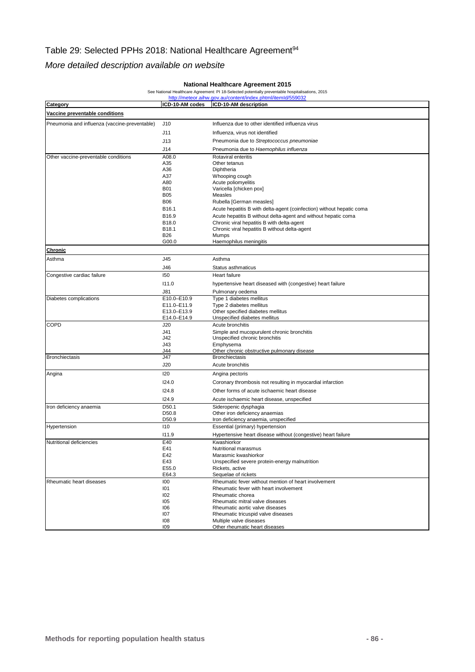## Table 29: Selected PPHs 2018: National Healthcare Agreement<sup>94</sup>

#### *More detailed description available on website*

#### **National Healthcare Agreement 2015**

#### See National Healthcare Agreement: PI 18-Selected potentially preventable hospitalisations, 2015<br>http://meteor.aihw.gov.au/content/index.phtml/itemId/559032

| Category                                      | ICD-10-AM codes    | ICD-10-AM description                                                 |
|-----------------------------------------------|--------------------|-----------------------------------------------------------------------|
| Vaccine preventable conditions                |                    |                                                                       |
| Pneumonia and influenza (vaccine-preventable) | J10                | Influenza due to other identified influenza virus                     |
|                                               |                    |                                                                       |
|                                               | J11                | Influenza, virus not identified                                       |
|                                               | J13                | Pneumonia due to Streptococcus pneumoniae                             |
|                                               | J14                | Pneumonia due to Haemophilus influenza                                |
| Other vaccine-preventable conditions          | A08.0              | Rotaviral enteritis                                                   |
|                                               | A35                | Other tetanus                                                         |
|                                               | A36<br>A37         | Diphtheria                                                            |
|                                               | A80                | Whooping cough<br>Acute poliomyelitis                                 |
|                                               | <b>B01</b>         | Varicella [chicken pox]                                               |
|                                               | <b>B05</b>         | Measles                                                               |
|                                               | <b>B06</b>         | Rubella [German measles]                                              |
|                                               | B <sub>16.1</sub>  | Acute hepatitis B with delta-agent (coinfection) without hepatic coma |
|                                               | B16.9              | Acute hepatitis B without delta-agent and without hepatic coma        |
|                                               | B18.0              | Chronic viral hepatitis B with delta-agent                            |
|                                               | B18.1              | Chronic viral hepatitis B without delta-agent                         |
|                                               | <b>B26</b>         | Mumps                                                                 |
|                                               | G00.0              | Haemophilus meningitis                                                |
| Chronic                                       |                    |                                                                       |
| Asthma                                        | J45                | Asthma                                                                |
|                                               | J46                | Status asthmaticus                                                    |
| Congestive cardiac failure                    | 150                | Heart failure                                                         |
|                                               | 111.0              | hypertensive heart diseased with (congestive) heart failure           |
|                                               | J81                | Pulmonary oedema                                                      |
| Diabetes complications                        | E10.0-E10.9        | Type 1 diabetes mellitus                                              |
|                                               | E11.0-E11.9        | Type 2 diabetes mellitus                                              |
|                                               | E13.0-E13.9        | Other specified diabetes mellitus                                     |
| COPD                                          | E14.0-E14.9<br>J20 | Unspecified diabetes mellitus<br>Acute bronchitis                     |
|                                               | J41                | Simple and mucopurulent chronic bronchitis                            |
|                                               | J42                | Unspecified chronic bronchitis                                        |
|                                               | J43                | Emphysema                                                             |
|                                               | J44                | Other chronic obstructive pulmonary disease                           |
| <b>Bronchiectasis</b>                         | J47                | <b>Bronchiectasis</b>                                                 |
|                                               | J20                | Acute bronchitis                                                      |
| Angina                                        | <b>I20</b>         | Angina pectoris                                                       |
|                                               | 124.0              | Coronary thrombosis not resulting in myocardial infarction            |
|                                               | 124.8              | Other forms of acute ischaemic heart disease                          |
|                                               | 124.9              | Acute ischaemic heart disease, unspecified                            |
| Iron deficiency anaemia                       | D <sub>50.1</sub>  | Sideropenic dysphagia                                                 |
|                                               | D50.8              | Other iron deficiency anaemias                                        |
|                                               | D50.9              | Iron deficiency anaemia, unspecified                                  |
| Hypertension                                  | 110                | Essential (primary) hypertension                                      |
|                                               | 111.9              | Hypertensive heart disease without (congestive) heart failure         |
| Nutritional deficiencies                      | E40                | Kwashiorkor                                                           |
|                                               | E41                | Nutritional marasmus                                                  |
|                                               | E42                | Marasmic kwashiorkor                                                  |
|                                               | E43                | Unspecified severe protein-energy malnutrition                        |
|                                               | E55.0<br>E64.3     | Rickets, active<br>Sequelae of rickets                                |
| Rheumatic heart diseases                      | 100                | Rheumatic fever without mention of heart involvement                  |
|                                               | 101                | Rheumatic fever with heart involvement                                |
|                                               | 102                | Rheumatic chorea                                                      |
|                                               | 105                | Rheumatic mitral valve diseases                                       |
|                                               | 106                | Rheumatic aortic valve diseases                                       |
|                                               | 107                | Rheumatic tricuspid valve diseases                                    |
|                                               | 108                | Multiple valve diseases                                               |
|                                               | 109                | Other rheumatic heart diseases                                        |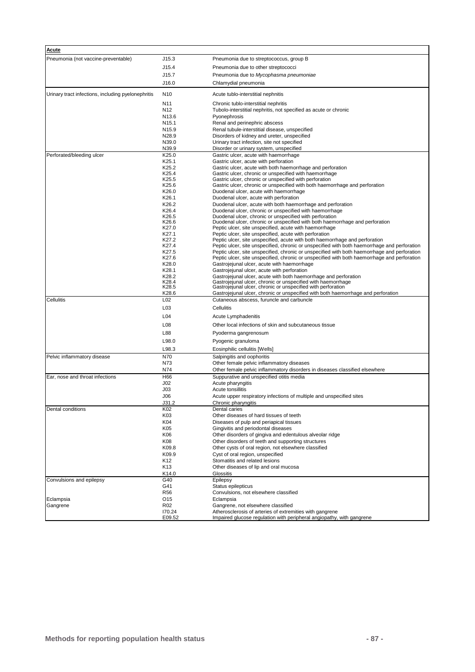| Acute                                              |                                    |                                                                                                                                                   |
|----------------------------------------------------|------------------------------------|---------------------------------------------------------------------------------------------------------------------------------------------------|
| Pneumonia (not vaccine-preventable)                | J15.3                              | Pneumonia due to streptococcus, group B                                                                                                           |
|                                                    | J15.4                              | Pneumonia due to other streptococci                                                                                                               |
|                                                    | J15.7                              | Pneumonia due to Mycophasma pneumoniae                                                                                                            |
|                                                    | J16.0                              | Chlamydial pneumonia                                                                                                                              |
|                                                    |                                    |                                                                                                                                                   |
| Urinary tract infections, including pyelonephritis | N <sub>10</sub>                    | Acute tublo-interstitial nephnitis                                                                                                                |
|                                                    | N <sub>11</sub><br>N <sub>12</sub> | Chronic tublo-interstitial nephritis<br>Tubolo-interstitial nephritis, not specified as acute or chronic                                          |
|                                                    | N <sub>13.6</sub>                  | Pyonephrosis                                                                                                                                      |
|                                                    | N <sub>15.1</sub>                  | Renal and perinephric abscess                                                                                                                     |
|                                                    | N <sub>15.9</sub>                  | Renal tubule-interstitial disease, unspecified                                                                                                    |
|                                                    | N <sub>28.9</sub>                  | Disorders of kidney and ureter, unspecified                                                                                                       |
|                                                    | N39.0<br>N39.9                     | Urinary tract infection, site not specified<br>Disorder or urinary system, unspecified                                                            |
| Perforated/bleeding ulcer                          | K25.0                              | Gastric ulcer, acute with haemorrhage                                                                                                             |
|                                                    | K25.1                              | Gastric ulcer, acute with perforation                                                                                                             |
|                                                    | K25.2                              | Gastric ulcer, acute with both haemorrhage and perforation                                                                                        |
|                                                    | K <sub>25.4</sub><br>K25.5         | Gastric ulcer, chronic or unspecified with haemorrhage<br>Gastric ulcer, chronic or unspecified with perforation                                  |
|                                                    | K25.6                              | Gastric ulcer, chronic or unspecified with both haemorrhage and perforation                                                                       |
|                                                    | K26.0                              | Duodenal ulcer, acute with haemorrhage                                                                                                            |
|                                                    | K26.1                              | Duodenal ulcer, acute with perforation                                                                                                            |
|                                                    | K26.2                              | Duodenal ulcer, acute with both haemorrhage and perforation                                                                                       |
|                                                    | K26.4<br>K26.5                     | Duodenal ulcer, chronic or unspecified with haemorrhage<br>Duodenal ulcer, chronic or unspecified with perforation                                |
|                                                    | K26.6                              | Duodenal ulcer, chronic or unspecified with both haemorrhage and perforation                                                                      |
|                                                    | K27.0                              | Peptic ulcer, site unspecified, acute with haemorrhage                                                                                            |
|                                                    | K27.1<br>K27.2                     | Peptic ulcer, site unspecified, acute with perforation<br>Peptic ulcer, site unspecified, acute with both haemorrhage and perforation             |
|                                                    | K27.4                              | Peptic ulcer, site unspecified, chronic or unspecified with both haemorrhage and perforation                                                      |
|                                                    | K27.5                              | Peptic ulcer, site unspecified, chronic or unspecified with both haemorrhage and perforation                                                      |
|                                                    | K27.6<br>K28.0                     | Peptic ulcer, site unspecified, chronic or unspecified with both haemorrhage and perforation                                                      |
|                                                    | K28.1                              | Gastrojejunal ulcer, acute with haemorrhage<br>Gastrojejunal ulcer, acute with perforation                                                        |
|                                                    | K28.2                              | Gastrojejunal ulcer, acute with both haemorrhage and perforation                                                                                  |
|                                                    | K28.4                              | Gastrojejunal ulcer, chronic or unspecified with haemorrhage                                                                                      |
|                                                    | K <sub>28.5</sub><br>K28.6         | Gastrojejunal ulcer, chronic or unspecified with perforation<br>Gastrojejunal ulcer, chronic or unspecified with both haemorrhage and perforation |
| Cellulitis                                         | L <sub>02</sub>                    | Cutaneous abscess, furuncle and carbuncle                                                                                                         |
|                                                    | L <sub>0</sub> 3                   | Cellulitis                                                                                                                                        |
|                                                    | L <sub>04</sub>                    | Acute Lymphadenitis                                                                                                                               |
|                                                    | L <sub>0</sub> 8                   | Other local infections of skin and subcutaneous tissue                                                                                            |
|                                                    | L88                                | Pyoderma gangrenosum                                                                                                                              |
|                                                    | L98.0                              | Pyogenic granuloma                                                                                                                                |
|                                                    | L98.3                              | Eosinphilic cellulitis [Wells]                                                                                                                    |
| Pelvic inflammatory disease                        | N70                                | Salpingitis and oophoritis                                                                                                                        |
|                                                    | N73                                | Other female pelvic inflammatory diseases                                                                                                         |
| Ear, nose and throat infections                    | N74<br>H66                         | Other female pelvic inflammatory disorders in diseases classified elsewhere<br>Suppurative and unspecified otitis media                           |
|                                                    | J <sub>02</sub>                    | Acute pharyngitis                                                                                                                                 |
|                                                    | J <sub>03</sub>                    | Acute tonsillitis                                                                                                                                 |
|                                                    | J06                                | Acute upper respiratory infections of multiple and unspecified sites                                                                              |
|                                                    | J31.2                              | Chronic pharyngitis                                                                                                                               |
| Dental conditions                                  | K02<br>K03                         | Dental caries<br>Other diseases of hard tissues of teeth                                                                                          |
|                                                    | K04                                | Diseases of pulp and periapical tissues                                                                                                           |
|                                                    | K05                                | Gingivitis and periodontal diseases                                                                                                               |
|                                                    | K06                                | Other disorders of gingiva and edentulous alveolar ridge                                                                                          |
|                                                    | K08                                | Other disorders of teeth and supporting structures                                                                                                |
|                                                    | K09.8<br>K09.9                     | Other cysts of oral region, not elsewhere classified<br>Cyst of oral region, unspecified                                                          |
|                                                    | K12                                | Stomatitis and related lesions                                                                                                                    |
|                                                    | K <sub>13</sub>                    | Other diseases of lip and oral mucosa                                                                                                             |
|                                                    | K14.0                              | Glossitis                                                                                                                                         |
| Convulsions and epilepsy                           | G40                                | Epilepsy                                                                                                                                          |
|                                                    | G41                                | Status epilepticus<br>Convulsions, not elsewhere classified                                                                                       |
| Eclampsia                                          | <b>R56</b><br>O <sub>15</sub>      | Eclampsia                                                                                                                                         |
| Gangrene                                           | R <sub>02</sub>                    | Gangrene, not elsewhere classified                                                                                                                |
|                                                    | 170.24                             | Atherosclerosis of arteries of extremities with gangrene                                                                                          |
|                                                    | E09.52                             | Impaired glucose regulation with peripheral angiopathy, with gangrene                                                                             |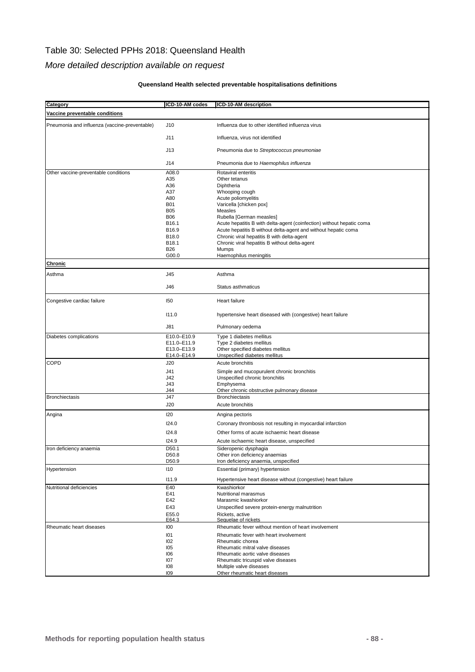### Table 30: Selected PPHs 2018: Queensland Health

#### *More detailed description available on request*

#### **Queensland Health selected preventable hospitalisations definitions**

| Category                                      | ICD-10-AM codes            | ICD-10-AM description                                                                       |
|-----------------------------------------------|----------------------------|---------------------------------------------------------------------------------------------|
| Vaccine preventable conditions                |                            |                                                                                             |
|                                               |                            |                                                                                             |
| Pneumonia and influenza (vaccine-preventable) | J10                        | Influenza due to other identified influenza virus                                           |
|                                               | J11                        | Influenza, virus not identified                                                             |
|                                               |                            |                                                                                             |
|                                               | J13                        | Pneumonia due to Streptococcus pneumoniae                                                   |
|                                               |                            |                                                                                             |
|                                               | J14                        | Pneumonia due to Haemophilus influenza                                                      |
| Other vaccine-preventable conditions          | A08.0                      | Rotaviral enteritis                                                                         |
|                                               | A35                        | Other tetanus                                                                               |
|                                               | A36<br>A37                 | Diphtheria<br>Whooping cough                                                                |
|                                               | A80                        | Acute poliomyelitis                                                                         |
|                                               | <b>B01</b>                 | Varicella [chicken pox]                                                                     |
|                                               | <b>B05</b>                 | <b>Measles</b>                                                                              |
|                                               | <b>B06</b>                 | Rubella [German measles]                                                                    |
|                                               | B16.1                      | Acute hepatitis B with delta-agent (coinfection) without hepatic coma                       |
|                                               | B16.9                      | Acute hepatitis B without delta-agent and without hepatic coma                              |
|                                               | B18.0<br>B18.1             | Chronic viral hepatitis B with delta-agent<br>Chronic viral hepatitis B without delta-agent |
|                                               | <b>B26</b>                 | Mumps                                                                                       |
|                                               | G00.0                      | Haemophilus meningitis                                                                      |
| Chronic                                       |                            |                                                                                             |
|                                               |                            |                                                                                             |
| Asthma                                        | J45                        | Asthma                                                                                      |
|                                               | J46                        | Status asthmaticus                                                                          |
|                                               |                            |                                                                                             |
| Congestive cardiac failure                    | 150                        | Heart failure                                                                               |
|                                               |                            |                                                                                             |
|                                               | 111.0                      | hypertensive heart diseased with (congestive) heart failure                                 |
|                                               |                            |                                                                                             |
|                                               | J81                        | Pulmonary oedema                                                                            |
| Diabetes complications                        | E10.0-E10.9                | Type 1 diabetes mellitus                                                                    |
|                                               | E11.0-E11.9                | Type 2 diabetes mellitus                                                                    |
|                                               | E13.0-E13.9<br>E14.0-E14.9 | Other specified diabetes mellitus<br>Unspecified diabetes mellitus                          |
| <b>COPD</b>                                   | J20                        | Acute bronchitis                                                                            |
|                                               |                            |                                                                                             |
|                                               | J41<br>J42                 | Simple and mucopurulent chronic bronchitis<br>Unspecified chronic bronchitis                |
|                                               | J43                        | Emphysema                                                                                   |
|                                               | J44                        | Other chronic obstructive pulmonary disease                                                 |
| <b>Bronchiectasis</b>                         | J47                        | <b>Bronchiectasis</b>                                                                       |
|                                               | J20                        | Acute bronchitis                                                                            |
| Angina                                        | 120                        | Angina pectoris                                                                             |
|                                               |                            |                                                                                             |
|                                               | 124.0                      | Coronary thrombosis not resulting in myocardial infarction                                  |
|                                               | 124.8                      | Other forms of acute ischaemic heart disease                                                |
|                                               | 124.9                      | Acute ischaemic heart disease, unspecified                                                  |
| Iron deficiency anaemia                       | D50.1                      | Sideropenic dysphagia                                                                       |
|                                               | D50.8                      | Other iron deficiency anaemias                                                              |
|                                               | D50.9                      | Iron deficiency anaemia, unspecified                                                        |
| Hypertension                                  | 110                        | Essential (primary) hypertension                                                            |
|                                               | 111.9                      | Hypertensive heart disease without (congestive) heart failure                               |
| Nutritional deficiencies                      | E40                        | Kwashiorkor                                                                                 |
|                                               | E41                        | Nutritional marasmus                                                                        |
|                                               | E42                        | Marasmic kwashiorkor                                                                        |
|                                               | E43                        | Unspecified severe protein-energy malnutrition                                              |
|                                               | E55.0                      | Rickets, active                                                                             |
| Rheumatic heart diseases                      | E64.3<br>100               | Sequelae of rickets<br>Rheumatic fever without mention of heart involvement                 |
|                                               |                            |                                                                                             |
|                                               | 101<br>102                 | Rheumatic fever with heart involvement<br>Rheumatic chorea                                  |
|                                               | 105                        | Rheumatic mitral valve diseases                                                             |
|                                               | 106                        | Rheumatic aortic valve diseases                                                             |
|                                               | 107                        | Rheumatic tricuspid valve diseases                                                          |
|                                               | 108                        | Multiple valve diseases                                                                     |
|                                               | 109                        | Other rheumatic heart diseases                                                              |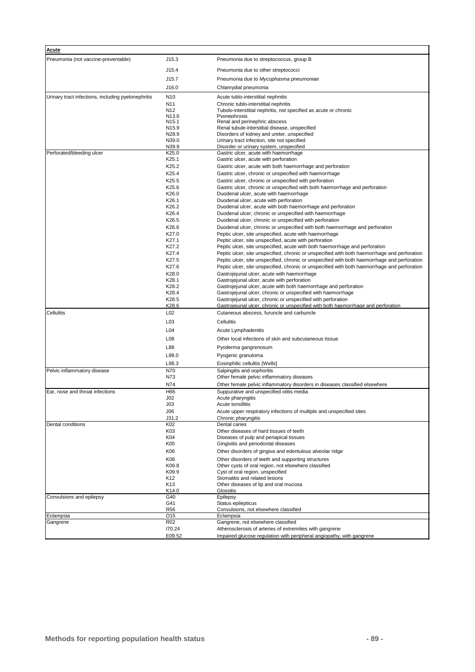| <b>Acute</b>                                       |                            |                                                                                                                                                                             |
|----------------------------------------------------|----------------------------|-----------------------------------------------------------------------------------------------------------------------------------------------------------------------------|
| Pneumonia (not vaccine-preventable)                | J15.3                      | Pneumonia due to streptococcus, group B                                                                                                                                     |
|                                                    | J15.4                      | Pneumonia due to other streptococci                                                                                                                                         |
|                                                    | J15.7                      | Pneumonia due to Mycophasma pneumoniae                                                                                                                                      |
|                                                    | J16.0                      | Chlamydial pneumonia                                                                                                                                                        |
| Urinary tract infections, including pyelonephritis | N <sub>10</sub>            |                                                                                                                                                                             |
|                                                    | N <sub>11</sub>            | Acute tublo-interstitial nephnitis<br>Chronic tublo-interstitial nephritis                                                                                                  |
|                                                    | N <sub>12</sub>            | Tubolo-interstitial nephritis, not specified as acute or chronic                                                                                                            |
|                                                    | N <sub>13.6</sub>          | Pvonephrosis                                                                                                                                                                |
|                                                    | N <sub>15.1</sub>          | Renal and perinephric abscess                                                                                                                                               |
|                                                    | N <sub>15.9</sub><br>N28.9 | Renal tubule-interstitial disease, unspecified<br>Disorders of kidney and ureter, unspecified                                                                               |
|                                                    | N39.0                      | Urinary tract infection, site not specified                                                                                                                                 |
|                                                    | N39.9                      | Disorder or urinary system, unspecified                                                                                                                                     |
| Perforated/bleeding ulcer                          | K25.0                      | Gastric ulcer, acute with haemorrhage                                                                                                                                       |
|                                                    | K25.1                      | Gastric ulcer, acute with perforation                                                                                                                                       |
|                                                    | K25.2                      | Gastric ulcer, acute with both haemorrhage and perforation                                                                                                                  |
|                                                    | K25.4                      | Gastric ulcer, chronic or unspecified with haemorrhage                                                                                                                      |
|                                                    | K25.5                      | Gastric ulcer, chronic or unspecified with perforation                                                                                                                      |
|                                                    | K25.6<br>K26.0             | Gastric ulcer, chronic or unspecified with both haemorrhage and perforation                                                                                                 |
|                                                    | K26.1                      | Duodenal ulcer, acute with haemorrhage<br>Duodenal ulcer, acute with perforation                                                                                            |
|                                                    | K26.2                      | Duodenal ulcer, acute with both haemorrhage and perforation                                                                                                                 |
|                                                    | K26.4                      | Duodenal ulcer, chronic or unspecified with haemorrhage                                                                                                                     |
|                                                    | K26.5                      | Duodenal ulcer, chronic or unspecified with perforation                                                                                                                     |
|                                                    | K26.6                      | Duodenal ulcer, chronic or unspecified with both haemorrhage and perforation                                                                                                |
|                                                    | K27.0                      | Peptic ulcer, site unspecified, acute with haemorrhage                                                                                                                      |
|                                                    | K27.1                      | Peptic ulcer, site unspecified, acute with perforation                                                                                                                      |
|                                                    | K27.2<br>K27.4             | Peptic ulcer, site unspecified, acute with both haemorrhage and perforation<br>Peptic ulcer, site unspecified, chronic or unspecified with both haemorrhage and perforation |
|                                                    | K27.5                      | Peptic ulcer, site unspecified, chronic or unspecified with both haemorrhage and perforation                                                                                |
|                                                    | K27.6                      | Peptic ulcer, site unspecified, chronic or unspecified with both haemorrhage and perforation                                                                                |
|                                                    | K28.0                      | Gastrojejunal ulcer, acute with haemorrhage                                                                                                                                 |
|                                                    | K28.1                      | Gastrojejunal ulcer, acute with perforation                                                                                                                                 |
|                                                    | K28.2                      | Gastrojejunal ulcer, acute with both haemorrhage and perforation                                                                                                            |
|                                                    | K28.4                      | Gastrojejunal ulcer, chronic or unspecified with haemorrhage                                                                                                                |
|                                                    | K28.5                      | Gastrojejunal ulcer, chronic or unspecified with perforation                                                                                                                |
| Cellulitis                                         | K28.6<br>L02               | Gastrojejunal ulcer, chronic or unspecified with both haemorrhage and perforation<br>Cutaneous abscess, furuncle and carbuncle                                              |
|                                                    |                            |                                                                                                                                                                             |
|                                                    | L <sub>03</sub>            | Cellulitis                                                                                                                                                                  |
|                                                    | L04                        | Acute Lymphadenitis                                                                                                                                                         |
|                                                    | L <sub>08</sub>            | Other local infections of skin and subcutaneous tissue                                                                                                                      |
|                                                    | L88                        | Pyoderma gangrenosum                                                                                                                                                        |
|                                                    | L98.0                      | Pyogenic granuloma                                                                                                                                                          |
|                                                    | L98.3                      | Eosinphilic cellulitis [Wells]                                                                                                                                              |
| Pelvic inflammatory disease                        | N70                        | Salpingitis and oophoritis                                                                                                                                                  |
|                                                    | N73                        | Other female pelvic inflammatory diseases                                                                                                                                   |
|                                                    | N74                        | Other female pelvic inflammatory disorders in diseases classified elsewhere                                                                                                 |
| Ear, nose and throat infections                    | H66                        | Suppurative and unspecified otitis media                                                                                                                                    |
|                                                    | J02<br>J03                 | Acute pharyngitis<br>Acute tonsillitis                                                                                                                                      |
|                                                    | J06                        | Acute upper respiratory infections of multiple and unspecified sites                                                                                                        |
|                                                    | J31.2                      | Chronic pharyngitis                                                                                                                                                         |
| Dental conditions                                  | K02                        | Dental caries                                                                                                                                                               |
|                                                    | K03                        | Other diseases of hard tissues of teeth                                                                                                                                     |
|                                                    | K04                        | Diseases of pulp and periapical tissues                                                                                                                                     |
|                                                    | K05                        | Gingivitis and periodontal diseases                                                                                                                                         |
|                                                    | K06                        | Other disorders of gingiva and edentulous alveolar ridge                                                                                                                    |
|                                                    | K08                        | Other disorders of teeth and supporting structures                                                                                                                          |
|                                                    | K09.8<br>K09.9             | Other cysts of oral region, not elsewhere classified<br>Cyst of oral region, unspecified                                                                                    |
|                                                    | K12                        | Stomatitis and related lesions                                                                                                                                              |
|                                                    | K13                        | Other diseases of lip and oral mucosa                                                                                                                                       |
|                                                    | K14.0                      | Glossitis                                                                                                                                                                   |
| Convulsions and epilepsy                           | G40                        | Epilepsy                                                                                                                                                                    |
|                                                    | G41                        | Status epilepticus                                                                                                                                                          |
| Eclampsia                                          | <b>R56</b><br>O15          | Convulsions, not elsewhere classified<br>Eclampsia                                                                                                                          |
| Gangrene                                           | R02                        | Gangrene, not elsewhere classified                                                                                                                                          |
|                                                    | 170.24                     | Atherosclerosis of arteries of extremities with gangrene                                                                                                                    |
|                                                    | E09.52                     | Impaired glucose regulation with peripheral angiopathy, with gangrene                                                                                                       |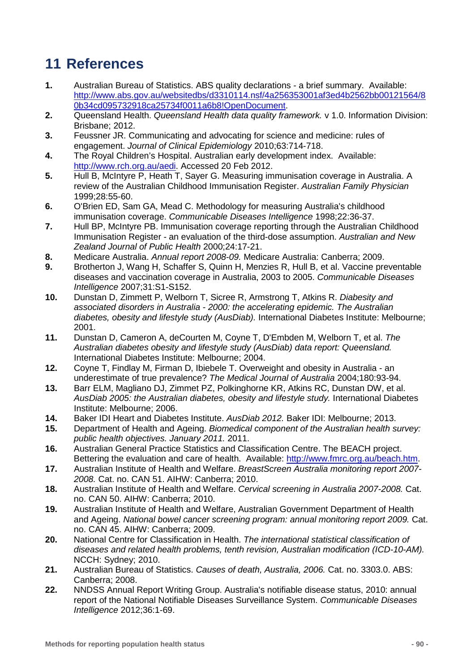# **11 References**

- **1.** Australian Bureau of Statistics. ABS quality declarations a brief summary. Available: [http://www.abs.gov.au/websitedbs/d3310114.nsf/4a256353001af3ed4b2562bb00121564/8](http://www.abs.gov.au/websitedbs/d3310114.nsf/4a256353001af3ed4b2562bb00121564/80b34cd095732918ca25734f0011a6b8!OpenDocument) [0b34cd095732918ca25734f0011a6b8!OpenDocument.](http://www.abs.gov.au/websitedbs/d3310114.nsf/4a256353001af3ed4b2562bb00121564/80b34cd095732918ca25734f0011a6b8!OpenDocument)
- **2.** Queensland Health. *Queensland Health data quality framework.* v 1.0. Information Division: Brisbane; 2012.
- **3.** Feussner JR. Communicating and advocating for science and medicine: rules of engagement. *Journal of Clinical Epidemiology* 2010;63:714-718.
- **4.** The Royal Children's Hospital. Australian early development index. Available: [http://www.rch.org.au/aedi.](http://www.rch.org.au/aedi) Accessed 20 Feb 2012.
- **5.** Hull B, McIntyre P, Heath T, Sayer G. Measuring immunisation coverage in Australia. A review of the Australian Childhood Immunisation Register. *Australian Family Physician* 1999;28:55-60.
- **6.** O'Brien ED, Sam GA, Mead C. Methodology for measuring Australia's childhood immunisation coverage. *Communicable Diseases Intelligence* 1998;22:36-37.
- **7.** Hull BP, McIntyre PB. Immunisation coverage reporting through the Australian Childhood Immunisation Register - an evaluation of the third-dose assumption. *Australian and New Zealand Journal of Public Health* 2000;24:17-21.
- **8.** Medicare Australia. *Annual report 2008-09.* Medicare Australia: Canberra; 2009.
- **9.** Brotherton J, Wang H, Schaffer S, Quinn H, Menzies R, Hull B, et al. Vaccine preventable diseases and vaccination coverage in Australia, 2003 to 2005. *Communicable Diseases Intelligence* 2007;31:S1-S152.
- **10.** Dunstan D, Zimmett P, Welborn T, Sicree R, Armstrong T, Atkins R. *Diabesity and associated disorders in Australia - 2000: the accelerating epidemic. The Australian diabetes, obesity and lifestyle study (AusDiab).* International Diabetes Institute: Melbourne; 2001.
- **11.** Dunstan D, Cameron A, deCourten M, Coyne T, D'Embden M, Welborn T, et al. *The Australian diabetes obesity and lifestyle study (AusDiab) data report: Queensland.* International Diabetes Institute: Melbourne; 2004.
- **12.** Coyne T, Findlay M, Firman D, Ibiebele T. Overweight and obesity in Australia an underestimate of true prevalence? *The Medical Journal of Australia* 2004;180:93-94.
- **13.** Barr ELM, Magliano DJ, Zimmet PZ, Polkinghorne KR, Atkins RC, Dunstan DW, et al. *AusDiab 2005: the Australian diabetes, obesity and lifestyle study.* International Diabetes Institute: Melbourne; 2006.
- **14.** Baker IDI Heart and Diabetes Institute. *AusDiab 2012.* Baker IDI: Melbourne; 2013.
- **15.** Department of Health and Ageing. *Biomedical component of the Australian health survey: public health objectives. January 2011.* 2011.
- **16.** Australian General Practice Statistics and Classification Centre. The BEACH project. Bettering the evaluation and care of health. Available: [http://www.fmrc.org.au/beach.htm.](http://www.fmrc.org.au/beach.htm)
- **17.** Australian Institute of Health and Welfare. *BreastScreen Australia monitoring report 2007- 2008.* Cat. no. CAN 51. AIHW: Canberra; 2010.
- **18.** Australian Institute of Health and Welfare. *Cervical screening in Australia 2007-2008.* Cat. no. CAN 50. AIHW: Canberra; 2010.
- **19.** Australian Institute of Health and Welfare, Australian Government Department of Health and Ageing. *National bowel cancer screening program: annual monitoring report 2009.* Cat. no. CAN 45. AIHW: Canberra; 2009.
- **20.** National Centre for Classification in Health. *The international statistical classification of diseases and related health problems, tenth revision, Australian modification (ICD-10-AM).* NCCH: Sydney; 2010.
- **21.** Australian Bureau of Statistics. *Causes of death, Australia, 2006.* Cat. no. 3303.0. ABS: Canberra; 2008.
- **22.** NNDSS Annual Report Writing Group. Australia's notifiable disease status, 2010: annual report of the National Notifiable Diseases Surveillance System. *Communicable Diseases Intelligence* 2012;36:1-69.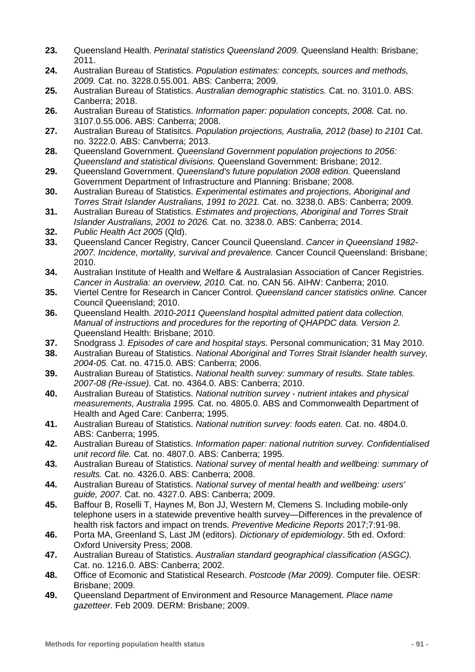- **23.** Queensland Health. *Perinatal statistics Queensland 2009.* Queensland Health: Brisbane; 2011.
- **24.** Australian Bureau of Statistics. *Population estimates: concepts, sources and methods, 2009.* Cat. no. 3228.0.55.001. ABS: Canberra; 2009.
- **25.** Australian Bureau of Statistics. *Australian demographic statistics.* Cat. no. 3101.0. ABS: Canberra; 2018.
- **26.** Australian Bureau of Statistics. *Information paper: population concepts, 2008.* Cat. no. 3107.0.55.006. ABS: Canberra; 2008.
- **27.** Australian Bureau of Statisitcs. *Population projections, Australia, 2012 (base) to 2101* Cat. no. 3222.0. ABS: Canvberra; 2013.
- **28.** Queensland Government. *Queensland Government population projections to 2056: Queensland and statistical divisions.* Queensland Government: Brisbane; 2012.
- **29.** Queensland Government. *Queensland's future population 2008 edition.* Queensland Government Department of Infrastructure and Planning: Brisbane; 2008.
- **30.** Australian Bureau of Statistics. *Experimental estimates and projections, Aboriginal and Torres Strait Islander Australians, 1991 to 2021.* Cat. no. 3238.0. ABS: Canberra; 2009.
- **31.** Australian Bureau of Statistics. *Estimates and projections, Aboriginal and Torres Strait Islander Australians, 2001 to 2026.* Cat. no. 3238.0. ABS: Canberra; 2014.
- **32.** *Public Health Act 2005* (Qld).
- **33.** Queensland Cancer Registry, Cancer Council Queensland. *Cancer in Queensland 1982- 2007. Incidence, mortality, survival and prevalence.* Cancer Council Queensland: Brisbane; 2010.
- **34.** Australian Institute of Health and Welfare & Australasian Association of Cancer Registries. *Cancer in Australia: an overview, 2010.* Cat. no. CAN 56. AIHW: Canberra; 2010.
- **35.** Viertel Centre for Research in Cancer Control. *Queensland cancer statistics online.* Cancer Council Queensland; 2010.
- **36.** Queensland Health. *2010-2011 Queensland hospital admitted patient data collection. Manual of instructions and procedures for the reporting of QHAPDC data. Version 2.* Queensland Health: Brisbane; 2010.
- **37.** Snodgrass J. *Episodes of care and hospital stays.* Personal communication; 31 May 2010.
- **38.** Australian Bureau of Statistics. *National Aboriginal and Torres Strait Islander health survey, 2004-05.* Cat. no. 4715.0. ABS: Canberra; 2006.
- **39.** Australian Bureau of Statistics. *National health survey: summary of results. State tables. 2007-08 (Re-issue).* Cat. no. 4364.0. ABS: Canberra; 2010.
- **40.** Australian Bureau of Statistics. *National nutrition survey - nutrient intakes and physical measurements, Australia 1995.* Cat. no. 4805.0. ABS and Commonwealth Department of Health and Aged Care: Canberra; 1995.
- **41.** Australian Bureau of Statistics. *National nutrition survey: foods eaten.* Cat. no. 4804.0. ABS: Canberra; 1995.
- **42.** Australian Bureau of Statistics. *Information paper: national nutrition survey. Confidentialised unit record file.* Cat. no. 4807.0. ABS: Canberra; 1995.
- **43.** Australian Bureau of Statistics. *National survey of mental health and wellbeing: summary of results.* Cat. no. 4326.0. ABS: Canberra; 2008.
- **44.** Australian Bureau of Statistics. *National survey of mental health and wellbeing: users' guide, 2007.* Cat. no. 4327.0. ABS: Canberra; 2009.
- **45.** Baffour B, Roselli T, Haynes M, Bon JJ, Western M, Clemens S. Including mobile-only telephone users in a statewide preventive health survey—Differences in the prevalence of health risk factors and impact on trends. *Preventive Medicine Reports* 2017;7:91-98.
- **46.** Porta MA, Greenland S, Last JM (editors). *Dictionary of epidemiology*. 5th ed. Oxford: Oxford University Press; 2008.
- **47.** Australian Bureau of Statistics. *Australian standard geographical classification (ASGC).* Cat. no. 1216.0. ABS: Canberra; 2002.
- **48.** Office of Ecomonic and Statistical Research. *Postcode (Mar 2009).* Computer file. OESR: Brisbane; 2009.
- **49.** Queensland Department of Environment and Resource Management. *Place name gazetteer.* Feb 2009. DERM: Brisbane; 2009.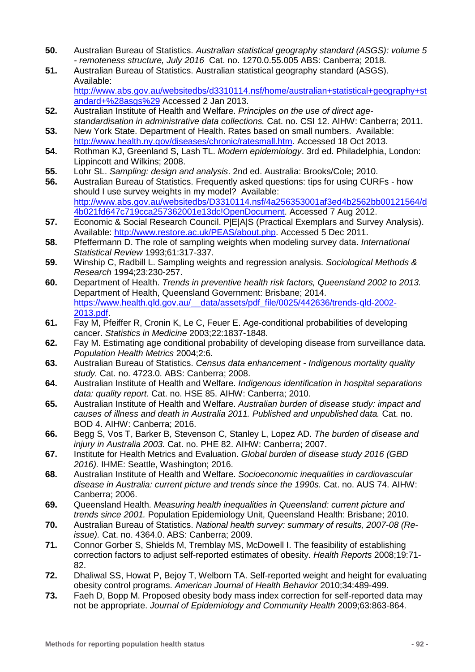- **50.** Australian Bureau of Statistics. *Australian statistical geography standard (ASGS): volume 5 - remoteness structure, July 2016* Cat. no. 1270.0.55.005 ABS: Canberra; 2018.
- **51.** Australian Bureau of Statistics. Australian statistical geography standard (ASGS). Available:

[http://www.abs.gov.au/websitedbs/d3310114.nsf/home/australian+statistical+geography+st](http://www.abs.gov.au/websitedbs/d3310114.nsf/home/australian+statistical+geography+standard+%28asgs%29) [andard+%28asgs%29](http://www.abs.gov.au/websitedbs/d3310114.nsf/home/australian+statistical+geography+standard+%28asgs%29) Accessed 2 Jan 2013.

- **52.** Australian Institute of Health and Welfare. *Principles on the use of direct agestandardisation in administrative data collections.* Cat. no. CSI 12. AIHW: Canberra; 2011.
- **53.** New York State. Department of Health. Rates based on small numbers. Available: [http://www.health.ny.gov/diseases/chronic/ratesmall.htm.](http://www.health.ny.gov/diseases/chronic/ratesmall.htm) Accessed 18 Oct 2013.
- **54.** Rothman KJ, Greenland S, Lash TL. *Modern epidemiology*. 3rd ed. Philadelphia, London: Lippincott and Wilkins; 2008.
- **55.** Lohr SL. *Sampling: design and analysis*. 2nd ed. Australia: Brooks/Cole; 2010.
- **56.** Australian Bureau of Statistics. Frequently asked questions: tips for using CURFs how should I use survey weights in my model? Available: [http://www.abs.gov.au/websitedbs/D3310114.nsf/4a256353001af3ed4b2562bb00121564/d](http://www.abs.gov.au/websitedbs/D3310114.nsf/4a256353001af3ed4b2562bb00121564/d4b021fd647c719cca257362001e13dc!OpenDocument) [4b021fd647c719cca257362001e13dc!OpenDocument.](http://www.abs.gov.au/websitedbs/D3310114.nsf/4a256353001af3ed4b2562bb00121564/d4b021fd647c719cca257362001e13dc!OpenDocument) Accessed 7 Aug 2012.
- **57.** Economic & Social Research Council. P|E|A|S (Practical Exemplars and Survey Analysis). Available: [http://www.restore.ac.uk/PEAS/about.php.](http://www.restore.ac.uk/PEAS/about.php) Accessed 5 Dec 2011.
- **58.** Pfeffermann D. The role of sampling weights when modeling survey data. *International Statistical Review* 1993;61:317-337.
- **59.** Winship C, Radbill L. Sampling weights and regression analysis. *Sociological Methods & Research* 1994;23:230-257.
- **60.** Department of Health. *Trends in preventive health risk factors, Queensland 2002 to 2013.* Department of Health, Queensland Government: Brisbane; 2014. [https://www.health.qld.gov.au/\\_\\_data/assets/pdf\\_file/0025/442636/trends-qld-2002-](https://www.health.qld.gov.au/__data/assets/pdf_file/0025/442636/trends-qld-2002-2013.pdf) [2013.pdf.](https://www.health.qld.gov.au/__data/assets/pdf_file/0025/442636/trends-qld-2002-2013.pdf)
- **61.** Fay M, Pfeiffer R, Cronin K, Le C, Feuer E. Age-conditional probabilities of developing cancer. *Statistics in Medicine* 2003;22:1837-1848.
- **62.** Fay M. Estimating age conditional probability of developing disease from surveillance data. *Population Health Metrics* 2004;2:6.
- **63.** Australian Bureau of Statistics. *Census data enhancement - Indigenous mortality quality study.* Cat. no. 4723.0. ABS: Canberra; 2008.
- **64.** Australian Institute of Health and Welfare. *Indigenous identification in hospital separations data: quality report.* Cat. no. HSE 85. AIHW: Canberra; 2010.
- **65.** Australian Institute of Health and Welfare. *Australian burden of disease study: impact and causes of illness and death in Australia 2011. Published and unpublished data.* Cat. no. BOD 4. AIHW: Canberra; 2016.
- **66.** Begg S, Vos T, Barker B, Stevenson C, Stanley L, Lopez AD. *The burden of disease and injury in Australia 2003.* Cat. no. PHE 82. AIHW: Canberra; 2007.
- **67.** Institute for Health Metrics and Evaluation. *Global burden of disease study 2016 (GBD 2016).* IHME: Seattle, Washington; 2016.
- **68.** Australian Institute of Health and Welfare. *Socioeconomic inequalities in cardiovascular disease in Australia: current picture and trends since the 1990s.* Cat. no. AUS 74. AIHW: Canberra; 2006.
- **69.** Queensland Health. *Measuring health inequalities in Queensland: current picture and trends since 2001.* Population Epidemiology Unit, Queensland Health: Brisbane; 2010.
- **70.** Australian Bureau of Statistics. *National health survey: summary of results, 2007-08 (Reissue).* Cat. no. 4364.0. ABS: Canberra; 2009.
- **71.** Connor Gorber S, Shields M, Tremblay MS, McDowell I. The feasibility of establishing correction factors to adjust self-reported estimates of obesity. *Health Reports* 2008;19:71- 82.
- **72.** Dhaliwal SS, Howat P, Bejoy T, Welborn TA. Self-reported weight and height for evaluating obesity control programs. *American Journal of Health Behavior* 2010;34:489-499.
- **73.** Faeh D, Bopp M. Proposed obesity body mass index correction for self-reported data may not be appropriate. *Journal of Epidemiology and Community Health* 2009;63:863-864.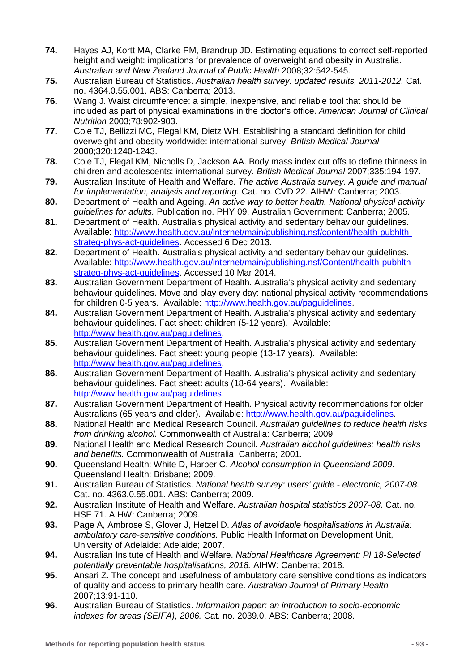- **74.** Hayes AJ, Kortt MA, Clarke PM, Brandrup JD. Estimating equations to correct self-reported height and weight: implications for prevalence of overweight and obesity in Australia. *Australian and New Zealand Journal of Public Health* 2008;32:542-545.
- **75.** Australian Bureau of Statistics. *Australian health survey: updated results, 2011-2012.* Cat. no. 4364.0.55.001. ABS: Canberra; 2013.
- **76.** Wang J. Waist circumference: a simple, inexpensive, and reliable tool that should be included as part of physical examinations in the doctor's office. *American Journal of Clinical Nutrition* 2003;78:902-903.
- **77.** Cole TJ, Bellizzi MC, Flegal KM, Dietz WH. Establishing a standard definition for child overweight and obesity worldwide: international survey. *British Medical Journal* 2000;320:1240-1243.
- **78.** Cole TJ, Flegal KM, Nicholls D, Jackson AA. Body mass index cut offs to define thinness in children and adolescents: international survey. *British Medical Journal* 2007;335:194-197.
- **79.** Australian Institute of Health and Welfare. *The active Australia survey. A guide and manual for implementation, analysis and reporting.* Cat. no. CVD 22. AIHW: Canberra; 2003.
- **80.** Department of Health and Ageing. *An active way to better health. National physical activity guidelines for adults.* Publication no. PHY 09. Australian Government: Canberra; 2005.
- **81.** Department of Health. Australia's physical activity and sedentary behaviour guidelines. Available: [http://www.health.gov.au/internet/main/publishing.nsf/content/health-pubhlth](http://www.health.gov.au/internet/main/publishing.nsf/content/health-pubhlth-strateg-phys-act-guidelines)[strateg-phys-act-guidelines.](http://www.health.gov.au/internet/main/publishing.nsf/content/health-pubhlth-strateg-phys-act-guidelines) Accessed 6 Dec 2013.
- **82.** Department of Health. Australia's physical activity and sedentary behaviour guidelines. Available: [http://www.health.gov.au/internet/main/publishing.nsf/Content/health-pubhlth](http://www.health.gov.au/internet/main/publishing.nsf/Content/health-pubhlth-strateg-phys-act-guidelines)[strateg-phys-act-guidelines.](http://www.health.gov.au/internet/main/publishing.nsf/Content/health-pubhlth-strateg-phys-act-guidelines) Accessed 10 Mar 2014.
- **83.** Australian Government Department of Health. Australia's physical activity and sedentary behaviour guidelines. Move and play every day: national physical activity recommendations for children 0-5 years. Available: [http://www.health.gov.au/paguidelines.](http://www.health.gov.au/paguidelines)
- **84.** Australian Government Department of Health. Australia's physical activity and sedentary behaviour guidelines. Fact sheet: children (5-12 years). Available: [http://www.health.gov.au/paguidelines.](http://www.health.gov.au/paguidelines)
- **85.** Australian Government Department of Health. Australia's physical activity and sedentary behaviour guidelines. Fact sheet: young people (13-17 years). Available: [http://www.health.gov.au/paguidelines.](http://www.health.gov.au/paguidelines)
- **86.** Australian Government Department of Health. Australia's physical activity and sedentary behaviour guidelines. Fact sheet: adults (18-64 years). Available: [http://www.health.gov.au/paguidelines.](http://www.health.gov.au/paguidelines)
- **87.** Australian Government Department of Health. Physical activity recommendations for older Australians (65 years and older). Available: [http://www.health.gov.au/paguidelines.](http://www.health.gov.au/paguidelines)
- **88.** National Health and Medical Research Council. *Australian guidelines to reduce health risks from drinking alcohol.* Commonwealth of Australia: Canberra; 2009.
- **89.** National Health and Medical Research Council. *Australian alcohol guidelines: health risks and benefits.* Commonwealth of Australia: Canberra; 2001.
- **90.** Queensland Health: White D, Harper C. *Alcohol consumption in Queensland 2009.* Queensland Health: Brisbane; 2009.
- **91.** Australian Bureau of Statistics. *National health survey: users' guide - electronic, 2007-08.* Cat. no. 4363.0.55.001. ABS: Canberra; 2009.
- **92.** Australian Institute of Health and Welfare. *Australian hospital statistics 2007-08.* Cat. no. HSE 71. AIHW: Canberra; 2009.
- **93.** Page A, Ambrose S, Glover J, Hetzel D. *Atlas of avoidable hospitalisations in Australia: ambulatory care-sensitive conditions.* Public Health Information Development Unit, University of Adelaide: Adelaide; 2007.
- **94.** Australian Insitute of Health and Welfare. *National Healthcare Agreement: PI 18-Selected potentially preventable hospitalisations, 2018.* AIHW: Canberra; 2018.
- **95.** Ansari Z. The concept and usefulness of ambulatory care sensitive conditions as indicators of quality and access to primary health care. *Australian Journal of Primary Health* 2007;13:91-110.
- **96.** Australian Bureau of Statistics. *Information paper: an introduction to socio-economic indexes for areas (SEIFA), 2006.* Cat. no. 2039.0. ABS: Canberra; 2008.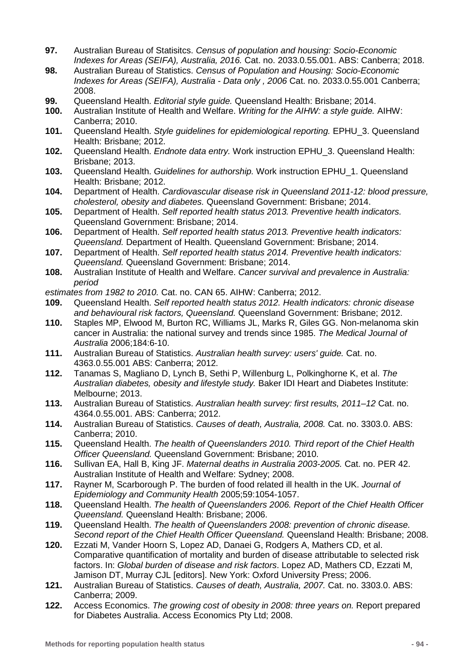- **97.** Australian Bureau of Statisitcs. *Census of population and housing: Socio-Economic Indexes for Areas (SEIFA), Australia, 2016.* Cat. no. 2033.0.55.001. ABS: Canberra; 2018.
- **98.** Australian Bureau of Statistics. *Census of Population and Housing: Socio-Economic Indexes for Areas (SEIFA), Australia - Data only , 2006* Cat. no. 2033.0.55.001 Canberra; 2008.
- **99.** Queensland Health. *Editorial style guide.* Queensland Health: Brisbane; 2014.
- **100.** Australian Institute of Health and Welfare. *Writing for the AIHW: a style guide.* AIHW: Canberra; 2010.
- **101.** Queensland Health. *Style guidelines for epidemiological reporting.* EPHU\_3. Queensland Health: Brisbane; 2012.
- **102.** Queensland Health. *Endnote data entry.* Work instruction EPHU\_3. Queensland Health: Brisbane; 2013.
- **103.** Queensland Health. *Guidelines for authorship.* Work instruction EPHU\_1. Queensland Health: Brisbane; 2012.
- **104.** Department of Health. *Cardiovascular disease risk in Queensland 2011-12: blood pressure, cholesterol, obesity and diabetes.* Queensland Government: Brisbane; 2014.
- **105.** Department of Health. *Self reported health status 2013. Preventive health indicators.* Queensland Government: Brisbane; 2014.
- **106.** Department of Health. *Self reported health status 2013. Preventive health indicators: Queensland.* Department of Health. Queensland Government: Brisbane; 2014.
- **107.** Department of Health. *Self reported health status 2014. Preventive health indicators: Queensland.* Queensland Government: Brisbane; 2014.
- **108.** Australian Institute of Health and Welfare. *Cancer survival and prevalence in Australia: period*

estimates from 1982 to 2010. Cat. no. CAN 65. AIHW: Canberra; 2012.<br>**109.** Oueensland Health, Self reported health status 2012. Health ind

- **109.** Queensland Health. *Self reported health status 2012. Health indicators: chronic disease and behavioural risk factors, Queensland.* Queensland Government: Brisbane; 2012.
- **110.** Staples MP, Elwood M, Burton RC, Williams JL, Marks R, Giles GG. Non-melanoma skin cancer in Australia: the national survey and trends since 1985. *The Medical Journal of Australia* 2006;184:6-10.
- **111.** Australian Bureau of Statistics. *Australian health survey: users' guide.* Cat. no. 4363.0.55.001 ABS: Canberra; 2012.
- **112.** Tanamas S, Magliano D, Lynch B, Sethi P, Willenburg L, Polkinghorne K, et al. *The Australian diabetes, obesity and lifestyle study.* Baker IDI Heart and Diabetes Institute: Melbourne; 2013.
- **113.** Australian Bureau of Statistics. *Australian health survey: first results, 2011–12* Cat. no. 4364.0.55.001. ABS: Canberra; 2012.
- **114.** Australian Bureau of Statistics. *Causes of death, Australia, 2008.* Cat. no. 3303.0. ABS: Canberra; 2010.
- **115.** Queensland Health. *The health of Queenslanders 2010. Third report of the Chief Health Officer Queensland.* Queensland Government: Brisbane; 2010.
- **116.** Sullivan EA, Hall B, King JF. *Maternal deaths in Australia 2003-2005.* Cat. no. PER 42. Australian Institute of Health and Welfare: Sydney; 2008.
- **117.** Rayner M, Scarborough P. The burden of food related ill health in the UK. *Journal of Epidemiology and Community Health* 2005;59:1054-1057.
- **118.** Queensland Health. *The health of Queenslanders 2006. Report of the Chief Health Officer Queensland.* Queensland Health: Brisbane; 2006.
- **119.** Queensland Health. *The health of Queenslanders 2008: prevention of chronic disease. Second report of the Chief Health Officer Queensland.* Queensland Health: Brisbane; 2008.
- **120.** Ezzati M, Vander Hoorn S, Lopez AD, Danaei G, Rodgers A, Mathers CD, et al. Comparative quantification of mortality and burden of disease attributable to selected risk factors. In: *Global burden of disease and risk factors*. Lopez AD, Mathers CD, Ezzati M, Jamison DT, Murray CJL [editors]. New York: Oxford University Press; 2006.
- **121.** Australian Bureau of Statistics. *Causes of death, Australia, 2007.* Cat. no. 3303.0. ABS: Canberra; 2009.
- **122.** Access Economics. *The growing cost of obesity in 2008: three years on.* Report prepared for Diabetes Australia. Access Economics Pty Ltd; 2008.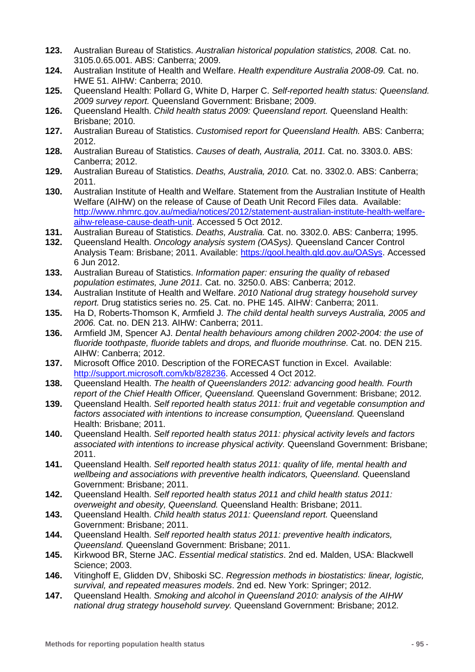- **123.** Australian Bureau of Statistics. *Australian historical population statistics, 2008.* Cat. no. 3105.0.65.001. ABS: Canberra; 2009.
- **124.** Australian Institute of Health and Welfare. *Health expenditure Australia 2008-09.* Cat. no. HWE 51. AIHW: Canberra; 2010.
- **125.** Queensland Health: Pollard G, White D, Harper C. *Self-reported health status: Queensland. 2009 survey report.* Queensland Government: Brisbane; 2009.
- **126.** Queensland Health. *Child health status 2009: Queensland report.* Queensland Health: Brisbane; 2010.
- **127.** Australian Bureau of Statistics. *Customised report for Queensland Health.* ABS: Canberra; 2012.
- **128.** Australian Bureau of Statistics. *Causes of death, Australia, 2011.* Cat. no. 3303.0. ABS: Canberra; 2012.
- **129.** Australian Bureau of Statistics. *Deaths, Australia, 2010.* Cat. no. 3302.0. ABS: Canberra; 2011.
- **130.** Australian Institute of Health and Welfare. Statement from the Australian Institute of Health Welfare (AIHW) on the release of Cause of Death Unit Record Files data. Available: [http://www.nhmrc.gov.au/media/notices/2012/statement-australian-institute-health-welfare](http://www.nhmrc.gov.au/media/notices/2012/statement-australian-institute-health-welfare-aihw-release-cause-death-unit)[aihw-release-cause-death-unit.](http://www.nhmrc.gov.au/media/notices/2012/statement-australian-institute-health-welfare-aihw-release-cause-death-unit) Accessed 5 Oct 2012.
- **131.** Australian Bureau of Statistics. *Deaths, Australia.* Cat. no. 3302.0. ABS: Canberra; 1995.
- **132.** Queensland Health. *Oncology analysis system (OASys).* Queensland Cancer Control Analysis Team: Brisbane; 2011. Available: [https://qool.health.qld.gov.au/OASys.](https://qool.health.qld.gov.au/OASys) Accessed 6 Jun 2012.
- **133.** Australian Bureau of Statistics. *Information paper: ensuring the quality of rebased population estimates, June 2011.* Cat. no. 3250.0. ABS: Canberra; 2012.
- **134.** Australian Institute of Health and Welfare. *2010 National drug strategy household survey report.* Drug statistics series no. 25. Cat. no. PHE 145. AIHW: Canberra; 2011.
- **135.** Ha D, Roberts-Thomson K, Armfield J. *The child dental health surveys Australia, 2005 and 2006.* Cat. no. DEN 213. AIHW: Canberra; 2011.
- **136.** Armfield JM, Spencer AJ. *Dental health behaviours among children 2002-2004: the use of fluoride toothpaste, fluoride tablets and drops, and fluoride mouthrinse.* Cat. no. DEN 215. AIHW: Canberra; 2012.
- **137.** Microsoft Office 2010. Description of the FORECAST function in Excel. Available: [http://support.microsoft.com/kb/828236.](http://support.microsoft.com/kb/828236) Accessed 4 Oct 2012.
- **138.** Queensland Health. *The health of Queenslanders 2012: advancing good health. Fourth report of the Chief Health Officer, Queensland.* Queensland Government: Brisbane; 2012.
- **139.** Queensland Health. *Self reported health status 2011: fruit and vegetable consumption and factors associated with intentions to increase consumption, Queensland.* Queensland Health: Brisbane; 2011.
- **140.** Queensland Health. *Self reported health status 2011: physical activity levels and factors associated with intentions to increase physical activity.* Queensland Government: Brisbane; 2011.
- **141.** Queensland Health. *Self reported health status 2011: quality of life, mental health and wellbeing and associations with preventive health indicators, Queensland.* Queensland Government: Brisbane; 2011.
- **142.** Queensland Health. *Self reported health status 2011 and child health status 2011: overweight and obesity, Queensland.* Queensland Health: Brisbane; 2011.
- **143.** Queensland Health. *Child health status 2011: Queensland report.* Queensland Government: Brisbane; 2011.
- **144.** Queensland Health. *Self reported health status 2011: preventive health indicators, Queensland.* Queensland Government: Brisbane; 2011.
- **145.** Kirkwood BR, Sterne JAC. *Essential medical statistics*. 2nd ed. Malden, USA: Blackwell Science; 2003.
- **146.** Vitinghoff E, Glidden DV, Shiboski SC. *Regression methods in biostatistics: linear, logistic, survival, and repeated measures models*. 2nd ed. New York: Springer; 2012.
- **147.** Queensland Health. *Smoking and alcohol in Queensland 2010: analysis of the AIHW national drug strategy household survey.* Queensland Government: Brisbane; 2012.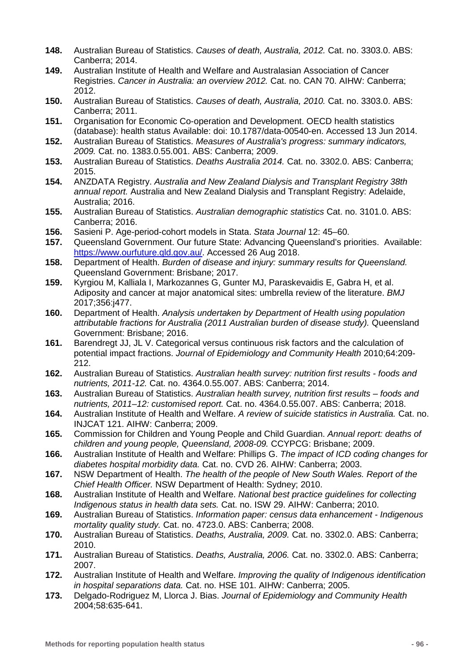- **148.** Australian Bureau of Statistics. *Causes of death, Australia, 2012.* Cat. no. 3303.0. ABS: Canberra; 2014.
- **149.** Australian Institute of Health and Welfare and Australasian Association of Cancer Registries. *Cancer in Australia: an overview 2012.* Cat. no. CAN 70. AIHW: Canberra; 2012.
- **150.** Australian Bureau of Statistics. *Causes of death, Australia, 2010.* Cat. no. 3303.0. ABS: Canberra; 2011.
- **151.** Organisation for Economic Co-operation and Development. OECD health statistics (database): health status Available: doi: 10.1787/data-00540-en. Accessed 13 Jun 2014.
- **152.** Australian Bureau of Statistics. *Measures of Australia's progress: summary indicators, 2009.* Cat. no. 1383.0.55.001. ABS: Canberra; 2009.
- **153.** Australian Bureau of Statistics. *Deaths Australia 2014.* Cat. no. 3302.0. ABS: Canberra; 2015.
- **154.** ANZDATA Registry. *Australia and New Zealand Dialysis and Transplant Registry 38th annual report.* Australia and New Zealand Dialysis and Transplant Registry: Adelaide, Australia; 2016.
- **155.** Australian Bureau of Statistics. *Australian demographic statistics* Cat. no. 3101.0. ABS: Canberra; 2016.
- **156.** Sasieni P. Age-period-cohort models in Stata. *Stata Journal* 12: 45–60.
- **157.** Queensland Government. Our future State: Advancing Queensland's priorities. Available: [https://www.ourfuture.qld.gov.au/.](https://www.ourfuture.qld.gov.au/) Accessed 26 Aug 2018.
- **158.** Department of Health. *Burden of disease and injury: summary results for Queensland.* Queensland Government: Brisbane; 2017.
- **159.** Kyrgiou M, Kalliala I, Markozannes G, Gunter MJ, Paraskevaidis E, Gabra H, et al. Adiposity and cancer at major anatomical sites: umbrella review of the literature. *BMJ* 2017;356:j477.
- **160.** Department of Health. *Analysis undertaken by Department of Health using population attributable fractions for Australia (2011 Australian burden of disease study).* Queensland Government: Brisbane; 2016.
- **161.** Barendregt JJ, JL V. Categorical versus continuous risk factors and the calculation of potential impact fractions. *Journal of Epidemiology and Community Health* 2010;64:209- 212.
- **162.** Australian Bureau of Statistics. *Australian health survey: nutrition first results - foods and nutrients, 2011-12.* Cat. no. 4364.0.55.007. ABS: Canberra; 2014.
- **163.** Australian Bureau of Statistics. *Australian health survey, nutrition first results – foods and nutrients, 2011–12: customised report.* Cat. no. 4364.0.55.007. ABS: Canberra; 2018.
- **164.** Australian Institute of Health and Welfare. *A review of suicide statistics in Australia.* Cat. no. INJCAT 121. AIHW: Canberra; 2009.
- **165.** Commission for Children and Young People and Child Guardian. *Annual report: deaths of children and young people, Queensland, 2008-09.* CCYPCG: Brisbane; 2009.
- **166.** Australian Institute of Health and Welfare: Phillips G. *The impact of ICD coding changes for diabetes hospital morbidity data.* Cat. no. CVD 26. AIHW: Canberra; 2003.
- **167.** NSW Department of Health. *The health of the people of New South Wales. Report of the Chief Health Officer.* NSW Department of Health: Sydney; 2010.
- **168.** Australian Institute of Health and Welfare. *National best practice guidelines for collecting Indigenous status in health data sets.* Cat. no. ISW 29. AIHW: Canberra; 2010.
- **169.** Australian Bureau of Statistics. *Information paper: census data enhancement - Indigenous mortality quality study.* Cat. no. 4723.0. ABS: Canberra; 2008.
- **170.** Australian Bureau of Statistics. *Deaths, Australia, 2009.* Cat. no. 3302.0. ABS: Canberra; 2010.
- **171.** Australian Bureau of Statistics. *Deaths, Australia, 2006.* Cat. no. 3302.0. ABS: Canberra; 2007.
- **172.** Australian Institute of Health and Welfare. *Improving the quality of Indigenous identification in hospital separations data.* Cat. no. HSE 101. AIHW: Canberra; 2005.
- **173.** Delgado-Rodriguez M, Llorca J. Bias. *Journal of Epidemiology and Community Health* 2004;58:635-641.